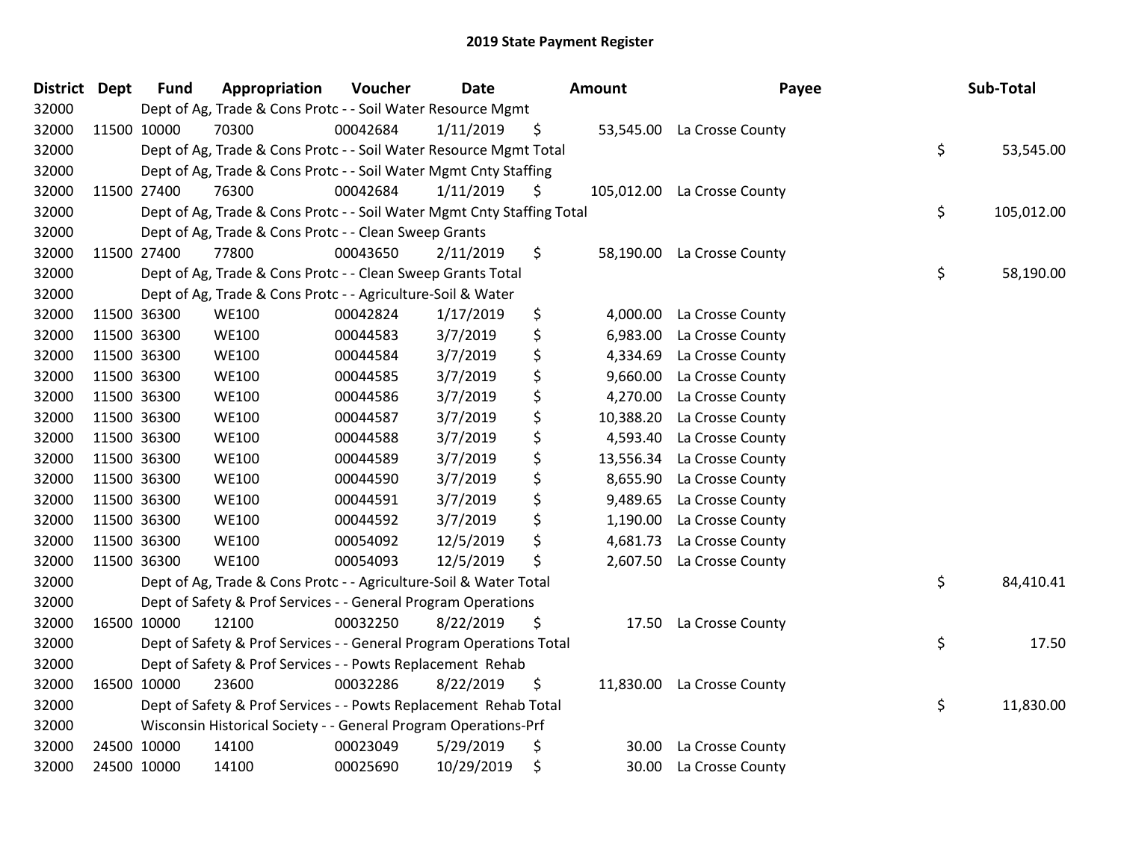| District Dept | <b>Fund</b> | Appropriation                                                          | Voucher  | <b>Date</b> | <b>Amount</b>   | Payee                       | Sub-Total        |
|---------------|-------------|------------------------------------------------------------------------|----------|-------------|-----------------|-----------------------------|------------------|
| 32000         |             | Dept of Ag, Trade & Cons Protc - - Soil Water Resource Mgmt            |          |             |                 |                             |                  |
| 32000         | 11500 10000 | 70300                                                                  | 00042684 | 1/11/2019   | \$              | 53,545.00 La Crosse County  |                  |
| 32000         |             | Dept of Ag, Trade & Cons Protc - - Soil Water Resource Mgmt Total      |          |             |                 |                             | \$<br>53,545.00  |
| 32000         |             | Dept of Ag, Trade & Cons Protc - - Soil Water Mgmt Cnty Staffing       |          |             |                 |                             |                  |
| 32000         | 11500 27400 | 76300                                                                  | 00042684 | 1/11/2019   | \$              | 105,012.00 La Crosse County |                  |
| 32000         |             | Dept of Ag, Trade & Cons Protc - - Soil Water Mgmt Cnty Staffing Total |          |             |                 |                             | \$<br>105,012.00 |
| 32000         |             | Dept of Ag, Trade & Cons Protc - - Clean Sweep Grants                  |          |             |                 |                             |                  |
| 32000         | 11500 27400 | 77800                                                                  | 00043650 | 2/11/2019   | \$<br>58,190.00 | La Crosse County            |                  |
| 32000         |             | Dept of Ag, Trade & Cons Protc - - Clean Sweep Grants Total            |          |             |                 |                             | \$<br>58,190.00  |
| 32000         |             | Dept of Ag, Trade & Cons Protc - - Agriculture-Soil & Water            |          |             |                 |                             |                  |
| 32000         | 11500 36300 | <b>WE100</b>                                                           | 00042824 | 1/17/2019   | \$<br>4,000.00  | La Crosse County            |                  |
| 32000         | 11500 36300 | <b>WE100</b>                                                           | 00044583 | 3/7/2019    | \$              | 6,983.00 La Crosse County   |                  |
| 32000         | 11500 36300 | <b>WE100</b>                                                           | 00044584 | 3/7/2019    | \$              | 4,334.69 La Crosse County   |                  |
| 32000         | 11500 36300 | <b>WE100</b>                                                           | 00044585 | 3/7/2019    | \$              | 9,660.00 La Crosse County   |                  |
| 32000         | 11500 36300 | <b>WE100</b>                                                           | 00044586 | 3/7/2019    | \$              | 4,270.00 La Crosse County   |                  |
| 32000         | 11500 36300 | <b>WE100</b>                                                           | 00044587 | 3/7/2019    | \$<br>10,388.20 | La Crosse County            |                  |
| 32000         | 11500 36300 | <b>WE100</b>                                                           | 00044588 | 3/7/2019    | \$<br>4,593.40  | La Crosse County            |                  |
| 32000         | 11500 36300 | <b>WE100</b>                                                           | 00044589 | 3/7/2019    | \$<br>13,556.34 | La Crosse County            |                  |
| 32000         | 11500 36300 | <b>WE100</b>                                                           | 00044590 | 3/7/2019    | \$<br>8,655.90  | La Crosse County            |                  |
| 32000         | 11500 36300 | <b>WE100</b>                                                           | 00044591 | 3/7/2019    | \$<br>9,489.65  | La Crosse County            |                  |
| 32000         | 11500 36300 | <b>WE100</b>                                                           | 00044592 | 3/7/2019    | \$<br>1,190.00  | La Crosse County            |                  |
| 32000         | 11500 36300 | <b>WE100</b>                                                           | 00054092 | 12/5/2019   | \$<br>4,681.73  | La Crosse County            |                  |
| 32000         | 11500 36300 | <b>WE100</b>                                                           | 00054093 | 12/5/2019   | \$              | 2,607.50 La Crosse County   |                  |
| 32000         |             | Dept of Ag, Trade & Cons Protc - - Agriculture-Soil & Water Total      |          |             |                 |                             | \$<br>84,410.41  |
| 32000         |             | Dept of Safety & Prof Services - - General Program Operations          |          |             |                 |                             |                  |
| 32000         | 16500 10000 | 12100                                                                  | 00032250 | 8/22/2019   | \$<br>17.50     | La Crosse County            |                  |
| 32000         |             | Dept of Safety & Prof Services - - General Program Operations Total    |          |             |                 |                             | \$<br>17.50      |
| 32000         |             | Dept of Safety & Prof Services - - Powts Replacement Rehab             |          |             |                 |                             |                  |
| 32000         | 16500 10000 | 23600                                                                  | 00032286 | 8/22/2019   | \$              | 11,830.00 La Crosse County  |                  |
| 32000         |             | Dept of Safety & Prof Services - - Powts Replacement Rehab Total       |          |             |                 |                             | \$<br>11,830.00  |
| 32000         |             | Wisconsin Historical Society - - General Program Operations-Prf        |          |             |                 |                             |                  |
| 32000         | 24500 10000 | 14100                                                                  | 00023049 | 5/29/2019   | \$<br>30.00     | La Crosse County            |                  |
| 32000         | 24500 10000 | 14100                                                                  | 00025690 | 10/29/2019  | \$              | 30.00 La Crosse County      |                  |
|               |             |                                                                        |          |             |                 |                             |                  |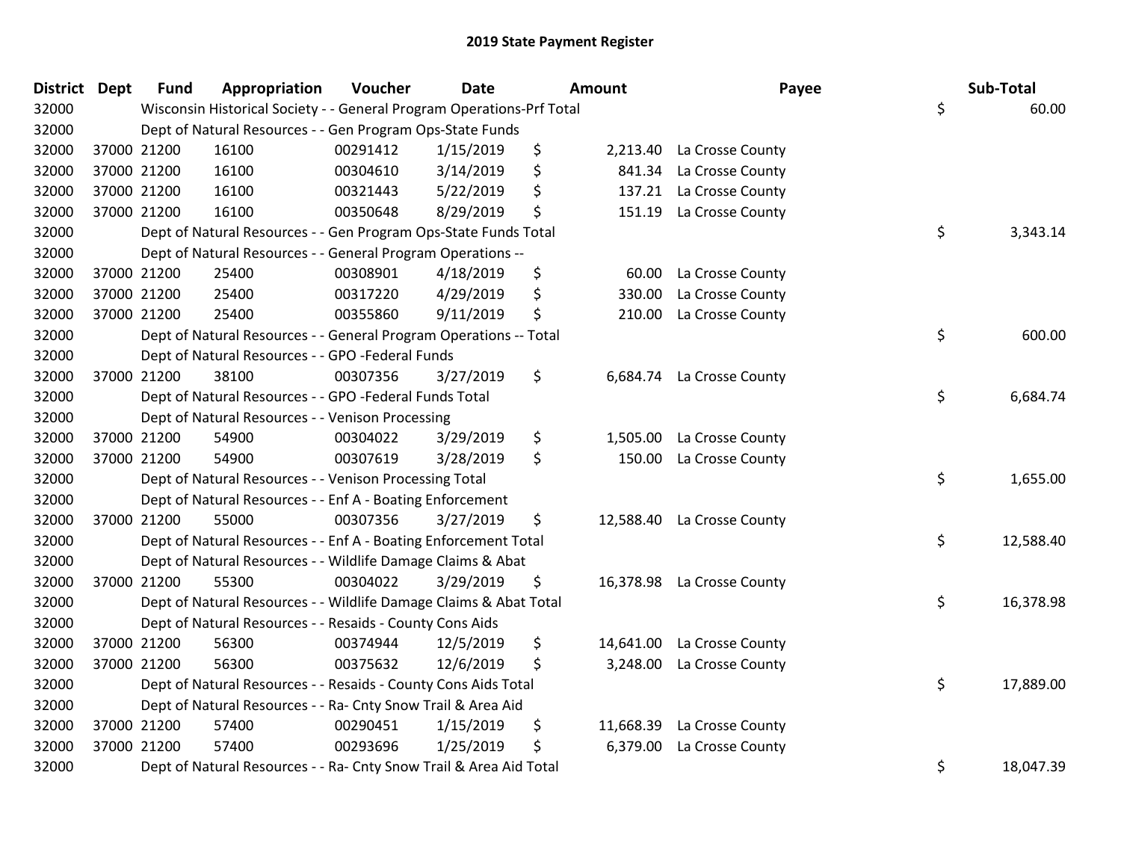| <b>District Dept</b> |             | <b>Fund</b> | Appropriation                                                         | Voucher  | <b>Date</b> |    | <b>Amount</b> | Payee                      | Sub-Total       |
|----------------------|-------------|-------------|-----------------------------------------------------------------------|----------|-------------|----|---------------|----------------------------|-----------------|
| 32000                |             |             | Wisconsin Historical Society - - General Program Operations-Prf Total |          |             |    |               |                            | \$<br>60.00     |
| 32000                |             |             | Dept of Natural Resources - - Gen Program Ops-State Funds             |          |             |    |               |                            |                 |
| 32000                |             | 37000 21200 | 16100                                                                 | 00291412 | 1/15/2019   | \$ | 2,213.40      | La Crosse County           |                 |
| 32000                | 37000 21200 |             | 16100                                                                 | 00304610 | 3/14/2019   | \$ | 841.34        | La Crosse County           |                 |
| 32000                | 37000 21200 |             | 16100                                                                 | 00321443 | 5/22/2019   | \$ | 137.21        | La Crosse County           |                 |
| 32000                | 37000 21200 |             | 16100                                                                 | 00350648 | 8/29/2019   | \$ | 151.19        | La Crosse County           |                 |
| 32000                |             |             | Dept of Natural Resources - - Gen Program Ops-State Funds Total       |          |             |    |               |                            | \$<br>3,343.14  |
| 32000                |             |             | Dept of Natural Resources - - General Program Operations --           |          |             |    |               |                            |                 |
| 32000                | 37000 21200 |             | 25400                                                                 | 00308901 | 4/18/2019   | \$ | 60.00         | La Crosse County           |                 |
| 32000                | 37000 21200 |             | 25400                                                                 | 00317220 | 4/29/2019   | \$ | 330.00        | La Crosse County           |                 |
| 32000                | 37000 21200 |             | 25400                                                                 | 00355860 | 9/11/2019   | \$ | 210.00        | La Crosse County           |                 |
| 32000                |             |             | Dept of Natural Resources - - General Program Operations -- Total     |          |             |    |               |                            | \$<br>600.00    |
| 32000                |             |             | Dept of Natural Resources - - GPO -Federal Funds                      |          |             |    |               |                            |                 |
| 32000                | 37000 21200 |             | 38100                                                                 | 00307356 | 3/27/2019   | \$ |               | 6,684.74 La Crosse County  |                 |
| 32000                |             |             | Dept of Natural Resources - - GPO -Federal Funds Total                |          |             |    |               |                            | \$<br>6,684.74  |
| 32000                |             |             | Dept of Natural Resources - - Venison Processing                      |          |             |    |               |                            |                 |
| 32000                | 37000 21200 |             | 54900                                                                 | 00304022 | 3/29/2019   | \$ | 1,505.00      | La Crosse County           |                 |
| 32000                | 37000 21200 |             | 54900                                                                 | 00307619 | 3/28/2019   | \$ |               | 150.00 La Crosse County    |                 |
| 32000                |             |             | Dept of Natural Resources - - Venison Processing Total                |          |             |    |               |                            | \$<br>1,655.00  |
| 32000                |             |             | Dept of Natural Resources - - Enf A - Boating Enforcement             |          |             |    |               |                            |                 |
| 32000                | 37000 21200 |             | 55000                                                                 | 00307356 | 3/27/2019   | \$ | 12,588.40     | La Crosse County           |                 |
| 32000                |             |             | Dept of Natural Resources - - Enf A - Boating Enforcement Total       |          |             |    |               |                            | \$<br>12,588.40 |
| 32000                |             |             | Dept of Natural Resources - - Wildlife Damage Claims & Abat           |          |             |    |               |                            |                 |
| 32000                |             | 37000 21200 | 55300                                                                 | 00304022 | 3/29/2019   | \$ |               | 16,378.98 La Crosse County |                 |
| 32000                |             |             | Dept of Natural Resources - - Wildlife Damage Claims & Abat Total     |          |             |    |               |                            | \$<br>16,378.98 |
| 32000                |             |             | Dept of Natural Resources - - Resaids - County Cons Aids              |          |             |    |               |                            |                 |
| 32000                | 37000 21200 |             | 56300                                                                 | 00374944 | 12/5/2019   | \$ | 14,641.00     | La Crosse County           |                 |
| 32000                | 37000 21200 |             | 56300                                                                 | 00375632 | 12/6/2019   | \$ | 3,248.00      | La Crosse County           |                 |
| 32000                |             |             | Dept of Natural Resources - - Resaids - County Cons Aids Total        |          |             |    |               |                            | \$<br>17,889.00 |
| 32000                |             |             | Dept of Natural Resources - - Ra- Cnty Snow Trail & Area Aid          |          |             |    |               |                            |                 |
| 32000                | 37000 21200 |             | 57400                                                                 | 00290451 | 1/15/2019   | \$ | 11,668.39     | La Crosse County           |                 |
| 32000                | 37000 21200 |             | 57400                                                                 | 00293696 | 1/25/2019   | Ś  | 6,379.00      | La Crosse County           |                 |
| 32000                |             |             | Dept of Natural Resources - - Ra- Cnty Snow Trail & Area Aid Total    |          |             |    |               |                            | \$<br>18,047.39 |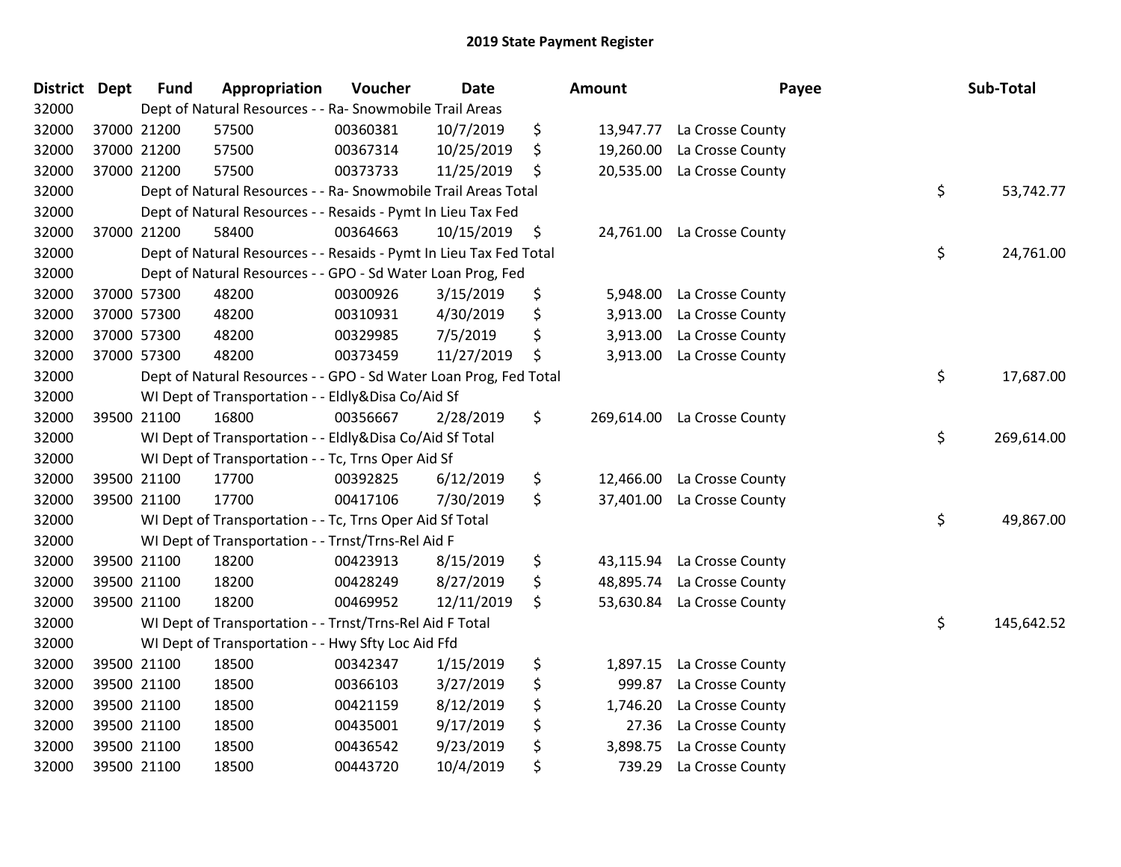| <b>District</b> | <b>Dept</b> | <b>Fund</b> | Appropriation                                                      | Voucher  | <b>Date</b> | Amount           | Payee            | Sub-Total        |
|-----------------|-------------|-------------|--------------------------------------------------------------------|----------|-------------|------------------|------------------|------------------|
| 32000           |             |             | Dept of Natural Resources - - Ra- Snowmobile Trail Areas           |          |             |                  |                  |                  |
| 32000           |             | 37000 21200 | 57500                                                              | 00360381 | 10/7/2019   | \$<br>13,947.77  | La Crosse County |                  |
| 32000           |             | 37000 21200 | 57500                                                              | 00367314 | 10/25/2019  | \$<br>19,260.00  | La Crosse County |                  |
| 32000           |             | 37000 21200 | 57500                                                              | 00373733 | 11/25/2019  | \$<br>20,535.00  | La Crosse County |                  |
| 32000           |             |             | Dept of Natural Resources - - Ra- Snowmobile Trail Areas Total     |          |             |                  |                  | \$<br>53,742.77  |
| 32000           |             |             | Dept of Natural Resources - - Resaids - Pymt In Lieu Tax Fed       |          |             |                  |                  |                  |
| 32000           |             | 37000 21200 | 58400                                                              | 00364663 | 10/15/2019  | \$<br>24,761.00  | La Crosse County |                  |
| 32000           |             |             | Dept of Natural Resources - - Resaids - Pymt In Lieu Tax Fed Total |          |             |                  |                  | \$<br>24,761.00  |
| 32000           |             |             | Dept of Natural Resources - - GPO - Sd Water Loan Prog, Fed        |          |             |                  |                  |                  |
| 32000           |             | 37000 57300 | 48200                                                              | 00300926 | 3/15/2019   | \$<br>5,948.00   | La Crosse County |                  |
| 32000           |             | 37000 57300 | 48200                                                              | 00310931 | 4/30/2019   | \$<br>3,913.00   | La Crosse County |                  |
| 32000           |             | 37000 57300 | 48200                                                              | 00329985 | 7/5/2019    | \$<br>3,913.00   | La Crosse County |                  |
| 32000           |             | 37000 57300 | 48200                                                              | 00373459 | 11/27/2019  | \$<br>3,913.00   | La Crosse County |                  |
| 32000           |             |             | Dept of Natural Resources - - GPO - Sd Water Loan Prog, Fed Total  |          |             |                  |                  | \$<br>17,687.00  |
| 32000           |             |             | WI Dept of Transportation - - Eldly&Disa Co/Aid Sf                 |          |             |                  |                  |                  |
| 32000           |             | 39500 21100 | 16800                                                              | 00356667 | 2/28/2019   | \$<br>269,614.00 | La Crosse County |                  |
| 32000           |             |             | WI Dept of Transportation - - Eldly&Disa Co/Aid Sf Total           |          |             |                  |                  | \$<br>269,614.00 |
| 32000           |             |             | WI Dept of Transportation - - Tc, Trns Oper Aid Sf                 |          |             |                  |                  |                  |
| 32000           |             | 39500 21100 | 17700                                                              | 00392825 | 6/12/2019   | \$<br>12,466.00  | La Crosse County |                  |
| 32000           |             | 39500 21100 | 17700                                                              | 00417106 | 7/30/2019   | \$<br>37,401.00  | La Crosse County |                  |
| 32000           |             |             | WI Dept of Transportation - - Tc, Trns Oper Aid Sf Total           |          |             |                  |                  | \$<br>49,867.00  |
| 32000           |             |             | WI Dept of Transportation - - Trnst/Trns-Rel Aid F                 |          |             |                  |                  |                  |
| 32000           |             | 39500 21100 | 18200                                                              | 00423913 | 8/15/2019   | \$<br>43,115.94  | La Crosse County |                  |
| 32000           |             | 39500 21100 | 18200                                                              | 00428249 | 8/27/2019   | \$<br>48,895.74  | La Crosse County |                  |
| 32000           |             | 39500 21100 | 18200                                                              | 00469952 | 12/11/2019  | \$<br>53,630.84  | La Crosse County |                  |
| 32000           |             |             | WI Dept of Transportation - - Trnst/Trns-Rel Aid F Total           |          |             |                  |                  | \$<br>145,642.52 |
| 32000           |             |             | WI Dept of Transportation - - Hwy Sfty Loc Aid Ffd                 |          |             |                  |                  |                  |
| 32000           |             | 39500 21100 | 18500                                                              | 00342347 | 1/15/2019   | \$<br>1,897.15   | La Crosse County |                  |
| 32000           |             | 39500 21100 | 18500                                                              | 00366103 | 3/27/2019   | \$<br>999.87     | La Crosse County |                  |
| 32000           |             | 39500 21100 | 18500                                                              | 00421159 | 8/12/2019   | \$<br>1,746.20   | La Crosse County |                  |
| 32000           |             | 39500 21100 | 18500                                                              | 00435001 | 9/17/2019   | \$<br>27.36      | La Crosse County |                  |
| 32000           |             | 39500 21100 | 18500                                                              | 00436542 | 9/23/2019   | \$<br>3,898.75   | La Crosse County |                  |
| 32000           |             | 39500 21100 | 18500                                                              | 00443720 | 10/4/2019   | \$<br>739.29     | La Crosse County |                  |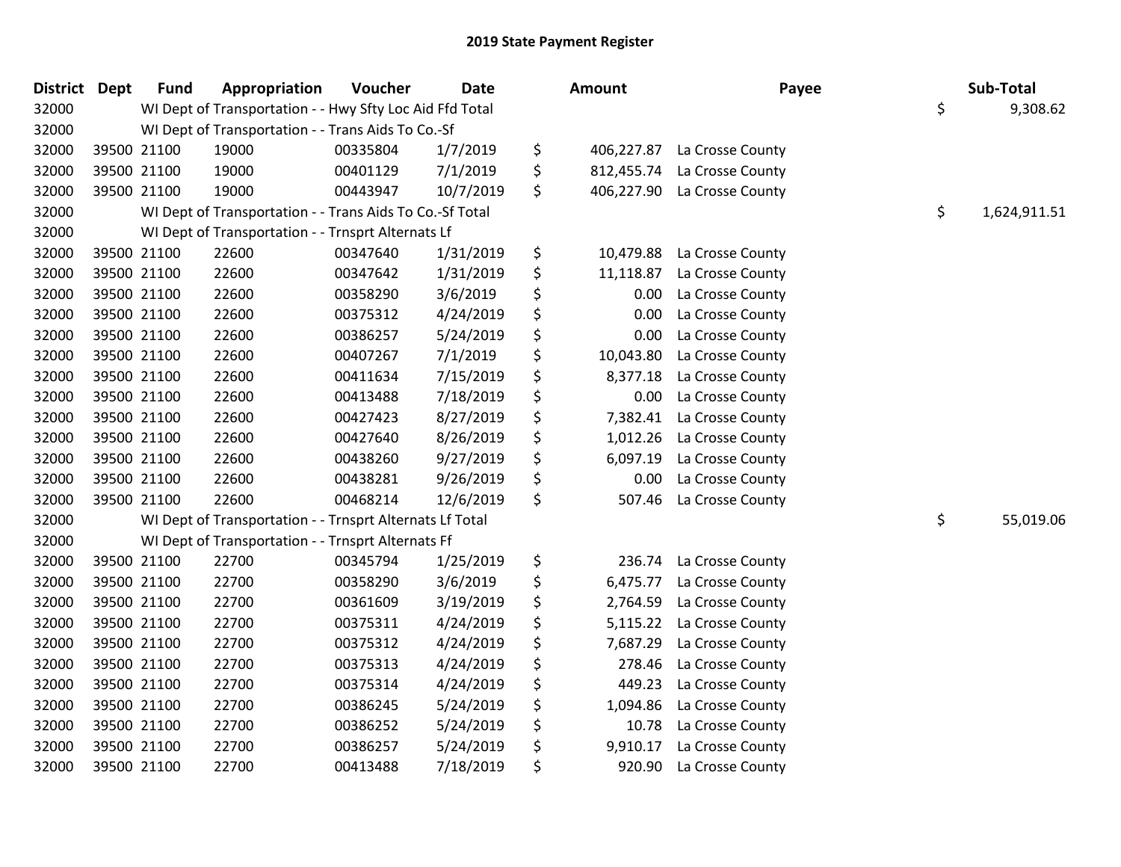| <b>District</b> | Dept        | <b>Fund</b> | <b>Appropriation</b>                                     | Voucher  | <b>Date</b> | <b>Amount</b>    | Payee            | Sub-Total          |
|-----------------|-------------|-------------|----------------------------------------------------------|----------|-------------|------------------|------------------|--------------------|
| 32000           |             |             | WI Dept of Transportation - - Hwy Sfty Loc Aid Ffd Total |          |             |                  |                  | \$<br>9,308.62     |
| 32000           |             |             | WI Dept of Transportation - - Trans Aids To Co.-Sf       |          |             |                  |                  |                    |
| 32000           |             | 39500 21100 | 19000                                                    | 00335804 | 1/7/2019    | \$<br>406,227.87 | La Crosse County |                    |
| 32000           |             | 39500 21100 | 19000                                                    | 00401129 | 7/1/2019    | \$<br>812,455.74 | La Crosse County |                    |
| 32000           |             | 39500 21100 | 19000                                                    | 00443947 | 10/7/2019   | \$<br>406,227.90 | La Crosse County |                    |
| 32000           |             |             | WI Dept of Transportation - - Trans Aids To Co.-Sf Total |          |             |                  |                  | \$<br>1,624,911.51 |
| 32000           |             |             | WI Dept of Transportation - - Trnsprt Alternats Lf       |          |             |                  |                  |                    |
| 32000           |             | 39500 21100 | 22600                                                    | 00347640 | 1/31/2019   | \$<br>10,479.88  | La Crosse County |                    |
| 32000           | 39500 21100 |             | 22600                                                    | 00347642 | 1/31/2019   | \$<br>11,118.87  | La Crosse County |                    |
| 32000           |             | 39500 21100 | 22600                                                    | 00358290 | 3/6/2019    | \$<br>0.00       | La Crosse County |                    |
| 32000           |             | 39500 21100 | 22600                                                    | 00375312 | 4/24/2019   | \$<br>0.00       | La Crosse County |                    |
| 32000           |             | 39500 21100 | 22600                                                    | 00386257 | 5/24/2019   | \$<br>0.00       | La Crosse County |                    |
| 32000           |             | 39500 21100 | 22600                                                    | 00407267 | 7/1/2019    | \$<br>10,043.80  | La Crosse County |                    |
| 32000           | 39500 21100 |             | 22600                                                    | 00411634 | 7/15/2019   | \$<br>8,377.18   | La Crosse County |                    |
| 32000           |             | 39500 21100 | 22600                                                    | 00413488 | 7/18/2019   | \$<br>0.00       | La Crosse County |                    |
| 32000           |             | 39500 21100 | 22600                                                    | 00427423 | 8/27/2019   | \$<br>7,382.41   | La Crosse County |                    |
| 32000           |             | 39500 21100 | 22600                                                    | 00427640 | 8/26/2019   | \$<br>1,012.26   | La Crosse County |                    |
| 32000           |             | 39500 21100 | 22600                                                    | 00438260 | 9/27/2019   | \$<br>6,097.19   | La Crosse County |                    |
| 32000           | 39500 21100 |             | 22600                                                    | 00438281 | 9/26/2019   | \$<br>0.00       | La Crosse County |                    |
| 32000           |             | 39500 21100 | 22600                                                    | 00468214 | 12/6/2019   | \$<br>507.46     | La Crosse County |                    |
| 32000           |             |             | WI Dept of Transportation - - Trnsprt Alternats Lf Total |          |             |                  |                  | \$<br>55,019.06    |
| 32000           |             |             | WI Dept of Transportation - - Trnsprt Alternats Ff       |          |             |                  |                  |                    |
| 32000           |             | 39500 21100 | 22700                                                    | 00345794 | 1/25/2019   | \$<br>236.74     | La Crosse County |                    |
| 32000           | 39500 21100 |             | 22700                                                    | 00358290 | 3/6/2019    | \$<br>6,475.77   | La Crosse County |                    |
| 32000           |             | 39500 21100 | 22700                                                    | 00361609 | 3/19/2019   | \$<br>2,764.59   | La Crosse County |                    |
| 32000           |             | 39500 21100 | 22700                                                    | 00375311 | 4/24/2019   | \$<br>5,115.22   | La Crosse County |                    |
| 32000           |             | 39500 21100 | 22700                                                    | 00375312 | 4/24/2019   | \$<br>7,687.29   | La Crosse County |                    |
| 32000           |             | 39500 21100 | 22700                                                    | 00375313 | 4/24/2019   | \$<br>278.46     | La Crosse County |                    |
| 32000           |             | 39500 21100 | 22700                                                    | 00375314 | 4/24/2019   | \$<br>449.23     | La Crosse County |                    |
| 32000           | 39500 21100 |             | 22700                                                    | 00386245 | 5/24/2019   | \$<br>1,094.86   | La Crosse County |                    |
| 32000           |             | 39500 21100 | 22700                                                    | 00386252 | 5/24/2019   | \$<br>10.78      | La Crosse County |                    |
| 32000           |             | 39500 21100 | 22700                                                    | 00386257 | 5/24/2019   | \$<br>9,910.17   | La Crosse County |                    |
| 32000           |             | 39500 21100 | 22700                                                    | 00413488 | 7/18/2019   | \$<br>920.90     | La Crosse County |                    |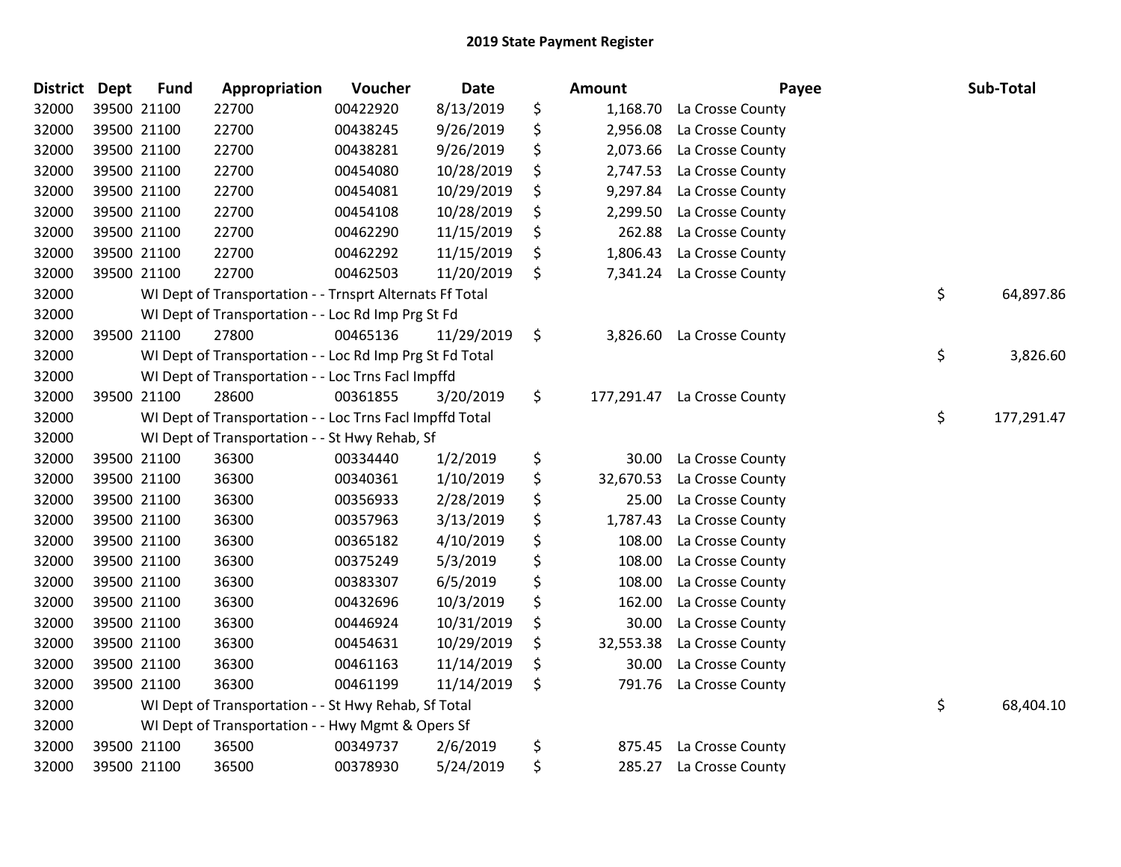| <b>District</b> | <b>Dept</b> | <b>Fund</b> | Appropriation                                            | Voucher  | <b>Date</b> | <b>Amount</b>    | Payee                     | Sub-Total        |
|-----------------|-------------|-------------|----------------------------------------------------------|----------|-------------|------------------|---------------------------|------------------|
| 32000           |             | 39500 21100 | 22700                                                    | 00422920 | 8/13/2019   | \$<br>1,168.70   | La Crosse County          |                  |
| 32000           |             | 39500 21100 | 22700                                                    | 00438245 | 9/26/2019   | \$<br>2,956.08   | La Crosse County          |                  |
| 32000           |             | 39500 21100 | 22700                                                    | 00438281 | 9/26/2019   | \$<br>2,073.66   | La Crosse County          |                  |
| 32000           |             | 39500 21100 | 22700                                                    | 00454080 | 10/28/2019  | \$<br>2,747.53   | La Crosse County          |                  |
| 32000           |             | 39500 21100 | 22700                                                    | 00454081 | 10/29/2019  | \$<br>9,297.84   | La Crosse County          |                  |
| 32000           |             | 39500 21100 | 22700                                                    | 00454108 | 10/28/2019  | \$<br>2,299.50   | La Crosse County          |                  |
| 32000           |             | 39500 21100 | 22700                                                    | 00462290 | 11/15/2019  | \$<br>262.88     | La Crosse County          |                  |
| 32000           |             | 39500 21100 | 22700                                                    | 00462292 | 11/15/2019  | \$<br>1,806.43   | La Crosse County          |                  |
| 32000           |             | 39500 21100 | 22700                                                    | 00462503 | 11/20/2019  | \$               | 7,341.24 La Crosse County |                  |
| 32000           |             |             | WI Dept of Transportation - - Trnsprt Alternats Ff Total |          |             |                  |                           | \$<br>64,897.86  |
| 32000           |             |             | WI Dept of Transportation - - Loc Rd Imp Prg St Fd       |          |             |                  |                           |                  |
| 32000           |             | 39500 21100 | 27800                                                    | 00465136 | 11/29/2019  | \$<br>3,826.60   | La Crosse County          |                  |
| 32000           |             |             | WI Dept of Transportation - - Loc Rd Imp Prg St Fd Total |          |             |                  |                           | \$<br>3,826.60   |
| 32000           |             |             | WI Dept of Transportation - - Loc Trns Facl Impffd       |          |             |                  |                           |                  |
| 32000           |             | 39500 21100 | 28600                                                    | 00361855 | 3/20/2019   | \$<br>177,291.47 | La Crosse County          |                  |
| 32000           |             |             | WI Dept of Transportation - - Loc Trns Facl Impffd Total |          |             |                  |                           | \$<br>177,291.47 |
| 32000           |             |             | WI Dept of Transportation - - St Hwy Rehab, Sf           |          |             |                  |                           |                  |
| 32000           |             | 39500 21100 | 36300                                                    | 00334440 | 1/2/2019    | \$<br>30.00      | La Crosse County          |                  |
| 32000           |             | 39500 21100 | 36300                                                    | 00340361 | 1/10/2019   | \$<br>32,670.53  | La Crosse County          |                  |
| 32000           |             | 39500 21100 | 36300                                                    | 00356933 | 2/28/2019   | \$<br>25.00      | La Crosse County          |                  |
| 32000           |             | 39500 21100 | 36300                                                    | 00357963 | 3/13/2019   | \$<br>1,787.43   | La Crosse County          |                  |
| 32000           |             | 39500 21100 | 36300                                                    | 00365182 | 4/10/2019   | \$<br>108.00     | La Crosse County          |                  |
| 32000           |             | 39500 21100 | 36300                                                    | 00375249 | 5/3/2019    | \$<br>108.00     | La Crosse County          |                  |
| 32000           |             | 39500 21100 | 36300                                                    | 00383307 | 6/5/2019    | \$<br>108.00     | La Crosse County          |                  |
| 32000           |             | 39500 21100 | 36300                                                    | 00432696 | 10/3/2019   | \$<br>162.00     | La Crosse County          |                  |
| 32000           |             | 39500 21100 | 36300                                                    | 00446924 | 10/31/2019  | \$<br>30.00      | La Crosse County          |                  |
| 32000           |             | 39500 21100 | 36300                                                    | 00454631 | 10/29/2019  | \$<br>32,553.38  | La Crosse County          |                  |
| 32000           |             | 39500 21100 | 36300                                                    | 00461163 | 11/14/2019  | \$<br>30.00      | La Crosse County          |                  |
| 32000           |             | 39500 21100 | 36300                                                    | 00461199 | 11/14/2019  | \$<br>791.76     | La Crosse County          |                  |
| 32000           |             |             | WI Dept of Transportation - - St Hwy Rehab, Sf Total     |          |             |                  |                           | \$<br>68,404.10  |
| 32000           |             |             | WI Dept of Transportation - - Hwy Mgmt & Opers Sf        |          |             |                  |                           |                  |
| 32000           |             | 39500 21100 | 36500                                                    | 00349737 | 2/6/2019    | \$<br>875.45     | La Crosse County          |                  |
| 32000           |             | 39500 21100 | 36500                                                    | 00378930 | 5/24/2019   | \$<br>285.27     | La Crosse County          |                  |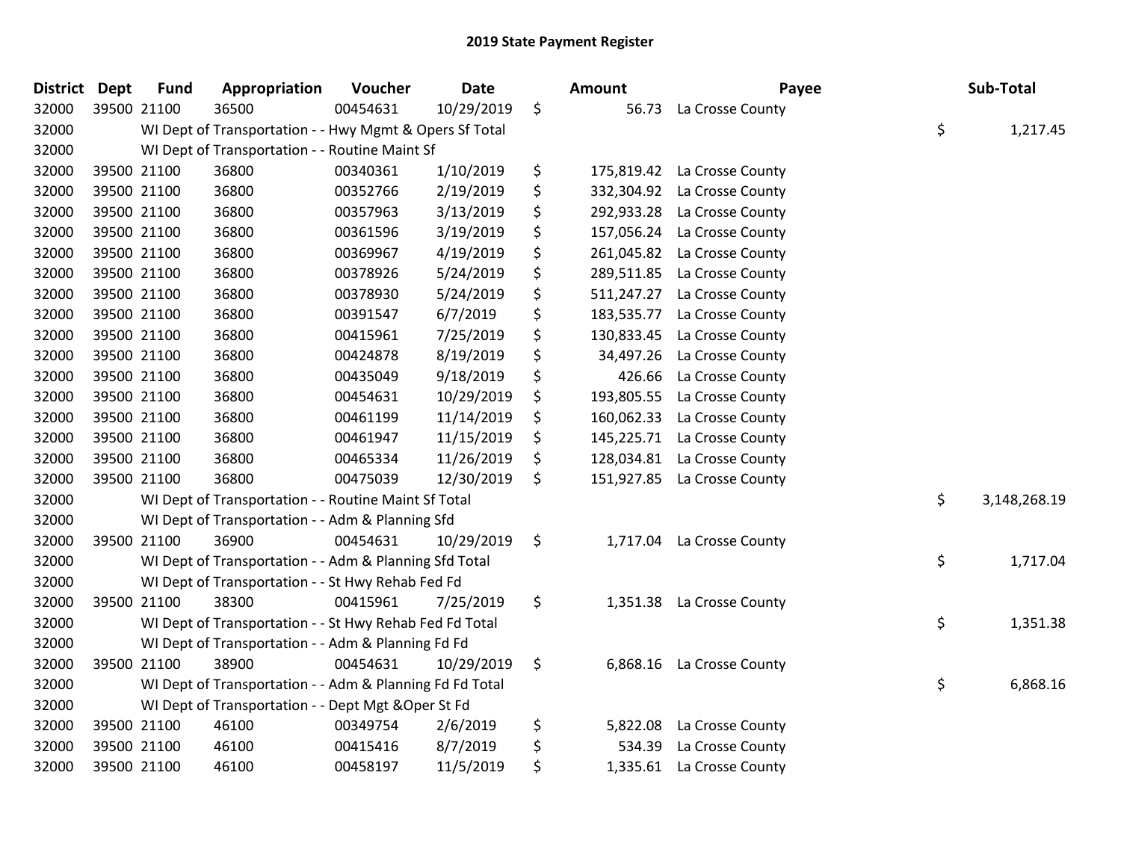| District Dept |             | <b>Fund</b> | Appropriation                                            | Voucher  | <b>Date</b> | Amount           | Payee                       | Sub-Total          |
|---------------|-------------|-------------|----------------------------------------------------------|----------|-------------|------------------|-----------------------------|--------------------|
| 32000         | 39500 21100 |             | 36500                                                    | 00454631 | 10/29/2019  | \$<br>56.73      | La Crosse County            |                    |
| 32000         |             |             | WI Dept of Transportation - - Hwy Mgmt & Opers Sf Total  |          |             |                  |                             | \$<br>1,217.45     |
| 32000         |             |             | WI Dept of Transportation - - Routine Maint Sf           |          |             |                  |                             |                    |
| 32000         |             | 39500 21100 | 36800                                                    | 00340361 | 1/10/2019   | \$               | 175,819.42 La Crosse County |                    |
| 32000         | 39500 21100 |             | 36800                                                    | 00352766 | 2/19/2019   | \$               | 332,304.92 La Crosse County |                    |
| 32000         |             | 39500 21100 | 36800                                                    | 00357963 | 3/13/2019   | \$<br>292,933.28 | La Crosse County            |                    |
| 32000         |             | 39500 21100 | 36800                                                    | 00361596 | 3/19/2019   | \$<br>157,056.24 | La Crosse County            |                    |
| 32000         |             | 39500 21100 | 36800                                                    | 00369967 | 4/19/2019   | \$               | 261,045.82 La Crosse County |                    |
| 32000         |             | 39500 21100 | 36800                                                    | 00378926 | 5/24/2019   | \$<br>289,511.85 | La Crosse County            |                    |
| 32000         |             | 39500 21100 | 36800                                                    | 00378930 | 5/24/2019   | \$<br>511,247.27 | La Crosse County            |                    |
| 32000         |             | 39500 21100 | 36800                                                    | 00391547 | 6/7/2019    | \$<br>183,535.77 | La Crosse County            |                    |
| 32000         |             | 39500 21100 | 36800                                                    | 00415961 | 7/25/2019   | \$<br>130,833.45 | La Crosse County            |                    |
| 32000         | 39500 21100 |             | 36800                                                    | 00424878 | 8/19/2019   | \$<br>34,497.26  | La Crosse County            |                    |
| 32000         | 39500 21100 |             | 36800                                                    | 00435049 | 9/18/2019   | \$<br>426.66     | La Crosse County            |                    |
| 32000         | 39500 21100 |             | 36800                                                    | 00454631 | 10/29/2019  | \$<br>193,805.55 | La Crosse County            |                    |
| 32000         |             | 39500 21100 | 36800                                                    | 00461199 | 11/14/2019  | \$<br>160,062.33 | La Crosse County            |                    |
| 32000         |             | 39500 21100 | 36800                                                    | 00461947 | 11/15/2019  | \$               | 145,225.71 La Crosse County |                    |
| 32000         |             | 39500 21100 | 36800                                                    | 00465334 | 11/26/2019  | \$               | 128,034.81 La Crosse County |                    |
| 32000         |             | 39500 21100 | 36800                                                    | 00475039 | 12/30/2019  | \$               | 151,927.85 La Crosse County |                    |
| 32000         |             |             | WI Dept of Transportation - - Routine Maint Sf Total     |          |             |                  |                             | \$<br>3,148,268.19 |
| 32000         |             |             | WI Dept of Transportation - - Adm & Planning Sfd         |          |             |                  |                             |                    |
| 32000         | 39500 21100 |             | 36900                                                    | 00454631 | 10/29/2019  | \$               | 1,717.04 La Crosse County   |                    |
| 32000         |             |             | WI Dept of Transportation - - Adm & Planning Sfd Total   |          |             |                  |                             | \$<br>1,717.04     |
| 32000         |             |             | WI Dept of Transportation - - St Hwy Rehab Fed Fd        |          |             |                  |                             |                    |
| 32000         |             | 39500 21100 | 38300                                                    | 00415961 | 7/25/2019   | \$               | 1,351.38 La Crosse County   |                    |
| 32000         |             |             | WI Dept of Transportation - - St Hwy Rehab Fed Fd Total  |          |             |                  |                             | \$<br>1,351.38     |
| 32000         |             |             | WI Dept of Transportation - - Adm & Planning Fd Fd       |          |             |                  |                             |                    |
| 32000         | 39500 21100 |             | 38900                                                    | 00454631 | 10/29/2019  | \$               | 6,868.16 La Crosse County   |                    |
| 32000         |             |             | WI Dept of Transportation - - Adm & Planning Fd Fd Total |          |             |                  |                             | \$<br>6,868.16     |
| 32000         |             |             | WI Dept of Transportation - - Dept Mgt & Oper St Fd      |          |             |                  |                             |                    |
| 32000         |             | 39500 21100 | 46100                                                    | 00349754 | 2/6/2019    | \$<br>5,822.08   | La Crosse County            |                    |
| 32000         |             | 39500 21100 | 46100                                                    | 00415416 | 8/7/2019    | \$<br>534.39     | La Crosse County            |                    |
| 32000         | 39500 21100 |             | 46100                                                    | 00458197 | 11/5/2019   | \$               | 1,335.61 La Crosse County   |                    |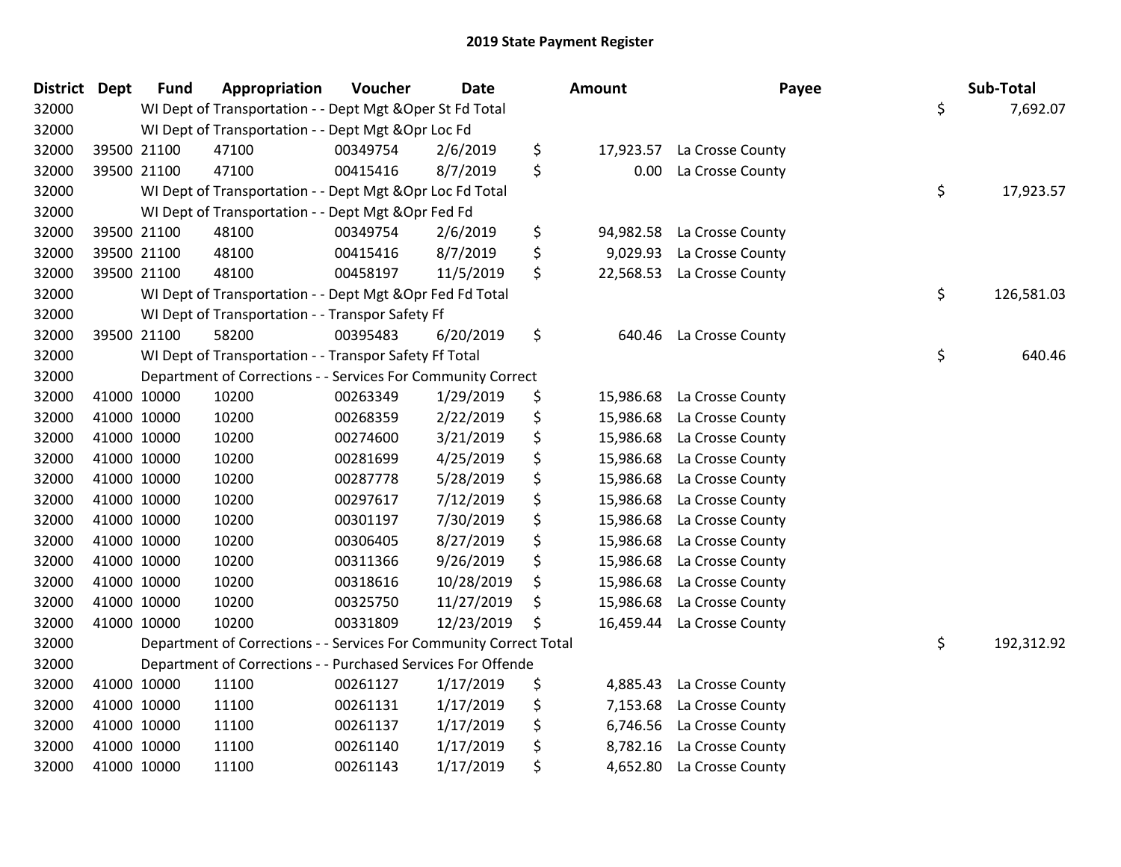| <b>District</b> | <b>Dept</b> | <b>Fund</b> | Appropriation                                                      | Voucher  | <b>Date</b> | <b>Amount</b>   | Payee                      | Sub-Total        |
|-----------------|-------------|-------------|--------------------------------------------------------------------|----------|-------------|-----------------|----------------------------|------------------|
| 32000           |             |             | WI Dept of Transportation - - Dept Mgt & Oper St Fd Total          |          |             |                 |                            | \$<br>7,692.07   |
| 32000           |             |             | WI Dept of Transportation - - Dept Mgt & Opr Loc Fd                |          |             |                 |                            |                  |
| 32000           |             | 39500 21100 | 47100                                                              | 00349754 | 2/6/2019    | \$<br>17,923.57 | La Crosse County           |                  |
| 32000           |             | 39500 21100 | 47100                                                              | 00415416 | 8/7/2019    | \$<br>0.00      | La Crosse County           |                  |
| 32000           |             |             | WI Dept of Transportation - - Dept Mgt & Opr Loc Fd Total          |          |             |                 |                            | \$<br>17,923.57  |
| 32000           |             |             | WI Dept of Transportation - - Dept Mgt & Opr Fed Fd                |          |             |                 |                            |                  |
| 32000           |             | 39500 21100 | 48100                                                              | 00349754 | 2/6/2019    | \$<br>94,982.58 | La Crosse County           |                  |
| 32000           |             | 39500 21100 | 48100                                                              | 00415416 | 8/7/2019    | \$<br>9,029.93  | La Crosse County           |                  |
| 32000           |             | 39500 21100 | 48100                                                              | 00458197 | 11/5/2019   | \$              | 22,568.53 La Crosse County |                  |
| 32000           |             |             | WI Dept of Transportation - - Dept Mgt & Opr Fed Fd Total          |          |             |                 |                            | \$<br>126,581.03 |
| 32000           |             |             | WI Dept of Transportation - - Transpor Safety Ff                   |          |             |                 |                            |                  |
| 32000           |             | 39500 21100 | 58200                                                              | 00395483 | 6/20/2019   | \$<br>640.46    | La Crosse County           |                  |
| 32000           |             |             | WI Dept of Transportation - - Transpor Safety Ff Total             |          |             |                 |                            | \$<br>640.46     |
| 32000           |             |             | Department of Corrections - - Services For Community Correct       |          |             |                 |                            |                  |
| 32000           | 41000 10000 |             | 10200                                                              | 00263349 | 1/29/2019   | \$<br>15,986.68 | La Crosse County           |                  |
| 32000           |             | 41000 10000 | 10200                                                              | 00268359 | 2/22/2019   | \$<br>15,986.68 | La Crosse County           |                  |
| 32000           |             | 41000 10000 | 10200                                                              | 00274600 | 3/21/2019   | \$<br>15,986.68 | La Crosse County           |                  |
| 32000           |             | 41000 10000 | 10200                                                              | 00281699 | 4/25/2019   | \$<br>15,986.68 | La Crosse County           |                  |
| 32000           |             | 41000 10000 | 10200                                                              | 00287778 | 5/28/2019   | \$<br>15,986.68 | La Crosse County           |                  |
| 32000           |             | 41000 10000 | 10200                                                              | 00297617 | 7/12/2019   | \$<br>15,986.68 | La Crosse County           |                  |
| 32000           |             | 41000 10000 | 10200                                                              | 00301197 | 7/30/2019   | \$<br>15,986.68 | La Crosse County           |                  |
| 32000           | 41000 10000 |             | 10200                                                              | 00306405 | 8/27/2019   | \$<br>15,986.68 | La Crosse County           |                  |
| 32000           | 41000 10000 |             | 10200                                                              | 00311366 | 9/26/2019   | \$<br>15,986.68 | La Crosse County           |                  |
| 32000           | 41000 10000 |             | 10200                                                              | 00318616 | 10/28/2019  | \$<br>15,986.68 | La Crosse County           |                  |
| 32000           |             | 41000 10000 | 10200                                                              | 00325750 | 11/27/2019  | \$<br>15,986.68 | La Crosse County           |                  |
| 32000           |             | 41000 10000 | 10200                                                              | 00331809 | 12/23/2019  | \$<br>16,459.44 | La Crosse County           |                  |
| 32000           |             |             | Department of Corrections - - Services For Community Correct Total |          |             |                 |                            | \$<br>192,312.92 |
| 32000           |             |             | Department of Corrections - - Purchased Services For Offende       |          |             |                 |                            |                  |
| 32000           |             | 41000 10000 | 11100                                                              | 00261127 | 1/17/2019   | \$<br>4,885.43  | La Crosse County           |                  |
| 32000           |             | 41000 10000 | 11100                                                              | 00261131 | 1/17/2019   | \$<br>7,153.68  | La Crosse County           |                  |
| 32000           |             | 41000 10000 | 11100                                                              | 00261137 | 1/17/2019   | \$<br>6,746.56  | La Crosse County           |                  |
| 32000           |             | 41000 10000 | 11100                                                              | 00261140 | 1/17/2019   | \$<br>8,782.16  | La Crosse County           |                  |
| 32000           | 41000 10000 |             | 11100                                                              | 00261143 | 1/17/2019   | \$<br>4,652.80  | La Crosse County           |                  |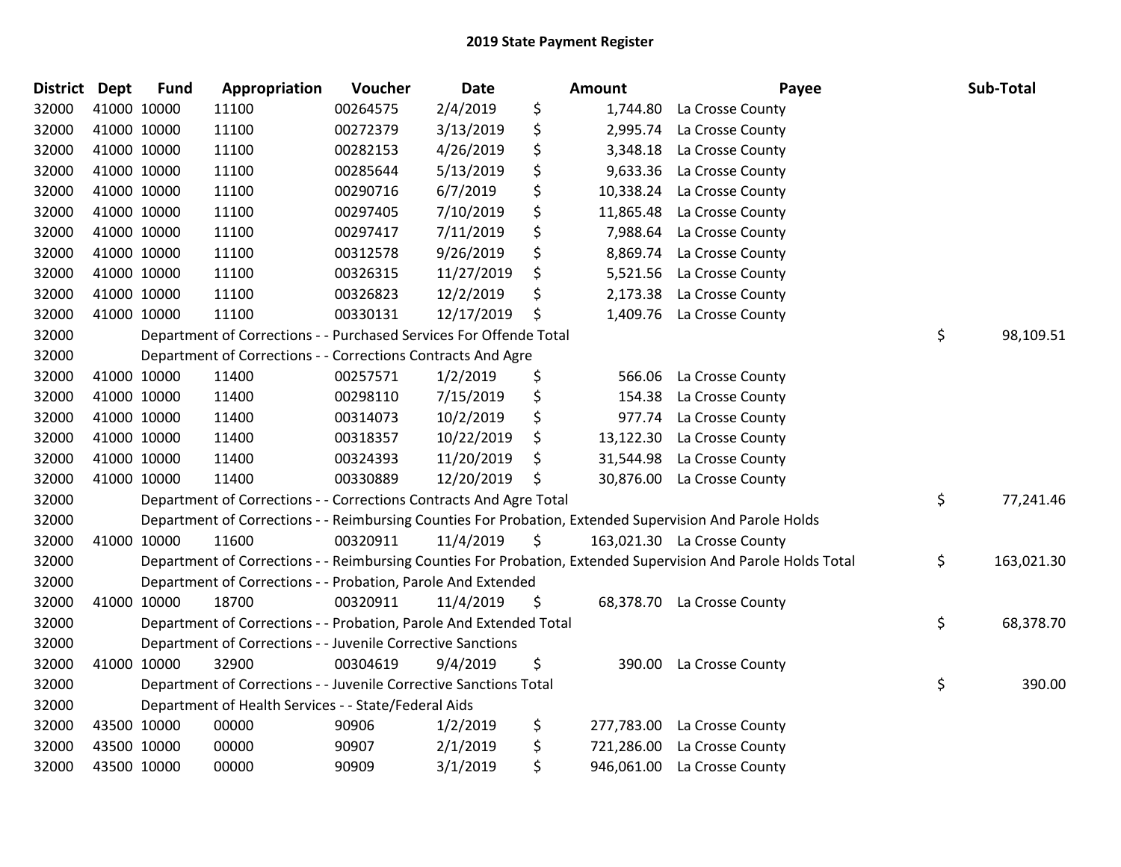| <b>District</b> | <b>Dept</b> | <b>Fund</b> | Appropriation                                                      | Voucher  | Date       | Amount           | Payee                                                                                                         | Sub-Total        |
|-----------------|-------------|-------------|--------------------------------------------------------------------|----------|------------|------------------|---------------------------------------------------------------------------------------------------------------|------------------|
| 32000           | 41000 10000 |             | 11100                                                              | 00264575 | 2/4/2019   | \$<br>1,744.80   | La Crosse County                                                                                              |                  |
| 32000           | 41000 10000 |             | 11100                                                              | 00272379 | 3/13/2019  | \$<br>2,995.74   | La Crosse County                                                                                              |                  |
| 32000           | 41000 10000 |             | 11100                                                              | 00282153 | 4/26/2019  | \$               | 3,348.18 La Crosse County                                                                                     |                  |
| 32000           | 41000 10000 |             | 11100                                                              | 00285644 | 5/13/2019  | \$<br>9,633.36   | La Crosse County                                                                                              |                  |
| 32000           | 41000 10000 |             | 11100                                                              | 00290716 | 6/7/2019   | \$<br>10,338.24  | La Crosse County                                                                                              |                  |
| 32000           | 41000 10000 |             | 11100                                                              | 00297405 | 7/10/2019  | \$<br>11,865.48  | La Crosse County                                                                                              |                  |
| 32000           | 41000 10000 |             | 11100                                                              | 00297417 | 7/11/2019  | \$<br>7,988.64   | La Crosse County                                                                                              |                  |
| 32000           | 41000 10000 |             | 11100                                                              | 00312578 | 9/26/2019  | \$<br>8,869.74   | La Crosse County                                                                                              |                  |
| 32000           | 41000 10000 |             | 11100                                                              | 00326315 | 11/27/2019 | \$<br>5,521.56   | La Crosse County                                                                                              |                  |
| 32000           | 41000 10000 |             | 11100                                                              | 00326823 | 12/2/2019  | \$<br>2,173.38   | La Crosse County                                                                                              |                  |
| 32000           | 41000 10000 |             | 11100                                                              | 00330131 | 12/17/2019 | \$               | 1,409.76 La Crosse County                                                                                     |                  |
| 32000           |             |             | Department of Corrections - - Purchased Services For Offende Total |          |            |                  |                                                                                                               | \$<br>98,109.51  |
| 32000           |             |             | Department of Corrections - - Corrections Contracts And Agre       |          |            |                  |                                                                                                               |                  |
| 32000           | 41000 10000 |             | 11400                                                              | 00257571 | 1/2/2019   | \$<br>566.06     | La Crosse County                                                                                              |                  |
| 32000           | 41000 10000 |             | 11400                                                              | 00298110 | 7/15/2019  | \$<br>154.38     | La Crosse County                                                                                              |                  |
| 32000           | 41000 10000 |             | 11400                                                              | 00314073 | 10/2/2019  | \$<br>977.74     | La Crosse County                                                                                              |                  |
| 32000           | 41000 10000 |             | 11400                                                              | 00318357 | 10/22/2019 | \$<br>13,122.30  | La Crosse County                                                                                              |                  |
| 32000           | 41000 10000 |             | 11400                                                              | 00324393 | 11/20/2019 | \$               | 31,544.98 La Crosse County                                                                                    |                  |
| 32000           | 41000 10000 |             | 11400                                                              | 00330889 | 12/20/2019 | \$               | 30,876.00 La Crosse County                                                                                    |                  |
| 32000           |             |             | Department of Corrections - - Corrections Contracts And Agre Total |          |            |                  |                                                                                                               | \$<br>77,241.46  |
| 32000           |             |             |                                                                    |          |            |                  | Department of Corrections - - Reimbursing Counties For Probation, Extended Supervision And Parole Holds       |                  |
| 32000           | 41000 10000 |             | 11600                                                              | 00320911 | 11/4/2019  | \$               | 163,021.30 La Crosse County                                                                                   |                  |
| 32000           |             |             |                                                                    |          |            |                  | Department of Corrections - - Reimbursing Counties For Probation, Extended Supervision And Parole Holds Total | \$<br>163,021.30 |
| 32000           |             |             | Department of Corrections - - Probation, Parole And Extended       |          |            |                  |                                                                                                               |                  |
| 32000           | 41000 10000 |             | 18700                                                              | 00320911 | 11/4/2019  | \$               | 68,378.70 La Crosse County                                                                                    |                  |
| 32000           |             |             | Department of Corrections - - Probation, Parole And Extended Total |          |            |                  |                                                                                                               | \$<br>68,378.70  |
| 32000           |             |             | Department of Corrections - - Juvenile Corrective Sanctions        |          |            |                  |                                                                                                               |                  |
| 32000           | 41000 10000 |             | 32900                                                              | 00304619 | 9/4/2019   | \$<br>390.00     | La Crosse County                                                                                              |                  |
| 32000           |             |             | Department of Corrections - - Juvenile Corrective Sanctions Total  |          |            |                  |                                                                                                               | \$<br>390.00     |
| 32000           |             |             | Department of Health Services - - State/Federal Aids               |          |            |                  |                                                                                                               |                  |
| 32000           | 43500 10000 |             | 00000                                                              | 90906    | 1/2/2019   | \$<br>277,783.00 | La Crosse County                                                                                              |                  |
| 32000           | 43500 10000 |             | 00000                                                              | 90907    | 2/1/2019   | \$<br>721,286.00 | La Crosse County                                                                                              |                  |
| 32000           | 43500 10000 |             | 00000                                                              | 90909    | 3/1/2019   | \$<br>946,061.00 | La Crosse County                                                                                              |                  |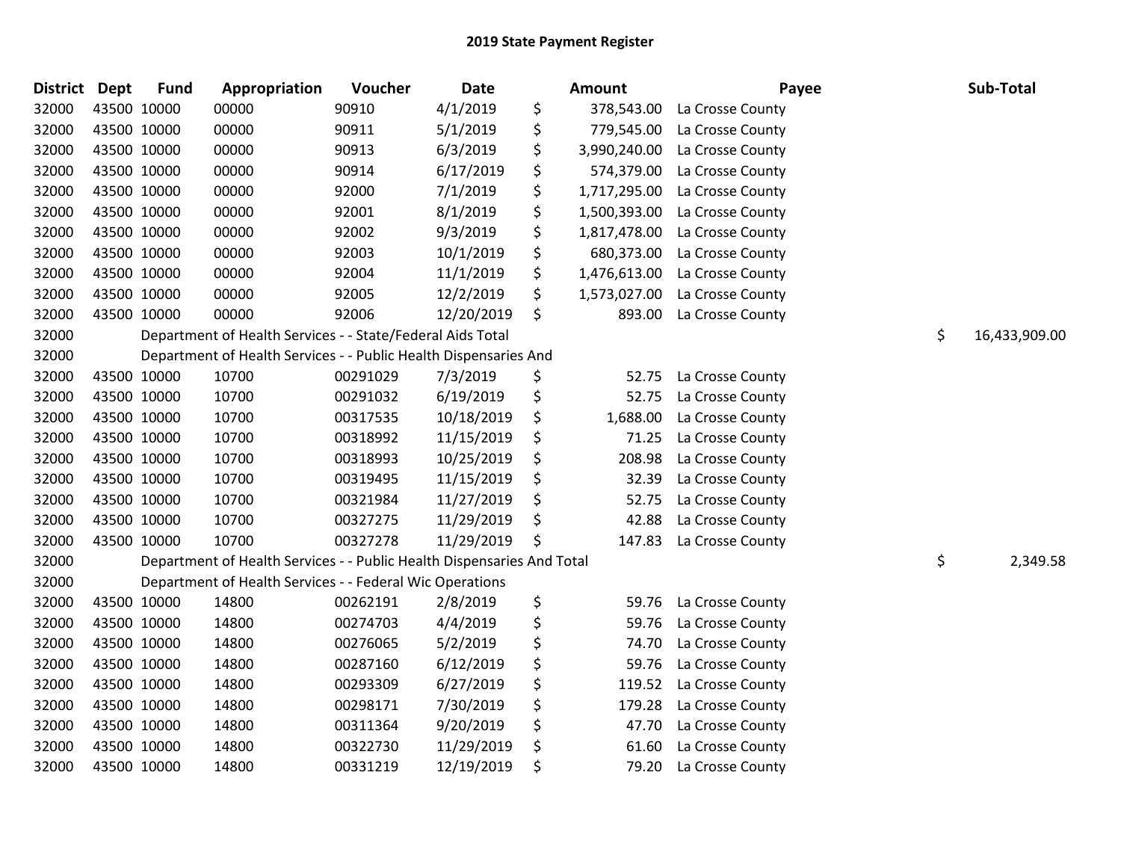| <b>District</b> | Dept | <b>Fund</b> | Appropriation                                                          | Voucher  | <b>Date</b> | <b>Amount</b>      | Payee            | Sub-Total           |
|-----------------|------|-------------|------------------------------------------------------------------------|----------|-------------|--------------------|------------------|---------------------|
| 32000           |      | 43500 10000 | 00000                                                                  | 90910    | 4/1/2019    | \$<br>378,543.00   | La Crosse County |                     |
| 32000           |      | 43500 10000 | 00000                                                                  | 90911    | 5/1/2019    | \$<br>779,545.00   | La Crosse County |                     |
| 32000           |      | 43500 10000 | 00000                                                                  | 90913    | 6/3/2019    | \$<br>3,990,240.00 | La Crosse County |                     |
| 32000           |      | 43500 10000 | 00000                                                                  | 90914    | 6/17/2019   | \$<br>574,379.00   | La Crosse County |                     |
| 32000           |      | 43500 10000 | 00000                                                                  | 92000    | 7/1/2019    | \$<br>1,717,295.00 | La Crosse County |                     |
| 32000           |      | 43500 10000 | 00000                                                                  | 92001    | 8/1/2019    | \$<br>1,500,393.00 | La Crosse County |                     |
| 32000           |      | 43500 10000 | 00000                                                                  | 92002    | 9/3/2019    | \$<br>1,817,478.00 | La Crosse County |                     |
| 32000           |      | 43500 10000 | 00000                                                                  | 92003    | 10/1/2019   | \$<br>680,373.00   | La Crosse County |                     |
| 32000           |      | 43500 10000 | 00000                                                                  | 92004    | 11/1/2019   | \$<br>1,476,613.00 | La Crosse County |                     |
| 32000           |      | 43500 10000 | 00000                                                                  | 92005    | 12/2/2019   | \$<br>1,573,027.00 | La Crosse County |                     |
| 32000           |      | 43500 10000 | 00000                                                                  | 92006    | 12/20/2019  | \$<br>893.00       | La Crosse County |                     |
| 32000           |      |             | Department of Health Services - - State/Federal Aids Total             |          |             |                    |                  | \$<br>16,433,909.00 |
| 32000           |      |             | Department of Health Services - - Public Health Dispensaries And       |          |             |                    |                  |                     |
| 32000           |      | 43500 10000 | 10700                                                                  | 00291029 | 7/3/2019    | \$<br>52.75        | La Crosse County |                     |
| 32000           |      | 43500 10000 | 10700                                                                  | 00291032 | 6/19/2019   | \$<br>52.75        | La Crosse County |                     |
| 32000           |      | 43500 10000 | 10700                                                                  | 00317535 | 10/18/2019  | \$<br>1,688.00     | La Crosse County |                     |
| 32000           |      | 43500 10000 | 10700                                                                  | 00318992 | 11/15/2019  | \$<br>71.25        | La Crosse County |                     |
| 32000           |      | 43500 10000 | 10700                                                                  | 00318993 | 10/25/2019  | \$<br>208.98       | La Crosse County |                     |
| 32000           |      | 43500 10000 | 10700                                                                  | 00319495 | 11/15/2019  | \$<br>32.39        | La Crosse County |                     |
| 32000           |      | 43500 10000 | 10700                                                                  | 00321984 | 11/27/2019  | \$<br>52.75        | La Crosse County |                     |
| 32000           |      | 43500 10000 | 10700                                                                  | 00327275 | 11/29/2019  | \$<br>42.88        | La Crosse County |                     |
| 32000           |      | 43500 10000 | 10700                                                                  | 00327278 | 11/29/2019  | \$<br>147.83       | La Crosse County |                     |
| 32000           |      |             | Department of Health Services - - Public Health Dispensaries And Total |          |             |                    |                  | \$<br>2,349.58      |
| 32000           |      |             | Department of Health Services - - Federal Wic Operations               |          |             |                    |                  |                     |
| 32000           |      | 43500 10000 | 14800                                                                  | 00262191 | 2/8/2019    | \$<br>59.76        | La Crosse County |                     |
| 32000           |      | 43500 10000 | 14800                                                                  | 00274703 | 4/4/2019    | \$<br>59.76        | La Crosse County |                     |
| 32000           |      | 43500 10000 | 14800                                                                  | 00276065 | 5/2/2019    | \$<br>74.70        | La Crosse County |                     |
| 32000           |      | 43500 10000 | 14800                                                                  | 00287160 | 6/12/2019   | \$<br>59.76        | La Crosse County |                     |
| 32000           |      | 43500 10000 | 14800                                                                  | 00293309 | 6/27/2019   | \$<br>119.52       | La Crosse County |                     |
| 32000           |      | 43500 10000 | 14800                                                                  | 00298171 | 7/30/2019   | \$<br>179.28       | La Crosse County |                     |
| 32000           |      | 43500 10000 | 14800                                                                  | 00311364 | 9/20/2019   | \$<br>47.70        | La Crosse County |                     |
| 32000           |      | 43500 10000 | 14800                                                                  | 00322730 | 11/29/2019  | \$<br>61.60        | La Crosse County |                     |
| 32000           |      | 43500 10000 | 14800                                                                  | 00331219 | 12/19/2019  | \$<br>79.20        | La Crosse County |                     |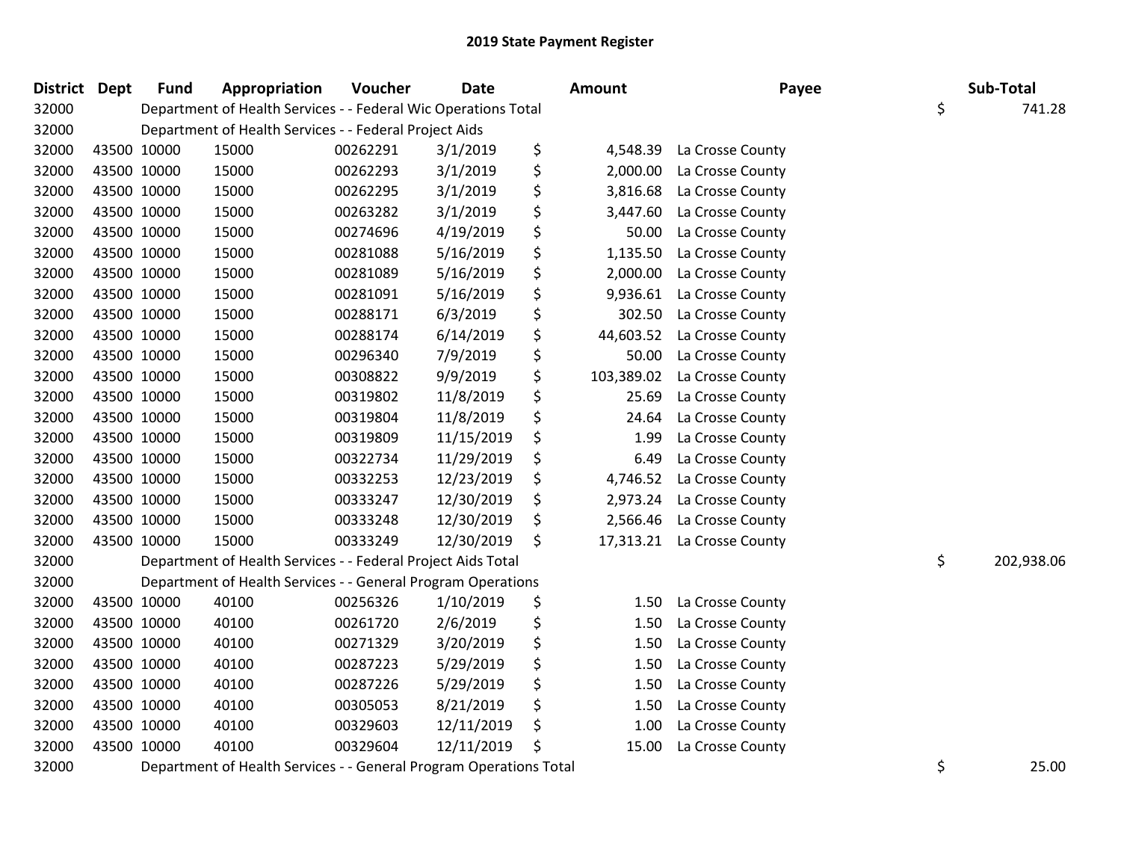| <b>District Dept</b> |             | <b>Fund</b> | Appropriation                                                      | Voucher  | <b>Date</b> | Amount           | Payee            | Sub-Total        |
|----------------------|-------------|-------------|--------------------------------------------------------------------|----------|-------------|------------------|------------------|------------------|
| 32000                |             |             | Department of Health Services - - Federal Wic Operations Total     |          |             |                  |                  | \$<br>741.28     |
| 32000                |             |             | Department of Health Services - - Federal Project Aids             |          |             |                  |                  |                  |
| 32000                | 43500 10000 |             | 15000                                                              | 00262291 | 3/1/2019    | \$<br>4,548.39   | La Crosse County |                  |
| 32000                | 43500 10000 |             | 15000                                                              | 00262293 | 3/1/2019    | \$<br>2,000.00   | La Crosse County |                  |
| 32000                | 43500 10000 |             | 15000                                                              | 00262295 | 3/1/2019    | \$<br>3,816.68   | La Crosse County |                  |
| 32000                | 43500 10000 |             | 15000                                                              | 00263282 | 3/1/2019    | \$<br>3,447.60   | La Crosse County |                  |
| 32000                | 43500 10000 |             | 15000                                                              | 00274696 | 4/19/2019   | \$<br>50.00      | La Crosse County |                  |
| 32000                | 43500 10000 |             | 15000                                                              | 00281088 | 5/16/2019   | \$<br>1,135.50   | La Crosse County |                  |
| 32000                | 43500 10000 |             | 15000                                                              | 00281089 | 5/16/2019   | \$<br>2,000.00   | La Crosse County |                  |
| 32000                | 43500 10000 |             | 15000                                                              | 00281091 | 5/16/2019   | \$<br>9,936.61   | La Crosse County |                  |
| 32000                | 43500 10000 |             | 15000                                                              | 00288171 | 6/3/2019    | \$<br>302.50     | La Crosse County |                  |
| 32000                | 43500 10000 |             | 15000                                                              | 00288174 | 6/14/2019   | \$<br>44,603.52  | La Crosse County |                  |
| 32000                | 43500 10000 |             | 15000                                                              | 00296340 | 7/9/2019    | \$<br>50.00      | La Crosse County |                  |
| 32000                | 43500 10000 |             | 15000                                                              | 00308822 | 9/9/2019    | \$<br>103,389.02 | La Crosse County |                  |
| 32000                | 43500 10000 |             | 15000                                                              | 00319802 | 11/8/2019   | \$<br>25.69      | La Crosse County |                  |
| 32000                | 43500 10000 |             | 15000                                                              | 00319804 | 11/8/2019   | \$<br>24.64      | La Crosse County |                  |
| 32000                | 43500 10000 |             | 15000                                                              | 00319809 | 11/15/2019  | \$<br>1.99       | La Crosse County |                  |
| 32000                | 43500 10000 |             | 15000                                                              | 00322734 | 11/29/2019  | \$<br>6.49       | La Crosse County |                  |
| 32000                | 43500 10000 |             | 15000                                                              | 00332253 | 12/23/2019  | \$<br>4,746.52   | La Crosse County |                  |
| 32000                | 43500 10000 |             | 15000                                                              | 00333247 | 12/30/2019  | \$<br>2,973.24   | La Crosse County |                  |
| 32000                | 43500 10000 |             | 15000                                                              | 00333248 | 12/30/2019  | \$<br>2,566.46   | La Crosse County |                  |
| 32000                | 43500 10000 |             | 15000                                                              | 00333249 | 12/30/2019  | \$<br>17,313.21  | La Crosse County |                  |
| 32000                |             |             | Department of Health Services - - Federal Project Aids Total       |          |             |                  |                  | \$<br>202,938.06 |
| 32000                |             |             | Department of Health Services - - General Program Operations       |          |             |                  |                  |                  |
| 32000                | 43500 10000 |             | 40100                                                              | 00256326 | 1/10/2019   | \$<br>1.50       | La Crosse County |                  |
| 32000                | 43500 10000 |             | 40100                                                              | 00261720 | 2/6/2019    | \$<br>1.50       | La Crosse County |                  |
| 32000                | 43500 10000 |             | 40100                                                              | 00271329 | 3/20/2019   | \$<br>1.50       | La Crosse County |                  |
| 32000                | 43500 10000 |             | 40100                                                              | 00287223 | 5/29/2019   | \$<br>1.50       | La Crosse County |                  |
| 32000                | 43500 10000 |             | 40100                                                              | 00287226 | 5/29/2019   | \$<br>1.50       | La Crosse County |                  |
| 32000                | 43500 10000 |             | 40100                                                              | 00305053 | 8/21/2019   | \$<br>1.50       | La Crosse County |                  |
| 32000                | 43500 10000 |             | 40100                                                              | 00329603 | 12/11/2019  | \$<br>1.00       | La Crosse County |                  |
| 32000                | 43500 10000 |             | 40100                                                              | 00329604 | 12/11/2019  | \$<br>15.00      | La Crosse County |                  |
| 32000                |             |             | Department of Health Services - - General Program Operations Total |          |             |                  |                  | \$<br>25.00      |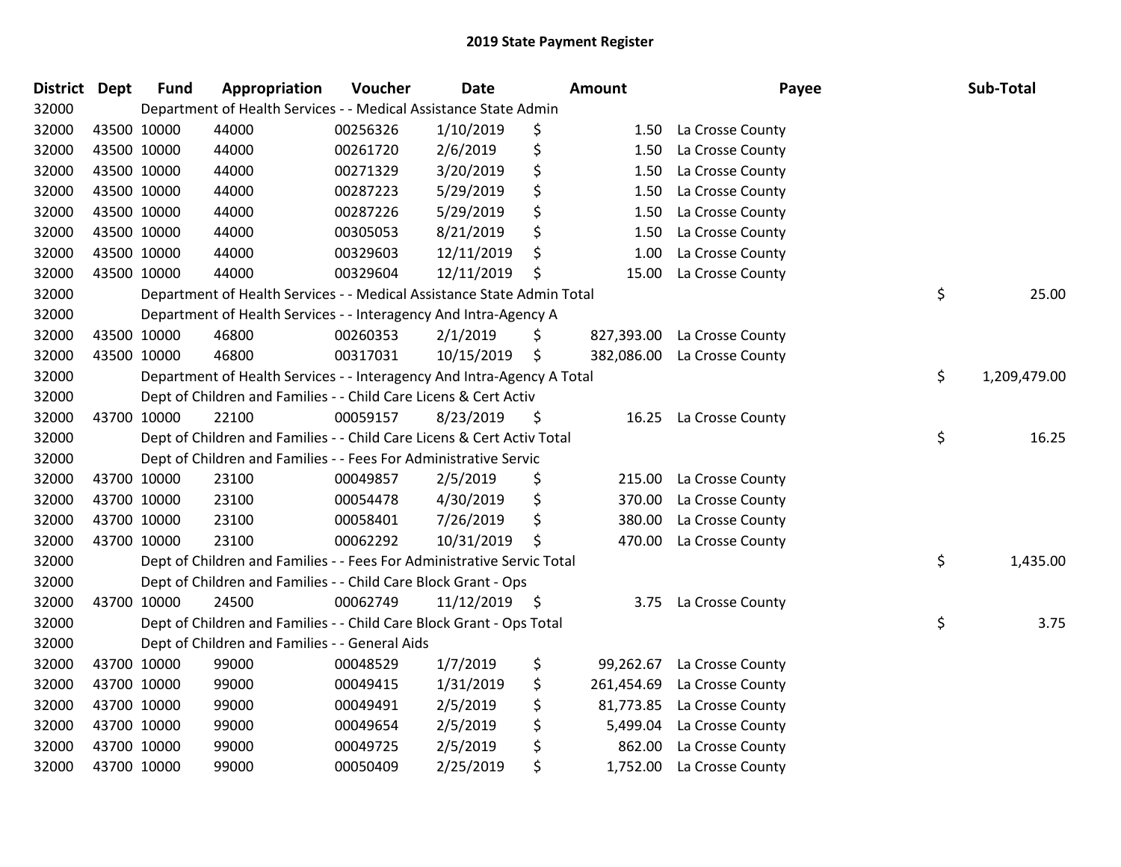| <b>District</b> | <b>Dept</b> | <b>Fund</b> | Appropriation                                                          | Voucher  | <b>Date</b> |     | <b>Amount</b> | Payee            | Sub-Total          |
|-----------------|-------------|-------------|------------------------------------------------------------------------|----------|-------------|-----|---------------|------------------|--------------------|
| 32000           |             |             | Department of Health Services - - Medical Assistance State Admin       |          |             |     |               |                  |                    |
| 32000           |             | 43500 10000 | 44000                                                                  | 00256326 | 1/10/2019   | \$  | 1.50          | La Crosse County |                    |
| 32000           | 43500 10000 |             | 44000                                                                  | 00261720 | 2/6/2019    | \$  | 1.50          | La Crosse County |                    |
| 32000           | 43500 10000 |             | 44000                                                                  | 00271329 | 3/20/2019   | \$  | 1.50          | La Crosse County |                    |
| 32000           |             | 43500 10000 | 44000                                                                  | 00287223 | 5/29/2019   | \$  | 1.50          | La Crosse County |                    |
| 32000           |             | 43500 10000 | 44000                                                                  | 00287226 | 5/29/2019   | \$  | 1.50          | La Crosse County |                    |
| 32000           |             | 43500 10000 | 44000                                                                  | 00305053 | 8/21/2019   | \$  | 1.50          | La Crosse County |                    |
| 32000           | 43500 10000 |             | 44000                                                                  | 00329603 | 12/11/2019  | \$  | 1.00          | La Crosse County |                    |
| 32000           | 43500 10000 |             | 44000                                                                  | 00329604 | 12/11/2019  | \$  | 15.00         | La Crosse County |                    |
| 32000           |             |             | Department of Health Services - - Medical Assistance State Admin Total |          |             |     |               |                  | \$<br>25.00        |
| 32000           |             |             | Department of Health Services - - Interagency And Intra-Agency A       |          |             |     |               |                  |                    |
| 32000           |             | 43500 10000 | 46800                                                                  | 00260353 | 2/1/2019    | \$  | 827,393.00    | La Crosse County |                    |
| 32000           | 43500 10000 |             | 46800                                                                  | 00317031 | 10/15/2019  | \$  | 382,086.00    | La Crosse County |                    |
| 32000           |             |             | Department of Health Services - - Interagency And Intra-Agency A Total |          |             |     |               |                  | \$<br>1,209,479.00 |
| 32000           |             |             | Dept of Children and Families - - Child Care Licens & Cert Activ       |          |             |     |               |                  |                    |
| 32000           |             | 43700 10000 | 22100                                                                  | 00059157 | 8/23/2019   | \$, | 16.25         | La Crosse County |                    |
| 32000           |             |             | Dept of Children and Families - - Child Care Licens & Cert Activ Total |          |             |     |               |                  | \$<br>16.25        |
| 32000           |             |             | Dept of Children and Families - - Fees For Administrative Servic       |          |             |     |               |                  |                    |
| 32000           | 43700 10000 |             | 23100                                                                  | 00049857 | 2/5/2019    | \$  | 215.00        | La Crosse County |                    |
| 32000           | 43700 10000 |             | 23100                                                                  | 00054478 | 4/30/2019   | \$  | 370.00        | La Crosse County |                    |
| 32000           | 43700 10000 |             | 23100                                                                  | 00058401 | 7/26/2019   | \$  | 380.00        | La Crosse County |                    |
| 32000           |             | 43700 10000 | 23100                                                                  | 00062292 | 10/31/2019  | \$  | 470.00        | La Crosse County |                    |
| 32000           |             |             | Dept of Children and Families - - Fees For Administrative Servic Total |          |             |     |               |                  | \$<br>1,435.00     |
| 32000           |             |             | Dept of Children and Families - - Child Care Block Grant - Ops         |          |             |     |               |                  |                    |
| 32000           | 43700 10000 |             | 24500                                                                  | 00062749 | 11/12/2019  | \$  | 3.75          | La Crosse County |                    |
| 32000           |             |             | Dept of Children and Families - - Child Care Block Grant - Ops Total   |          |             |     |               |                  | \$<br>3.75         |
| 32000           |             |             | Dept of Children and Families - - General Aids                         |          |             |     |               |                  |                    |
| 32000           |             | 43700 10000 | 99000                                                                  | 00048529 | 1/7/2019    | \$  | 99,262.67     | La Crosse County |                    |
| 32000           | 43700 10000 |             | 99000                                                                  | 00049415 | 1/31/2019   | \$  | 261,454.69    | La Crosse County |                    |
| 32000           | 43700 10000 |             | 99000                                                                  | 00049491 | 2/5/2019    | \$  | 81,773.85     | La Crosse County |                    |
| 32000           | 43700 10000 |             | 99000                                                                  | 00049654 | 2/5/2019    | \$  | 5,499.04      | La Crosse County |                    |
| 32000           |             | 43700 10000 | 99000                                                                  | 00049725 | 2/5/2019    | \$  | 862.00        | La Crosse County |                    |
| 32000           |             | 43700 10000 | 99000                                                                  | 00050409 | 2/25/2019   | \$  | 1,752.00      | La Crosse County |                    |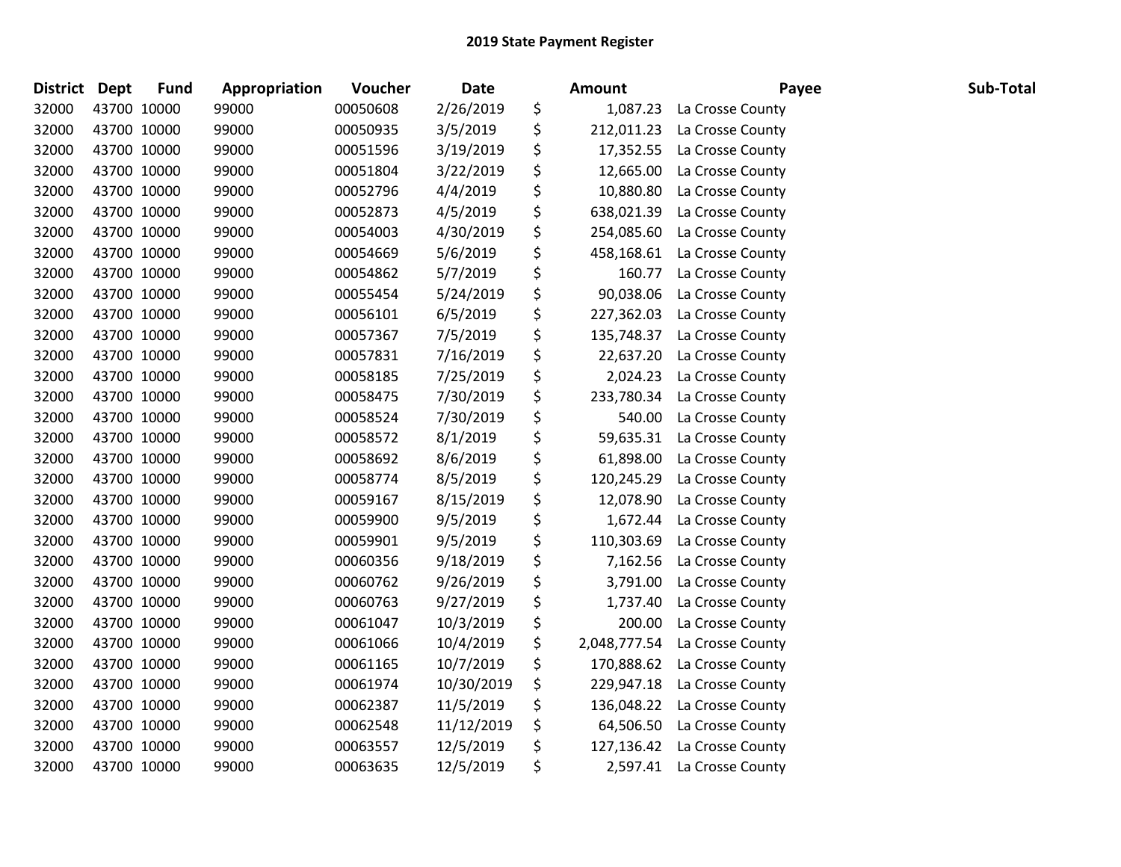| <b>District Dept</b> |             | <b>Fund</b> | Appropriation | Voucher  | <b>Date</b> | <b>Amount</b>      | Payee                     | Sub-Total |
|----------------------|-------------|-------------|---------------|----------|-------------|--------------------|---------------------------|-----------|
| 32000                | 43700 10000 |             | 99000         | 00050608 | 2/26/2019   | \$<br>1,087.23     | La Crosse County          |           |
| 32000                | 43700 10000 |             | 99000         | 00050935 | 3/5/2019    | \$<br>212,011.23   | La Crosse County          |           |
| 32000                | 43700 10000 |             | 99000         | 00051596 | 3/19/2019   | \$<br>17,352.55    | La Crosse County          |           |
| 32000                | 43700 10000 |             | 99000         | 00051804 | 3/22/2019   | \$<br>12,665.00    | La Crosse County          |           |
| 32000                | 43700 10000 |             | 99000         | 00052796 | 4/4/2019    | \$<br>10,880.80    | La Crosse County          |           |
| 32000                | 43700 10000 |             | 99000         | 00052873 | 4/5/2019    | \$<br>638,021.39   | La Crosse County          |           |
| 32000                | 43700 10000 |             | 99000         | 00054003 | 4/30/2019   | \$<br>254,085.60   | La Crosse County          |           |
| 32000                | 43700 10000 |             | 99000         | 00054669 | 5/6/2019    | \$<br>458,168.61   | La Crosse County          |           |
| 32000                | 43700 10000 |             | 99000         | 00054862 | 5/7/2019    | \$<br>160.77       | La Crosse County          |           |
| 32000                | 43700 10000 |             | 99000         | 00055454 | 5/24/2019   | \$<br>90,038.06    | La Crosse County          |           |
| 32000                | 43700 10000 |             | 99000         | 00056101 | 6/5/2019    | \$<br>227,362.03   | La Crosse County          |           |
| 32000                | 43700 10000 |             | 99000         | 00057367 | 7/5/2019    | \$<br>135,748.37   | La Crosse County          |           |
| 32000                | 43700 10000 |             | 99000         | 00057831 | 7/16/2019   | \$<br>22,637.20    | La Crosse County          |           |
| 32000                | 43700 10000 |             | 99000         | 00058185 | 7/25/2019   | \$<br>2,024.23     | La Crosse County          |           |
| 32000                | 43700 10000 |             | 99000         | 00058475 | 7/30/2019   | \$<br>233,780.34   | La Crosse County          |           |
| 32000                | 43700 10000 |             | 99000         | 00058524 | 7/30/2019   | \$<br>540.00       | La Crosse County          |           |
| 32000                | 43700 10000 |             | 99000         | 00058572 | 8/1/2019    | \$<br>59,635.31    | La Crosse County          |           |
| 32000                |             | 43700 10000 | 99000         | 00058692 | 8/6/2019    | \$<br>61,898.00    | La Crosse County          |           |
| 32000                | 43700 10000 |             | 99000         | 00058774 | 8/5/2019    | \$<br>120,245.29   | La Crosse County          |           |
| 32000                | 43700 10000 |             | 99000         | 00059167 | 8/15/2019   | \$<br>12,078.90    | La Crosse County          |           |
| 32000                | 43700 10000 |             | 99000         | 00059900 | 9/5/2019    | \$<br>1,672.44     | La Crosse County          |           |
| 32000                | 43700 10000 |             | 99000         | 00059901 | 9/5/2019    | \$<br>110,303.69   | La Crosse County          |           |
| 32000                | 43700 10000 |             | 99000         | 00060356 | 9/18/2019   | \$<br>7,162.56     | La Crosse County          |           |
| 32000                | 43700 10000 |             | 99000         | 00060762 | 9/26/2019   | \$<br>3,791.00     | La Crosse County          |           |
| 32000                | 43700 10000 |             | 99000         | 00060763 | 9/27/2019   | \$<br>1,737.40     | La Crosse County          |           |
| 32000                | 43700 10000 |             | 99000         | 00061047 | 10/3/2019   | \$<br>200.00       | La Crosse County          |           |
| 32000                | 43700 10000 |             | 99000         | 00061066 | 10/4/2019   | \$<br>2,048,777.54 | La Crosse County          |           |
| 32000                | 43700 10000 |             | 99000         | 00061165 | 10/7/2019   | \$<br>170,888.62   | La Crosse County          |           |
| 32000                | 43700 10000 |             | 99000         | 00061974 | 10/30/2019  | \$<br>229,947.18   | La Crosse County          |           |
| 32000                | 43700 10000 |             | 99000         | 00062387 | 11/5/2019   | \$<br>136,048.22   | La Crosse County          |           |
| 32000                | 43700 10000 |             | 99000         | 00062548 | 11/12/2019  | \$<br>64,506.50    | La Crosse County          |           |
| 32000                | 43700 10000 |             | 99000         | 00063557 | 12/5/2019   | \$<br>127,136.42   | La Crosse County          |           |
| 32000                | 43700 10000 |             | 99000         | 00063635 | 12/5/2019   | \$                 | 2,597.41 La Crosse County |           |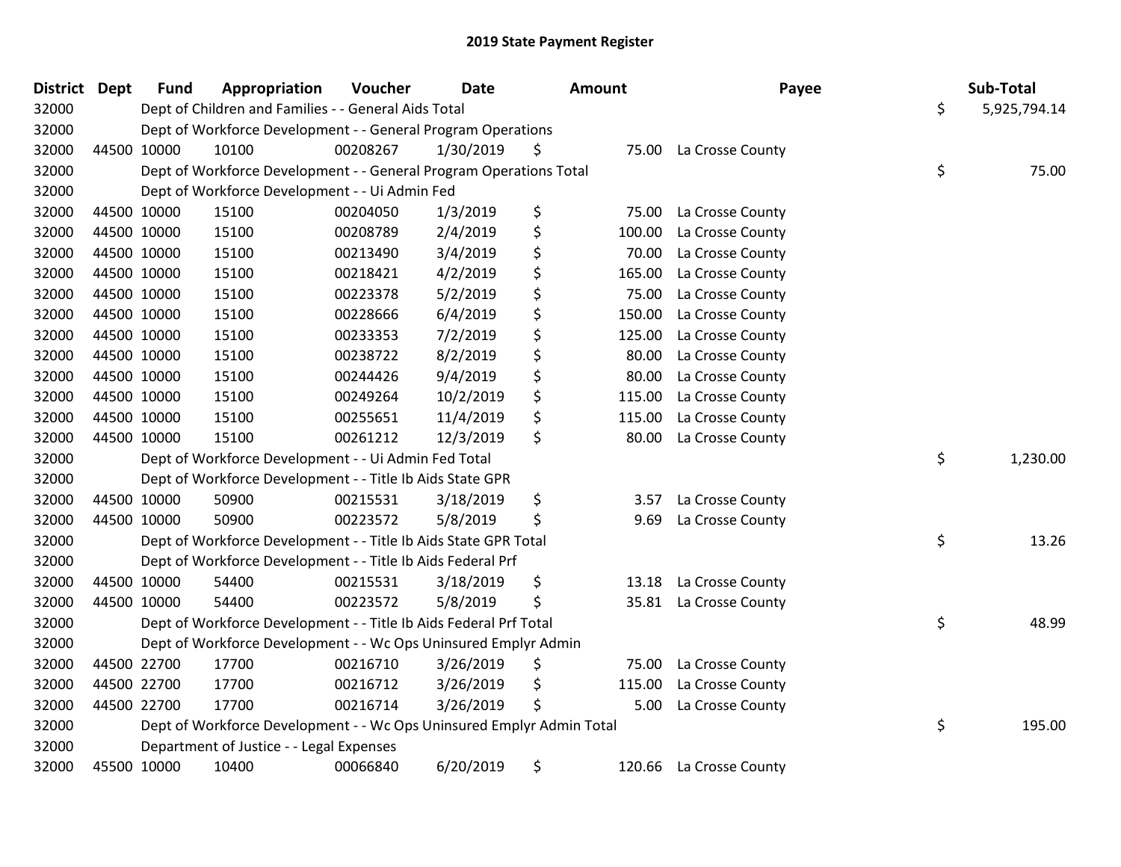| <b>District Dept</b> | <b>Fund</b> | Appropriation                                                         | Voucher  | <b>Date</b> | Amount       | Payee                  | Sub-Total          |
|----------------------|-------------|-----------------------------------------------------------------------|----------|-------------|--------------|------------------------|--------------------|
| 32000                |             | Dept of Children and Families - - General Aids Total                  |          |             |              |                        | \$<br>5,925,794.14 |
| 32000                |             | Dept of Workforce Development - - General Program Operations          |          |             |              |                        |                    |
| 32000                | 44500 10000 | 10100                                                                 | 00208267 | 1/30/2019   | \$           | 75.00 La Crosse County |                    |
| 32000                |             | Dept of Workforce Development - - General Program Operations Total    |          |             |              |                        | \$<br>75.00        |
| 32000                |             | Dept of Workforce Development - - Ui Admin Fed                        |          |             |              |                        |                    |
| 32000                | 44500 10000 | 15100                                                                 | 00204050 | 1/3/2019    | \$<br>75.00  | La Crosse County       |                    |
| 32000                | 44500 10000 | 15100                                                                 | 00208789 | 2/4/2019    | \$<br>100.00 | La Crosse County       |                    |
| 32000                | 44500 10000 | 15100                                                                 | 00213490 | 3/4/2019    | \$<br>70.00  | La Crosse County       |                    |
| 32000                | 44500 10000 | 15100                                                                 | 00218421 | 4/2/2019    | \$<br>165.00 | La Crosse County       |                    |
| 32000                | 44500 10000 | 15100                                                                 | 00223378 | 5/2/2019    | \$<br>75.00  | La Crosse County       |                    |
| 32000                | 44500 10000 | 15100                                                                 | 00228666 | 6/4/2019    | \$<br>150.00 | La Crosse County       |                    |
| 32000                | 44500 10000 | 15100                                                                 | 00233353 | 7/2/2019    | \$<br>125.00 | La Crosse County       |                    |
| 32000                | 44500 10000 | 15100                                                                 | 00238722 | 8/2/2019    | \$<br>80.00  | La Crosse County       |                    |
| 32000                | 44500 10000 | 15100                                                                 | 00244426 | 9/4/2019    | \$<br>80.00  | La Crosse County       |                    |
| 32000                | 44500 10000 | 15100                                                                 | 00249264 | 10/2/2019   | \$<br>115.00 | La Crosse County       |                    |
| 32000                | 44500 10000 | 15100                                                                 | 00255651 | 11/4/2019   | \$<br>115.00 | La Crosse County       |                    |
| 32000                | 44500 10000 | 15100                                                                 | 00261212 | 12/3/2019   | \$<br>80.00  | La Crosse County       |                    |
| 32000                |             | Dept of Workforce Development - - Ui Admin Fed Total                  |          |             |              |                        | \$<br>1,230.00     |
| 32000                |             | Dept of Workforce Development - - Title Ib Aids State GPR             |          |             |              |                        |                    |
| 32000                | 44500 10000 | 50900                                                                 | 00215531 | 3/18/2019   | \$<br>3.57   | La Crosse County       |                    |
| 32000                | 44500 10000 | 50900                                                                 | 00223572 | 5/8/2019    | \$<br>9.69   | La Crosse County       |                    |
| 32000                |             | Dept of Workforce Development - - Title Ib Aids State GPR Total       |          |             |              |                        | \$<br>13.26        |
| 32000                |             | Dept of Workforce Development - - Title Ib Aids Federal Prf           |          |             |              |                        |                    |
| 32000                | 44500 10000 | 54400                                                                 | 00215531 | 3/18/2019   | \$<br>13.18  | La Crosse County       |                    |
| 32000                | 44500 10000 | 54400                                                                 | 00223572 | 5/8/2019    | \$           | 35.81 La Crosse County |                    |
| 32000                |             | Dept of Workforce Development - - Title Ib Aids Federal Prf Total     |          |             |              |                        | \$<br>48.99        |
| 32000                |             | Dept of Workforce Development - - Wc Ops Uninsured Emplyr Admin       |          |             |              |                        |                    |
| 32000                | 44500 22700 | 17700                                                                 | 00216710 | 3/26/2019   | \$<br>75.00  | La Crosse County       |                    |
| 32000                | 44500 22700 | 17700                                                                 | 00216712 | 3/26/2019   | \$<br>115.00 | La Crosse County       |                    |
| 32000                | 44500 22700 | 17700                                                                 | 00216714 | 3/26/2019   | \$<br>5.00   | La Crosse County       |                    |
| 32000                |             | Dept of Workforce Development - - Wc Ops Uninsured Emplyr Admin Total |          |             |              |                        | \$<br>195.00       |
| 32000                |             | Department of Justice - - Legal Expenses                              |          |             |              |                        |                    |
| 32000                | 45500 10000 | 10400                                                                 | 00066840 | 6/20/2019   | \$<br>120.66 | La Crosse County       |                    |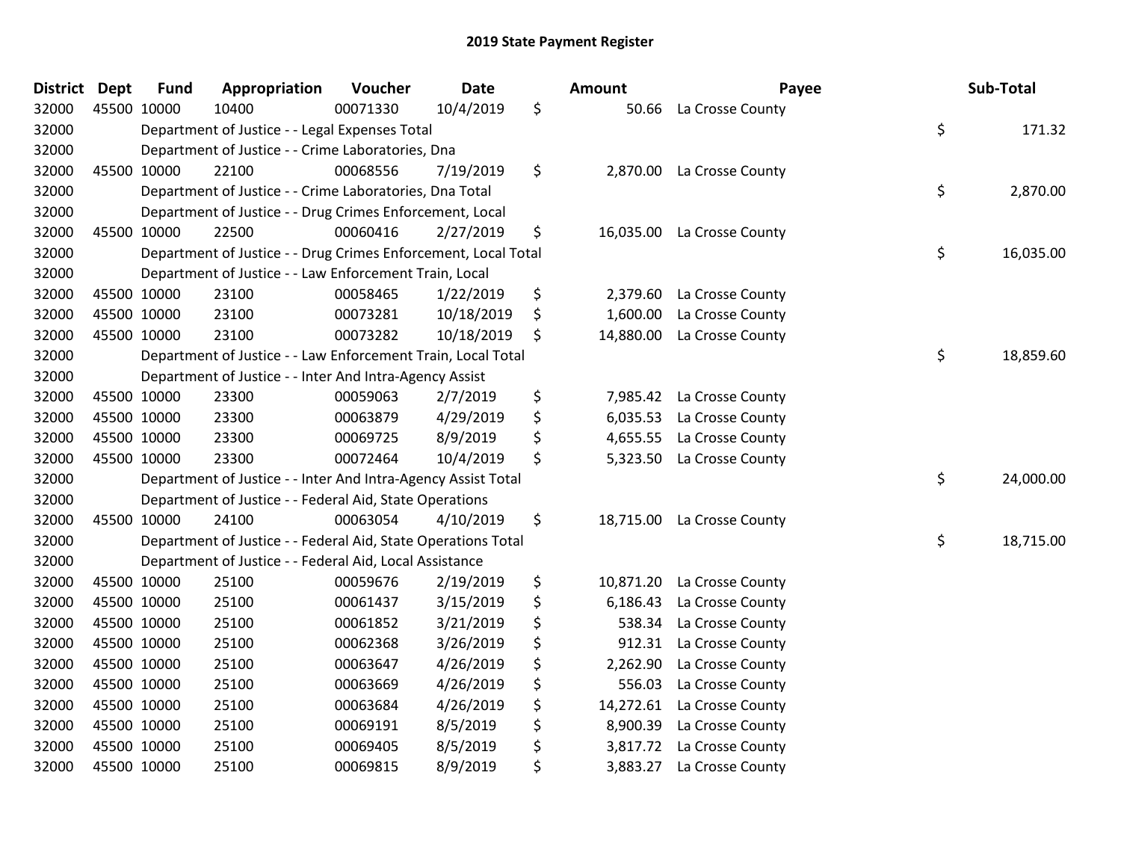| <b>District</b> | <b>Dept</b> | <b>Fund</b> | Appropriation                                                  | Voucher  | <b>Date</b> | <b>Amount</b>   | Payee            | Sub-Total       |
|-----------------|-------------|-------------|----------------------------------------------------------------|----------|-------------|-----------------|------------------|-----------------|
| 32000           |             | 45500 10000 | 10400                                                          | 00071330 | 10/4/2019   | \$<br>50.66     | La Crosse County |                 |
| 32000           |             |             | Department of Justice - - Legal Expenses Total                 |          |             |                 |                  | \$<br>171.32    |
| 32000           |             |             | Department of Justice - - Crime Laboratories, Dna              |          |             |                 |                  |                 |
| 32000           |             | 45500 10000 | 22100                                                          | 00068556 | 7/19/2019   | \$<br>2,870.00  | La Crosse County |                 |
| 32000           |             |             | Department of Justice - - Crime Laboratories, Dna Total        |          |             |                 |                  | \$<br>2,870.00  |
| 32000           |             |             | Department of Justice - - Drug Crimes Enforcement, Local       |          |             |                 |                  |                 |
| 32000           |             | 45500 10000 | 22500                                                          | 00060416 | 2/27/2019   | \$<br>16,035.00 | La Crosse County |                 |
| 32000           |             |             | Department of Justice - - Drug Crimes Enforcement, Local Total |          |             |                 |                  | \$<br>16,035.00 |
| 32000           |             |             | Department of Justice - - Law Enforcement Train, Local         |          |             |                 |                  |                 |
| 32000           |             | 45500 10000 | 23100                                                          | 00058465 | 1/22/2019   | \$<br>2,379.60  | La Crosse County |                 |
| 32000           |             | 45500 10000 | 23100                                                          | 00073281 | 10/18/2019  | \$<br>1,600.00  | La Crosse County |                 |
| 32000           |             | 45500 10000 | 23100                                                          | 00073282 | 10/18/2019  | \$<br>14,880.00 | La Crosse County |                 |
| 32000           |             |             | Department of Justice - - Law Enforcement Train, Local Total   |          |             |                 |                  | \$<br>18,859.60 |
| 32000           |             |             | Department of Justice - - Inter And Intra-Agency Assist        |          |             |                 |                  |                 |
| 32000           |             | 45500 10000 | 23300                                                          | 00059063 | 2/7/2019    | \$<br>7,985.42  | La Crosse County |                 |
| 32000           |             | 45500 10000 | 23300                                                          | 00063879 | 4/29/2019   | \$<br>6,035.53  | La Crosse County |                 |
| 32000           |             | 45500 10000 | 23300                                                          | 00069725 | 8/9/2019    | \$<br>4,655.55  | La Crosse County |                 |
| 32000           |             | 45500 10000 | 23300                                                          | 00072464 | 10/4/2019   | \$<br>5,323.50  | La Crosse County |                 |
| 32000           |             |             | Department of Justice - - Inter And Intra-Agency Assist Total  |          |             |                 |                  | \$<br>24,000.00 |
| 32000           |             |             | Department of Justice - - Federal Aid, State Operations        |          |             |                 |                  |                 |
| 32000           |             | 45500 10000 | 24100                                                          | 00063054 | 4/10/2019   | \$<br>18,715.00 | La Crosse County |                 |
| 32000           |             |             | Department of Justice - - Federal Aid, State Operations Total  |          |             |                 |                  | \$<br>18,715.00 |
| 32000           |             |             | Department of Justice - - Federal Aid, Local Assistance        |          |             |                 |                  |                 |
| 32000           |             | 45500 10000 | 25100                                                          | 00059676 | 2/19/2019   | \$<br>10,871.20 | La Crosse County |                 |
| 32000           |             | 45500 10000 | 25100                                                          | 00061437 | 3/15/2019   | \$<br>6,186.43  | La Crosse County |                 |
| 32000           |             | 45500 10000 | 25100                                                          | 00061852 | 3/21/2019   | \$<br>538.34    | La Crosse County |                 |
| 32000           |             | 45500 10000 | 25100                                                          | 00062368 | 3/26/2019   | \$<br>912.31    | La Crosse County |                 |
| 32000           |             | 45500 10000 | 25100                                                          | 00063647 | 4/26/2019   | \$<br>2,262.90  | La Crosse County |                 |
| 32000           |             | 45500 10000 | 25100                                                          | 00063669 | 4/26/2019   | \$<br>556.03    | La Crosse County |                 |
| 32000           |             | 45500 10000 | 25100                                                          | 00063684 | 4/26/2019   | \$<br>14,272.61 | La Crosse County |                 |
| 32000           |             | 45500 10000 | 25100                                                          | 00069191 | 8/5/2019    | \$<br>8,900.39  | La Crosse County |                 |
| 32000           |             | 45500 10000 | 25100                                                          | 00069405 | 8/5/2019    | \$<br>3,817.72  | La Crosse County |                 |
| 32000           |             | 45500 10000 | 25100                                                          | 00069815 | 8/9/2019    | \$<br>3,883.27  | La Crosse County |                 |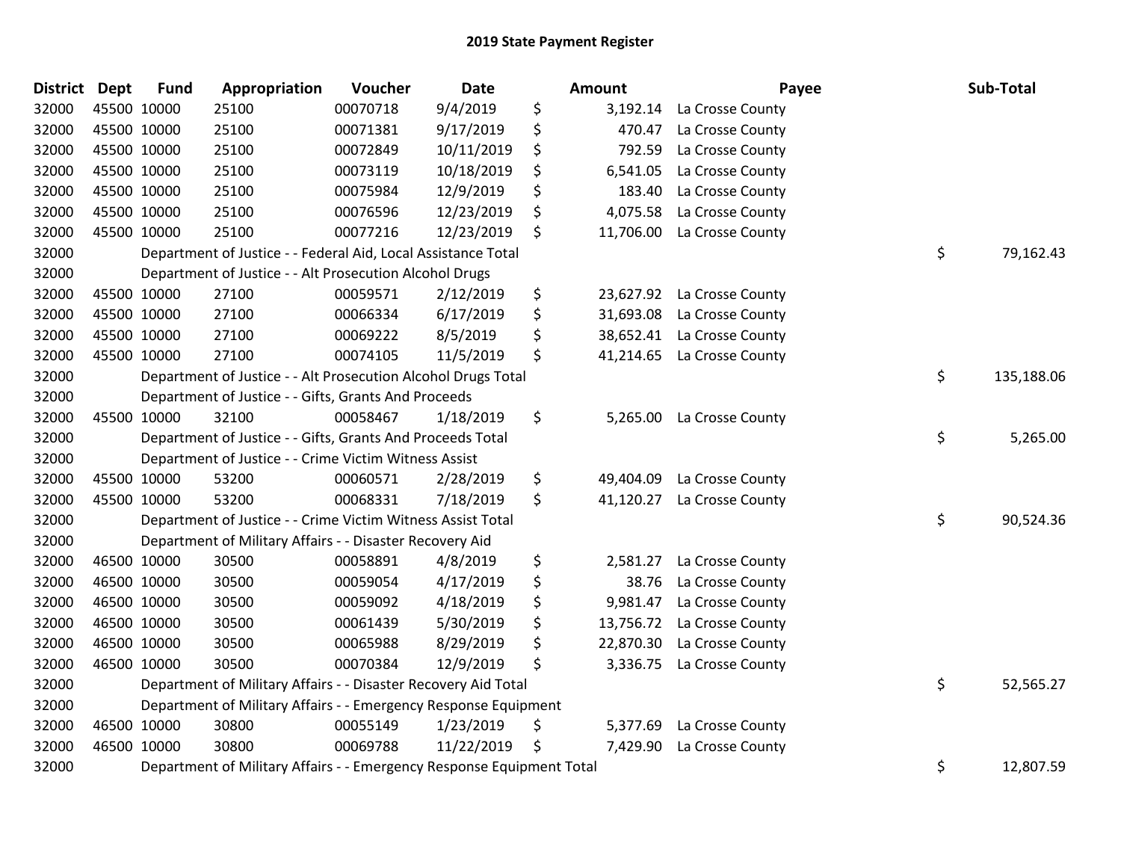| District Dept |             | <b>Fund</b> | Appropriation                                                         | Voucher  | <b>Date</b> |     | Amount    | Payee                      | Sub-Total        |
|---------------|-------------|-------------|-----------------------------------------------------------------------|----------|-------------|-----|-----------|----------------------------|------------------|
| 32000         | 45500 10000 |             | 25100                                                                 | 00070718 | 9/4/2019    | \$  | 3,192.14  | La Crosse County           |                  |
| 32000         |             | 45500 10000 | 25100                                                                 | 00071381 | 9/17/2019   | \$  | 470.47    | La Crosse County           |                  |
| 32000         |             | 45500 10000 | 25100                                                                 | 00072849 | 10/11/2019  | \$  | 792.59    | La Crosse County           |                  |
| 32000         |             | 45500 10000 | 25100                                                                 | 00073119 | 10/18/2019  | \$  | 6,541.05  | La Crosse County           |                  |
| 32000         | 45500 10000 |             | 25100                                                                 | 00075984 | 12/9/2019   | \$  | 183.40    | La Crosse County           |                  |
| 32000         |             | 45500 10000 | 25100                                                                 | 00076596 | 12/23/2019  | \$  | 4,075.58  | La Crosse County           |                  |
| 32000         |             | 45500 10000 | 25100                                                                 | 00077216 | 12/23/2019  | \$  | 11,706.00 | La Crosse County           |                  |
| 32000         |             |             | Department of Justice - - Federal Aid, Local Assistance Total         |          |             |     |           |                            | \$<br>79,162.43  |
| 32000         |             |             | Department of Justice - - Alt Prosecution Alcohol Drugs               |          |             |     |           |                            |                  |
| 32000         |             | 45500 10000 | 27100                                                                 | 00059571 | 2/12/2019   | \$  |           | 23,627.92 La Crosse County |                  |
| 32000         |             | 45500 10000 | 27100                                                                 | 00066334 | 6/17/2019   | \$  | 31,693.08 | La Crosse County           |                  |
| 32000         |             | 45500 10000 | 27100                                                                 | 00069222 | 8/5/2019    | \$  |           | 38,652.41 La Crosse County |                  |
| 32000         |             | 45500 10000 | 27100                                                                 | 00074105 | 11/5/2019   | \$  |           | 41,214.65 La Crosse County |                  |
| 32000         |             |             | Department of Justice - - Alt Prosecution Alcohol Drugs Total         |          |             |     |           |                            | \$<br>135,188.06 |
| 32000         |             |             | Department of Justice - - Gifts, Grants And Proceeds                  |          |             |     |           |                            |                  |
| 32000         |             | 45500 10000 | 32100                                                                 | 00058467 | 1/18/2019   | \$  | 5,265.00  | La Crosse County           |                  |
| 32000         |             |             | Department of Justice - - Gifts, Grants And Proceeds Total            |          |             |     |           |                            | \$<br>5,265.00   |
| 32000         |             |             | Department of Justice - - Crime Victim Witness Assist                 |          |             |     |           |                            |                  |
| 32000         |             | 45500 10000 | 53200                                                                 | 00060571 | 2/28/2019   | \$  | 49,404.09 | La Crosse County           |                  |
| 32000         | 45500 10000 |             | 53200                                                                 | 00068331 | 7/18/2019   | \$  |           | 41,120.27 La Crosse County |                  |
| 32000         |             |             | Department of Justice - - Crime Victim Witness Assist Total           |          |             |     |           |                            | \$<br>90,524.36  |
| 32000         |             |             | Department of Military Affairs - - Disaster Recovery Aid              |          |             |     |           |                            |                  |
| 32000         |             | 46500 10000 | 30500                                                                 | 00058891 | 4/8/2019    | \$  | 2,581.27  | La Crosse County           |                  |
| 32000         |             | 46500 10000 | 30500                                                                 | 00059054 | 4/17/2019   | \$  | 38.76     | La Crosse County           |                  |
| 32000         |             | 46500 10000 | 30500                                                                 | 00059092 | 4/18/2019   | \$  | 9,981.47  | La Crosse County           |                  |
| 32000         |             | 46500 10000 | 30500                                                                 | 00061439 | 5/30/2019   | \$  | 13,756.72 | La Crosse County           |                  |
| 32000         |             | 46500 10000 | 30500                                                                 | 00065988 | 8/29/2019   | \$  | 22,870.30 | La Crosse County           |                  |
| 32000         |             | 46500 10000 | 30500                                                                 | 00070384 | 12/9/2019   | \$  |           | 3,336.75 La Crosse County  |                  |
| 32000         |             |             | Department of Military Affairs - - Disaster Recovery Aid Total        |          |             |     |           |                            | \$<br>52,565.27  |
| 32000         |             |             | Department of Military Affairs - - Emergency Response Equipment       |          |             |     |           |                            |                  |
| 32000         |             | 46500 10000 | 30800                                                                 | 00055149 | 1/23/2019   | \$  | 5,377.69  | La Crosse County           |                  |
| 32000         |             | 46500 10000 | 30800                                                                 | 00069788 | 11/22/2019  | \$, | 7,429.90  | La Crosse County           |                  |
| 32000         |             |             | Department of Military Affairs - - Emergency Response Equipment Total |          |             |     |           |                            | \$<br>12,807.59  |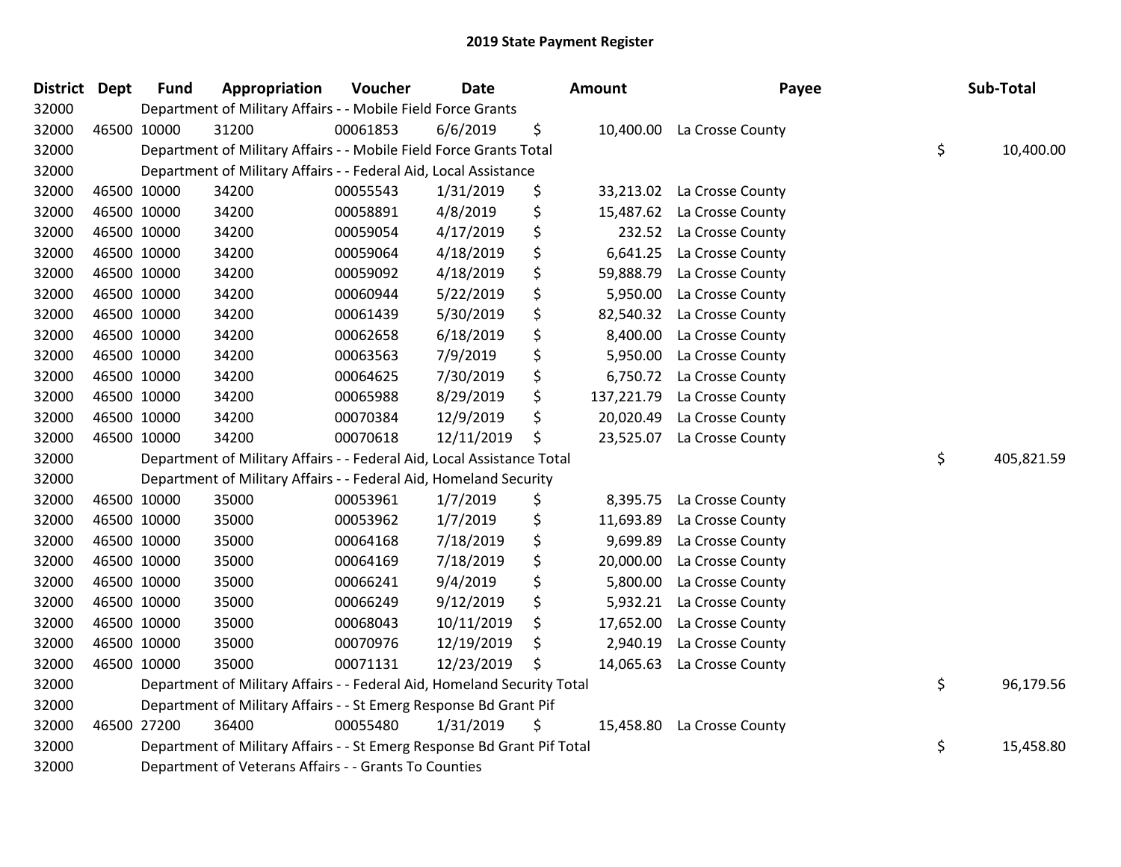| <b>District Dept</b> | <b>Fund</b> | Appropriation                                                           | Voucher  | <b>Date</b> | <b>Amount</b>    | Payee                      | Sub-Total        |
|----------------------|-------------|-------------------------------------------------------------------------|----------|-------------|------------------|----------------------------|------------------|
| 32000                |             | Department of Military Affairs - - Mobile Field Force Grants            |          |             |                  |                            |                  |
| 32000                | 46500 10000 | 31200                                                                   | 00061853 | 6/6/2019    | \$               | 10,400.00 La Crosse County |                  |
| 32000                |             | Department of Military Affairs - - Mobile Field Force Grants Total      |          |             |                  |                            | \$<br>10,400.00  |
| 32000                |             | Department of Military Affairs - - Federal Aid, Local Assistance        |          |             |                  |                            |                  |
| 32000                | 46500 10000 | 34200                                                                   | 00055543 | 1/31/2019   | \$<br>33,213.02  | La Crosse County           |                  |
| 32000                | 46500 10000 | 34200                                                                   | 00058891 | 4/8/2019    | \$<br>15,487.62  | La Crosse County           |                  |
| 32000                | 46500 10000 | 34200                                                                   | 00059054 | 4/17/2019   | \$<br>232.52     | La Crosse County           |                  |
| 32000                | 46500 10000 | 34200                                                                   | 00059064 | 4/18/2019   | \$<br>6,641.25   | La Crosse County           |                  |
| 32000                | 46500 10000 | 34200                                                                   | 00059092 | 4/18/2019   | \$<br>59,888.79  | La Crosse County           |                  |
| 32000                | 46500 10000 | 34200                                                                   | 00060944 | 5/22/2019   | \$<br>5,950.00   | La Crosse County           |                  |
| 32000                | 46500 10000 | 34200                                                                   | 00061439 | 5/30/2019   | \$<br>82,540.32  | La Crosse County           |                  |
| 32000                | 46500 10000 | 34200                                                                   | 00062658 | 6/18/2019   | \$<br>8,400.00   | La Crosse County           |                  |
| 32000                | 46500 10000 | 34200                                                                   | 00063563 | 7/9/2019    | \$<br>5,950.00   | La Crosse County           |                  |
| 32000                | 46500 10000 | 34200                                                                   | 00064625 | 7/30/2019   | \$<br>6,750.72   | La Crosse County           |                  |
| 32000                | 46500 10000 | 34200                                                                   | 00065988 | 8/29/2019   | \$<br>137,221.79 | La Crosse County           |                  |
| 32000                | 46500 10000 | 34200                                                                   | 00070384 | 12/9/2019   | \$<br>20,020.49  | La Crosse County           |                  |
| 32000                | 46500 10000 | 34200                                                                   | 00070618 | 12/11/2019  | \$<br>23,525.07  | La Crosse County           |                  |
| 32000                |             | Department of Military Affairs - - Federal Aid, Local Assistance Total  |          |             |                  |                            | \$<br>405,821.59 |
| 32000                |             | Department of Military Affairs - - Federal Aid, Homeland Security       |          |             |                  |                            |                  |
| 32000                | 46500 10000 | 35000                                                                   | 00053961 | 1/7/2019    | \$<br>8,395.75   | La Crosse County           |                  |
| 32000                | 46500 10000 | 35000                                                                   | 00053962 | 1/7/2019    | \$<br>11,693.89  | La Crosse County           |                  |
| 32000                | 46500 10000 | 35000                                                                   | 00064168 | 7/18/2019   | \$<br>9,699.89   | La Crosse County           |                  |
| 32000                | 46500 10000 | 35000                                                                   | 00064169 | 7/18/2019   | \$<br>20,000.00  | La Crosse County           |                  |
| 32000                | 46500 10000 | 35000                                                                   | 00066241 | 9/4/2019    | \$<br>5,800.00   | La Crosse County           |                  |
| 32000                | 46500 10000 | 35000                                                                   | 00066249 | 9/12/2019   | \$<br>5,932.21   | La Crosse County           |                  |
| 32000                | 46500 10000 | 35000                                                                   | 00068043 | 10/11/2019  | \$<br>17,652.00  | La Crosse County           |                  |
| 32000                | 46500 10000 | 35000                                                                   | 00070976 | 12/19/2019  | \$<br>2,940.19   | La Crosse County           |                  |
| 32000                | 46500 10000 | 35000                                                                   | 00071131 | 12/23/2019  | \$<br>14,065.63  | La Crosse County           |                  |
| 32000                |             | Department of Military Affairs - - Federal Aid, Homeland Security Total |          |             |                  |                            | \$<br>96,179.56  |
| 32000                |             | Department of Military Affairs - - St Emerg Response Bd Grant Pif       |          |             |                  |                            |                  |
| 32000                | 46500 27200 | 36400                                                                   | 00055480 | 1/31/2019   | \$<br>15,458.80  | La Crosse County           |                  |
| 32000                |             | Department of Military Affairs - - St Emerg Response Bd Grant Pif Total |          |             |                  |                            | \$<br>15,458.80  |
| 32000                |             | Department of Veterans Affairs - - Grants To Counties                   |          |             |                  |                            |                  |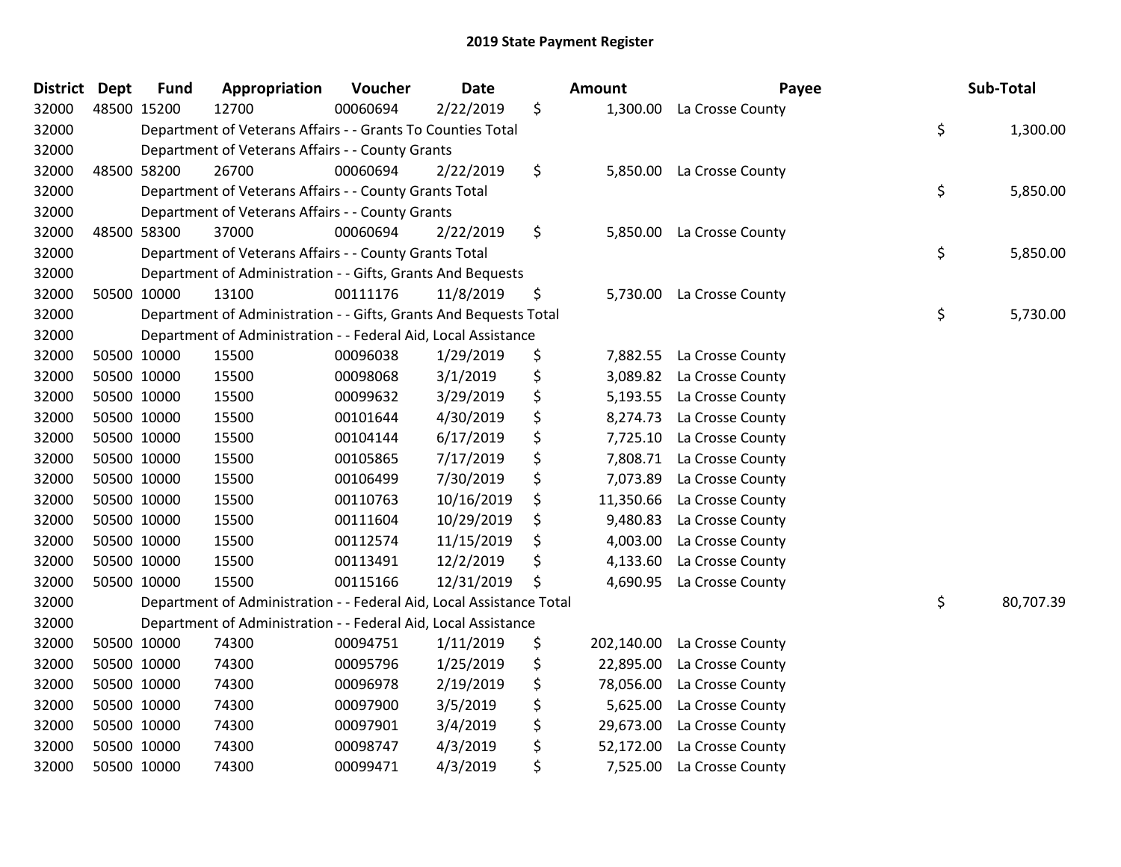| \$<br>00060694<br>2/22/2019<br>32000<br>48500 15200<br>12700<br>1,300.00<br>La Crosse County<br>\$<br>32000<br>Department of Veterans Affairs - - Grants To Counties Total<br>1,300.00<br>32000<br>Department of Veterans Affairs - - County Grants<br>32000<br>\$<br>48500 58200<br>26700<br>00060694<br>2/22/2019<br>5,850.00<br>La Crosse County<br>\$<br>32000<br>Department of Veterans Affairs - - County Grants Total<br>5,850.00<br>32000<br>Department of Veterans Affairs - - County Grants<br>\$<br>32000<br>48500 58300<br>37000<br>00060694<br>2/22/2019<br>5,850.00<br>La Crosse County<br>\$<br>32000<br>Department of Veterans Affairs - - County Grants Total<br>5,850.00<br>32000<br>Department of Administration - - Gifts, Grants And Bequests<br>\$<br>32000<br>50500 10000<br>13100<br>00111176<br>11/8/2019<br>La Crosse County<br>5,730.00<br>\$<br>Department of Administration - - Gifts, Grants And Bequests Total<br>32000<br>5,730.00<br>32000<br>Department of Administration - - Federal Aid, Local Assistance<br>\$<br>15500<br>1/29/2019<br>32000<br>50500 10000<br>00096038<br>La Crosse County<br>7,882.55<br>\$<br>32000<br>50500 10000<br>15500<br>3/1/2019<br>La Crosse County<br>00098068<br>3,089.82<br>\$<br>50500 10000<br>32000<br>15500<br>00099632<br>3/29/2019<br>5,193.55 La Crosse County<br>\$<br>32000<br>50500 10000<br>15500<br>00101644<br>4/30/2019<br>8,274.73<br>La Crosse County<br>\$<br>32000<br>50500 10000<br>15500<br>6/17/2019<br>00104144<br>7,725.10<br>La Crosse County<br>\$<br>32000<br>50500 10000<br>15500<br>7/17/2019<br>00105865<br>7,808.71<br>La Crosse County<br>\$<br>32000<br>50500 10000<br>7/30/2019<br>15500<br>00106499<br>7,073.89<br>La Crosse County<br>\$<br>32000<br>50500 10000<br>15500<br>00110763<br>10/16/2019<br>11,350.66<br>La Crosse County<br>15500<br>\$<br>32000<br>50500 10000<br>00111604<br>10/29/2019<br>9,480.83<br>La Crosse County<br>32000<br>50500 10000<br>15500<br>00112574<br>11/15/2019<br>\$<br>4,003.00<br>La Crosse County<br>32000<br>50500 10000<br>15500<br>12/2/2019<br>\$<br>00113491<br>4,133.60<br>La Crosse County<br>32000<br>50500 10000<br>15500<br>00115166<br>12/31/2019<br>\$<br>4,690.95<br>La Crosse County<br>\$<br>32000<br>Department of Administration - - Federal Aid, Local Assistance Total<br>80,707.39<br>32000<br>Department of Administration - - Federal Aid, Local Assistance<br>\$<br>32000<br>50500 10000<br>74300<br>00094751<br>1/11/2019<br>202,140.00<br>La Crosse County<br>\$<br>32000<br>50500 10000<br>74300<br>00095796<br>1/25/2019<br>22,895.00<br>La Crosse County<br>\$<br>32000<br>50500 10000<br>74300<br>2/19/2019<br>00096978<br>78,056.00<br>La Crosse County<br>\$<br>32000<br>50500 10000<br>74300<br>00097900<br>3/5/2019<br>5,625.00<br>La Crosse County<br>\$<br>50500 10000<br>32000<br>74300<br>00097901<br>3/4/2019<br>29,673.00<br>La Crosse County<br>\$<br>32000<br>50500 10000<br>74300<br>00098747<br>4/3/2019<br>La Crosse County<br>52,172.00<br>\$<br>32000<br>50500 10000<br>74300<br>4/3/2019<br>00099471<br>7,525.00<br>La Crosse County | <b>District</b> | <b>Dept</b> | <b>Fund</b> | Appropriation | Voucher | <b>Date</b> | Amount | Payee | Sub-Total |
|---------------------------------------------------------------------------------------------------------------------------------------------------------------------------------------------------------------------------------------------------------------------------------------------------------------------------------------------------------------------------------------------------------------------------------------------------------------------------------------------------------------------------------------------------------------------------------------------------------------------------------------------------------------------------------------------------------------------------------------------------------------------------------------------------------------------------------------------------------------------------------------------------------------------------------------------------------------------------------------------------------------------------------------------------------------------------------------------------------------------------------------------------------------------------------------------------------------------------------------------------------------------------------------------------------------------------------------------------------------------------------------------------------------------------------------------------------------------------------------------------------------------------------------------------------------------------------------------------------------------------------------------------------------------------------------------------------------------------------------------------------------------------------------------------------------------------------------------------------------------------------------------------------------------------------------------------------------------------------------------------------------------------------------------------------------------------------------------------------------------------------------------------------------------------------------------------------------------------------------------------------------------------------------------------------------------------------------------------------------------------------------------------------------------------------------------------------------------------------------------------------------------------------------------------------------------------------------------------------------------------------------------------------------------------------------------------------------------------------------------------------------------------------------------------------------------------------------------------------------------------------------------------------------------------------------------------------------------------------------------------------------------------------------------------------------------------------------------------------------------------------|-----------------|-------------|-------------|---------------|---------|-------------|--------|-------|-----------|
|                                                                                                                                                                                                                                                                                                                                                                                                                                                                                                                                                                                                                                                                                                                                                                                                                                                                                                                                                                                                                                                                                                                                                                                                                                                                                                                                                                                                                                                                                                                                                                                                                                                                                                                                                                                                                                                                                                                                                                                                                                                                                                                                                                                                                                                                                                                                                                                                                                                                                                                                                                                                                                                                                                                                                                                                                                                                                                                                                                                                                                                                                                                                 |                 |             |             |               |         |             |        |       |           |
|                                                                                                                                                                                                                                                                                                                                                                                                                                                                                                                                                                                                                                                                                                                                                                                                                                                                                                                                                                                                                                                                                                                                                                                                                                                                                                                                                                                                                                                                                                                                                                                                                                                                                                                                                                                                                                                                                                                                                                                                                                                                                                                                                                                                                                                                                                                                                                                                                                                                                                                                                                                                                                                                                                                                                                                                                                                                                                                                                                                                                                                                                                                                 |                 |             |             |               |         |             |        |       |           |
|                                                                                                                                                                                                                                                                                                                                                                                                                                                                                                                                                                                                                                                                                                                                                                                                                                                                                                                                                                                                                                                                                                                                                                                                                                                                                                                                                                                                                                                                                                                                                                                                                                                                                                                                                                                                                                                                                                                                                                                                                                                                                                                                                                                                                                                                                                                                                                                                                                                                                                                                                                                                                                                                                                                                                                                                                                                                                                                                                                                                                                                                                                                                 |                 |             |             |               |         |             |        |       |           |
|                                                                                                                                                                                                                                                                                                                                                                                                                                                                                                                                                                                                                                                                                                                                                                                                                                                                                                                                                                                                                                                                                                                                                                                                                                                                                                                                                                                                                                                                                                                                                                                                                                                                                                                                                                                                                                                                                                                                                                                                                                                                                                                                                                                                                                                                                                                                                                                                                                                                                                                                                                                                                                                                                                                                                                                                                                                                                                                                                                                                                                                                                                                                 |                 |             |             |               |         |             |        |       |           |
|                                                                                                                                                                                                                                                                                                                                                                                                                                                                                                                                                                                                                                                                                                                                                                                                                                                                                                                                                                                                                                                                                                                                                                                                                                                                                                                                                                                                                                                                                                                                                                                                                                                                                                                                                                                                                                                                                                                                                                                                                                                                                                                                                                                                                                                                                                                                                                                                                                                                                                                                                                                                                                                                                                                                                                                                                                                                                                                                                                                                                                                                                                                                 |                 |             |             |               |         |             |        |       |           |
|                                                                                                                                                                                                                                                                                                                                                                                                                                                                                                                                                                                                                                                                                                                                                                                                                                                                                                                                                                                                                                                                                                                                                                                                                                                                                                                                                                                                                                                                                                                                                                                                                                                                                                                                                                                                                                                                                                                                                                                                                                                                                                                                                                                                                                                                                                                                                                                                                                                                                                                                                                                                                                                                                                                                                                                                                                                                                                                                                                                                                                                                                                                                 |                 |             |             |               |         |             |        |       |           |
|                                                                                                                                                                                                                                                                                                                                                                                                                                                                                                                                                                                                                                                                                                                                                                                                                                                                                                                                                                                                                                                                                                                                                                                                                                                                                                                                                                                                                                                                                                                                                                                                                                                                                                                                                                                                                                                                                                                                                                                                                                                                                                                                                                                                                                                                                                                                                                                                                                                                                                                                                                                                                                                                                                                                                                                                                                                                                                                                                                                                                                                                                                                                 |                 |             |             |               |         |             |        |       |           |
|                                                                                                                                                                                                                                                                                                                                                                                                                                                                                                                                                                                                                                                                                                                                                                                                                                                                                                                                                                                                                                                                                                                                                                                                                                                                                                                                                                                                                                                                                                                                                                                                                                                                                                                                                                                                                                                                                                                                                                                                                                                                                                                                                                                                                                                                                                                                                                                                                                                                                                                                                                                                                                                                                                                                                                                                                                                                                                                                                                                                                                                                                                                                 |                 |             |             |               |         |             |        |       |           |
|                                                                                                                                                                                                                                                                                                                                                                                                                                                                                                                                                                                                                                                                                                                                                                                                                                                                                                                                                                                                                                                                                                                                                                                                                                                                                                                                                                                                                                                                                                                                                                                                                                                                                                                                                                                                                                                                                                                                                                                                                                                                                                                                                                                                                                                                                                                                                                                                                                                                                                                                                                                                                                                                                                                                                                                                                                                                                                                                                                                                                                                                                                                                 |                 |             |             |               |         |             |        |       |           |
|                                                                                                                                                                                                                                                                                                                                                                                                                                                                                                                                                                                                                                                                                                                                                                                                                                                                                                                                                                                                                                                                                                                                                                                                                                                                                                                                                                                                                                                                                                                                                                                                                                                                                                                                                                                                                                                                                                                                                                                                                                                                                                                                                                                                                                                                                                                                                                                                                                                                                                                                                                                                                                                                                                                                                                                                                                                                                                                                                                                                                                                                                                                                 |                 |             |             |               |         |             |        |       |           |
|                                                                                                                                                                                                                                                                                                                                                                                                                                                                                                                                                                                                                                                                                                                                                                                                                                                                                                                                                                                                                                                                                                                                                                                                                                                                                                                                                                                                                                                                                                                                                                                                                                                                                                                                                                                                                                                                                                                                                                                                                                                                                                                                                                                                                                                                                                                                                                                                                                                                                                                                                                                                                                                                                                                                                                                                                                                                                                                                                                                                                                                                                                                                 |                 |             |             |               |         |             |        |       |           |
|                                                                                                                                                                                                                                                                                                                                                                                                                                                                                                                                                                                                                                                                                                                                                                                                                                                                                                                                                                                                                                                                                                                                                                                                                                                                                                                                                                                                                                                                                                                                                                                                                                                                                                                                                                                                                                                                                                                                                                                                                                                                                                                                                                                                                                                                                                                                                                                                                                                                                                                                                                                                                                                                                                                                                                                                                                                                                                                                                                                                                                                                                                                                 |                 |             |             |               |         |             |        |       |           |
|                                                                                                                                                                                                                                                                                                                                                                                                                                                                                                                                                                                                                                                                                                                                                                                                                                                                                                                                                                                                                                                                                                                                                                                                                                                                                                                                                                                                                                                                                                                                                                                                                                                                                                                                                                                                                                                                                                                                                                                                                                                                                                                                                                                                                                                                                                                                                                                                                                                                                                                                                                                                                                                                                                                                                                                                                                                                                                                                                                                                                                                                                                                                 |                 |             |             |               |         |             |        |       |           |
|                                                                                                                                                                                                                                                                                                                                                                                                                                                                                                                                                                                                                                                                                                                                                                                                                                                                                                                                                                                                                                                                                                                                                                                                                                                                                                                                                                                                                                                                                                                                                                                                                                                                                                                                                                                                                                                                                                                                                                                                                                                                                                                                                                                                                                                                                                                                                                                                                                                                                                                                                                                                                                                                                                                                                                                                                                                                                                                                                                                                                                                                                                                                 |                 |             |             |               |         |             |        |       |           |
|                                                                                                                                                                                                                                                                                                                                                                                                                                                                                                                                                                                                                                                                                                                                                                                                                                                                                                                                                                                                                                                                                                                                                                                                                                                                                                                                                                                                                                                                                                                                                                                                                                                                                                                                                                                                                                                                                                                                                                                                                                                                                                                                                                                                                                                                                                                                                                                                                                                                                                                                                                                                                                                                                                                                                                                                                                                                                                                                                                                                                                                                                                                                 |                 |             |             |               |         |             |        |       |           |
|                                                                                                                                                                                                                                                                                                                                                                                                                                                                                                                                                                                                                                                                                                                                                                                                                                                                                                                                                                                                                                                                                                                                                                                                                                                                                                                                                                                                                                                                                                                                                                                                                                                                                                                                                                                                                                                                                                                                                                                                                                                                                                                                                                                                                                                                                                                                                                                                                                                                                                                                                                                                                                                                                                                                                                                                                                                                                                                                                                                                                                                                                                                                 |                 |             |             |               |         |             |        |       |           |
|                                                                                                                                                                                                                                                                                                                                                                                                                                                                                                                                                                                                                                                                                                                                                                                                                                                                                                                                                                                                                                                                                                                                                                                                                                                                                                                                                                                                                                                                                                                                                                                                                                                                                                                                                                                                                                                                                                                                                                                                                                                                                                                                                                                                                                                                                                                                                                                                                                                                                                                                                                                                                                                                                                                                                                                                                                                                                                                                                                                                                                                                                                                                 |                 |             |             |               |         |             |        |       |           |
|                                                                                                                                                                                                                                                                                                                                                                                                                                                                                                                                                                                                                                                                                                                                                                                                                                                                                                                                                                                                                                                                                                                                                                                                                                                                                                                                                                                                                                                                                                                                                                                                                                                                                                                                                                                                                                                                                                                                                                                                                                                                                                                                                                                                                                                                                                                                                                                                                                                                                                                                                                                                                                                                                                                                                                                                                                                                                                                                                                                                                                                                                                                                 |                 |             |             |               |         |             |        |       |           |
|                                                                                                                                                                                                                                                                                                                                                                                                                                                                                                                                                                                                                                                                                                                                                                                                                                                                                                                                                                                                                                                                                                                                                                                                                                                                                                                                                                                                                                                                                                                                                                                                                                                                                                                                                                                                                                                                                                                                                                                                                                                                                                                                                                                                                                                                                                                                                                                                                                                                                                                                                                                                                                                                                                                                                                                                                                                                                                                                                                                                                                                                                                                                 |                 |             |             |               |         |             |        |       |           |
|                                                                                                                                                                                                                                                                                                                                                                                                                                                                                                                                                                                                                                                                                                                                                                                                                                                                                                                                                                                                                                                                                                                                                                                                                                                                                                                                                                                                                                                                                                                                                                                                                                                                                                                                                                                                                                                                                                                                                                                                                                                                                                                                                                                                                                                                                                                                                                                                                                                                                                                                                                                                                                                                                                                                                                                                                                                                                                                                                                                                                                                                                                                                 |                 |             |             |               |         |             |        |       |           |
|                                                                                                                                                                                                                                                                                                                                                                                                                                                                                                                                                                                                                                                                                                                                                                                                                                                                                                                                                                                                                                                                                                                                                                                                                                                                                                                                                                                                                                                                                                                                                                                                                                                                                                                                                                                                                                                                                                                                                                                                                                                                                                                                                                                                                                                                                                                                                                                                                                                                                                                                                                                                                                                                                                                                                                                                                                                                                                                                                                                                                                                                                                                                 |                 |             |             |               |         |             |        |       |           |
|                                                                                                                                                                                                                                                                                                                                                                                                                                                                                                                                                                                                                                                                                                                                                                                                                                                                                                                                                                                                                                                                                                                                                                                                                                                                                                                                                                                                                                                                                                                                                                                                                                                                                                                                                                                                                                                                                                                                                                                                                                                                                                                                                                                                                                                                                                                                                                                                                                                                                                                                                                                                                                                                                                                                                                                                                                                                                                                                                                                                                                                                                                                                 |                 |             |             |               |         |             |        |       |           |
|                                                                                                                                                                                                                                                                                                                                                                                                                                                                                                                                                                                                                                                                                                                                                                                                                                                                                                                                                                                                                                                                                                                                                                                                                                                                                                                                                                                                                                                                                                                                                                                                                                                                                                                                                                                                                                                                                                                                                                                                                                                                                                                                                                                                                                                                                                                                                                                                                                                                                                                                                                                                                                                                                                                                                                                                                                                                                                                                                                                                                                                                                                                                 |                 |             |             |               |         |             |        |       |           |
|                                                                                                                                                                                                                                                                                                                                                                                                                                                                                                                                                                                                                                                                                                                                                                                                                                                                                                                                                                                                                                                                                                                                                                                                                                                                                                                                                                                                                                                                                                                                                                                                                                                                                                                                                                                                                                                                                                                                                                                                                                                                                                                                                                                                                                                                                                                                                                                                                                                                                                                                                                                                                                                                                                                                                                                                                                                                                                                                                                                                                                                                                                                                 |                 |             |             |               |         |             |        |       |           |
|                                                                                                                                                                                                                                                                                                                                                                                                                                                                                                                                                                                                                                                                                                                                                                                                                                                                                                                                                                                                                                                                                                                                                                                                                                                                                                                                                                                                                                                                                                                                                                                                                                                                                                                                                                                                                                                                                                                                                                                                                                                                                                                                                                                                                                                                                                                                                                                                                                                                                                                                                                                                                                                                                                                                                                                                                                                                                                                                                                                                                                                                                                                                 |                 |             |             |               |         |             |        |       |           |
|                                                                                                                                                                                                                                                                                                                                                                                                                                                                                                                                                                                                                                                                                                                                                                                                                                                                                                                                                                                                                                                                                                                                                                                                                                                                                                                                                                                                                                                                                                                                                                                                                                                                                                                                                                                                                                                                                                                                                                                                                                                                                                                                                                                                                                                                                                                                                                                                                                                                                                                                                                                                                                                                                                                                                                                                                                                                                                                                                                                                                                                                                                                                 |                 |             |             |               |         |             |        |       |           |
|                                                                                                                                                                                                                                                                                                                                                                                                                                                                                                                                                                                                                                                                                                                                                                                                                                                                                                                                                                                                                                                                                                                                                                                                                                                                                                                                                                                                                                                                                                                                                                                                                                                                                                                                                                                                                                                                                                                                                                                                                                                                                                                                                                                                                                                                                                                                                                                                                                                                                                                                                                                                                                                                                                                                                                                                                                                                                                                                                                                                                                                                                                                                 |                 |             |             |               |         |             |        |       |           |
|                                                                                                                                                                                                                                                                                                                                                                                                                                                                                                                                                                                                                                                                                                                                                                                                                                                                                                                                                                                                                                                                                                                                                                                                                                                                                                                                                                                                                                                                                                                                                                                                                                                                                                                                                                                                                                                                                                                                                                                                                                                                                                                                                                                                                                                                                                                                                                                                                                                                                                                                                                                                                                                                                                                                                                                                                                                                                                                                                                                                                                                                                                                                 |                 |             |             |               |         |             |        |       |           |
|                                                                                                                                                                                                                                                                                                                                                                                                                                                                                                                                                                                                                                                                                                                                                                                                                                                                                                                                                                                                                                                                                                                                                                                                                                                                                                                                                                                                                                                                                                                                                                                                                                                                                                                                                                                                                                                                                                                                                                                                                                                                                                                                                                                                                                                                                                                                                                                                                                                                                                                                                                                                                                                                                                                                                                                                                                                                                                                                                                                                                                                                                                                                 |                 |             |             |               |         |             |        |       |           |
|                                                                                                                                                                                                                                                                                                                                                                                                                                                                                                                                                                                                                                                                                                                                                                                                                                                                                                                                                                                                                                                                                                                                                                                                                                                                                                                                                                                                                                                                                                                                                                                                                                                                                                                                                                                                                                                                                                                                                                                                                                                                                                                                                                                                                                                                                                                                                                                                                                                                                                                                                                                                                                                                                                                                                                                                                                                                                                                                                                                                                                                                                                                                 |                 |             |             |               |         |             |        |       |           |
|                                                                                                                                                                                                                                                                                                                                                                                                                                                                                                                                                                                                                                                                                                                                                                                                                                                                                                                                                                                                                                                                                                                                                                                                                                                                                                                                                                                                                                                                                                                                                                                                                                                                                                                                                                                                                                                                                                                                                                                                                                                                                                                                                                                                                                                                                                                                                                                                                                                                                                                                                                                                                                                                                                                                                                                                                                                                                                                                                                                                                                                                                                                                 |                 |             |             |               |         |             |        |       |           |
|                                                                                                                                                                                                                                                                                                                                                                                                                                                                                                                                                                                                                                                                                                                                                                                                                                                                                                                                                                                                                                                                                                                                                                                                                                                                                                                                                                                                                                                                                                                                                                                                                                                                                                                                                                                                                                                                                                                                                                                                                                                                                                                                                                                                                                                                                                                                                                                                                                                                                                                                                                                                                                                                                                                                                                                                                                                                                                                                                                                                                                                                                                                                 |                 |             |             |               |         |             |        |       |           |
|                                                                                                                                                                                                                                                                                                                                                                                                                                                                                                                                                                                                                                                                                                                                                                                                                                                                                                                                                                                                                                                                                                                                                                                                                                                                                                                                                                                                                                                                                                                                                                                                                                                                                                                                                                                                                                                                                                                                                                                                                                                                                                                                                                                                                                                                                                                                                                                                                                                                                                                                                                                                                                                                                                                                                                                                                                                                                                                                                                                                                                                                                                                                 |                 |             |             |               |         |             |        |       |           |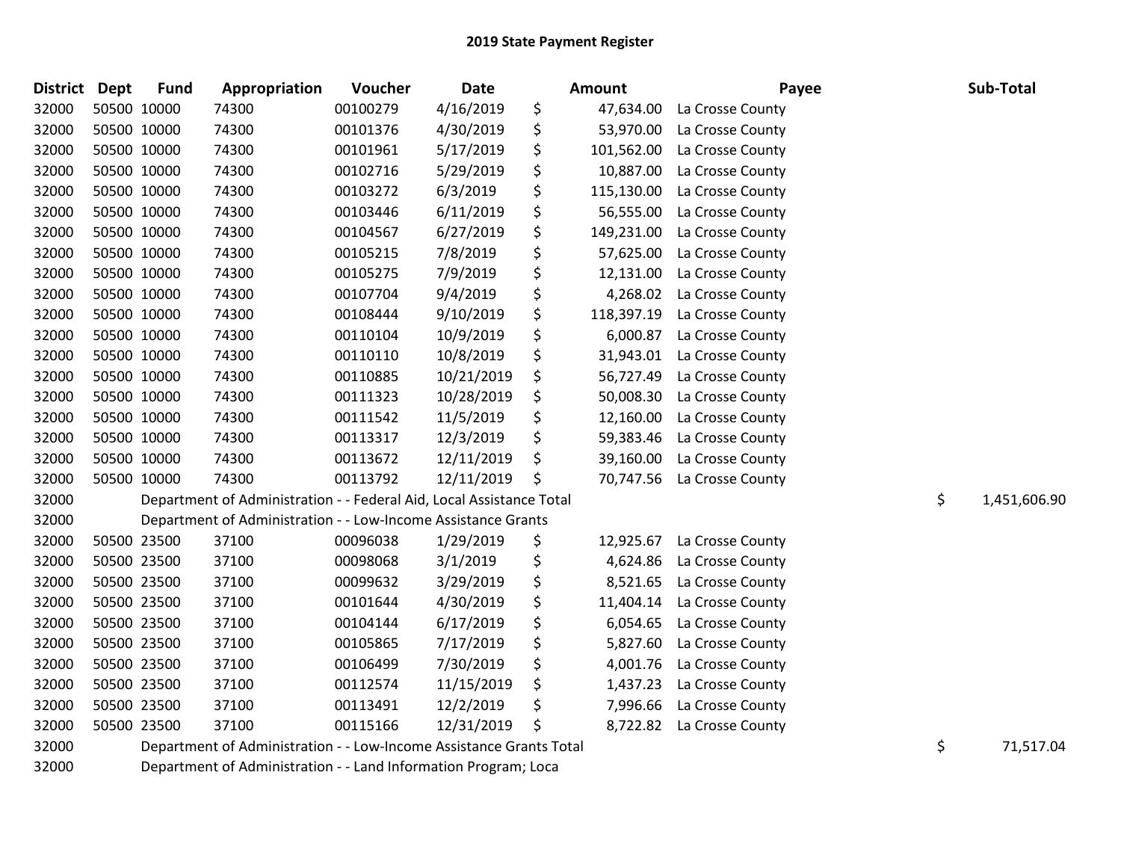| <b>District</b> | Dept | <b>Fund</b> | Appropriation                                                        | Voucher  | Date       |    | Amount     | Payee            | Sub-Total          |
|-----------------|------|-------------|----------------------------------------------------------------------|----------|------------|----|------------|------------------|--------------------|
| 32000           |      | 50500 10000 | 74300                                                                | 00100279 | 4/16/2019  | \$ | 47,634.00  | La Crosse County |                    |
| 32000           |      | 50500 10000 | 74300                                                                | 00101376 | 4/30/2019  | \$ | 53,970.00  | La Crosse County |                    |
| 32000           |      | 50500 10000 | 74300                                                                | 00101961 | 5/17/2019  | \$ | 101,562.00 | La Crosse County |                    |
| 32000           |      | 50500 10000 | 74300                                                                | 00102716 | 5/29/2019  | \$ | 10,887.00  | La Crosse County |                    |
| 32000           |      | 50500 10000 | 74300                                                                | 00103272 | 6/3/2019   | \$ | 115,130.00 | La Crosse County |                    |
| 32000           |      | 50500 10000 | 74300                                                                | 00103446 | 6/11/2019  | \$ | 56,555.00  | La Crosse County |                    |
| 32000           |      | 50500 10000 | 74300                                                                | 00104567 | 6/27/2019  | \$ | 149,231.00 | La Crosse County |                    |
| 32000           |      | 50500 10000 | 74300                                                                | 00105215 | 7/8/2019   | \$ | 57,625.00  | La Crosse County |                    |
| 32000           |      | 50500 10000 | 74300                                                                | 00105275 | 7/9/2019   | \$ | 12,131.00  | La Crosse County |                    |
| 32000           |      | 50500 10000 | 74300                                                                | 00107704 | 9/4/2019   | \$ | 4,268.02   | La Crosse County |                    |
| 32000           |      | 50500 10000 | 74300                                                                | 00108444 | 9/10/2019  | \$ | 118,397.19 | La Crosse County |                    |
| 32000           |      | 50500 10000 | 74300                                                                | 00110104 | 10/9/2019  | \$ | 6,000.87   | La Crosse County |                    |
| 32000           |      | 50500 10000 | 74300                                                                | 00110110 | 10/8/2019  | \$ | 31,943.01  | La Crosse County |                    |
| 32000           |      | 50500 10000 | 74300                                                                | 00110885 | 10/21/2019 | \$ | 56,727.49  | La Crosse County |                    |
| 32000           |      | 50500 10000 | 74300                                                                | 00111323 | 10/28/2019 | \$ | 50,008.30  | La Crosse County |                    |
| 32000           |      | 50500 10000 | 74300                                                                | 00111542 | 11/5/2019  | \$ | 12,160.00  | La Crosse County |                    |
| 32000           |      | 50500 10000 | 74300                                                                | 00113317 | 12/3/2019  | \$ | 59,383.46  | La Crosse County |                    |
| 32000           |      | 50500 10000 | 74300                                                                | 00113672 | 12/11/2019 | \$ | 39,160.00  | La Crosse County |                    |
| 32000           |      | 50500 10000 | 74300                                                                | 00113792 | 12/11/2019 | Ś  | 70,747.56  | La Crosse County |                    |
| 32000           |      |             | Department of Administration - - Federal Aid, Local Assistance Total |          |            |    |            |                  | \$<br>1,451,606.90 |
| 32000           |      |             | Department of Administration - - Low-Income Assistance Grants        |          |            |    |            |                  |                    |
| 32000           |      | 50500 23500 | 37100                                                                | 00096038 | 1/29/2019  | \$ | 12,925.67  | La Crosse County |                    |
| 32000           |      | 50500 23500 | 37100                                                                | 00098068 | 3/1/2019   | \$ | 4,624.86   | La Crosse County |                    |
| 32000           |      | 50500 23500 | 37100                                                                | 00099632 | 3/29/2019  | \$ | 8,521.65   | La Crosse County |                    |
| 32000           |      | 50500 23500 | 37100                                                                | 00101644 | 4/30/2019  | \$ | 11,404.14  | La Crosse County |                    |
| 32000           |      | 50500 23500 | 37100                                                                | 00104144 | 6/17/2019  | \$ | 6,054.65   | La Crosse County |                    |
| 32000           |      | 50500 23500 | 37100                                                                | 00105865 | 7/17/2019  | \$ | 5,827.60   | La Crosse County |                    |
| 32000           |      | 50500 23500 | 37100                                                                | 00106499 | 7/30/2019  | \$ | 4,001.76   | La Crosse County |                    |
| 32000           |      | 50500 23500 | 37100                                                                | 00112574 | 11/15/2019 | \$ | 1,437.23   | La Crosse County |                    |
| 32000           |      | 50500 23500 | 37100                                                                | 00113491 | 12/2/2019  | \$ | 7,996.66   | La Crosse County |                    |
| 32000           |      | 50500 23500 | 37100                                                                | 00115166 | 12/31/2019 | \$ | 8,722.82   | La Crosse County |                    |
| 32000           |      |             | Department of Administration - - Low-Income Assistance Grants Total  |          |            |    |            |                  | \$<br>71,517.04    |
| 32000           |      |             | Department of Administration - - Land Information Program; Loca      |          |            |    |            |                  |                    |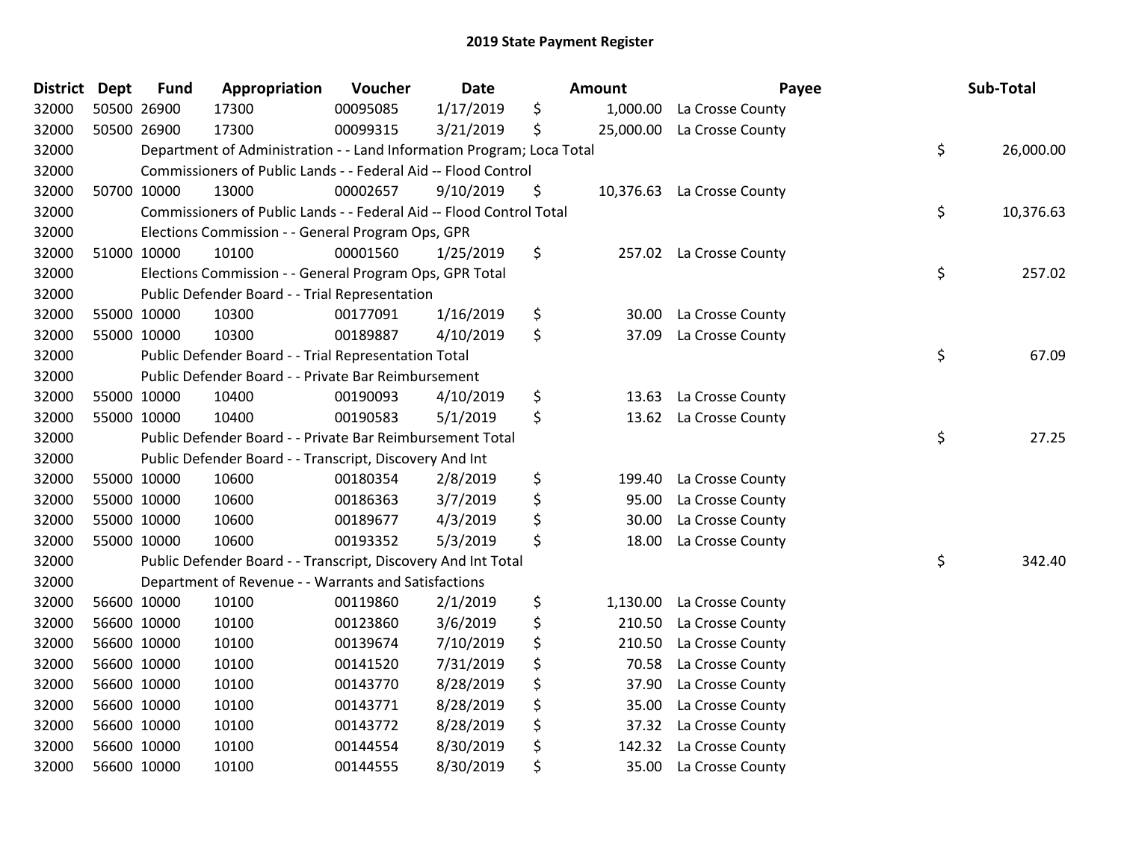| <b>District Dept</b> | <b>Fund</b> | Appropriation                                                         | Voucher  | <b>Date</b> | Amount          | Payee            | Sub-Total       |
|----------------------|-------------|-----------------------------------------------------------------------|----------|-------------|-----------------|------------------|-----------------|
| 32000                | 50500 26900 | 17300                                                                 | 00095085 | 1/17/2019   | \$<br>1,000.00  | La Crosse County |                 |
| 32000                | 50500 26900 | 17300                                                                 | 00099315 | 3/21/2019   | \$<br>25,000.00 | La Crosse County |                 |
| 32000                |             | Department of Administration - - Land Information Program; Loca Total |          |             |                 |                  | \$<br>26,000.00 |
| 32000                |             | Commissioners of Public Lands - - Federal Aid -- Flood Control        |          |             |                 |                  |                 |
| 32000                | 50700 10000 | 13000                                                                 | 00002657 | 9/10/2019   | \$<br>10,376.63 | La Crosse County |                 |
| 32000                |             | Commissioners of Public Lands - - Federal Aid -- Flood Control Total  |          |             |                 |                  | \$<br>10,376.63 |
| 32000                |             | Elections Commission - - General Program Ops, GPR                     |          |             |                 |                  |                 |
| 32000                | 51000 10000 | 10100                                                                 | 00001560 | 1/25/2019   | \$<br>257.02    | La Crosse County |                 |
| 32000                |             | Elections Commission - - General Program Ops, GPR Total               |          |             |                 |                  | \$<br>257.02    |
| 32000                |             | Public Defender Board - - Trial Representation                        |          |             |                 |                  |                 |
| 32000                | 55000 10000 | 10300                                                                 | 00177091 | 1/16/2019   | \$<br>30.00     | La Crosse County |                 |
| 32000                | 55000 10000 | 10300                                                                 | 00189887 | 4/10/2019   | \$<br>37.09     | La Crosse County |                 |
| 32000                |             | Public Defender Board - - Trial Representation Total                  |          |             |                 |                  | \$<br>67.09     |
| 32000                |             | Public Defender Board - - Private Bar Reimbursement                   |          |             |                 |                  |                 |
| 32000                | 55000 10000 | 10400                                                                 | 00190093 | 4/10/2019   | \$<br>13.63     | La Crosse County |                 |
| 32000                | 55000 10000 | 10400                                                                 | 00190583 | 5/1/2019    | \$<br>13.62     | La Crosse County |                 |
| 32000                |             | Public Defender Board - - Private Bar Reimbursement Total             |          |             |                 |                  | \$<br>27.25     |
| 32000                |             | Public Defender Board - - Transcript, Discovery And Int               |          |             |                 |                  |                 |
| 32000                | 55000 10000 | 10600                                                                 | 00180354 | 2/8/2019    | \$<br>199.40    | La Crosse County |                 |
| 32000                | 55000 10000 | 10600                                                                 | 00186363 | 3/7/2019    | \$<br>95.00     | La Crosse County |                 |
| 32000                | 55000 10000 | 10600                                                                 | 00189677 | 4/3/2019    | \$<br>30.00     | La Crosse County |                 |
| 32000                | 55000 10000 | 10600                                                                 | 00193352 | 5/3/2019    | \$<br>18.00     | La Crosse County |                 |
| 32000                |             | Public Defender Board - - Transcript, Discovery And Int Total         |          |             |                 |                  | \$<br>342.40    |
| 32000                |             | Department of Revenue - - Warrants and Satisfactions                  |          |             |                 |                  |                 |
| 32000                | 56600 10000 | 10100                                                                 | 00119860 | 2/1/2019    | \$<br>1,130.00  | La Crosse County |                 |
| 32000                | 56600 10000 | 10100                                                                 | 00123860 | 3/6/2019    | \$<br>210.50    | La Crosse County |                 |
| 32000                | 56600 10000 | 10100                                                                 | 00139674 | 7/10/2019   | \$<br>210.50    | La Crosse County |                 |
| 32000                | 56600 10000 | 10100                                                                 | 00141520 | 7/31/2019   | \$<br>70.58     | La Crosse County |                 |
| 32000                | 56600 10000 | 10100                                                                 | 00143770 | 8/28/2019   | \$<br>37.90     | La Crosse County |                 |
| 32000                | 56600 10000 | 10100                                                                 | 00143771 | 8/28/2019   | \$<br>35.00     | La Crosse County |                 |
| 32000                | 56600 10000 | 10100                                                                 | 00143772 | 8/28/2019   | \$<br>37.32     | La Crosse County |                 |
| 32000                | 56600 10000 | 10100                                                                 | 00144554 | 8/30/2019   | \$<br>142.32    | La Crosse County |                 |
| 32000                | 56600 10000 | 10100                                                                 | 00144555 | 8/30/2019   | \$<br>35.00     | La Crosse County |                 |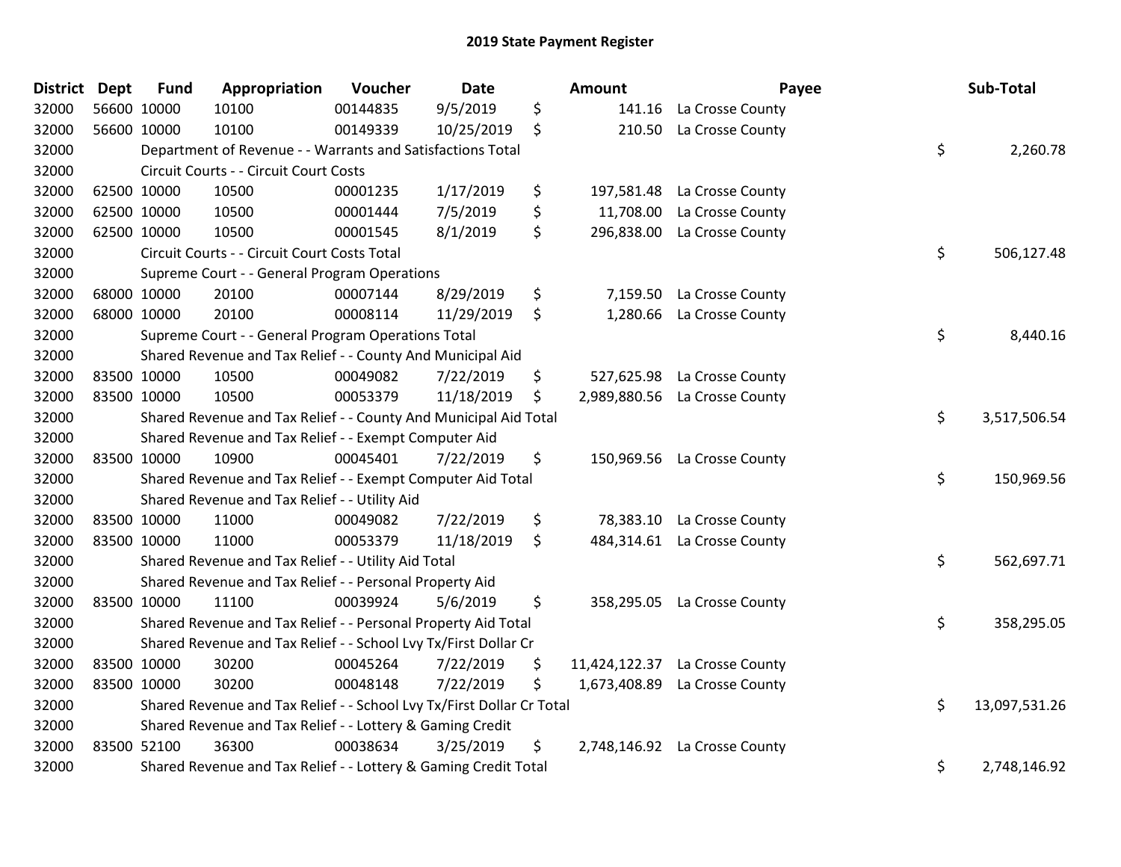| District Dept |             | <b>Fund</b> | Appropriation                                                         | Voucher  | <b>Date</b> | Amount           | Payee                          | Sub-Total           |
|---------------|-------------|-------------|-----------------------------------------------------------------------|----------|-------------|------------------|--------------------------------|---------------------|
| 32000         | 56600 10000 |             | 10100                                                                 | 00144835 | 9/5/2019    | \$               | 141.16 La Crosse County        |                     |
| 32000         |             | 56600 10000 | 10100                                                                 | 00149339 | 10/25/2019  | \$               | 210.50 La Crosse County        |                     |
| 32000         |             |             | Department of Revenue - - Warrants and Satisfactions Total            |          |             |                  |                                | \$<br>2,260.78      |
| 32000         |             |             | Circuit Courts - - Circuit Court Costs                                |          |             |                  |                                |                     |
| 32000         |             | 62500 10000 | 10500                                                                 | 00001235 | 1/17/2019   | \$<br>197,581.48 | La Crosse County               |                     |
| 32000         |             | 62500 10000 | 10500                                                                 | 00001444 | 7/5/2019    | \$               | 11,708.00 La Crosse County     |                     |
| 32000         |             | 62500 10000 | 10500                                                                 | 00001545 | 8/1/2019    | \$               | 296,838.00 La Crosse County    |                     |
| 32000         |             |             | Circuit Courts - - Circuit Court Costs Total                          |          |             |                  |                                | \$<br>506,127.48    |
| 32000         |             |             | Supreme Court - - General Program Operations                          |          |             |                  |                                |                     |
| 32000         |             | 68000 10000 | 20100                                                                 | 00007144 | 8/29/2019   | \$               | 7,159.50 La Crosse County      |                     |
| 32000         |             | 68000 10000 | 20100                                                                 | 00008114 | 11/29/2019  | \$               | 1,280.66 La Crosse County      |                     |
| 32000         |             |             | Supreme Court - - General Program Operations Total                    |          |             |                  |                                | \$<br>8,440.16      |
| 32000         |             |             | Shared Revenue and Tax Relief - - County And Municipal Aid            |          |             |                  |                                |                     |
| 32000         |             | 83500 10000 | 10500                                                                 | 00049082 | 7/22/2019   | \$               | 527,625.98 La Crosse County    |                     |
| 32000         |             | 83500 10000 | 10500                                                                 | 00053379 | 11/18/2019  | \$               | 2,989,880.56 La Crosse County  |                     |
| 32000         |             |             | Shared Revenue and Tax Relief - - County And Municipal Aid Total      |          |             |                  |                                | \$<br>3,517,506.54  |
| 32000         |             |             | Shared Revenue and Tax Relief - - Exempt Computer Aid                 |          |             |                  |                                |                     |
| 32000         |             | 83500 10000 | 10900                                                                 | 00045401 | 7/22/2019   | \$               | 150,969.56 La Crosse County    |                     |
| 32000         |             |             | Shared Revenue and Tax Relief - - Exempt Computer Aid Total           |          |             |                  |                                | \$<br>150,969.56    |
| 32000         |             |             | Shared Revenue and Tax Relief - - Utility Aid                         |          |             |                  |                                |                     |
| 32000         |             | 83500 10000 | 11000                                                                 | 00049082 | 7/22/2019   | \$               | 78,383.10 La Crosse County     |                     |
| 32000         |             | 83500 10000 | 11000                                                                 | 00053379 | 11/18/2019  | \$               | 484,314.61 La Crosse County    |                     |
| 32000         |             |             | Shared Revenue and Tax Relief - - Utility Aid Total                   |          |             |                  |                                | \$<br>562,697.71    |
| 32000         |             |             | Shared Revenue and Tax Relief - - Personal Property Aid               |          |             |                  |                                |                     |
| 32000         |             | 83500 10000 | 11100                                                                 | 00039924 | 5/6/2019    | \$               | 358,295.05 La Crosse County    |                     |
| 32000         |             |             | Shared Revenue and Tax Relief - - Personal Property Aid Total         |          |             |                  |                                | \$<br>358,295.05    |
| 32000         |             |             | Shared Revenue and Tax Relief - - School Lvy Tx/First Dollar Cr       |          |             |                  |                                |                     |
| 32000         |             | 83500 10000 | 30200                                                                 | 00045264 | 7/22/2019   | \$               | 11,424,122.37 La Crosse County |                     |
| 32000         | 83500 10000 |             | 30200                                                                 | 00048148 | 7/22/2019   | \$               | 1,673,408.89 La Crosse County  |                     |
| 32000         |             |             | Shared Revenue and Tax Relief - - School Lvy Tx/First Dollar Cr Total |          |             |                  |                                | \$<br>13,097,531.26 |
| 32000         |             |             | Shared Revenue and Tax Relief - - Lottery & Gaming Credit             |          |             |                  |                                |                     |
| 32000         |             | 83500 52100 | 36300                                                                 | 00038634 | 3/25/2019   | \$               | 2,748,146.92 La Crosse County  |                     |
| 32000         |             |             | Shared Revenue and Tax Relief - - Lottery & Gaming Credit Total       |          |             |                  |                                | \$<br>2,748,146.92  |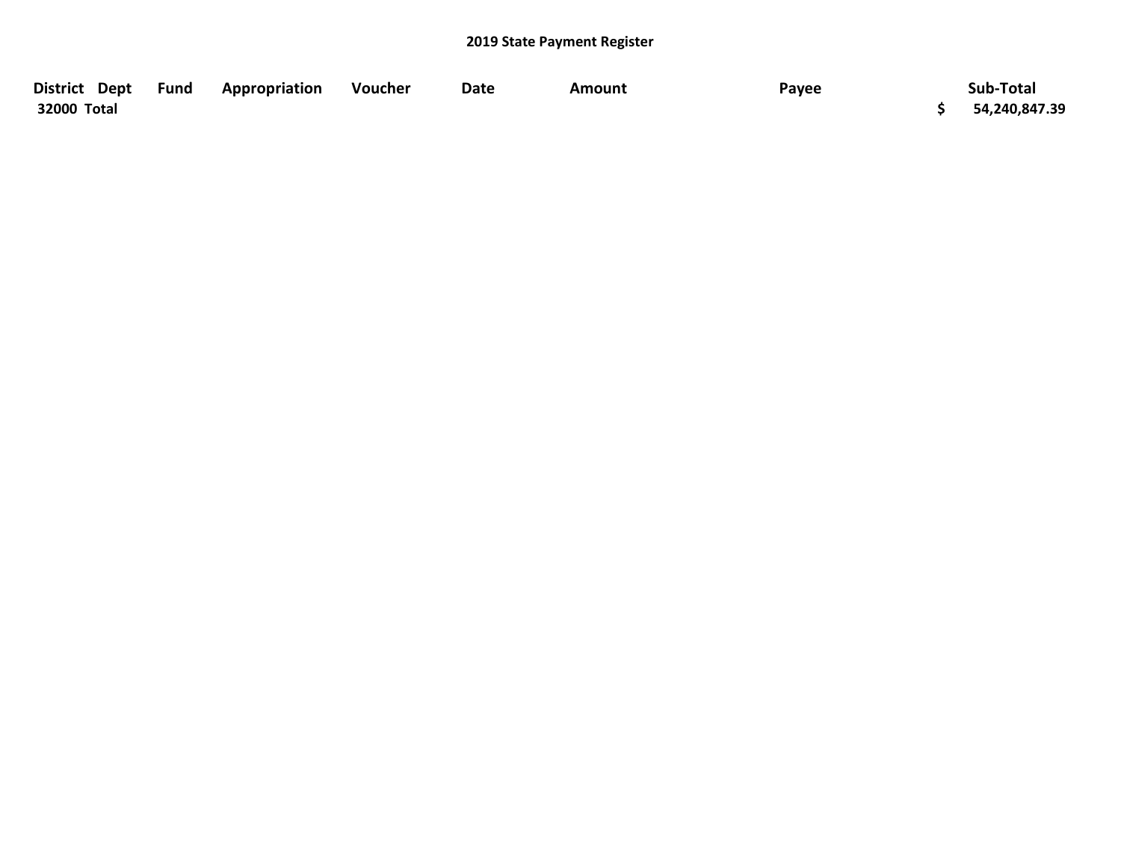| District Dept | Fund | Appropriation | Voucher | Date | Amount | Payee | Sub-Total     |
|---------------|------|---------------|---------|------|--------|-------|---------------|
| 32000 Total   |      |               |         |      |        |       | 54,240,847.39 |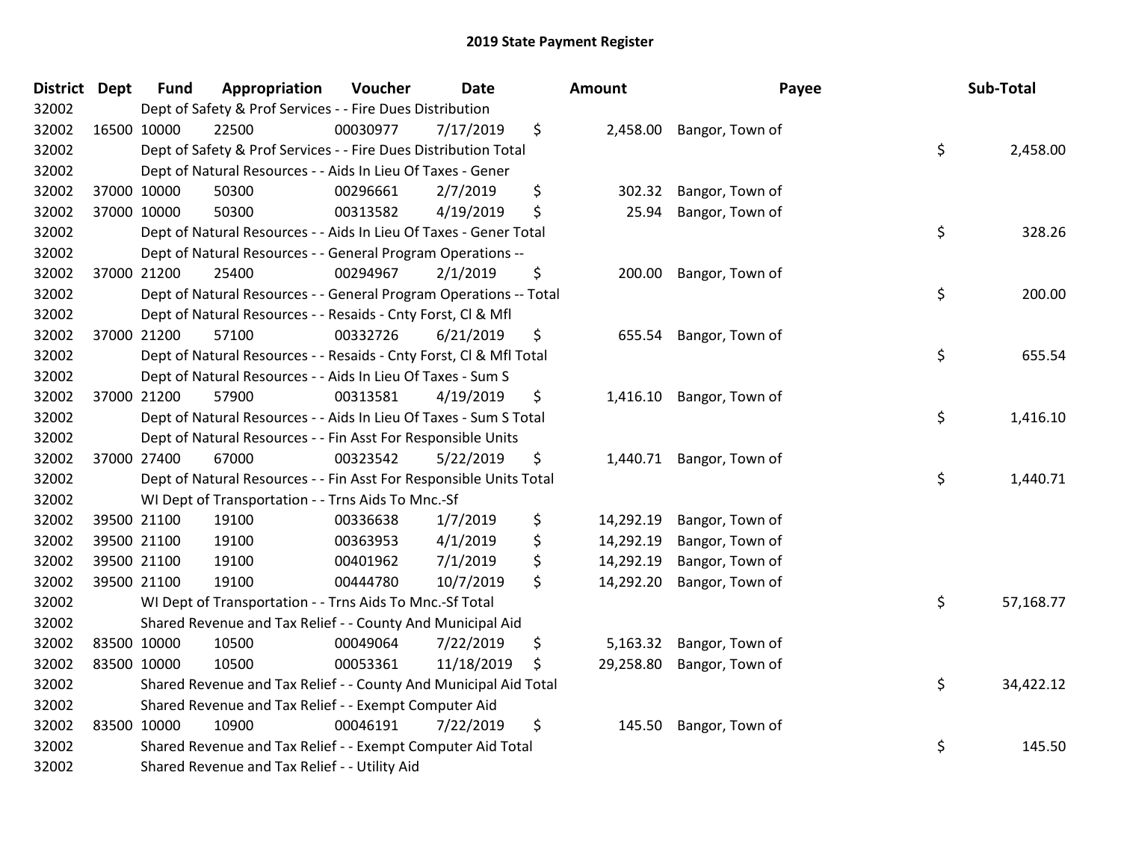| <b>District</b> | <b>Dept</b> | <b>Fund</b> | Appropriation                                                      | Voucher  | <b>Date</b> | <b>Amount</b>   | Payee           | Sub-Total       |
|-----------------|-------------|-------------|--------------------------------------------------------------------|----------|-------------|-----------------|-----------------|-----------------|
| 32002           |             |             | Dept of Safety & Prof Services - - Fire Dues Distribution          |          |             |                 |                 |                 |
| 32002           |             | 16500 10000 | 22500                                                              | 00030977 | 7/17/2019   | \$<br>2,458.00  | Bangor, Town of |                 |
| 32002           |             |             | Dept of Safety & Prof Services - - Fire Dues Distribution Total    |          |             |                 |                 | \$<br>2,458.00  |
| 32002           |             |             | Dept of Natural Resources - - Aids In Lieu Of Taxes - Gener        |          |             |                 |                 |                 |
| 32002           |             | 37000 10000 | 50300                                                              | 00296661 | 2/7/2019    | \$<br>302.32    | Bangor, Town of |                 |
| 32002           |             | 37000 10000 | 50300                                                              | 00313582 | 4/19/2019   | \$<br>25.94     | Bangor, Town of |                 |
| 32002           |             |             | Dept of Natural Resources - - Aids In Lieu Of Taxes - Gener Total  |          |             |                 |                 | \$<br>328.26    |
| 32002           |             |             | Dept of Natural Resources - - General Program Operations --        |          |             |                 |                 |                 |
| 32002           |             | 37000 21200 | 25400                                                              | 00294967 | 2/1/2019    | \$<br>200.00    | Bangor, Town of |                 |
| 32002           |             |             | Dept of Natural Resources - - General Program Operations -- Total  |          |             |                 |                 | \$<br>200.00    |
| 32002           |             |             | Dept of Natural Resources - - Resaids - Cnty Forst, Cl & Mfl       |          |             |                 |                 |                 |
| 32002           |             | 37000 21200 | 57100                                                              | 00332726 | 6/21/2019   | \$<br>655.54    | Bangor, Town of |                 |
| 32002           |             |             | Dept of Natural Resources - - Resaids - Cnty Forst, CI & Mfl Total |          |             |                 |                 | \$<br>655.54    |
| 32002           |             |             | Dept of Natural Resources - - Aids In Lieu Of Taxes - Sum S        |          |             |                 |                 |                 |
| 32002           |             | 37000 21200 | 57900                                                              | 00313581 | 4/19/2019   | \$<br>1,416.10  | Bangor, Town of |                 |
| 32002           |             |             | Dept of Natural Resources - - Aids In Lieu Of Taxes - Sum S Total  |          |             |                 |                 | \$<br>1,416.10  |
| 32002           |             |             | Dept of Natural Resources - - Fin Asst For Responsible Units       |          |             |                 |                 |                 |
| 32002           |             | 37000 27400 | 67000                                                              | 00323542 | 5/22/2019   | \$<br>1,440.71  | Bangor, Town of |                 |
| 32002           |             |             | Dept of Natural Resources - - Fin Asst For Responsible Units Total |          |             |                 |                 | \$<br>1,440.71  |
| 32002           |             |             | WI Dept of Transportation - - Trns Aids To Mnc.-Sf                 |          |             |                 |                 |                 |
| 32002           |             | 39500 21100 | 19100                                                              | 00336638 | 1/7/2019    | \$<br>14,292.19 | Bangor, Town of |                 |
| 32002           |             | 39500 21100 | 19100                                                              | 00363953 | 4/1/2019    | \$<br>14,292.19 | Bangor, Town of |                 |
| 32002           |             | 39500 21100 | 19100                                                              | 00401962 | 7/1/2019    | \$<br>14,292.19 | Bangor, Town of |                 |
| 32002           |             | 39500 21100 | 19100                                                              | 00444780 | 10/7/2019   | \$<br>14,292.20 | Bangor, Town of |                 |
| 32002           |             |             | WI Dept of Transportation - - Trns Aids To Mnc.-Sf Total           |          |             |                 |                 | \$<br>57,168.77 |
| 32002           |             |             | Shared Revenue and Tax Relief - - County And Municipal Aid         |          |             |                 |                 |                 |
| 32002           |             | 83500 10000 | 10500                                                              | 00049064 | 7/22/2019   | \$<br>5,163.32  | Bangor, Town of |                 |
| 32002           | 83500 10000 |             | 10500                                                              | 00053361 | 11/18/2019  | \$<br>29,258.80 | Bangor, Town of |                 |
| 32002           |             |             | Shared Revenue and Tax Relief - - County And Municipal Aid Total   |          |             |                 |                 | \$<br>34,422.12 |
| 32002           |             |             | Shared Revenue and Tax Relief - - Exempt Computer Aid              |          |             |                 |                 |                 |
| 32002           |             | 83500 10000 | 10900                                                              | 00046191 | 7/22/2019   | \$<br>145.50    | Bangor, Town of |                 |
| 32002           |             |             | Shared Revenue and Tax Relief - - Exempt Computer Aid Total        |          |             |                 |                 | \$<br>145.50    |
| 32002           |             |             | Shared Revenue and Tax Relief - - Utility Aid                      |          |             |                 |                 |                 |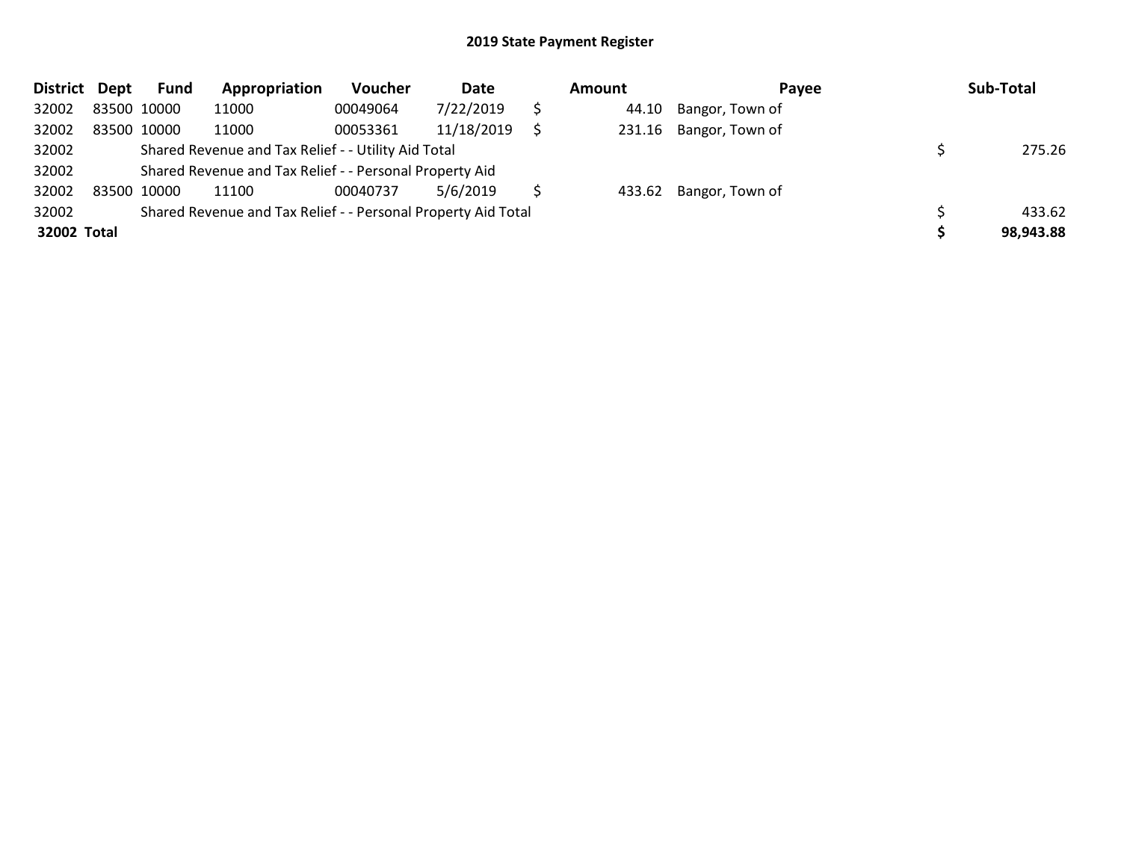| District Dept |             | <b>Fund</b> | Appropriation                                                 | Voucher  | Date       | <b>Amount</b> | <b>Pavee</b>           | Sub-Total |
|---------------|-------------|-------------|---------------------------------------------------------------|----------|------------|---------------|------------------------|-----------|
| 32002         | 83500 10000 |             | 11000                                                         | 00049064 | 7/22/2019  | 44.10         | Bangor, Town of        |           |
| 32002         | 83500 10000 |             | 11000                                                         | 00053361 | 11/18/2019 |               | 231.16 Bangor, Town of |           |
| 32002         |             |             | Shared Revenue and Tax Relief - - Utility Aid Total           |          |            |               |                        | 275.26    |
| 32002         |             |             | Shared Revenue and Tax Relief - - Personal Property Aid       |          |            |               |                        |           |
| 32002         | 83500 10000 |             | 11100                                                         | 00040737 | 5/6/2019   |               | 433.62 Bangor, Town of |           |
| 32002         |             |             | Shared Revenue and Tax Relief - - Personal Property Aid Total |          |            |               |                        | 433.62    |
| 32002 Total   |             |             |                                                               |          |            |               |                        | 98,943.88 |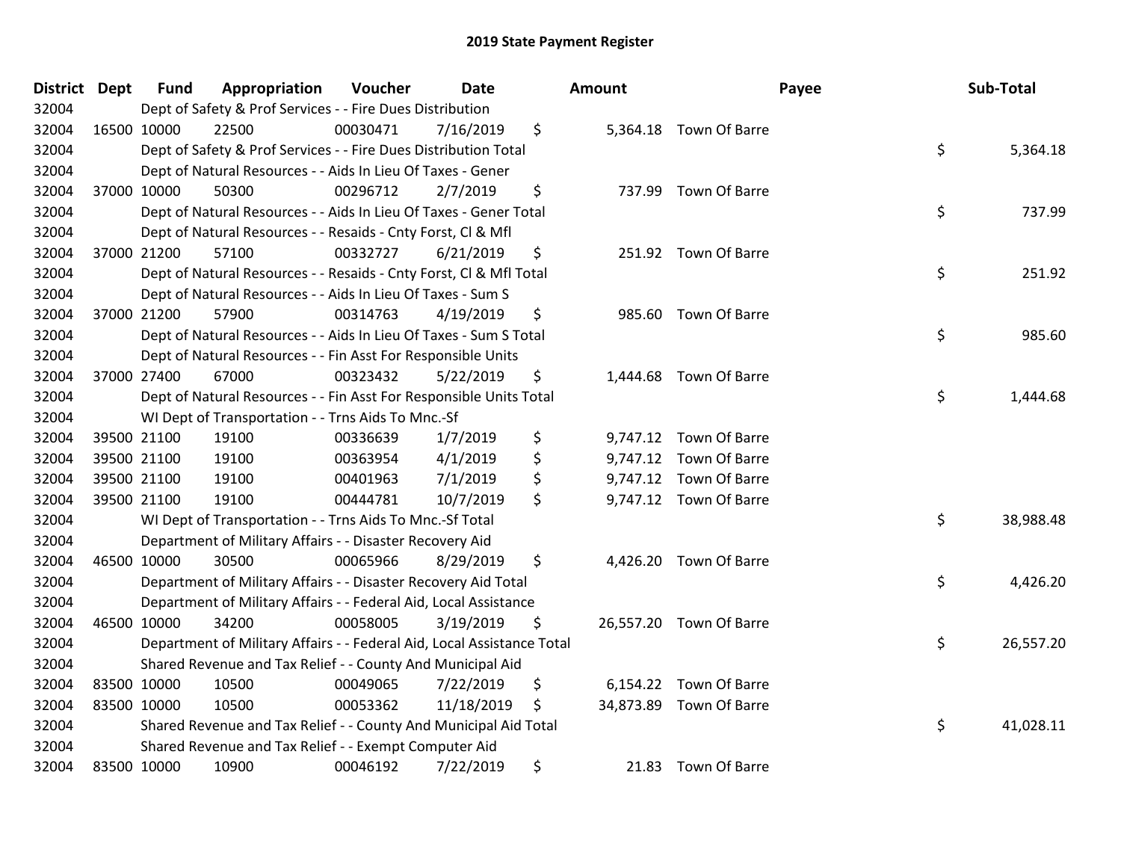| District Dept | <b>Fund</b> | Appropriation                                                          | Voucher  | <b>Date</b> | <b>Amount</b>  |                         | Payee | Sub-Total |
|---------------|-------------|------------------------------------------------------------------------|----------|-------------|----------------|-------------------------|-------|-----------|
| 32004         |             | Dept of Safety & Prof Services - - Fire Dues Distribution              |          |             |                |                         |       |           |
| 32004         | 16500 10000 | 22500                                                                  | 00030471 | 7/16/2019   | \$             | 5,364.18 Town Of Barre  |       |           |
| 32004         |             | Dept of Safety & Prof Services - - Fire Dues Distribution Total        |          |             |                |                         | \$    | 5,364.18  |
| 32004         |             | Dept of Natural Resources - - Aids In Lieu Of Taxes - Gener            |          |             |                |                         |       |           |
| 32004         | 37000 10000 | 50300                                                                  | 00296712 | 2/7/2019    | \$             | 737.99 Town Of Barre    |       |           |
| 32004         |             | Dept of Natural Resources - - Aids In Lieu Of Taxes - Gener Total      |          |             |                |                         | \$    | 737.99    |
| 32004         |             | Dept of Natural Resources - - Resaids - Cnty Forst, Cl & Mfl           |          |             |                |                         |       |           |
| 32004         | 37000 21200 | 57100                                                                  | 00332727 | 6/21/2019   | \$             | 251.92 Town Of Barre    |       |           |
| 32004         |             | Dept of Natural Resources - - Resaids - Cnty Forst, Cl & Mfl Total     |          |             |                |                         | \$    | 251.92    |
| 32004         |             | Dept of Natural Resources - - Aids In Lieu Of Taxes - Sum S            |          |             |                |                         |       |           |
| 32004         | 37000 21200 | 57900                                                                  | 00314763 | 4/19/2019   | \$             | 985.60 Town Of Barre    |       |           |
| 32004         |             | Dept of Natural Resources - - Aids In Lieu Of Taxes - Sum S Total      |          |             |                |                         | \$    | 985.60    |
| 32004         |             | Dept of Natural Resources - - Fin Asst For Responsible Units           |          |             |                |                         |       |           |
| 32004         | 37000 27400 | 67000                                                                  | 00323432 | 5/22/2019   | \$<br>1,444.68 | Town Of Barre           |       |           |
| 32004         |             | Dept of Natural Resources - - Fin Asst For Responsible Units Total     |          |             |                |                         | \$    | 1,444.68  |
| 32004         |             | WI Dept of Transportation - - Trns Aids To Mnc.-Sf                     |          |             |                |                         |       |           |
| 32004         | 39500 21100 | 19100                                                                  | 00336639 | 1/7/2019    | \$             | 9,747.12 Town Of Barre  |       |           |
| 32004         | 39500 21100 | 19100                                                                  | 00363954 | 4/1/2019    | \$             | 9,747.12 Town Of Barre  |       |           |
| 32004         | 39500 21100 | 19100                                                                  | 00401963 | 7/1/2019    | \$             | 9,747.12 Town Of Barre  |       |           |
| 32004         | 39500 21100 | 19100                                                                  | 00444781 | 10/7/2019   | \$             | 9,747.12 Town Of Barre  |       |           |
| 32004         |             | WI Dept of Transportation - - Trns Aids To Mnc.-Sf Total               |          |             |                |                         | \$    | 38,988.48 |
| 32004         |             | Department of Military Affairs - - Disaster Recovery Aid               |          |             |                |                         |       |           |
| 32004         | 46500 10000 | 30500                                                                  | 00065966 | 8/29/2019   | \$             | 4,426.20 Town Of Barre  |       |           |
| 32004         |             | Department of Military Affairs - - Disaster Recovery Aid Total         |          |             |                |                         | \$    | 4,426.20  |
| 32004         |             | Department of Military Affairs - - Federal Aid, Local Assistance       |          |             |                |                         |       |           |
| 32004         | 46500 10000 | 34200                                                                  | 00058005 | 3/19/2019   | \$             | 26,557.20 Town Of Barre |       |           |
| 32004         |             | Department of Military Affairs - - Federal Aid, Local Assistance Total |          |             |                |                         | \$    | 26,557.20 |
| 32004         |             | Shared Revenue and Tax Relief - - County And Municipal Aid             |          |             |                |                         |       |           |
| 32004         | 83500 10000 | 10500                                                                  | 00049065 | 7/22/2019   | \$             | 6,154.22 Town Of Barre  |       |           |
| 32004         | 83500 10000 | 10500                                                                  | 00053362 | 11/18/2019  | \$             | 34,873.89 Town Of Barre |       |           |
| 32004         |             | Shared Revenue and Tax Relief - - County And Municipal Aid Total       |          |             |                |                         | \$    | 41,028.11 |
| 32004         |             | Shared Revenue and Tax Relief - - Exempt Computer Aid                  |          |             |                |                         |       |           |
| 32004         | 83500 10000 | 10900                                                                  | 00046192 | 7/22/2019   | \$<br>21.83    | Town Of Barre           |       |           |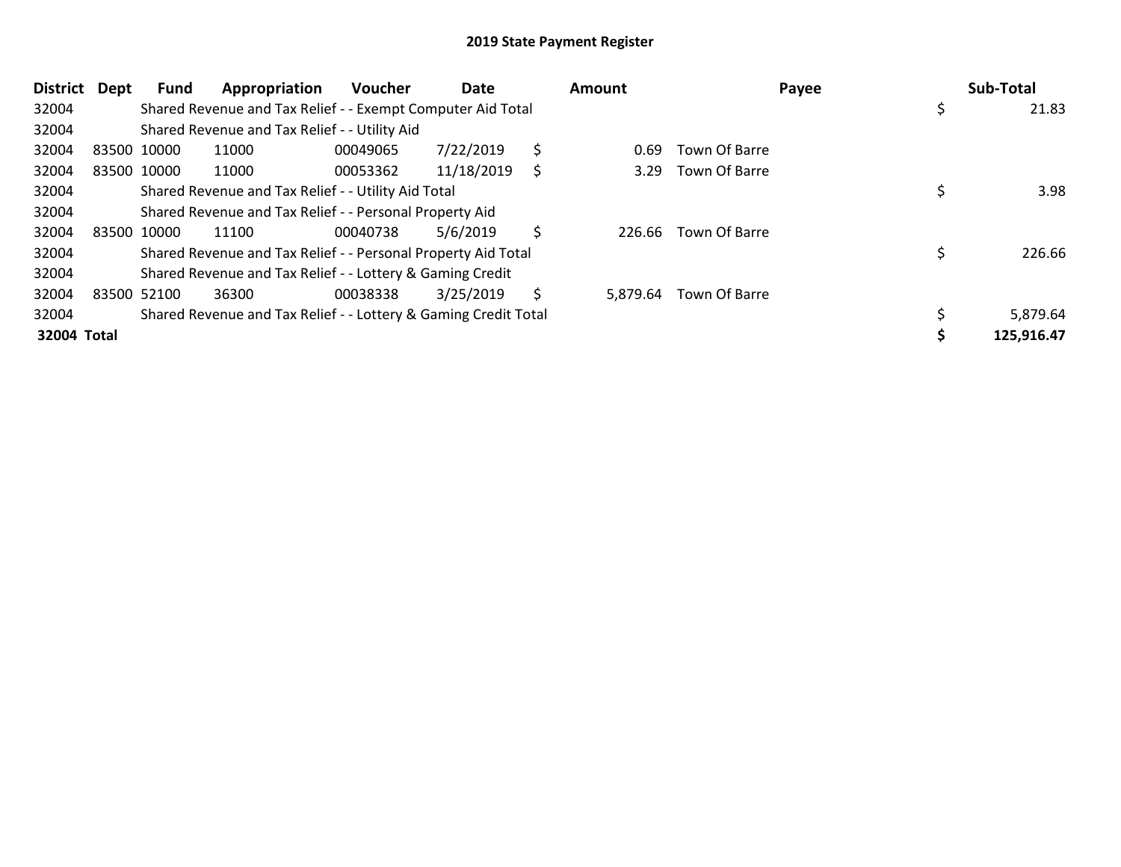| <b>District</b> | Dept | Fund        | Appropriation                                                   | <b>Voucher</b> | Date       |    | Amount   |               | Payee | Sub-Total   |
|-----------------|------|-------------|-----------------------------------------------------------------|----------------|------------|----|----------|---------------|-------|-------------|
| 32004           |      |             | Shared Revenue and Tax Relief - - Exempt Computer Aid Total     |                |            |    |          |               |       | \$<br>21.83 |
| 32004           |      |             | Shared Revenue and Tax Relief - - Utility Aid                   |                |            |    |          |               |       |             |
| 32004           |      | 83500 10000 | 11000                                                           | 00049065       | 7/22/2019  | \$ | 0.69     | Town Of Barre |       |             |
| 32004           |      | 83500 10000 | 11000                                                           | 00053362       | 11/18/2019 | S  | 3.29     | Town Of Barre |       |             |
| 32004           |      |             | Shared Revenue and Tax Relief - - Utility Aid Total             |                |            |    |          |               |       | 3.98        |
| 32004           |      |             | Shared Revenue and Tax Relief - - Personal Property Aid         |                |            |    |          |               |       |             |
| 32004           |      | 83500 10000 | 11100                                                           | 00040738       | 5/6/2019   | \$ | 226.66   | Town Of Barre |       |             |
| 32004           |      |             | Shared Revenue and Tax Relief - - Personal Property Aid Total   |                |            |    |          |               |       | 226.66      |
| 32004           |      |             | Shared Revenue and Tax Relief - - Lottery & Gaming Credit       |                |            |    |          |               |       |             |
| 32004           |      | 83500 52100 | 36300                                                           | 00038338       | 3/25/2019  | S  | 5,879.64 | Town Of Barre |       |             |
| 32004           |      |             | Shared Revenue and Tax Relief - - Lottery & Gaming Credit Total |                |            |    |          |               |       | 5,879.64    |
| 32004 Total     |      |             |                                                                 |                |            |    |          |               |       | 125,916.47  |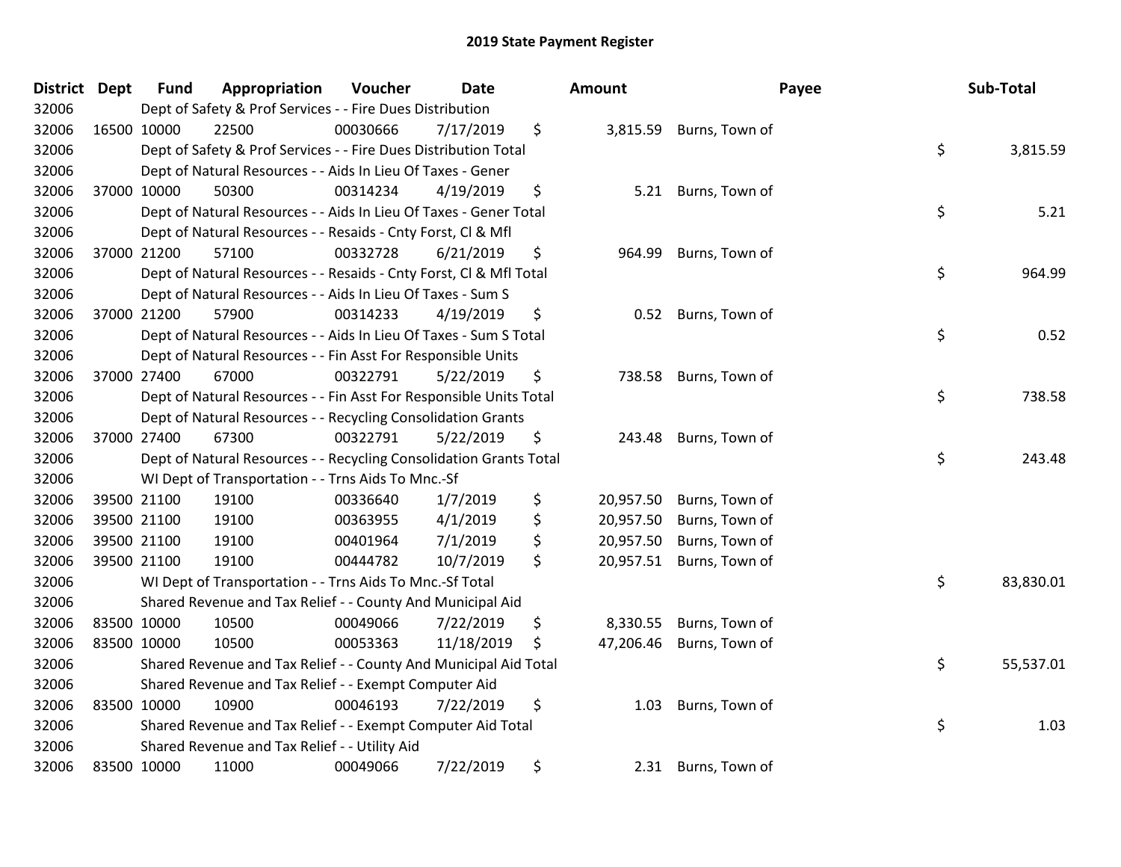| <b>District Dept</b> |             | <b>Fund</b> | Appropriation                                                      | Voucher  | <b>Date</b> | Amount          |                | Payee | Sub-Total |
|----------------------|-------------|-------------|--------------------------------------------------------------------|----------|-------------|-----------------|----------------|-------|-----------|
| 32006                |             |             | Dept of Safety & Prof Services - - Fire Dues Distribution          |          |             |                 |                |       |           |
| 32006                | 16500 10000 |             | 22500                                                              | 00030666 | 7/17/2019   | \$<br>3,815.59  | Burns, Town of |       |           |
| 32006                |             |             | Dept of Safety & Prof Services - - Fire Dues Distribution Total    |          |             |                 |                | \$    | 3,815.59  |
| 32006                |             |             | Dept of Natural Resources - - Aids In Lieu Of Taxes - Gener        |          |             |                 |                |       |           |
| 32006                | 37000 10000 |             | 50300                                                              | 00314234 | 4/19/2019   | \$<br>5.21      | Burns, Town of |       |           |
| 32006                |             |             | Dept of Natural Resources - - Aids In Lieu Of Taxes - Gener Total  |          |             |                 |                | \$    | 5.21      |
| 32006                |             |             | Dept of Natural Resources - - Resaids - Cnty Forst, Cl & Mfl       |          |             |                 |                |       |           |
| 32006                | 37000 21200 |             | 57100                                                              | 00332728 | 6/21/2019   | \$<br>964.99    | Burns, Town of |       |           |
| 32006                |             |             | Dept of Natural Resources - - Resaids - Cnty Forst, Cl & Mfl Total |          |             |                 |                | \$    | 964.99    |
| 32006                |             |             | Dept of Natural Resources - - Aids In Lieu Of Taxes - Sum S        |          |             |                 |                |       |           |
| 32006                | 37000 21200 |             | 57900                                                              | 00314233 | 4/19/2019   | \$<br>0.52      | Burns, Town of |       |           |
| 32006                |             |             | Dept of Natural Resources - - Aids In Lieu Of Taxes - Sum S Total  |          |             |                 |                | \$    | 0.52      |
| 32006                |             |             | Dept of Natural Resources - - Fin Asst For Responsible Units       |          |             |                 |                |       |           |
| 32006                | 37000 27400 |             | 67000                                                              | 00322791 | 5/22/2019   | \$<br>738.58    | Burns, Town of |       |           |
| 32006                |             |             | Dept of Natural Resources - - Fin Asst For Responsible Units Total |          |             |                 |                | \$    | 738.58    |
| 32006                |             |             | Dept of Natural Resources - - Recycling Consolidation Grants       |          |             |                 |                |       |           |
| 32006                | 37000 27400 |             | 67300                                                              | 00322791 | 5/22/2019   | \$<br>243.48    | Burns, Town of |       |           |
| 32006                |             |             | Dept of Natural Resources - - Recycling Consolidation Grants Total |          |             |                 |                | \$    | 243.48    |
| 32006                |             |             | WI Dept of Transportation - - Trns Aids To Mnc.-Sf                 |          |             |                 |                |       |           |
| 32006                |             | 39500 21100 | 19100                                                              | 00336640 | 1/7/2019    | \$<br>20,957.50 | Burns, Town of |       |           |
| 32006                | 39500 21100 |             | 19100                                                              | 00363955 | 4/1/2019    | \$<br>20,957.50 | Burns, Town of |       |           |
| 32006                | 39500 21100 |             | 19100                                                              | 00401964 | 7/1/2019    | \$<br>20,957.50 | Burns, Town of |       |           |
| 32006                | 39500 21100 |             | 19100                                                              | 00444782 | 10/7/2019   | \$<br>20,957.51 | Burns, Town of |       |           |
| 32006                |             |             | WI Dept of Transportation - - Trns Aids To Mnc.-Sf Total           |          |             |                 |                | \$    | 83,830.01 |
| 32006                |             |             | Shared Revenue and Tax Relief - - County And Municipal Aid         |          |             |                 |                |       |           |
| 32006                | 83500 10000 |             | 10500                                                              | 00049066 | 7/22/2019   | \$<br>8,330.55  | Burns, Town of |       |           |
| 32006                | 83500 10000 |             | 10500                                                              | 00053363 | 11/18/2019  | \$<br>47,206.46 | Burns, Town of |       |           |
| 32006                |             |             | Shared Revenue and Tax Relief - - County And Municipal Aid Total   |          |             |                 |                | \$    | 55,537.01 |
| 32006                |             |             | Shared Revenue and Tax Relief - - Exempt Computer Aid              |          |             |                 |                |       |           |
| 32006                | 83500 10000 |             | 10900                                                              | 00046193 | 7/22/2019   | \$<br>1.03      | Burns, Town of |       |           |
| 32006                |             |             | Shared Revenue and Tax Relief - - Exempt Computer Aid Total        |          |             |                 |                | \$    | 1.03      |
| 32006                |             |             | Shared Revenue and Tax Relief - - Utility Aid                      |          |             |                 |                |       |           |
| 32006                | 83500 10000 |             | 11000                                                              | 00049066 | 7/22/2019   | \$<br>2.31      | Burns, Town of |       |           |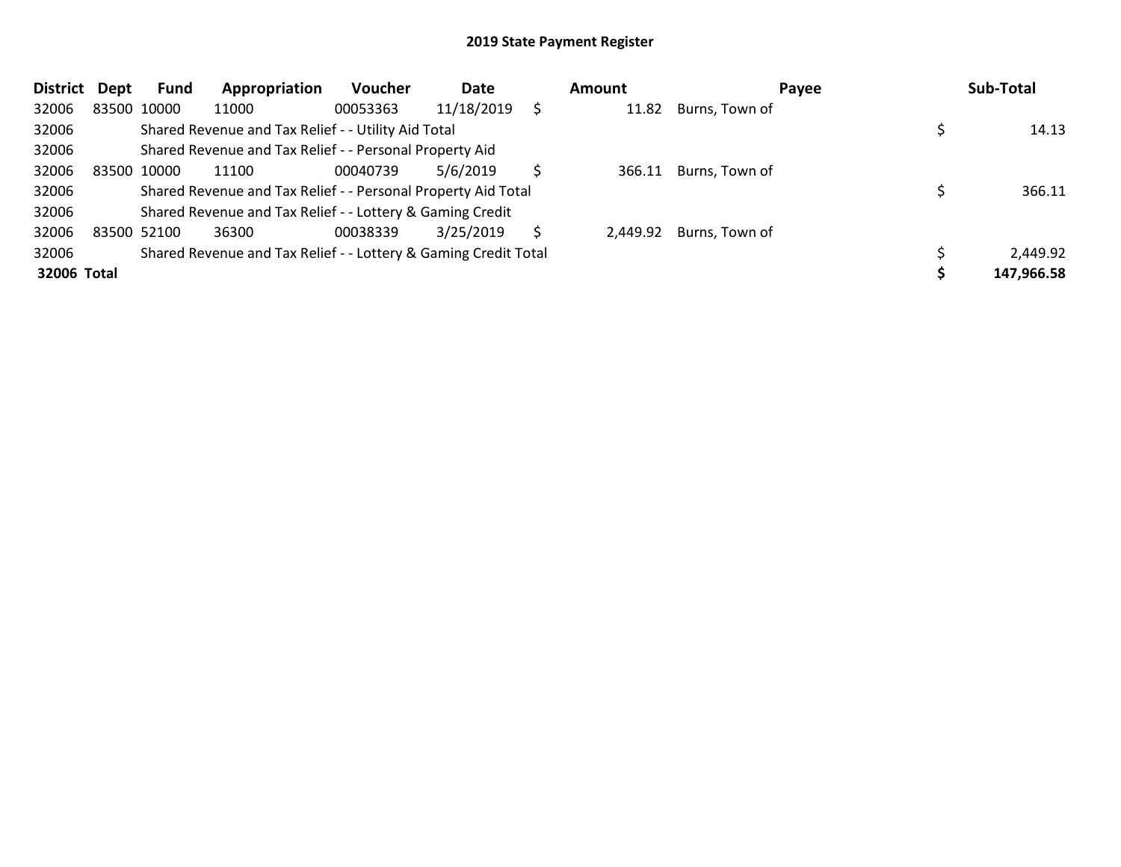| <b>District</b> | Dept | Fund        | Appropriation                                                   | <b>Voucher</b> | Date       |    | <b>Amount</b> | <b>Pavee</b>          | Sub-Total  |
|-----------------|------|-------------|-----------------------------------------------------------------|----------------|------------|----|---------------|-----------------------|------------|
| 32006           |      | 83500 10000 | 11000                                                           | 00053363       | 11/18/2019 | S  | 11.82         | Burns, Town of        |            |
| 32006           |      |             | Shared Revenue and Tax Relief - - Utility Aid Total             |                |            |    |               |                       | 14.13      |
| 32006           |      |             | Shared Revenue and Tax Relief - - Personal Property Aid         |                |            |    |               |                       |            |
| 32006           |      | 83500 10000 | 11100                                                           | 00040739       | 5/6/2019   | S  |               | 366.11 Burns, Town of |            |
| 32006           |      |             | Shared Revenue and Tax Relief - - Personal Property Aid Total   |                |            |    |               |                       | 366.11     |
| 32006           |      |             | Shared Revenue and Tax Relief - - Lottery & Gaming Credit       |                |            |    |               |                       |            |
| 32006           |      | 83500 52100 | 36300                                                           | 00038339       | 3/25/2019  | S. | 2,449.92      | Burns, Town of        |            |
| 32006           |      |             | Shared Revenue and Tax Relief - - Lottery & Gaming Credit Total |                |            |    |               |                       | 2,449.92   |
| 32006 Total     |      |             |                                                                 |                |            |    |               |                       | 147,966.58 |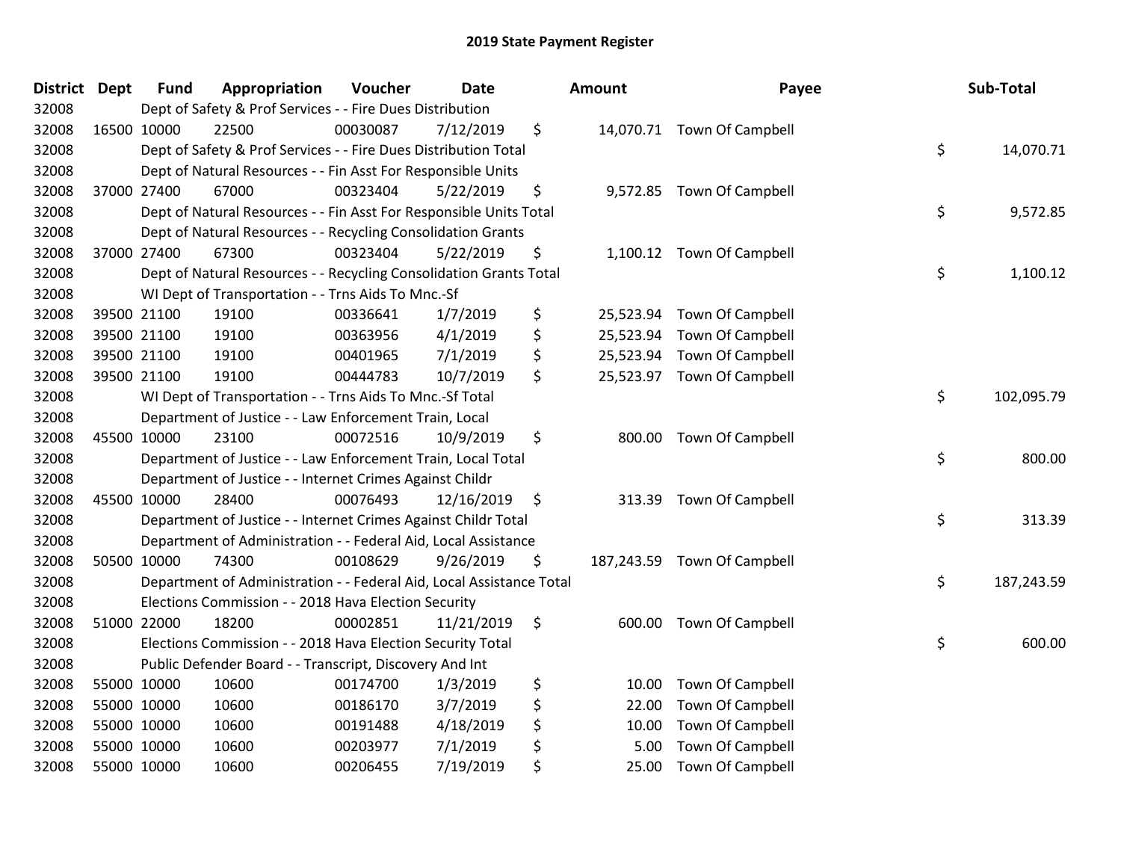| District Dept |             | <b>Fund</b> | Appropriation                                                        | Voucher  | <b>Date</b> | Amount          | Payee                       | Sub-Total        |
|---------------|-------------|-------------|----------------------------------------------------------------------|----------|-------------|-----------------|-----------------------------|------------------|
| 32008         |             |             | Dept of Safety & Prof Services - - Fire Dues Distribution            |          |             |                 |                             |                  |
| 32008         | 16500 10000 |             | 22500                                                                | 00030087 | 7/12/2019   | \$              | 14,070.71 Town Of Campbell  |                  |
| 32008         |             |             | Dept of Safety & Prof Services - - Fire Dues Distribution Total      |          |             |                 |                             | \$<br>14,070.71  |
| 32008         |             |             | Dept of Natural Resources - - Fin Asst For Responsible Units         |          |             |                 |                             |                  |
| 32008         | 37000 27400 |             | 67000                                                                | 00323404 | 5/22/2019   | \$              | 9,572.85 Town Of Campbell   |                  |
| 32008         |             |             | Dept of Natural Resources - - Fin Asst For Responsible Units Total   |          |             |                 |                             | \$<br>9,572.85   |
| 32008         |             |             | Dept of Natural Resources - - Recycling Consolidation Grants         |          |             |                 |                             |                  |
| 32008         | 37000 27400 |             | 67300                                                                | 00323404 | 5/22/2019   | \$              | 1,100.12 Town Of Campbell   |                  |
| 32008         |             |             | Dept of Natural Resources - - Recycling Consolidation Grants Total   |          |             |                 |                             | \$<br>1,100.12   |
| 32008         |             |             | WI Dept of Transportation - - Trns Aids To Mnc.-Sf                   |          |             |                 |                             |                  |
| 32008         | 39500 21100 |             | 19100                                                                | 00336641 | 1/7/2019    | \$<br>25,523.94 | Town Of Campbell            |                  |
| 32008         | 39500 21100 |             | 19100                                                                | 00363956 | 4/1/2019    | \$<br>25,523.94 | Town Of Campbell            |                  |
| 32008         | 39500 21100 |             | 19100                                                                | 00401965 | 7/1/2019    | \$              | 25,523.94 Town Of Campbell  |                  |
| 32008         | 39500 21100 |             | 19100                                                                | 00444783 | 10/7/2019   | \$              | 25,523.97 Town Of Campbell  |                  |
| 32008         |             |             | WI Dept of Transportation - - Trns Aids To Mnc.-Sf Total             |          |             |                 |                             | \$<br>102,095.79 |
| 32008         |             |             | Department of Justice - - Law Enforcement Train, Local               |          |             |                 |                             |                  |
| 32008         | 45500 10000 |             | 23100                                                                | 00072516 | 10/9/2019   | \$<br>800.00    | Town Of Campbell            |                  |
| 32008         |             |             | Department of Justice - - Law Enforcement Train, Local Total         |          |             |                 |                             | \$<br>800.00     |
| 32008         |             |             | Department of Justice - - Internet Crimes Against Childr             |          |             |                 |                             |                  |
| 32008         | 45500 10000 |             | 28400                                                                | 00076493 | 12/16/2019  | \$              | 313.39 Town Of Campbell     |                  |
| 32008         |             |             | Department of Justice - - Internet Crimes Against Childr Total       |          |             |                 |                             | \$<br>313.39     |
| 32008         |             |             | Department of Administration - - Federal Aid, Local Assistance       |          |             |                 |                             |                  |
| 32008         | 50500 10000 |             | 74300                                                                | 00108629 | 9/26/2019   | \$              | 187,243.59 Town Of Campbell |                  |
| 32008         |             |             | Department of Administration - - Federal Aid, Local Assistance Total |          |             |                 |                             | \$<br>187,243.59 |
| 32008         |             |             | Elections Commission - - 2018 Hava Election Security                 |          |             |                 |                             |                  |
| 32008         | 51000 22000 |             | 18200                                                                | 00002851 | 11/21/2019  | \$<br>600.00    | Town Of Campbell            |                  |
| 32008         |             |             | Elections Commission - - 2018 Hava Election Security Total           |          |             |                 |                             | \$<br>600.00     |
| 32008         |             |             | Public Defender Board - - Transcript, Discovery And Int              |          |             |                 |                             |                  |
| 32008         | 55000 10000 |             | 10600                                                                | 00174700 | 1/3/2019    | \$<br>10.00     | Town Of Campbell            |                  |
| 32008         | 55000 10000 |             | 10600                                                                | 00186170 | 3/7/2019    | \$<br>22.00     | Town Of Campbell            |                  |
| 32008         | 55000 10000 |             | 10600                                                                | 00191488 | 4/18/2019   | \$<br>10.00     | Town Of Campbell            |                  |
| 32008         | 55000 10000 |             | 10600                                                                | 00203977 | 7/1/2019    | \$<br>5.00      | Town Of Campbell            |                  |
| 32008         | 55000 10000 |             | 10600                                                                | 00206455 | 7/19/2019   | \$<br>25.00     | Town Of Campbell            |                  |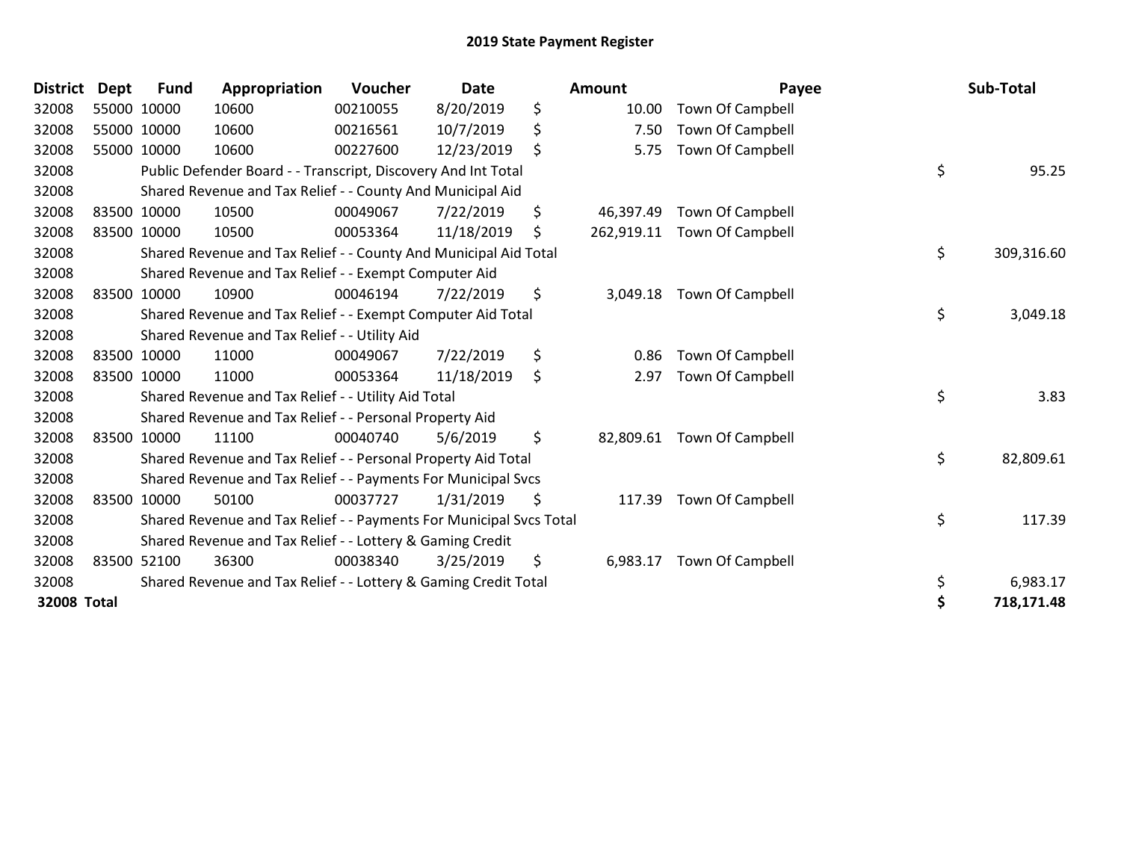| <b>District</b>    | Dept | <b>Fund</b> | Appropriation                                                       | Voucher  | <b>Date</b> |    | Amount     | Payee                   | Sub-Total        |
|--------------------|------|-------------|---------------------------------------------------------------------|----------|-------------|----|------------|-------------------------|------------------|
| 32008              |      | 55000 10000 | 10600                                                               | 00210055 | 8/20/2019   | \$ | 10.00      | Town Of Campbell        |                  |
| 32008              |      | 55000 10000 | 10600                                                               | 00216561 | 10/7/2019   | \$ | 7.50       | Town Of Campbell        |                  |
| 32008              |      | 55000 10000 | 10600                                                               | 00227600 | 12/23/2019  | \$ | 5.75       | Town Of Campbell        |                  |
| 32008              |      |             | Public Defender Board - - Transcript, Discovery And Int Total       |          |             |    |            |                         | \$<br>95.25      |
| 32008              |      |             | Shared Revenue and Tax Relief - - County And Municipal Aid          |          |             |    |            |                         |                  |
| 32008              |      | 83500 10000 | 10500                                                               | 00049067 | 7/22/2019   | \$ | 46,397.49  | <b>Town Of Campbell</b> |                  |
| 32008              |      | 83500 10000 | 10500                                                               | 00053364 | 11/18/2019  | S  | 262,919.11 | <b>Town Of Campbell</b> |                  |
| 32008              |      |             | Shared Revenue and Tax Relief - - County And Municipal Aid Total    |          |             |    |            |                         | \$<br>309,316.60 |
| 32008              |      |             | Shared Revenue and Tax Relief - - Exempt Computer Aid               |          |             |    |            |                         |                  |
| 32008              |      | 83500 10000 | 10900                                                               | 00046194 | 7/22/2019   | \$ | 3,049.18   | <b>Town Of Campbell</b> |                  |
| 32008              |      |             | Shared Revenue and Tax Relief - - Exempt Computer Aid Total         |          |             |    |            |                         | \$<br>3,049.18   |
| 32008              |      |             | Shared Revenue and Tax Relief - - Utility Aid                       |          |             |    |            |                         |                  |
| 32008              |      | 83500 10000 | 11000                                                               | 00049067 | 7/22/2019   | \$ | 0.86       | Town Of Campbell        |                  |
| 32008              |      | 83500 10000 | 11000                                                               | 00053364 | 11/18/2019  | \$ | 2.97       | <b>Town Of Campbell</b> |                  |
| 32008              |      |             | Shared Revenue and Tax Relief - - Utility Aid Total                 |          |             |    |            |                         | \$<br>3.83       |
| 32008              |      |             | Shared Revenue and Tax Relief - - Personal Property Aid             |          |             |    |            |                         |                  |
| 32008              |      | 83500 10000 | 11100                                                               | 00040740 | 5/6/2019    | \$ | 82,809.61  | Town Of Campbell        |                  |
| 32008              |      |             | Shared Revenue and Tax Relief - - Personal Property Aid Total       |          |             |    |            |                         | \$<br>82,809.61  |
| 32008              |      |             | Shared Revenue and Tax Relief - - Payments For Municipal Svcs       |          |             |    |            |                         |                  |
| 32008              |      | 83500 10000 | 50100                                                               | 00037727 | 1/31/2019   | \$ | 117.39     | <b>Town Of Campbell</b> |                  |
| 32008              |      |             | Shared Revenue and Tax Relief - - Payments For Municipal Svcs Total |          |             |    |            |                         | \$<br>117.39     |
| 32008              |      |             | Shared Revenue and Tax Relief - - Lottery & Gaming Credit           |          |             |    |            |                         |                  |
| 32008              |      | 83500 52100 | 36300                                                               | 00038340 | 3/25/2019   | \$ | 6,983.17   | Town Of Campbell        |                  |
| 32008              |      |             | Shared Revenue and Tax Relief - - Lottery & Gaming Credit Total     |          |             |    |            |                         | \$<br>6,983.17   |
| <b>32008 Total</b> |      |             |                                                                     |          |             |    |            |                         | \$<br>718,171.48 |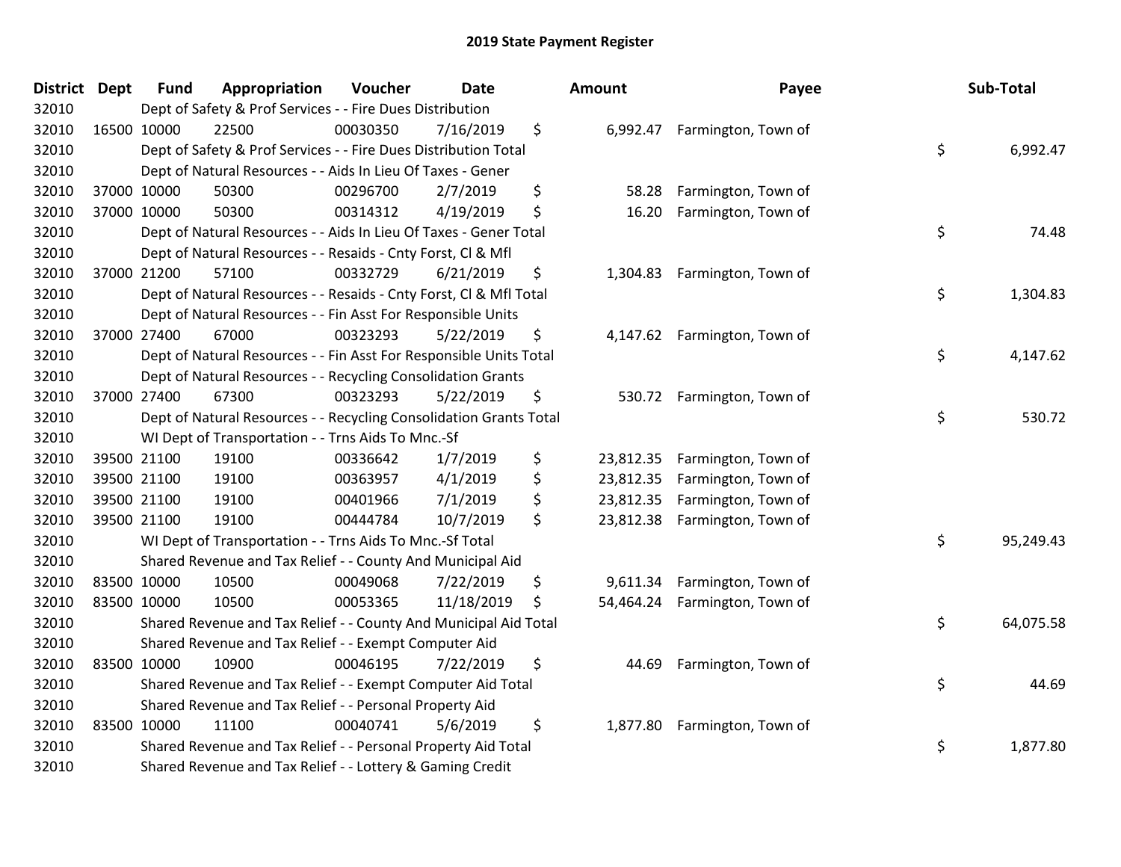| <b>District</b> | <b>Dept</b> | <b>Fund</b> | Appropriation                                                      | Voucher  | <b>Date</b> | <b>Amount</b>   | Payee               | Sub-Total       |
|-----------------|-------------|-------------|--------------------------------------------------------------------|----------|-------------|-----------------|---------------------|-----------------|
| 32010           |             |             | Dept of Safety & Prof Services - - Fire Dues Distribution          |          |             |                 |                     |                 |
| 32010           |             | 16500 10000 | 22500                                                              | 00030350 | 7/16/2019   | \$<br>6,992.47  | Farmington, Town of |                 |
| 32010           |             |             | Dept of Safety & Prof Services - - Fire Dues Distribution Total    |          |             |                 |                     | \$<br>6,992.47  |
| 32010           |             |             | Dept of Natural Resources - - Aids In Lieu Of Taxes - Gener        |          |             |                 |                     |                 |
| 32010           |             | 37000 10000 | 50300                                                              | 00296700 | 2/7/2019    | \$<br>58.28     | Farmington, Town of |                 |
| 32010           |             | 37000 10000 | 50300                                                              | 00314312 | 4/19/2019   | \$<br>16.20     | Farmington, Town of |                 |
| 32010           |             |             | Dept of Natural Resources - - Aids In Lieu Of Taxes - Gener Total  |          |             |                 |                     | \$<br>74.48     |
| 32010           |             |             | Dept of Natural Resources - - Resaids - Cnty Forst, Cl & Mfl       |          |             |                 |                     |                 |
| 32010           |             | 37000 21200 | 57100                                                              | 00332729 | 6/21/2019   | \$<br>1,304.83  | Farmington, Town of |                 |
| 32010           |             |             | Dept of Natural Resources - - Resaids - Cnty Forst, CI & Mfl Total |          |             |                 |                     | \$<br>1,304.83  |
| 32010           |             |             | Dept of Natural Resources - - Fin Asst For Responsible Units       |          |             |                 |                     |                 |
| 32010           |             | 37000 27400 | 67000                                                              | 00323293 | 5/22/2019   | \$<br>4,147.62  | Farmington, Town of |                 |
| 32010           |             |             | Dept of Natural Resources - - Fin Asst For Responsible Units Total |          |             |                 |                     | \$<br>4,147.62  |
| 32010           |             |             | Dept of Natural Resources - - Recycling Consolidation Grants       |          |             |                 |                     |                 |
| 32010           |             | 37000 27400 | 67300                                                              | 00323293 | 5/22/2019   | \$<br>530.72    | Farmington, Town of |                 |
| 32010           |             |             | Dept of Natural Resources - - Recycling Consolidation Grants Total |          |             |                 |                     | \$<br>530.72    |
| 32010           |             |             | WI Dept of Transportation - - Trns Aids To Mnc.-Sf                 |          |             |                 |                     |                 |
| 32010           |             | 39500 21100 | 19100                                                              | 00336642 | 1/7/2019    | \$<br>23,812.35 | Farmington, Town of |                 |
| 32010           |             | 39500 21100 | 19100                                                              | 00363957 | 4/1/2019    | \$<br>23,812.35 | Farmington, Town of |                 |
| 32010           |             | 39500 21100 | 19100                                                              | 00401966 | 7/1/2019    | \$<br>23,812.35 | Farmington, Town of |                 |
| 32010           |             | 39500 21100 | 19100                                                              | 00444784 | 10/7/2019   | \$<br>23,812.38 | Farmington, Town of |                 |
| 32010           |             |             | WI Dept of Transportation - - Trns Aids To Mnc.-Sf Total           |          |             |                 |                     | \$<br>95,249.43 |
| 32010           |             |             | Shared Revenue and Tax Relief - - County And Municipal Aid         |          |             |                 |                     |                 |
| 32010           |             | 83500 10000 | 10500                                                              | 00049068 | 7/22/2019   | \$<br>9,611.34  | Farmington, Town of |                 |
| 32010           |             | 83500 10000 | 10500                                                              | 00053365 | 11/18/2019  | \$<br>54,464.24 | Farmington, Town of |                 |
| 32010           |             |             | Shared Revenue and Tax Relief - - County And Municipal Aid Total   |          |             |                 |                     | \$<br>64,075.58 |
| 32010           |             |             | Shared Revenue and Tax Relief - - Exempt Computer Aid              |          |             |                 |                     |                 |
| 32010           |             | 83500 10000 | 10900                                                              | 00046195 | 7/22/2019   | \$<br>44.69     | Farmington, Town of |                 |
| 32010           |             |             | Shared Revenue and Tax Relief - - Exempt Computer Aid Total        |          |             |                 |                     | \$<br>44.69     |
| 32010           |             |             | Shared Revenue and Tax Relief - - Personal Property Aid            |          |             |                 |                     |                 |
| 32010           |             | 83500 10000 | 11100                                                              | 00040741 | 5/6/2019    | \$<br>1,877.80  | Farmington, Town of |                 |
| 32010           |             |             | Shared Revenue and Tax Relief - - Personal Property Aid Total      |          |             |                 |                     | \$<br>1,877.80  |
| 32010           |             |             | Shared Revenue and Tax Relief - - Lottery & Gaming Credit          |          |             |                 |                     |                 |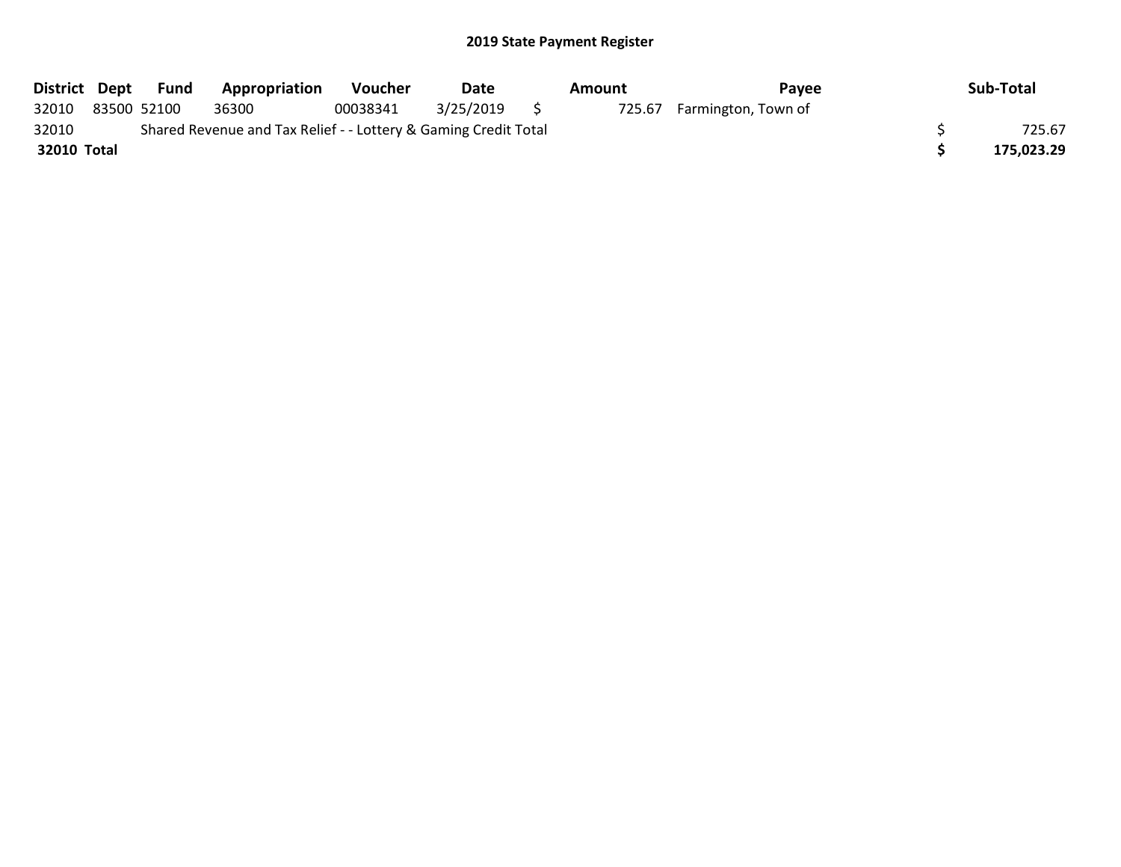|             | District Dept Fund | <b>Appropriation</b>                                            | Voucher  | Date      | Amount | Pavee                      | Sub-Total  |
|-------------|--------------------|-----------------------------------------------------------------|----------|-----------|--------|----------------------------|------------|
| 32010       | 83500 52100        | 36300                                                           | 00038341 | 3/25/2019 |        | 725.67 Farmington, Town of |            |
| 32010       |                    | Shared Revenue and Tax Relief - - Lottery & Gaming Credit Total |          |           |        |                            | 725.67     |
| 32010 Total |                    |                                                                 |          |           |        |                            | 175,023.29 |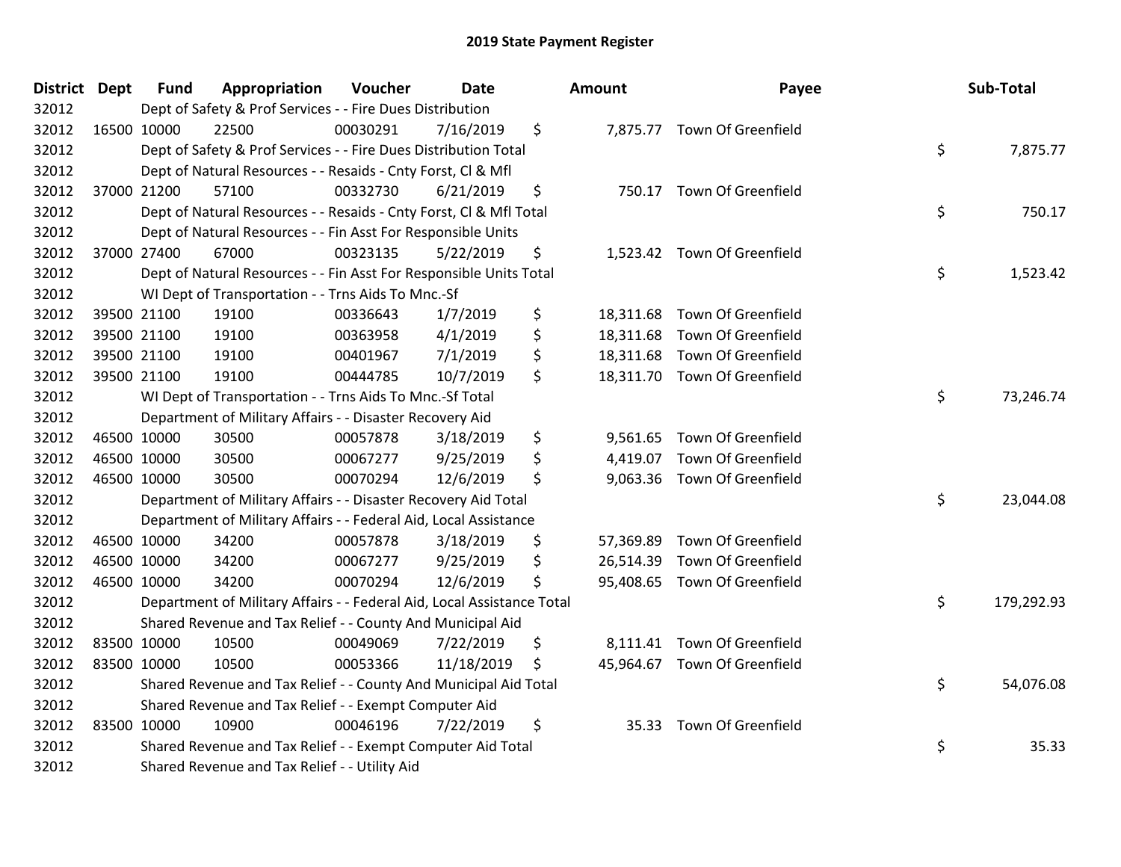| <b>District Dept</b> | <b>Fund</b> | Appropriation                                                          | Voucher  | <b>Date</b> |     | <b>Amount</b> | Payee                        | Sub-Total        |
|----------------------|-------------|------------------------------------------------------------------------|----------|-------------|-----|---------------|------------------------------|------------------|
| 32012                |             | Dept of Safety & Prof Services - - Fire Dues Distribution              |          |             |     |               |                              |                  |
| 32012                | 16500 10000 | 22500                                                                  | 00030291 | 7/16/2019   | \$  |               | 7,875.77 Town Of Greenfield  |                  |
| 32012                |             | Dept of Safety & Prof Services - - Fire Dues Distribution Total        |          |             |     |               |                              | \$<br>7,875.77   |
| 32012                |             | Dept of Natural Resources - - Resaids - Cnty Forst, CI & Mfl           |          |             |     |               |                              |                  |
| 32012                | 37000 21200 | 57100                                                                  | 00332730 | 6/21/2019   | \$  |               | 750.17 Town Of Greenfield    |                  |
| 32012                |             | Dept of Natural Resources - - Resaids - Cnty Forst, CI & Mfl Total     |          |             |     |               |                              | \$<br>750.17     |
| 32012                |             | Dept of Natural Resources - - Fin Asst For Responsible Units           |          |             |     |               |                              |                  |
| 32012                | 37000 27400 | 67000                                                                  | 00323135 | 5/22/2019   | \$  |               | 1,523.42 Town Of Greenfield  |                  |
| 32012                |             | Dept of Natural Resources - - Fin Asst For Responsible Units Total     |          |             |     |               |                              | \$<br>1,523.42   |
| 32012                |             | WI Dept of Transportation - - Trns Aids To Mnc.-Sf                     |          |             |     |               |                              |                  |
| 32012                | 39500 21100 | 19100                                                                  | 00336643 | 1/7/2019    | \$  |               | 18,311.68 Town Of Greenfield |                  |
| 32012                | 39500 21100 | 19100                                                                  | 00363958 | 4/1/2019    | \$  |               | 18,311.68 Town Of Greenfield |                  |
| 32012                | 39500 21100 | 19100                                                                  | 00401967 | 7/1/2019    | \$  |               | 18,311.68 Town Of Greenfield |                  |
| 32012                | 39500 21100 | 19100                                                                  | 00444785 | 10/7/2019   | \$  |               | 18,311.70 Town Of Greenfield |                  |
| 32012                |             | WI Dept of Transportation - - Trns Aids To Mnc.-Sf Total               |          |             |     |               |                              | \$<br>73,246.74  |
| 32012                |             | Department of Military Affairs - - Disaster Recovery Aid               |          |             |     |               |                              |                  |
| 32012                | 46500 10000 | 30500                                                                  | 00057878 | 3/18/2019   | \$  |               | 9,561.65 Town Of Greenfield  |                  |
| 32012                | 46500 10000 | 30500                                                                  | 00067277 | 9/25/2019   | \$  |               | 4,419.07 Town Of Greenfield  |                  |
| 32012                | 46500 10000 | 30500                                                                  | 00070294 | 12/6/2019   | \$  |               | 9,063.36 Town Of Greenfield  |                  |
| 32012                |             | Department of Military Affairs - - Disaster Recovery Aid Total         |          |             |     |               |                              | \$<br>23,044.08  |
| 32012                |             | Department of Military Affairs - - Federal Aid, Local Assistance       |          |             |     |               |                              |                  |
| 32012                | 46500 10000 | 34200                                                                  | 00057878 | 3/18/2019   | \$  |               | 57,369.89 Town Of Greenfield |                  |
| 32012                | 46500 10000 | 34200                                                                  | 00067277 | 9/25/2019   | \$  |               | 26,514.39 Town Of Greenfield |                  |
| 32012                | 46500 10000 | 34200                                                                  | 00070294 | 12/6/2019   | \$  |               | 95,408.65 Town Of Greenfield |                  |
| 32012                |             | Department of Military Affairs - - Federal Aid, Local Assistance Total |          |             |     |               |                              | \$<br>179,292.93 |
| 32012                |             | Shared Revenue and Tax Relief - - County And Municipal Aid             |          |             |     |               |                              |                  |
| 32012                | 83500 10000 | 10500                                                                  | 00049069 | 7/22/2019   | \$  |               | 8,111.41 Town Of Greenfield  |                  |
| 32012                | 83500 10000 | 10500                                                                  | 00053366 | 11/18/2019  | \$. |               | 45,964.67 Town Of Greenfield |                  |
| 32012                |             | Shared Revenue and Tax Relief - - County And Municipal Aid Total       |          |             |     |               |                              | \$<br>54,076.08  |
| 32012                |             | Shared Revenue and Tax Relief - - Exempt Computer Aid                  |          |             |     |               |                              |                  |
| 32012                | 83500 10000 | 10900                                                                  | 00046196 | 7/22/2019   | \$  |               | 35.33 Town Of Greenfield     |                  |
| 32012                |             | Shared Revenue and Tax Relief - - Exempt Computer Aid Total            |          |             |     |               |                              | \$<br>35.33      |
| 32012                |             | Shared Revenue and Tax Relief - - Utility Aid                          |          |             |     |               |                              |                  |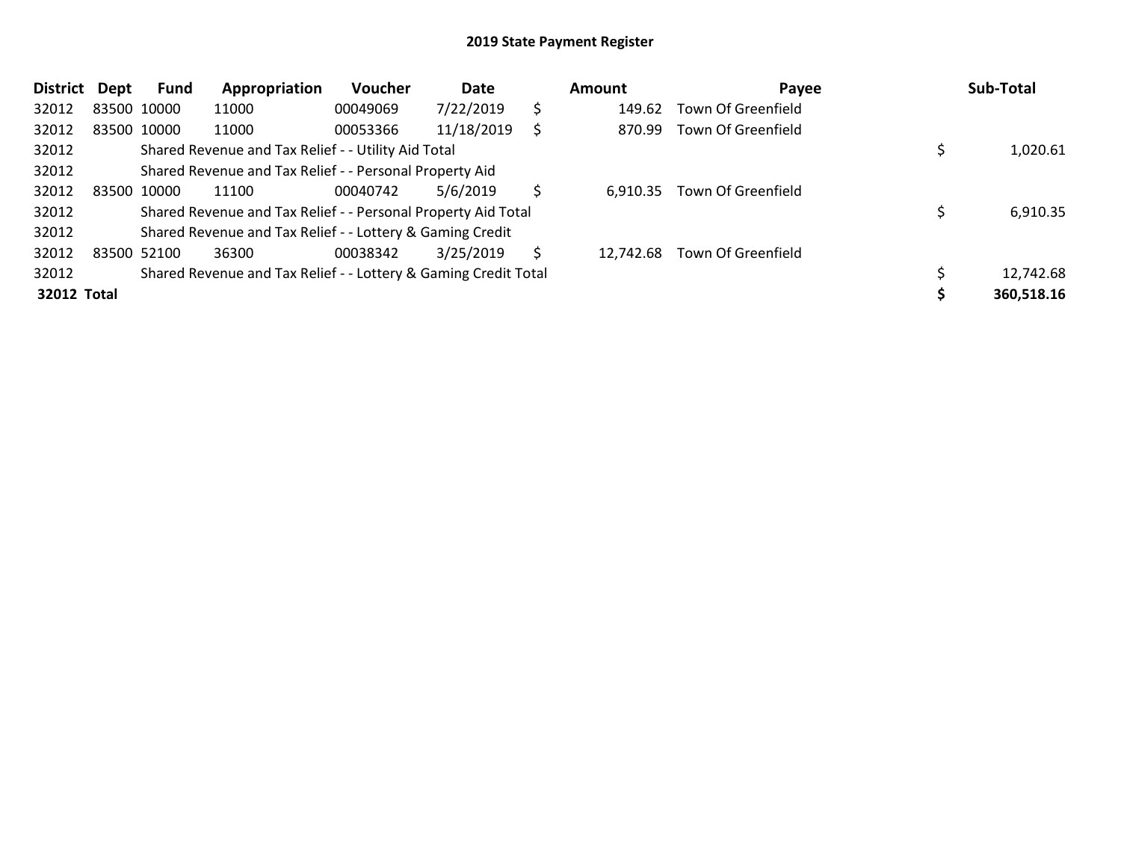| <b>District</b> | <b>Dept</b> | <b>Fund</b> | Appropriation                                                   | Voucher  | Date       |    | <b>Amount</b> | Payee              | Sub-Total  |
|-----------------|-------------|-------------|-----------------------------------------------------------------|----------|------------|----|---------------|--------------------|------------|
| 32012           | 83500 10000 |             | 11000                                                           | 00049069 | 7/22/2019  | \$ | 149.62        | Town Of Greenfield |            |
| 32012           | 83500 10000 |             | 11000                                                           | 00053366 | 11/18/2019 | S  | 870.99        | Town Of Greenfield |            |
| 32012           |             |             | Shared Revenue and Tax Relief - - Utility Aid Total             |          |            |    |               |                    | 1,020.61   |
| 32012           |             |             | Shared Revenue and Tax Relief - - Personal Property Aid         |          |            |    |               |                    |            |
| 32012           | 83500 10000 |             | 11100                                                           | 00040742 | 5/6/2019   | \$ | 6,910.35      | Town Of Greenfield |            |
| 32012           |             |             | Shared Revenue and Tax Relief - - Personal Property Aid Total   |          |            |    |               |                    | 6,910.35   |
| 32012           |             |             | Shared Revenue and Tax Relief - - Lottery & Gaming Credit       |          |            |    |               |                    |            |
| 32012           | 83500 52100 |             | 36300                                                           | 00038342 | 3/25/2019  | S  | 12,742.68     | Town Of Greenfield |            |
| 32012           |             |             | Shared Revenue and Tax Relief - - Lottery & Gaming Credit Total |          |            |    |               |                    | 12,742.68  |
| 32012 Total     |             |             |                                                                 |          |            |    |               |                    | 360,518.16 |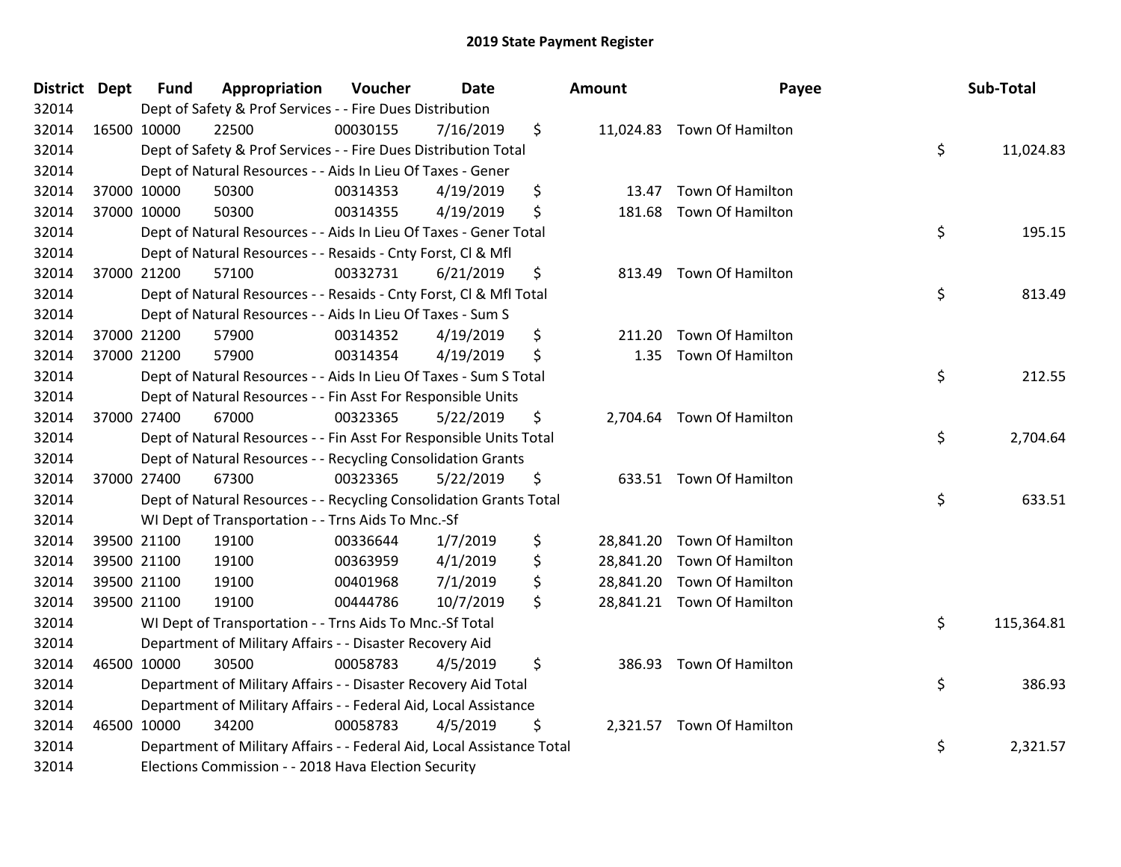| District Dept | <b>Fund</b> | Appropriation                                                          | Voucher  | <b>Date</b> | Amount       | Payee                      | Sub-Total        |
|---------------|-------------|------------------------------------------------------------------------|----------|-------------|--------------|----------------------------|------------------|
| 32014         |             | Dept of Safety & Prof Services - - Fire Dues Distribution              |          |             |              |                            |                  |
| 32014         | 16500 10000 | 22500                                                                  | 00030155 | 7/16/2019   | \$           | 11,024.83 Town Of Hamilton |                  |
| 32014         |             | Dept of Safety & Prof Services - - Fire Dues Distribution Total        |          |             |              |                            | \$<br>11,024.83  |
| 32014         |             | Dept of Natural Resources - - Aids In Lieu Of Taxes - Gener            |          |             |              |                            |                  |
| 32014         | 37000 10000 | 50300                                                                  | 00314353 | 4/19/2019   | \$           | 13.47 Town Of Hamilton     |                  |
| 32014         | 37000 10000 | 50300                                                                  | 00314355 | 4/19/2019   | \$<br>181.68 | <b>Town Of Hamilton</b>    |                  |
| 32014         |             | Dept of Natural Resources - - Aids In Lieu Of Taxes - Gener Total      |          |             |              |                            | \$<br>195.15     |
| 32014         |             | Dept of Natural Resources - - Resaids - Cnty Forst, Cl & Mfl           |          |             |              |                            |                  |
| 32014         | 37000 21200 | 57100                                                                  | 00332731 | 6/21/2019   | \$           | 813.49 Town Of Hamilton    |                  |
| 32014         |             | Dept of Natural Resources - - Resaids - Cnty Forst, Cl & Mfl Total     |          |             |              |                            | \$<br>813.49     |
| 32014         |             | Dept of Natural Resources - - Aids In Lieu Of Taxes - Sum S            |          |             |              |                            |                  |
| 32014         | 37000 21200 | 57900                                                                  | 00314352 | 4/19/2019   | \$<br>211.20 | <b>Town Of Hamilton</b>    |                  |
| 32014         | 37000 21200 | 57900                                                                  | 00314354 | 4/19/2019   | \$<br>1.35   | Town Of Hamilton           |                  |
| 32014         |             | Dept of Natural Resources - - Aids In Lieu Of Taxes - Sum S Total      |          |             |              |                            | \$<br>212.55     |
| 32014         |             | Dept of Natural Resources - - Fin Asst For Responsible Units           |          |             |              |                            |                  |
| 32014         | 37000 27400 | 67000                                                                  | 00323365 | 5/22/2019   | \$           | 2,704.64 Town Of Hamilton  |                  |
| 32014         |             | Dept of Natural Resources - - Fin Asst For Responsible Units Total     |          |             |              |                            | \$<br>2,704.64   |
| 32014         |             | Dept of Natural Resources - - Recycling Consolidation Grants           |          |             |              |                            |                  |
| 32014         | 37000 27400 | 67300                                                                  | 00323365 | 5/22/2019   | \$           | 633.51 Town Of Hamilton    |                  |
| 32014         |             | Dept of Natural Resources - - Recycling Consolidation Grants Total     |          |             |              |                            | \$<br>633.51     |
| 32014         |             | WI Dept of Transportation - - Trns Aids To Mnc.-Sf                     |          |             |              |                            |                  |
| 32014         | 39500 21100 | 19100                                                                  | 00336644 | 1/7/2019    | \$           | 28,841.20 Town Of Hamilton |                  |
| 32014         | 39500 21100 | 19100                                                                  | 00363959 | 4/1/2019    | \$           | 28,841.20 Town Of Hamilton |                  |
| 32014         | 39500 21100 | 19100                                                                  | 00401968 | 7/1/2019    | \$           | 28,841.20 Town Of Hamilton |                  |
| 32014         | 39500 21100 | 19100                                                                  | 00444786 | 10/7/2019   | \$           | 28,841.21 Town Of Hamilton |                  |
| 32014         |             | WI Dept of Transportation - - Trns Aids To Mnc.-Sf Total               |          |             |              |                            | \$<br>115,364.81 |
| 32014         |             | Department of Military Affairs - - Disaster Recovery Aid               |          |             |              |                            |                  |
| 32014         | 46500 10000 | 30500                                                                  | 00058783 | 4/5/2019    | \$           | 386.93 Town Of Hamilton    |                  |
| 32014         |             | Department of Military Affairs - - Disaster Recovery Aid Total         |          |             |              |                            | \$<br>386.93     |
| 32014         |             | Department of Military Affairs - - Federal Aid, Local Assistance       |          |             |              |                            |                  |
| 32014         | 46500 10000 | 34200                                                                  | 00058783 | 4/5/2019    | \$           | 2,321.57 Town Of Hamilton  |                  |
| 32014         |             | Department of Military Affairs - - Federal Aid, Local Assistance Total |          |             |              |                            | \$<br>2,321.57   |
| 32014         |             | Elections Commission - - 2018 Hava Election Security                   |          |             |              |                            |                  |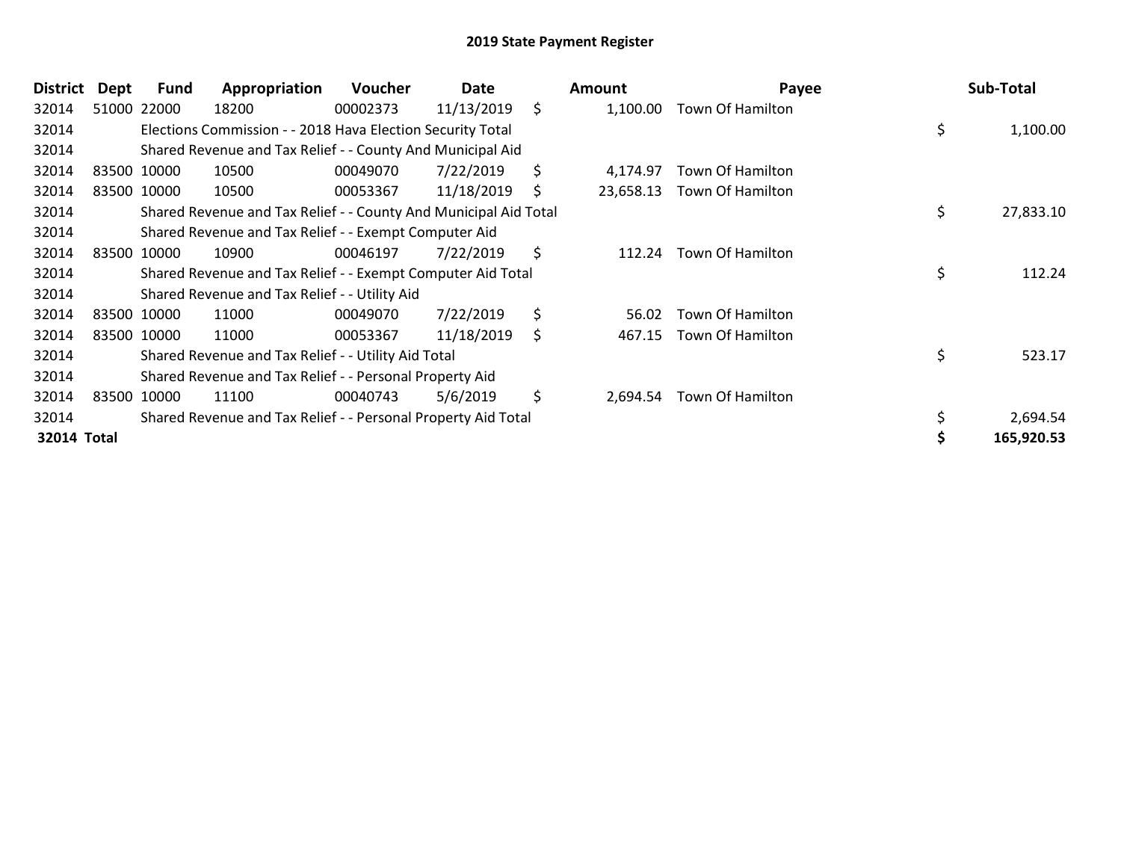| <b>District</b> | <b>Dept</b> | Fund        | Appropriation                                                    | <b>Voucher</b> | Date       |    | Amount    | Payee            | Sub-Total       |
|-----------------|-------------|-------------|------------------------------------------------------------------|----------------|------------|----|-----------|------------------|-----------------|
| 32014           |             | 51000 22000 | 18200                                                            | 00002373       | 11/13/2019 | \$ | 1,100.00  | Town Of Hamilton |                 |
| 32014           |             |             | Elections Commission - - 2018 Hava Election Security Total       |                |            |    |           |                  | \$<br>1,100.00  |
| 32014           |             |             | Shared Revenue and Tax Relief - - County And Municipal Aid       |                |            |    |           |                  |                 |
| 32014           |             | 83500 10000 | 10500                                                            | 00049070       | 7/22/2019  | \$ | 4,174.97  | Town Of Hamilton |                 |
| 32014           |             | 83500 10000 | 10500                                                            | 00053367       | 11/18/2019 | S  | 23,658.13 | Town Of Hamilton |                 |
| 32014           |             |             | Shared Revenue and Tax Relief - - County And Municipal Aid Total |                |            |    |           |                  | \$<br>27,833.10 |
| 32014           |             |             | Shared Revenue and Tax Relief - - Exempt Computer Aid            |                |            |    |           |                  |                 |
| 32014           |             | 83500 10000 | 10900                                                            | 00046197       | 7/22/2019  | \$ | 112.24    | Town Of Hamilton |                 |
| 32014           |             |             | Shared Revenue and Tax Relief - - Exempt Computer Aid Total      |                |            |    |           |                  | \$<br>112.24    |
| 32014           |             |             | Shared Revenue and Tax Relief - - Utility Aid                    |                |            |    |           |                  |                 |
| 32014           |             | 83500 10000 | 11000                                                            | 00049070       | 7/22/2019  | \$ | 56.02     | Town Of Hamilton |                 |
| 32014           |             | 83500 10000 | 11000                                                            | 00053367       | 11/18/2019 | \$ | 467.15    | Town Of Hamilton |                 |
| 32014           |             |             | Shared Revenue and Tax Relief - - Utility Aid Total              |                |            |    |           |                  | \$<br>523.17    |
| 32014           |             |             | Shared Revenue and Tax Relief - - Personal Property Aid          |                |            |    |           |                  |                 |
| 32014           | 83500 10000 |             | 11100                                                            | 00040743       | 5/6/2019   | \$ | 2,694.54  | Town Of Hamilton |                 |
| 32014           |             |             | Shared Revenue and Tax Relief - - Personal Property Aid Total    |                |            |    |           |                  | 2,694.54        |
| 32014 Total     |             |             |                                                                  |                |            |    |           |                  | 165,920.53      |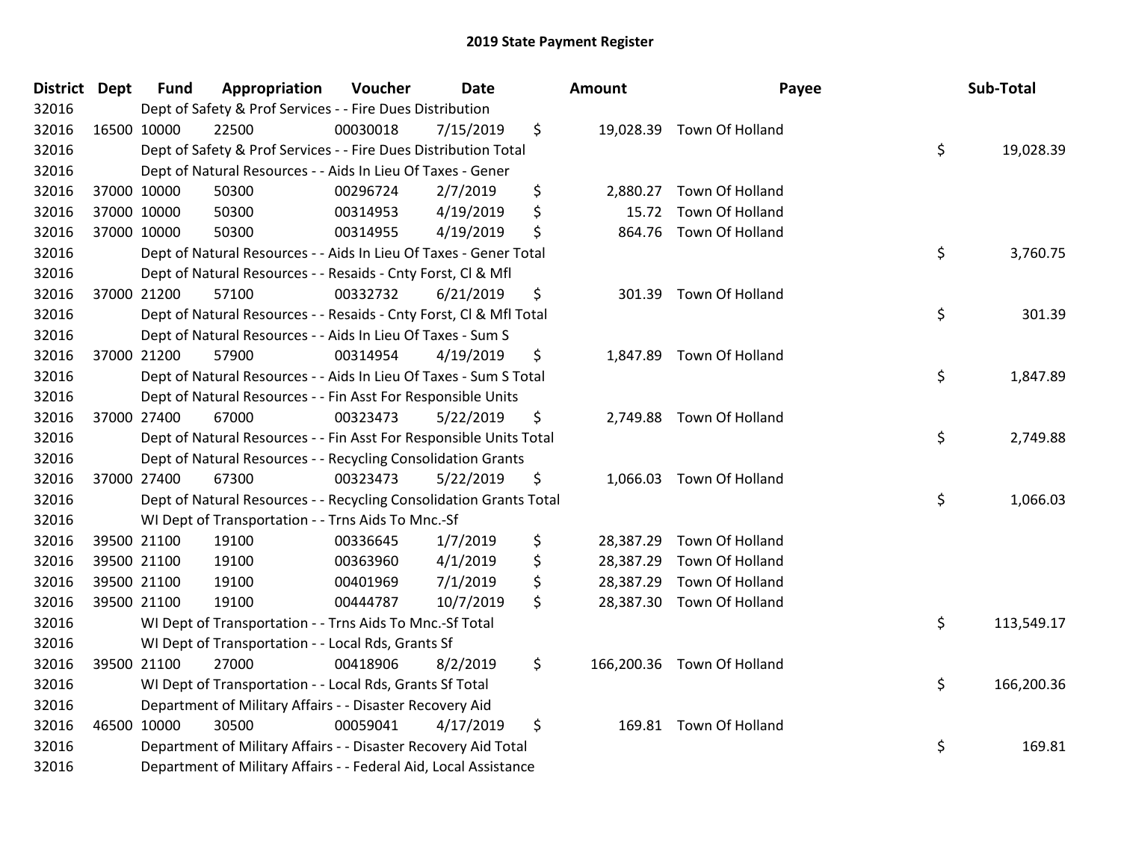| District Dept |             | <b>Fund</b> | Appropriation                                                      | Voucher  | <b>Date</b> | Amount          | Payee                      | Sub-Total        |
|---------------|-------------|-------------|--------------------------------------------------------------------|----------|-------------|-----------------|----------------------------|------------------|
| 32016         |             |             | Dept of Safety & Prof Services - - Fire Dues Distribution          |          |             |                 |                            |                  |
| 32016         | 16500 10000 |             | 22500                                                              | 00030018 | 7/15/2019   | \$              | 19,028.39 Town Of Holland  |                  |
| 32016         |             |             | Dept of Safety & Prof Services - - Fire Dues Distribution Total    |          |             |                 |                            | \$<br>19,028.39  |
| 32016         |             |             | Dept of Natural Resources - - Aids In Lieu Of Taxes - Gener        |          |             |                 |                            |                  |
| 32016         |             | 37000 10000 | 50300                                                              | 00296724 | 2/7/2019    | \$              | 2,880.27 Town Of Holland   |                  |
| 32016         |             | 37000 10000 | 50300                                                              | 00314953 | 4/19/2019   | \$<br>15.72     | Town Of Holland            |                  |
| 32016         |             | 37000 10000 | 50300                                                              | 00314955 | 4/19/2019   | \$<br>864.76    | Town Of Holland            |                  |
| 32016         |             |             | Dept of Natural Resources - - Aids In Lieu Of Taxes - Gener Total  |          |             |                 |                            | \$<br>3,760.75   |
| 32016         |             |             | Dept of Natural Resources - - Resaids - Cnty Forst, CI & Mfl       |          |             |                 |                            |                  |
| 32016         |             | 37000 21200 | 57100                                                              | 00332732 | 6/21/2019   | \$              | 301.39 Town Of Holland     |                  |
| 32016         |             |             | Dept of Natural Resources - - Resaids - Cnty Forst, Cl & Mfl Total |          |             |                 |                            | \$<br>301.39     |
| 32016         |             |             | Dept of Natural Resources - - Aids In Lieu Of Taxes - Sum S        |          |             |                 |                            |                  |
| 32016         |             | 37000 21200 | 57900                                                              | 00314954 | 4/19/2019   | \$              | 1,847.89 Town Of Holland   |                  |
| 32016         |             |             | Dept of Natural Resources - - Aids In Lieu Of Taxes - Sum S Total  |          |             |                 |                            | \$<br>1,847.89   |
| 32016         |             |             | Dept of Natural Resources - - Fin Asst For Responsible Units       |          |             |                 |                            |                  |
| 32016         |             | 37000 27400 | 67000                                                              | 00323473 | 5/22/2019   | \$<br>2,749.88  | Town Of Holland            |                  |
| 32016         |             |             | Dept of Natural Resources - - Fin Asst For Responsible Units Total |          |             |                 |                            | \$<br>2,749.88   |
| 32016         |             |             | Dept of Natural Resources - - Recycling Consolidation Grants       |          |             |                 |                            |                  |
| 32016         |             | 37000 27400 | 67300                                                              | 00323473 | 5/22/2019   | \$              | 1,066.03 Town Of Holland   |                  |
| 32016         |             |             | Dept of Natural Resources - - Recycling Consolidation Grants Total |          |             |                 |                            | \$<br>1,066.03   |
| 32016         |             |             | WI Dept of Transportation - - Trns Aids To Mnc.-Sf                 |          |             |                 |                            |                  |
| 32016         |             | 39500 21100 | 19100                                                              | 00336645 | 1/7/2019    | \$<br>28,387.29 | Town Of Holland            |                  |
| 32016         |             | 39500 21100 | 19100                                                              | 00363960 | 4/1/2019    | \$<br>28,387.29 | Town Of Holland            |                  |
| 32016         |             | 39500 21100 | 19100                                                              | 00401969 | 7/1/2019    | \$              | 28,387.29 Town Of Holland  |                  |
| 32016         |             | 39500 21100 | 19100                                                              | 00444787 | 10/7/2019   | \$              | 28,387.30 Town Of Holland  |                  |
| 32016         |             |             | WI Dept of Transportation - - Trns Aids To Mnc.-Sf Total           |          |             |                 |                            | \$<br>113,549.17 |
| 32016         |             |             | WI Dept of Transportation - - Local Rds, Grants Sf                 |          |             |                 |                            |                  |
| 32016         |             | 39500 21100 | 27000                                                              | 00418906 | 8/2/2019    | \$              | 166,200.36 Town Of Holland |                  |
| 32016         |             |             | WI Dept of Transportation - - Local Rds, Grants Sf Total           |          |             |                 |                            | \$<br>166,200.36 |
| 32016         |             |             | Department of Military Affairs - - Disaster Recovery Aid           |          |             |                 |                            |                  |
| 32016         | 46500 10000 |             | 30500                                                              | 00059041 | 4/17/2019   | \$              | 169.81 Town Of Holland     |                  |
| 32016         |             |             | Department of Military Affairs - - Disaster Recovery Aid Total     |          |             |                 |                            | \$<br>169.81     |
| 32016         |             |             | Department of Military Affairs - - Federal Aid, Local Assistance   |          |             |                 |                            |                  |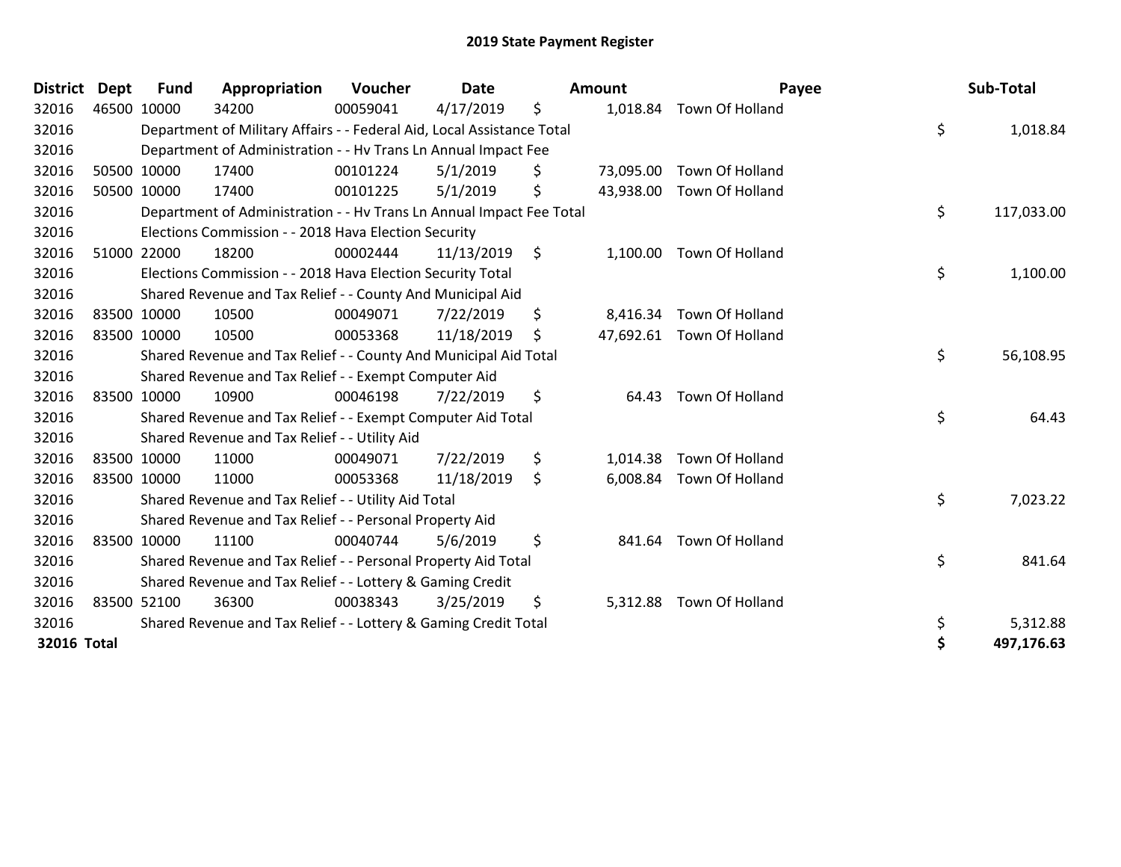| <b>District</b> | <b>Dept</b> | <b>Fund</b> | Appropriation                                                          | Voucher  | Date       | <b>Amount</b>   | Payee                     | Sub-Total        |
|-----------------|-------------|-------------|------------------------------------------------------------------------|----------|------------|-----------------|---------------------------|------------------|
| 32016           | 46500 10000 |             | 34200                                                                  | 00059041 | 4/17/2019  | \$              | 1,018.84 Town Of Holland  |                  |
| 32016           |             |             | Department of Military Affairs - - Federal Aid, Local Assistance Total |          |            |                 |                           | \$<br>1,018.84   |
| 32016           |             |             | Department of Administration - - Hv Trans Ln Annual Impact Fee         |          |            |                 |                           |                  |
| 32016           |             | 50500 10000 | 17400                                                                  | 00101224 | 5/1/2019   | \$<br>73,095.00 | Town Of Holland           |                  |
| 32016           |             | 50500 10000 | 17400                                                                  | 00101225 | 5/1/2019   | \$<br>43,938.00 | Town Of Holland           |                  |
| 32016           |             |             | Department of Administration - - Hv Trans Ln Annual Impact Fee Total   |          |            |                 |                           | \$<br>117,033.00 |
| 32016           |             |             | Elections Commission - - 2018 Hava Election Security                   |          |            |                 |                           |                  |
| 32016           |             | 51000 22000 | 18200                                                                  | 00002444 | 11/13/2019 | \$<br>1,100.00  | Town Of Holland           |                  |
| 32016           |             |             | Elections Commission - - 2018 Hava Election Security Total             |          |            |                 |                           | \$<br>1,100.00   |
| 32016           |             |             | Shared Revenue and Tax Relief - - County And Municipal Aid             |          |            |                 |                           |                  |
| 32016           |             | 83500 10000 | 10500                                                                  | 00049071 | 7/22/2019  | \$<br>8,416.34  | Town Of Holland           |                  |
| 32016           |             | 83500 10000 | 10500                                                                  | 00053368 | 11/18/2019 | \$              | 47,692.61 Town Of Holland |                  |
| 32016           |             |             | Shared Revenue and Tax Relief - - County And Municipal Aid Total       |          |            |                 |                           | \$<br>56,108.95  |
| 32016           |             |             | Shared Revenue and Tax Relief - - Exempt Computer Aid                  |          |            |                 |                           |                  |
| 32016           |             | 83500 10000 | 10900                                                                  | 00046198 | 7/22/2019  | \$<br>64.43     | Town Of Holland           |                  |
| 32016           |             |             | Shared Revenue and Tax Relief - - Exempt Computer Aid Total            |          |            |                 |                           | \$<br>64.43      |
| 32016           |             |             | Shared Revenue and Tax Relief - - Utility Aid                          |          |            |                 |                           |                  |
| 32016           |             | 83500 10000 | 11000                                                                  | 00049071 | 7/22/2019  | \$<br>1,014.38  | Town Of Holland           |                  |
| 32016           |             | 83500 10000 | 11000                                                                  | 00053368 | 11/18/2019 | \$              | 6,008.84 Town Of Holland  |                  |
| 32016           |             |             | Shared Revenue and Tax Relief - - Utility Aid Total                    |          |            |                 |                           | \$<br>7,023.22   |
| 32016           |             |             | Shared Revenue and Tax Relief - - Personal Property Aid                |          |            |                 |                           |                  |
| 32016           |             | 83500 10000 | 11100                                                                  | 00040744 | 5/6/2019   | \$<br>841.64    | Town Of Holland           |                  |
| 32016           |             |             | Shared Revenue and Tax Relief - - Personal Property Aid Total          |          |            |                 |                           | \$<br>841.64     |
| 32016           |             |             | Shared Revenue and Tax Relief - - Lottery & Gaming Credit              |          |            |                 |                           |                  |
| 32016           |             | 83500 52100 | 36300                                                                  | 00038343 | 3/25/2019  | \$<br>5,312.88  | Town Of Holland           |                  |
| 32016           |             |             | Shared Revenue and Tax Relief - - Lottery & Gaming Credit Total        |          |            |                 |                           | \$<br>5,312.88   |
| 32016 Total     |             |             |                                                                        |          |            |                 |                           | \$<br>497,176.63 |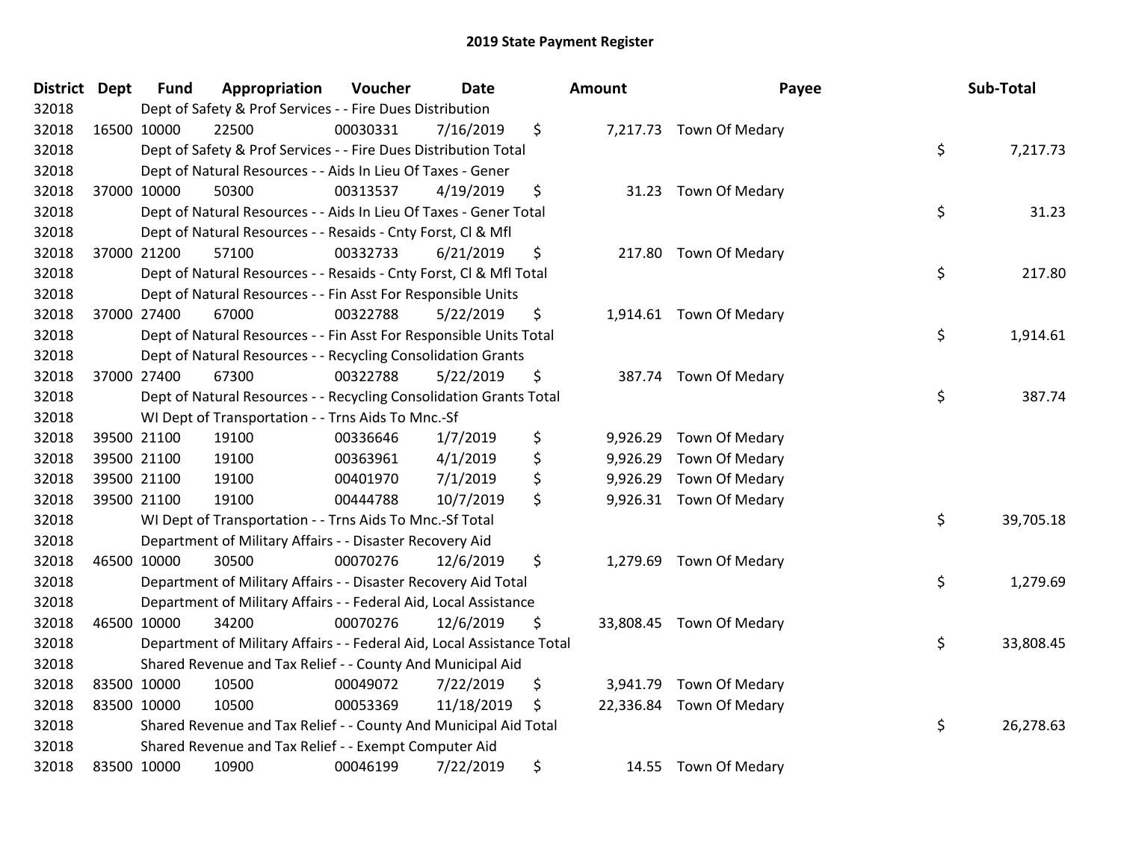| <b>District Dept</b> | <b>Fund</b> | Appropriation                                                          | Voucher  | <b>Date</b> | <b>Amount</b>  | Payee                    | Sub-Total       |
|----------------------|-------------|------------------------------------------------------------------------|----------|-------------|----------------|--------------------------|-----------------|
| 32018                |             | Dept of Safety & Prof Services - - Fire Dues Distribution              |          |             |                |                          |                 |
| 32018                | 16500 10000 | 22500                                                                  | 00030331 | 7/16/2019   | \$             | 7,217.73 Town Of Medary  |                 |
| 32018                |             | Dept of Safety & Prof Services - - Fire Dues Distribution Total        |          |             |                |                          | \$<br>7,217.73  |
| 32018                |             | Dept of Natural Resources - - Aids In Lieu Of Taxes - Gener            |          |             |                |                          |                 |
| 32018                | 37000 10000 | 50300                                                                  | 00313537 | 4/19/2019   | \$<br>31.23    | Town Of Medary           |                 |
| 32018                |             | Dept of Natural Resources - - Aids In Lieu Of Taxes - Gener Total      |          |             |                |                          | \$<br>31.23     |
| 32018                |             | Dept of Natural Resources - - Resaids - Cnty Forst, Cl & Mfl           |          |             |                |                          |                 |
| 32018                | 37000 21200 | 57100                                                                  | 00332733 | 6/21/2019   | \$             | 217.80 Town Of Medary    |                 |
| 32018                |             | Dept of Natural Resources - - Resaids - Cnty Forst, Cl & Mfl Total     |          |             |                |                          | \$<br>217.80    |
| 32018                |             | Dept of Natural Resources - - Fin Asst For Responsible Units           |          |             |                |                          |                 |
| 32018                | 37000 27400 | 67000                                                                  | 00322788 | 5/22/2019   | \$             | 1,914.61 Town Of Medary  |                 |
| 32018                |             | Dept of Natural Resources - - Fin Asst For Responsible Units Total     |          |             |                |                          | \$<br>1,914.61  |
| 32018                |             | Dept of Natural Resources - - Recycling Consolidation Grants           |          |             |                |                          |                 |
| 32018                | 37000 27400 | 67300                                                                  | 00322788 | 5/22/2019   | \$             | 387.74 Town Of Medary    |                 |
| 32018                |             | Dept of Natural Resources - - Recycling Consolidation Grants Total     |          |             |                |                          | \$<br>387.74    |
| 32018                |             | WI Dept of Transportation - - Trns Aids To Mnc.-Sf                     |          |             |                |                          |                 |
| 32018                | 39500 21100 | 19100                                                                  | 00336646 | 1/7/2019    | \$<br>9,926.29 | Town Of Medary           |                 |
| 32018                | 39500 21100 | 19100                                                                  | 00363961 | 4/1/2019    | \$<br>9,926.29 | Town Of Medary           |                 |
| 32018                | 39500 21100 | 19100                                                                  | 00401970 | 7/1/2019    | \$<br>9,926.29 | Town Of Medary           |                 |
| 32018                | 39500 21100 | 19100                                                                  | 00444788 | 10/7/2019   | \$             | 9,926.31 Town Of Medary  |                 |
| 32018                |             | WI Dept of Transportation - - Trns Aids To Mnc.-Sf Total               |          |             |                |                          | \$<br>39,705.18 |
| 32018                |             | Department of Military Affairs - - Disaster Recovery Aid               |          |             |                |                          |                 |
| 32018                | 46500 10000 | 30500                                                                  | 00070276 | 12/6/2019   | \$             | 1,279.69 Town Of Medary  |                 |
| 32018                |             | Department of Military Affairs - - Disaster Recovery Aid Total         |          |             |                |                          | \$<br>1,279.69  |
| 32018                |             | Department of Military Affairs - - Federal Aid, Local Assistance       |          |             |                |                          |                 |
| 32018                | 46500 10000 | 34200                                                                  | 00070276 | 12/6/2019   | \$             | 33,808.45 Town Of Medary |                 |
| 32018                |             | Department of Military Affairs - - Federal Aid, Local Assistance Total |          |             |                |                          | \$<br>33,808.45 |
| 32018                |             | Shared Revenue and Tax Relief - - County And Municipal Aid             |          |             |                |                          |                 |
| 32018                | 83500 10000 | 10500                                                                  | 00049072 | 7/22/2019   | \$<br>3,941.79 | Town Of Medary           |                 |
| 32018                | 83500 10000 | 10500                                                                  | 00053369 | 11/18/2019  | \$             | 22,336.84 Town Of Medary |                 |
| 32018                |             | Shared Revenue and Tax Relief - - County And Municipal Aid Total       |          |             |                |                          | \$<br>26,278.63 |
| 32018                |             | Shared Revenue and Tax Relief - - Exempt Computer Aid                  |          |             |                |                          |                 |
| 32018                | 83500 10000 | 10900                                                                  | 00046199 | 7/22/2019   | \$<br>14.55    | Town Of Medary           |                 |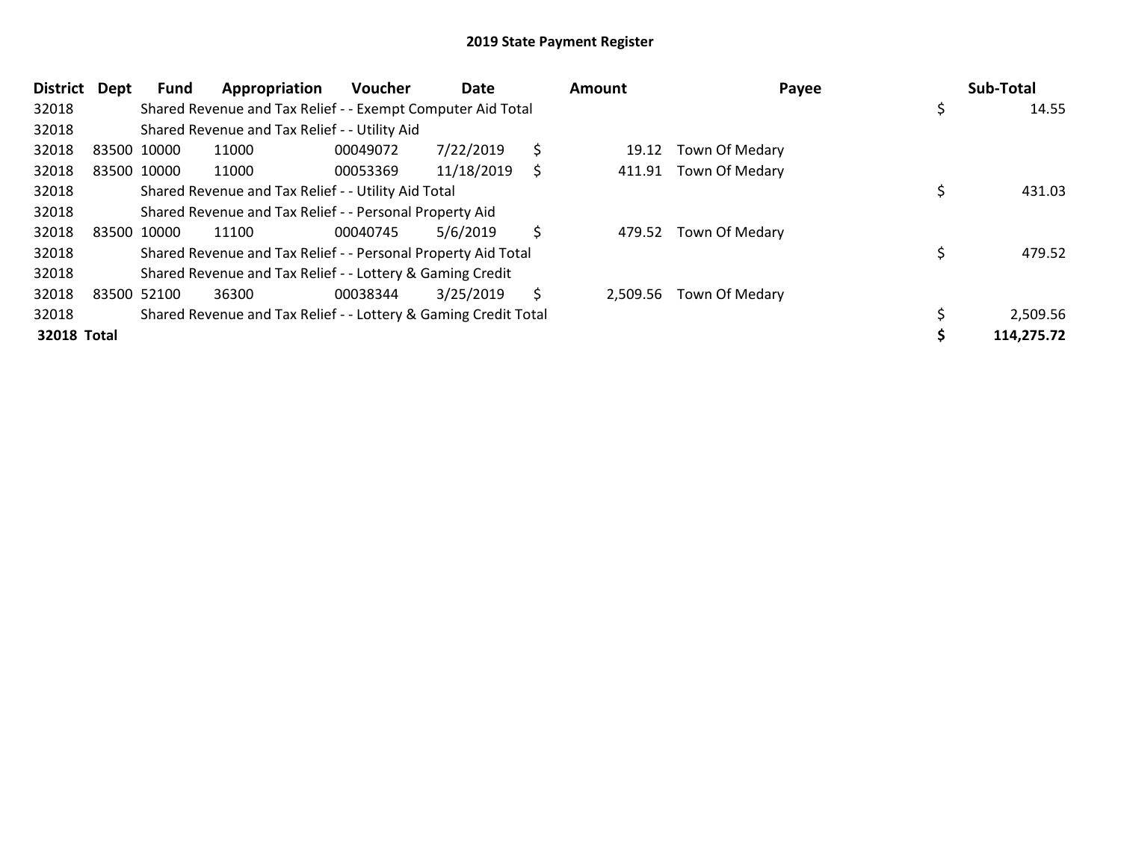| <b>District</b> | Dept | <b>Fund</b> | Appropriation                                                   | <b>Voucher</b> | Date       |    | Amount   | Payee                 | Sub-Total   |
|-----------------|------|-------------|-----------------------------------------------------------------|----------------|------------|----|----------|-----------------------|-------------|
| 32018           |      |             | Shared Revenue and Tax Relief - - Exempt Computer Aid Total     |                |            |    |          |                       | \$<br>14.55 |
| 32018           |      |             | Shared Revenue and Tax Relief - - Utility Aid                   |                |            |    |          |                       |             |
| 32018           |      | 83500 10000 | 11000                                                           | 00049072       | 7/22/2019  | \$ | 19.12    | Town Of Medary        |             |
| 32018           |      | 83500 10000 | 11000                                                           | 00053369       | 11/18/2019 | S  |          | 411.91 Town Of Medary |             |
| 32018           |      |             | Shared Revenue and Tax Relief - - Utility Aid Total             |                |            |    |          |                       | 431.03      |
| 32018           |      |             | Shared Revenue and Tax Relief - - Personal Property Aid         |                |            |    |          |                       |             |
| 32018           |      | 83500 10000 | 11100                                                           | 00040745       | 5/6/2019   | \$ |          | 479.52 Town Of Medary |             |
| 32018           |      |             | Shared Revenue and Tax Relief - - Personal Property Aid Total   |                |            |    |          |                       | 479.52      |
| 32018           |      |             | Shared Revenue and Tax Relief - - Lottery & Gaming Credit       |                |            |    |          |                       |             |
| 32018           |      | 83500 52100 | 36300                                                           | 00038344       | 3/25/2019  | \$ | 2,509.56 | Town Of Medary        |             |
| 32018           |      |             | Shared Revenue and Tax Relief - - Lottery & Gaming Credit Total |                |            |    |          |                       | 2,509.56    |
| 32018 Total     |      |             |                                                                 |                |            |    |          |                       | 114,275.72  |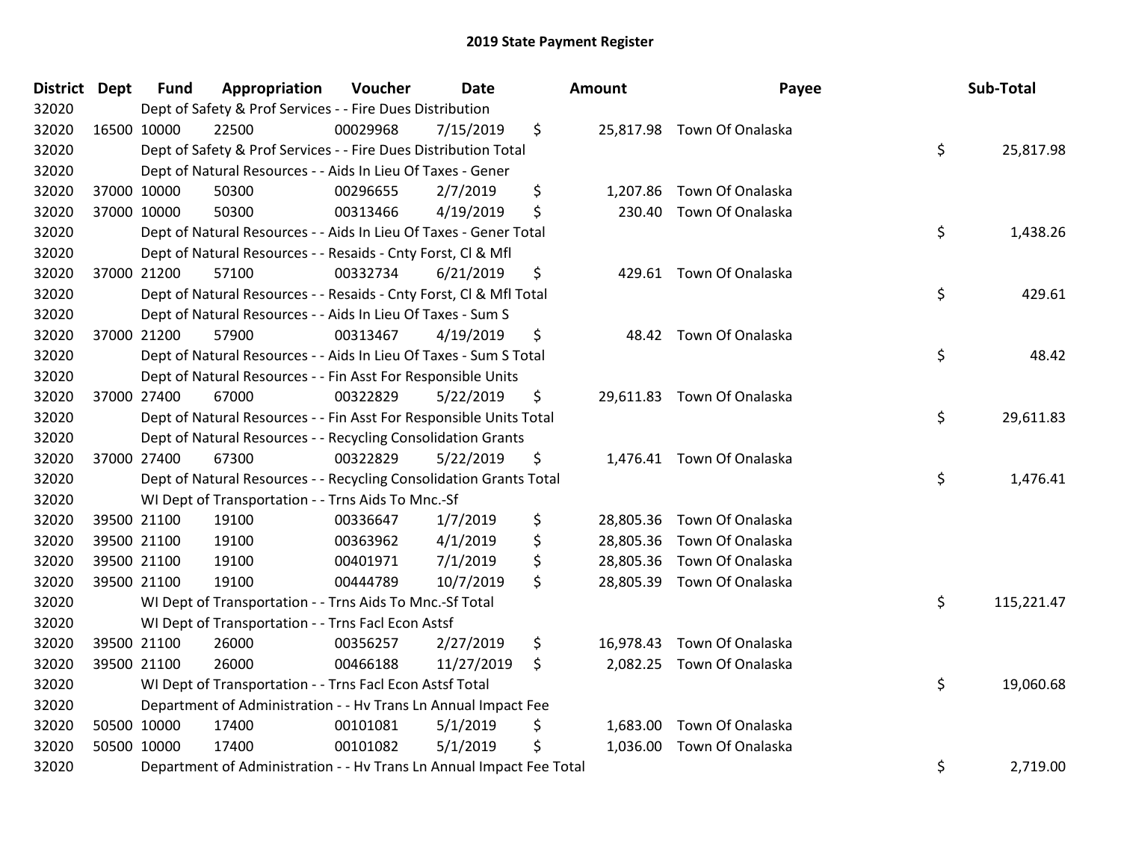| District Dept |             | <b>Fund</b> | Appropriation                                                        | Voucher  | <b>Date</b> | <b>Amount</b>   | Payee                      | Sub-Total        |
|---------------|-------------|-------------|----------------------------------------------------------------------|----------|-------------|-----------------|----------------------------|------------------|
| 32020         |             |             | Dept of Safety & Prof Services - - Fire Dues Distribution            |          |             |                 |                            |                  |
| 32020         | 16500 10000 |             | 22500                                                                | 00029968 | 7/15/2019   | \$              | 25,817.98 Town Of Onalaska |                  |
| 32020         |             |             | Dept of Safety & Prof Services - - Fire Dues Distribution Total      |          |             |                 |                            | \$<br>25,817.98  |
| 32020         |             |             | Dept of Natural Resources - - Aids In Lieu Of Taxes - Gener          |          |             |                 |                            |                  |
| 32020         | 37000 10000 |             | 50300                                                                | 00296655 | 2/7/2019    | \$              | 1,207.86 Town Of Onalaska  |                  |
| 32020         | 37000 10000 |             | 50300                                                                | 00313466 | 4/19/2019   | \$              | 230.40 Town Of Onalaska    |                  |
| 32020         |             |             | Dept of Natural Resources - - Aids In Lieu Of Taxes - Gener Total    |          |             |                 |                            | \$<br>1,438.26   |
| 32020         |             |             | Dept of Natural Resources - - Resaids - Cnty Forst, CI & Mfl         |          |             |                 |                            |                  |
| 32020         | 37000 21200 |             | 57100                                                                | 00332734 | 6/21/2019   | \$              | 429.61 Town Of Onalaska    |                  |
| 32020         |             |             | Dept of Natural Resources - - Resaids - Cnty Forst, Cl & Mfl Total   |          |             |                 |                            | \$<br>429.61     |
| 32020         |             |             | Dept of Natural Resources - - Aids In Lieu Of Taxes - Sum S          |          |             |                 |                            |                  |
| 32020         | 37000 21200 |             | 57900                                                                | 00313467 | 4/19/2019   | \$              | 48.42 Town Of Onalaska     |                  |
| 32020         |             |             | Dept of Natural Resources - - Aids In Lieu Of Taxes - Sum S Total    |          |             |                 |                            | \$<br>48.42      |
| 32020         |             |             | Dept of Natural Resources - - Fin Asst For Responsible Units         |          |             |                 |                            |                  |
| 32020         | 37000 27400 |             | 67000                                                                | 00322829 | 5/22/2019   | \$              | 29,611.83 Town Of Onalaska |                  |
| 32020         |             |             | Dept of Natural Resources - - Fin Asst For Responsible Units Total   |          |             |                 |                            | \$<br>29,611.83  |
| 32020         |             |             | Dept of Natural Resources - - Recycling Consolidation Grants         |          |             |                 |                            |                  |
| 32020         | 37000 27400 |             | 67300                                                                | 00322829 | 5/22/2019   | \$              | 1,476.41 Town Of Onalaska  |                  |
| 32020         |             |             | Dept of Natural Resources - - Recycling Consolidation Grants Total   |          |             |                 |                            | \$<br>1,476.41   |
| 32020         |             |             | WI Dept of Transportation - - Trns Aids To Mnc.-Sf                   |          |             |                 |                            |                  |
| 32020         | 39500 21100 |             | 19100                                                                | 00336647 | 1/7/2019    | \$              | 28,805.36 Town Of Onalaska |                  |
| 32020         | 39500 21100 |             | 19100                                                                | 00363962 | 4/1/2019    | \$              | 28,805.36 Town Of Onalaska |                  |
| 32020         | 39500 21100 |             | 19100                                                                | 00401971 | 7/1/2019    | \$              | 28,805.36 Town Of Onalaska |                  |
| 32020         | 39500 21100 |             | 19100                                                                | 00444789 | 10/7/2019   | \$              | 28,805.39 Town Of Onalaska |                  |
| 32020         |             |             | WI Dept of Transportation - - Trns Aids To Mnc.-Sf Total             |          |             |                 |                            | \$<br>115,221.47 |
| 32020         |             |             | WI Dept of Transportation - - Trns Facl Econ Astsf                   |          |             |                 |                            |                  |
| 32020         | 39500 21100 |             | 26000                                                                | 00356257 | 2/27/2019   | \$<br>16,978.43 | Town Of Onalaska           |                  |
| 32020         | 39500 21100 |             | 26000                                                                | 00466188 | 11/27/2019  | \$              | 2,082.25 Town Of Onalaska  |                  |
| 32020         |             |             | WI Dept of Transportation - - Trns Facl Econ Astsf Total             |          |             |                 |                            | \$<br>19,060.68  |
| 32020         |             |             | Department of Administration - - Hv Trans Ln Annual Impact Fee       |          |             |                 |                            |                  |
| 32020         | 50500 10000 |             | 17400                                                                | 00101081 | 5/1/2019    | \$              | 1,683.00 Town Of Onalaska  |                  |
| 32020         | 50500 10000 |             | 17400                                                                | 00101082 | 5/1/2019    | \$<br>1,036.00  | Town Of Onalaska           |                  |
| 32020         |             |             | Department of Administration - - Hv Trans Ln Annual Impact Fee Total |          |             |                 |                            | \$<br>2,719.00   |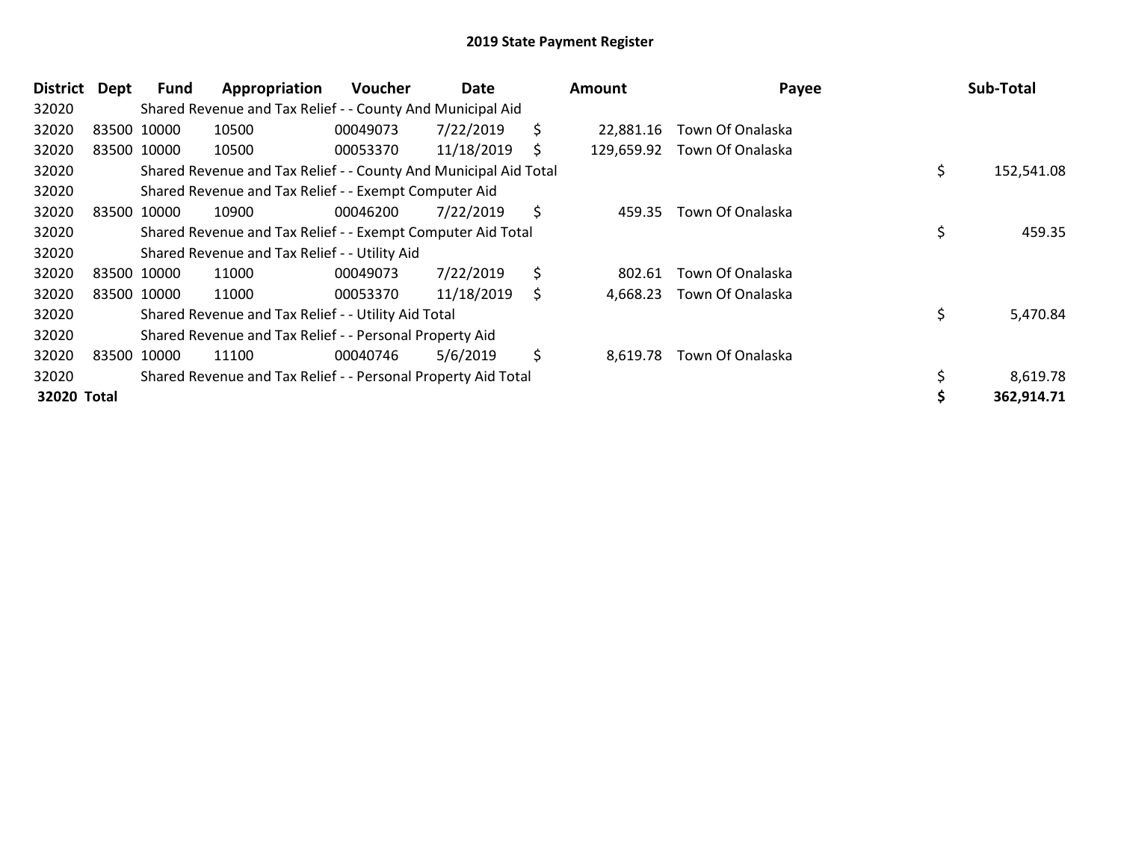| District    | Dept        | Fund        | Appropriation                                                    | <b>Voucher</b> | Date       |    | Amount    | Payee                       | Sub-Total        |
|-------------|-------------|-------------|------------------------------------------------------------------|----------------|------------|----|-----------|-----------------------------|------------------|
| 32020       |             |             | Shared Revenue and Tax Relief - - County And Municipal Aid       |                |            |    |           |                             |                  |
| 32020       | 83500 10000 |             | 10500                                                            | 00049073       | 7/22/2019  | \$ | 22.881.16 | Town Of Onalaska            |                  |
| 32020       | 83500 10000 |             | 10500                                                            | 00053370       | 11/18/2019 | Ś. |           | 129,659.92 Town Of Onalaska |                  |
| 32020       |             |             | Shared Revenue and Tax Relief - - County And Municipal Aid Total |                |            |    |           |                             | \$<br>152,541.08 |
| 32020       |             |             | Shared Revenue and Tax Relief - - Exempt Computer Aid            |                |            |    |           |                             |                  |
| 32020       | 83500 10000 |             | 10900                                                            | 00046200       | 7/22/2019  | \$ | 459.35    | Town Of Onalaska            |                  |
| 32020       |             |             | Shared Revenue and Tax Relief - - Exempt Computer Aid Total      |                |            |    |           |                             | 459.35           |
| 32020       |             |             | Shared Revenue and Tax Relief - - Utility Aid                    |                |            |    |           |                             |                  |
| 32020       | 83500 10000 |             | 11000                                                            | 00049073       | 7/22/2019  | \$ | 802.61    | Town Of Onalaska            |                  |
| 32020       |             | 83500 10000 | 11000                                                            | 00053370       | 11/18/2019 | \$ | 4,668.23  | Town Of Onalaska            |                  |
| 32020       |             |             | Shared Revenue and Tax Relief - - Utility Aid Total              |                |            |    |           |                             | \$<br>5,470.84   |
| 32020       |             |             | Shared Revenue and Tax Relief - - Personal Property Aid          |                |            |    |           |                             |                  |
| 32020       | 83500 10000 |             | 11100                                                            | 00040746       | 5/6/2019   | \$ | 8.619.78  | Town Of Onalaska            |                  |
| 32020       |             |             | Shared Revenue and Tax Relief - - Personal Property Aid Total    |                |            |    |           |                             | 8,619.78         |
| 32020 Total |             |             |                                                                  |                |            |    |           |                             | 362,914.71       |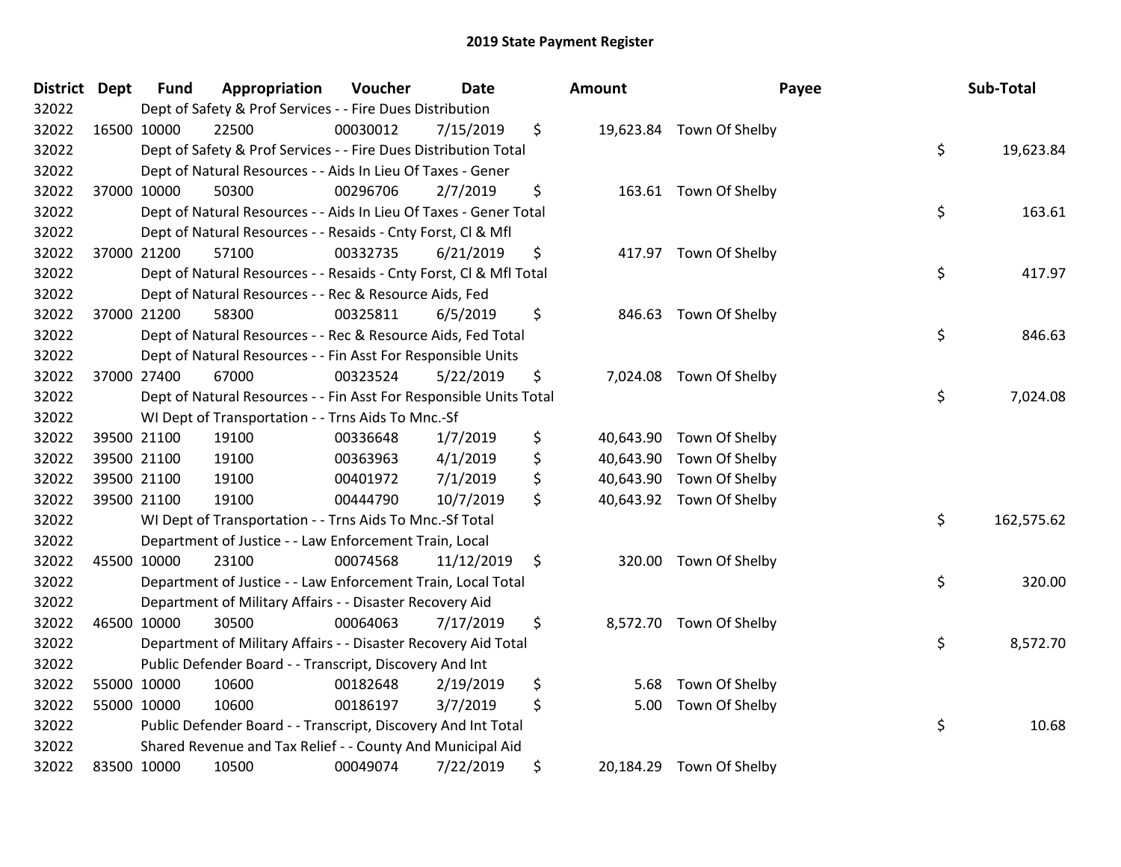| <b>District Dept</b> | <b>Fund</b> | Appropriation                                                      | Voucher  | <b>Date</b> | <b>Amount</b> | Payee                    | Sub-Total        |
|----------------------|-------------|--------------------------------------------------------------------|----------|-------------|---------------|--------------------------|------------------|
| 32022                |             | Dept of Safety & Prof Services - - Fire Dues Distribution          |          |             |               |                          |                  |
| 32022                | 16500 10000 | 22500                                                              | 00030012 | 7/15/2019   | \$            | 19,623.84 Town Of Shelby |                  |
| 32022                |             | Dept of Safety & Prof Services - - Fire Dues Distribution Total    |          |             |               |                          | \$<br>19,623.84  |
| 32022                |             | Dept of Natural Resources - - Aids In Lieu Of Taxes - Gener        |          |             |               |                          |                  |
| 32022                | 37000 10000 | 50300                                                              | 00296706 | 2/7/2019    | \$            | 163.61 Town Of Shelby    |                  |
| 32022                |             | Dept of Natural Resources - - Aids In Lieu Of Taxes - Gener Total  |          |             |               |                          | \$<br>163.61     |
| 32022                |             | Dept of Natural Resources - - Resaids - Cnty Forst, Cl & Mfl       |          |             |               |                          |                  |
| 32022                | 37000 21200 | 57100                                                              | 00332735 | 6/21/2019   | \$            | 417.97 Town Of Shelby    |                  |
| 32022                |             | Dept of Natural Resources - - Resaids - Cnty Forst, CI & Mfl Total |          |             |               |                          | \$<br>417.97     |
| 32022                |             | Dept of Natural Resources - - Rec & Resource Aids, Fed             |          |             |               |                          |                  |
| 32022                | 37000 21200 | 58300                                                              | 00325811 | 6/5/2019    | \$            | 846.63 Town Of Shelby    |                  |
| 32022                |             | Dept of Natural Resources - - Rec & Resource Aids, Fed Total       |          |             |               |                          | \$<br>846.63     |
| 32022                |             | Dept of Natural Resources - - Fin Asst For Responsible Units       |          |             |               |                          |                  |
| 32022                | 37000 27400 | 67000                                                              | 00323524 | 5/22/2019   | \$            | 7,024.08 Town Of Shelby  |                  |
| 32022                |             | Dept of Natural Resources - - Fin Asst For Responsible Units Total |          |             |               |                          | \$<br>7,024.08   |
| 32022                |             | WI Dept of Transportation - - Trns Aids To Mnc.-Sf                 |          |             |               |                          |                  |
| 32022                | 39500 21100 | 19100                                                              | 00336648 | 1/7/2019    | \$            | 40,643.90 Town Of Shelby |                  |
| 32022                | 39500 21100 | 19100                                                              | 00363963 | 4/1/2019    | \$            | 40,643.90 Town Of Shelby |                  |
| 32022                | 39500 21100 | 19100                                                              | 00401972 | 7/1/2019    | \$            | 40,643.90 Town Of Shelby |                  |
| 32022                | 39500 21100 | 19100                                                              | 00444790 | 10/7/2019   | \$            | 40,643.92 Town Of Shelby |                  |
| 32022                |             | WI Dept of Transportation - - Trns Aids To Mnc.-Sf Total           |          |             |               |                          | \$<br>162,575.62 |
| 32022                |             | Department of Justice - - Law Enforcement Train, Local             |          |             |               |                          |                  |
| 32022                | 45500 10000 | 23100                                                              | 00074568 | 11/12/2019  | \$            | 320.00 Town Of Shelby    |                  |
| 32022                |             | Department of Justice - - Law Enforcement Train, Local Total       |          |             |               |                          | \$<br>320.00     |
| 32022                |             | Department of Military Affairs - - Disaster Recovery Aid           |          |             |               |                          |                  |
| 32022                | 46500 10000 | 30500                                                              | 00064063 | 7/17/2019   | \$            | 8,572.70 Town Of Shelby  |                  |
| 32022                |             | Department of Military Affairs - - Disaster Recovery Aid Total     |          |             |               |                          | \$<br>8,572.70   |
| 32022                |             | Public Defender Board - - Transcript, Discovery And Int            |          |             |               |                          |                  |
| 32022                | 55000 10000 | 10600                                                              | 00182648 | 2/19/2019   | \$<br>5.68    | Town Of Shelby           |                  |
| 32022                | 55000 10000 | 10600                                                              | 00186197 | 3/7/2019    | \$<br>5.00    | Town Of Shelby           |                  |
| 32022                |             | Public Defender Board - - Transcript, Discovery And Int Total      |          |             |               |                          | \$<br>10.68      |
| 32022                |             | Shared Revenue and Tax Relief - - County And Municipal Aid         |          |             |               |                          |                  |
| 32022                | 83500 10000 | 10500                                                              | 00049074 | 7/22/2019   | \$            | 20,184.29 Town Of Shelby |                  |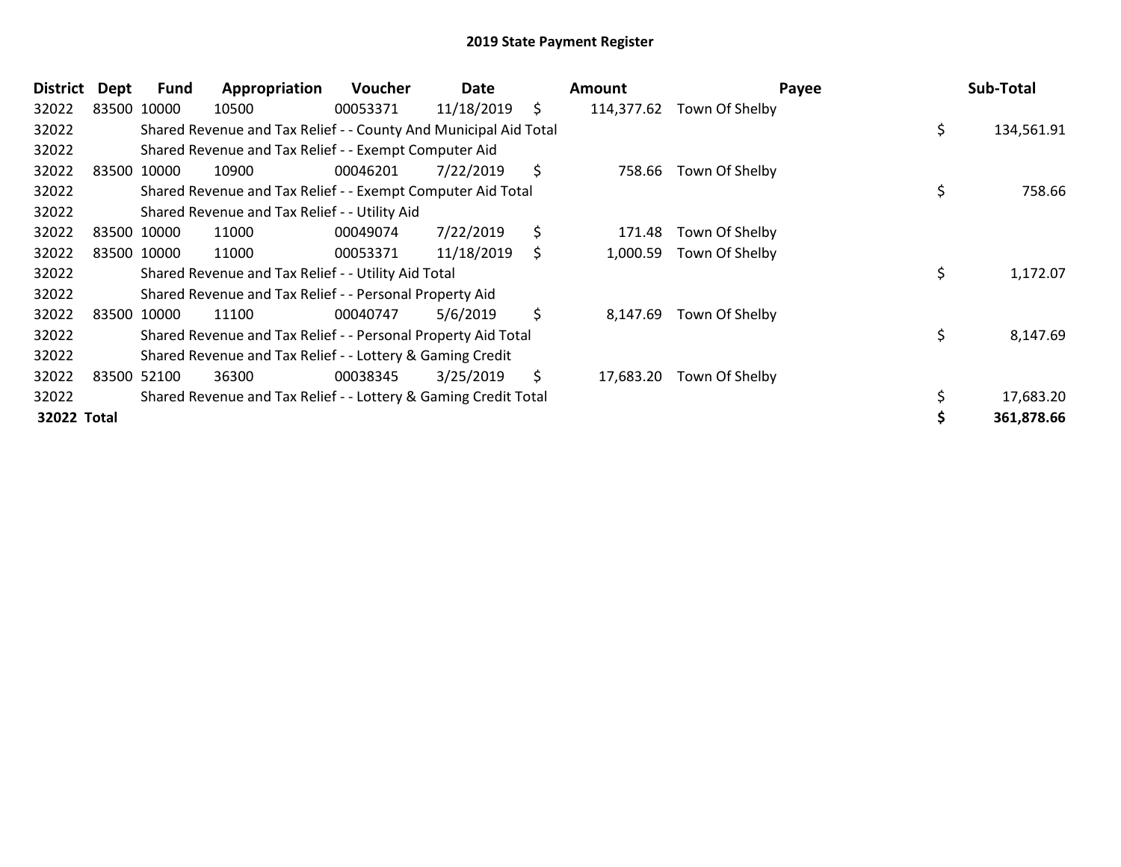| <b>District</b> | Dept | Fund        | Appropriation                                                    | <b>Voucher</b> | Date       | Amount           | Payee          | Sub-Total        |
|-----------------|------|-------------|------------------------------------------------------------------|----------------|------------|------------------|----------------|------------------|
| 32022           |      | 83500 10000 | 10500                                                            | 00053371       | 11/18/2019 | \$<br>114,377.62 | Town Of Shelby |                  |
| 32022           |      |             | Shared Revenue and Tax Relief - - County And Municipal Aid Total |                |            |                  |                | \$<br>134,561.91 |
| 32022           |      |             | Shared Revenue and Tax Relief - - Exempt Computer Aid            |                |            |                  |                |                  |
| 32022           |      | 83500 10000 | 10900                                                            | 00046201       | 7/22/2019  | \$<br>758.66     | Town Of Shelby |                  |
| 32022           |      |             | Shared Revenue and Tax Relief - - Exempt Computer Aid Total      |                |            |                  |                | \$<br>758.66     |
| 32022           |      |             | Shared Revenue and Tax Relief - - Utility Aid                    |                |            |                  |                |                  |
| 32022           |      | 83500 10000 | 11000                                                            | 00049074       | 7/22/2019  | \$<br>171.48     | Town Of Shelby |                  |
| 32022           |      | 83500 10000 | 11000                                                            | 00053371       | 11/18/2019 | \$<br>1,000.59   | Town Of Shelby |                  |
| 32022           |      |             | Shared Revenue and Tax Relief - - Utility Aid Total              |                |            |                  |                | \$<br>1,172.07   |
| 32022           |      |             | Shared Revenue and Tax Relief - - Personal Property Aid          |                |            |                  |                |                  |
| 32022           |      | 83500 10000 | 11100                                                            | 00040747       | 5/6/2019   | \$<br>8,147.69   | Town Of Shelby |                  |
| 32022           |      |             | Shared Revenue and Tax Relief - - Personal Property Aid Total    |                |            |                  |                | \$<br>8,147.69   |
| 32022           |      |             | Shared Revenue and Tax Relief - - Lottery & Gaming Credit        |                |            |                  |                |                  |
| 32022           |      | 83500 52100 | 36300                                                            | 00038345       | 3/25/2019  | \$<br>17,683.20  | Town Of Shelby |                  |
| 32022           |      |             | Shared Revenue and Tax Relief - - Lottery & Gaming Credit Total  |                |            |                  |                | 17,683.20        |
| 32022 Total     |      |             |                                                                  |                |            |                  |                | 361,878.66       |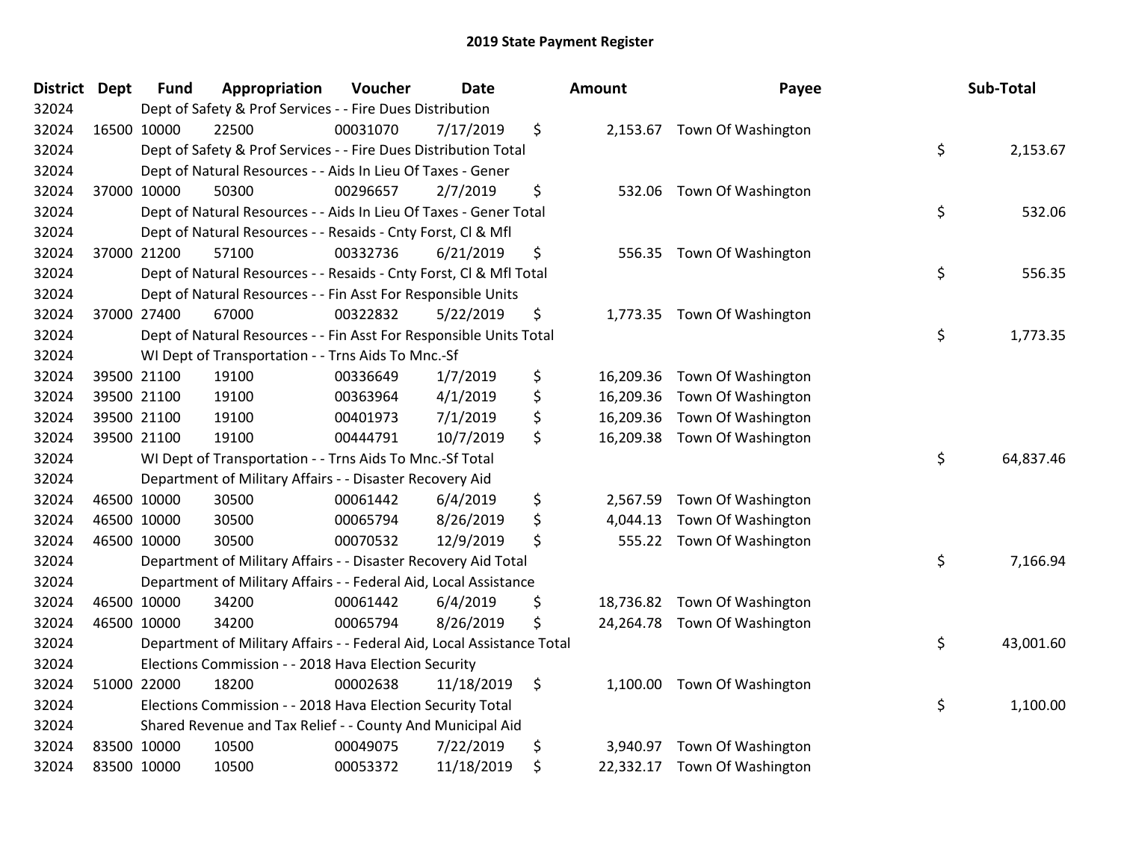| <b>District Dept</b> | <b>Fund</b> | Appropriation                                                          | Voucher  | <b>Date</b> | <b>Amount</b>   | Payee                        | Sub-Total       |
|----------------------|-------------|------------------------------------------------------------------------|----------|-------------|-----------------|------------------------------|-----------------|
| 32024                |             | Dept of Safety & Prof Services - - Fire Dues Distribution              |          |             |                 |                              |                 |
| 32024                | 16500 10000 | 22500                                                                  | 00031070 | 7/17/2019   | \$              | 2,153.67 Town Of Washington  |                 |
| 32024                |             | Dept of Safety & Prof Services - - Fire Dues Distribution Total        |          |             |                 |                              | \$<br>2,153.67  |
| 32024                |             | Dept of Natural Resources - - Aids In Lieu Of Taxes - Gener            |          |             |                 |                              |                 |
| 32024                | 37000 10000 | 50300                                                                  | 00296657 | 2/7/2019    | \$<br>532.06    | Town Of Washington           |                 |
| 32024                |             | Dept of Natural Resources - - Aids In Lieu Of Taxes - Gener Total      |          |             |                 |                              | \$<br>532.06    |
| 32024                |             | Dept of Natural Resources - - Resaids - Cnty Forst, Cl & Mfl           |          |             |                 |                              |                 |
| 32024                | 37000 21200 | 57100                                                                  | 00332736 | 6/21/2019   | \$              | 556.35 Town Of Washington    |                 |
| 32024                |             | Dept of Natural Resources - - Resaids - Cnty Forst, Cl & Mfl Total     |          |             |                 |                              | \$<br>556.35    |
| 32024                |             | Dept of Natural Resources - - Fin Asst For Responsible Units           |          |             |                 |                              |                 |
| 32024                | 37000 27400 | 67000                                                                  | 00322832 | 5/22/2019   | \$              | 1,773.35 Town Of Washington  |                 |
| 32024                |             | Dept of Natural Resources - - Fin Asst For Responsible Units Total     |          |             |                 |                              | \$<br>1,773.35  |
| 32024                |             | WI Dept of Transportation - - Trns Aids To Mnc.-Sf                     |          |             |                 |                              |                 |
| 32024                | 39500 21100 | 19100                                                                  | 00336649 | 1/7/2019    | \$<br>16,209.36 | Town Of Washington           |                 |
| 32024                | 39500 21100 | 19100                                                                  | 00363964 | 4/1/2019    | \$<br>16,209.36 | Town Of Washington           |                 |
| 32024                | 39500 21100 | 19100                                                                  | 00401973 | 7/1/2019    | \$<br>16,209.36 | Town Of Washington           |                 |
| 32024                | 39500 21100 | 19100                                                                  | 00444791 | 10/7/2019   | \$<br>16,209.38 | Town Of Washington           |                 |
| 32024                |             | WI Dept of Transportation - - Trns Aids To Mnc.-Sf Total               |          |             |                 |                              | \$<br>64,837.46 |
| 32024                |             | Department of Military Affairs - - Disaster Recovery Aid               |          |             |                 |                              |                 |
| 32024                | 46500 10000 | 30500                                                                  | 00061442 | 6/4/2019    | \$<br>2,567.59  | Town Of Washington           |                 |
| 32024                | 46500 10000 | 30500                                                                  | 00065794 | 8/26/2019   | \$<br>4,044.13  | Town Of Washington           |                 |
| 32024                | 46500 10000 | 30500                                                                  | 00070532 | 12/9/2019   | \$              | 555.22 Town Of Washington    |                 |
| 32024                |             | Department of Military Affairs - - Disaster Recovery Aid Total         |          |             |                 |                              | \$<br>7,166.94  |
| 32024                |             | Department of Military Affairs - - Federal Aid, Local Assistance       |          |             |                 |                              |                 |
| 32024                | 46500 10000 | 34200                                                                  | 00061442 | 6/4/2019    | \$<br>18,736.82 | Town Of Washington           |                 |
| 32024                | 46500 10000 | 34200                                                                  | 00065794 | 8/26/2019   | \$              | 24,264.78 Town Of Washington |                 |
| 32024                |             | Department of Military Affairs - - Federal Aid, Local Assistance Total |          |             |                 |                              | \$<br>43,001.60 |
| 32024                |             | Elections Commission - - 2018 Hava Election Security                   |          |             |                 |                              |                 |
| 32024                | 51000 22000 | 18200                                                                  | 00002638 | 11/18/2019  | \$              | 1,100.00 Town Of Washington  |                 |
| 32024                |             | Elections Commission - - 2018 Hava Election Security Total             |          |             |                 |                              | \$<br>1,100.00  |
| 32024                |             | Shared Revenue and Tax Relief - - County And Municipal Aid             |          |             |                 |                              |                 |
| 32024                | 83500 10000 | 10500                                                                  | 00049075 | 7/22/2019   | \$              | 3,940.97 Town Of Washington  |                 |
| 32024                | 83500 10000 | 10500                                                                  | 00053372 | 11/18/2019  | \$              | 22,332.17 Town Of Washington |                 |
|                      |             |                                                                        |          |             |                 |                              |                 |

|                      | Payee                                                                                | Sub-Total       |
|----------------------|--------------------------------------------------------------------------------------|-----------------|
| 67                   | Town Of Washington                                                                   | \$<br>2,153.67  |
| 06                   | Town Of Washington                                                                   | \$<br>532.06    |
| 35                   | Town Of Washington                                                                   | \$<br>556.35    |
| 35                   | Town Of Washington                                                                   | \$<br>1,773.35  |
| 36<br>36<br>36<br>38 | Town Of Washington<br>Town Of Washington<br>Town Of Washington<br>Town Of Washington | \$<br>64,837.46 |
| 59<br>13<br>22       | Town Of Washington<br>Town Of Washington<br>Town Of Washington                       | \$<br>7,166.94  |
| 82<br>78             | Town Of Washington<br>Town Of Washington                                             | \$<br>43,001.60 |
| 00                   | Town Of Washington                                                                   | \$<br>1,100.00  |
| 97                   | Town Of Washington                                                                   |                 |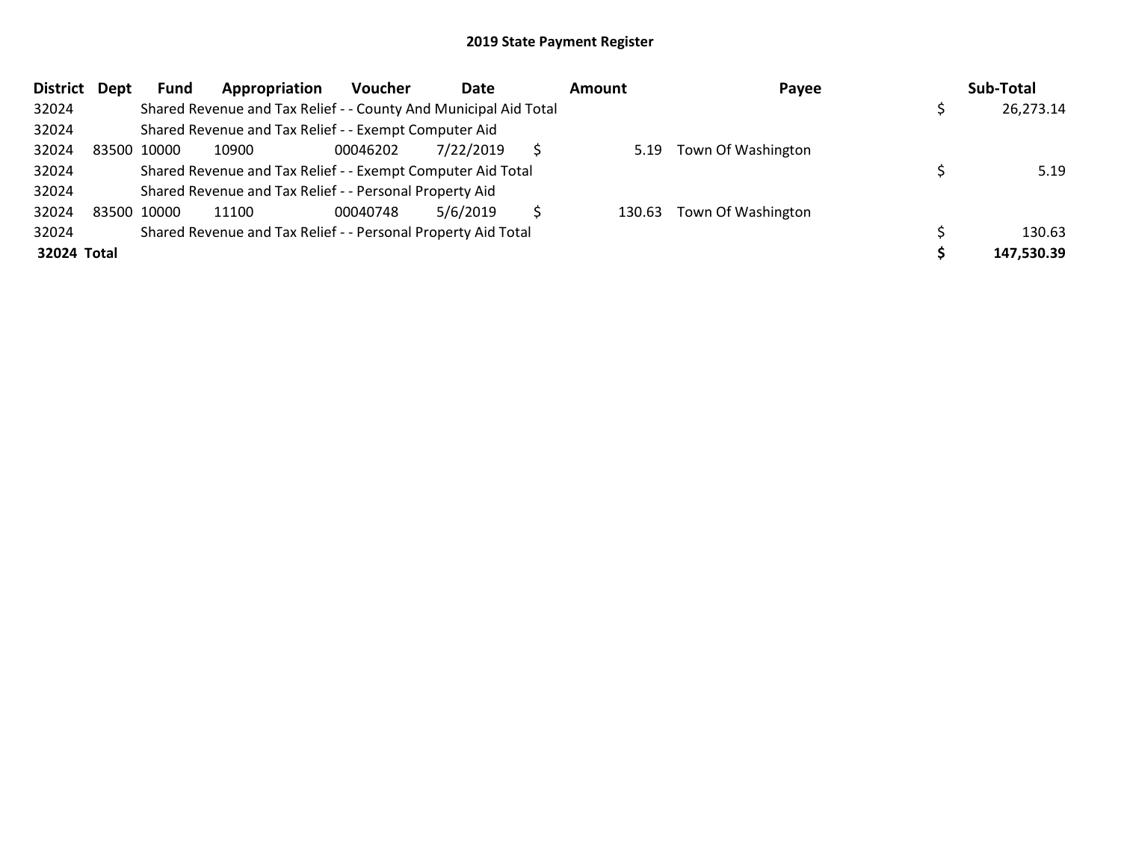| District Dept | <b>Fund</b> | Appropriation                                                    | Voucher  | Date      | Amount | Payee              | Sub-Total  |
|---------------|-------------|------------------------------------------------------------------|----------|-----------|--------|--------------------|------------|
| 32024         |             | Shared Revenue and Tax Relief - - County And Municipal Aid Total |          |           |        |                    | 26,273.14  |
| 32024         |             | Shared Revenue and Tax Relief - - Exempt Computer Aid            |          |           |        |                    |            |
| 32024         | 83500 10000 | 10900                                                            | 00046202 | 7/22/2019 | 5.19   | Town Of Washington |            |
| 32024         |             | Shared Revenue and Tax Relief - - Exempt Computer Aid Total      |          |           |        |                    | 5.19       |
| 32024         |             | Shared Revenue and Tax Relief - - Personal Property Aid          |          |           |        |                    |            |
| 32024         | 83500 10000 | 11100                                                            | 00040748 | 5/6/2019  | 130.63 | Town Of Washington |            |
| 32024         |             | Shared Revenue and Tax Relief - - Personal Property Aid Total    |          |           |        |                    | 130.63     |
| 32024 Total   |             |                                                                  |          |           |        |                    | 147.530.39 |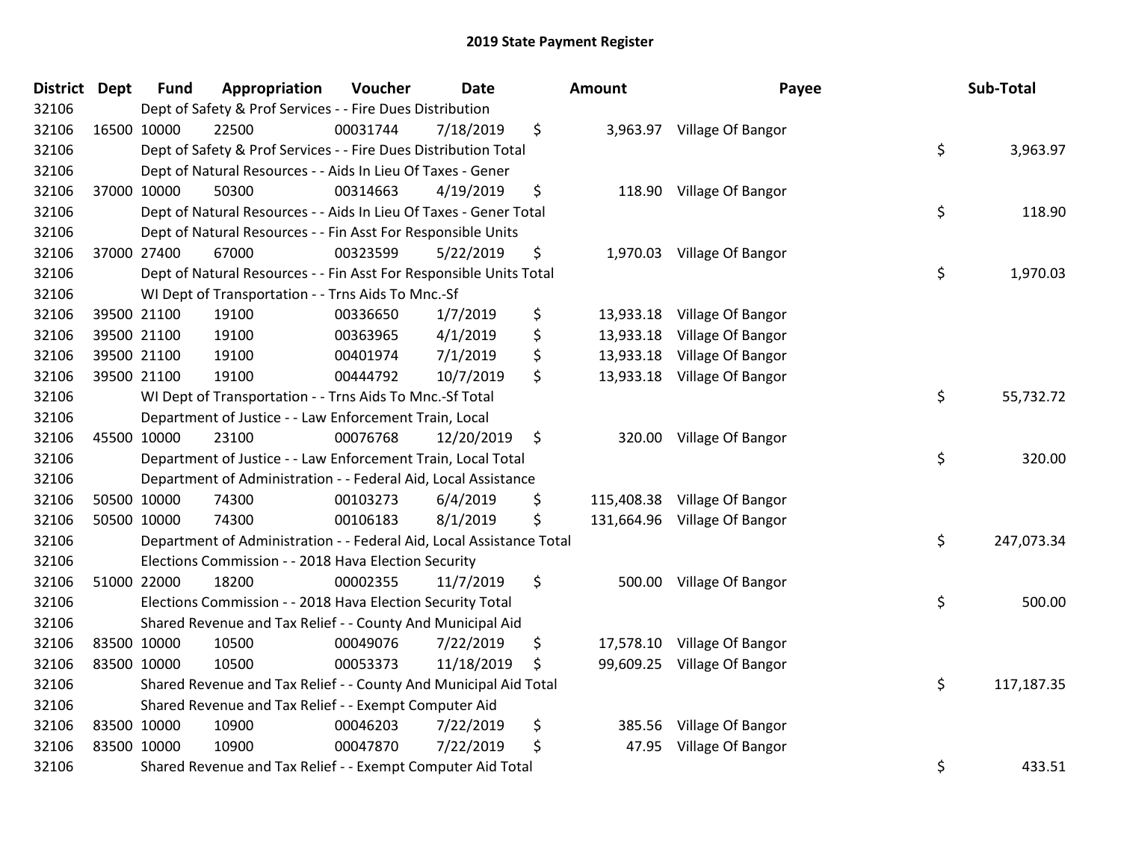| <b>District Dept</b> | <b>Fund</b> | Appropriation                                                        | Voucher  | <b>Date</b> | <b>Amount</b>   | Payee                        | Sub-Total        |
|----------------------|-------------|----------------------------------------------------------------------|----------|-------------|-----------------|------------------------------|------------------|
| 32106                |             | Dept of Safety & Prof Services - - Fire Dues Distribution            |          |             |                 |                              |                  |
| 32106                | 16500 10000 | 22500                                                                | 00031744 | 7/18/2019   | \$              | 3,963.97 Village Of Bangor   |                  |
| 32106                |             | Dept of Safety & Prof Services - - Fire Dues Distribution Total      |          |             |                 |                              | \$<br>3,963.97   |
| 32106                |             | Dept of Natural Resources - - Aids In Lieu Of Taxes - Gener          |          |             |                 |                              |                  |
| 32106                | 37000 10000 | 50300                                                                | 00314663 | 4/19/2019   | \$              | 118.90 Village Of Bangor     |                  |
| 32106                |             | Dept of Natural Resources - - Aids In Lieu Of Taxes - Gener Total    |          |             |                 |                              | \$<br>118.90     |
| 32106                |             | Dept of Natural Resources - - Fin Asst For Responsible Units         |          |             |                 |                              |                  |
| 32106                | 37000 27400 | 67000                                                                | 00323599 | 5/22/2019   | \$              | 1,970.03 Village Of Bangor   |                  |
| 32106                |             | Dept of Natural Resources - - Fin Asst For Responsible Units Total   |          |             |                 |                              | \$<br>1,970.03   |
| 32106                |             | WI Dept of Transportation - - Trns Aids To Mnc.-Sf                   |          |             |                 |                              |                  |
| 32106                | 39500 21100 | 19100                                                                | 00336650 | 1/7/2019    | \$              | 13,933.18 Village Of Bangor  |                  |
| 32106                | 39500 21100 | 19100                                                                | 00363965 | 4/1/2019    | \$<br>13,933.18 | Village Of Bangor            |                  |
| 32106                | 39500 21100 | 19100                                                                | 00401974 | 7/1/2019    | \$              | 13,933.18 Village Of Bangor  |                  |
| 32106                | 39500 21100 | 19100                                                                | 00444792 | 10/7/2019   | \$              | 13,933.18 Village Of Bangor  |                  |
| 32106                |             | WI Dept of Transportation - - Trns Aids To Mnc.-Sf Total             |          |             |                 |                              | \$<br>55,732.72  |
| 32106                |             | Department of Justice - - Law Enforcement Train, Local               |          |             |                 |                              |                  |
| 32106                | 45500 10000 | 23100                                                                | 00076768 | 12/20/2019  | \$<br>320.00    | Village Of Bangor            |                  |
| 32106                |             | Department of Justice - - Law Enforcement Train, Local Total         |          |             |                 |                              | \$<br>320.00     |
| 32106                |             | Department of Administration - - Federal Aid, Local Assistance       |          |             |                 |                              |                  |
| 32106                | 50500 10000 | 74300                                                                | 00103273 | 6/4/2019    | \$              | 115,408.38 Village Of Bangor |                  |
| 32106                | 50500 10000 | 74300                                                                | 00106183 | 8/1/2019    | \$              | 131,664.96 Village Of Bangor |                  |
| 32106                |             | Department of Administration - - Federal Aid, Local Assistance Total |          |             |                 |                              | \$<br>247,073.34 |
| 32106                |             | Elections Commission - - 2018 Hava Election Security                 |          |             |                 |                              |                  |
| 32106                | 51000 22000 | 18200                                                                | 00002355 | 11/7/2019   | \$              | 500.00 Village Of Bangor     |                  |
| 32106                |             | Elections Commission - - 2018 Hava Election Security Total           |          |             |                 |                              | \$<br>500.00     |
| 32106                |             | Shared Revenue and Tax Relief - - County And Municipal Aid           |          |             |                 |                              |                  |
| 32106                | 83500 10000 | 10500                                                                | 00049076 | 7/22/2019   | \$<br>17,578.10 | Village Of Bangor            |                  |
| 32106                | 83500 10000 | 10500                                                                | 00053373 | 11/18/2019  | \$              | 99,609.25 Village Of Bangor  |                  |
| 32106                |             | Shared Revenue and Tax Relief - - County And Municipal Aid Total     |          |             |                 |                              | \$<br>117,187.35 |
| 32106                |             | Shared Revenue and Tax Relief - - Exempt Computer Aid                |          |             |                 |                              |                  |
| 32106                | 83500 10000 | 10900                                                                | 00046203 | 7/22/2019   | \$<br>385.56    | Village Of Bangor            |                  |
| 32106                | 83500 10000 | 10900                                                                | 00047870 | 7/22/2019   | \$<br>47.95     | Village Of Bangor            |                  |
| 32106                |             | Shared Revenue and Tax Relief - - Exempt Computer Aid Total          |          |             |                 |                              | \$<br>433.51     |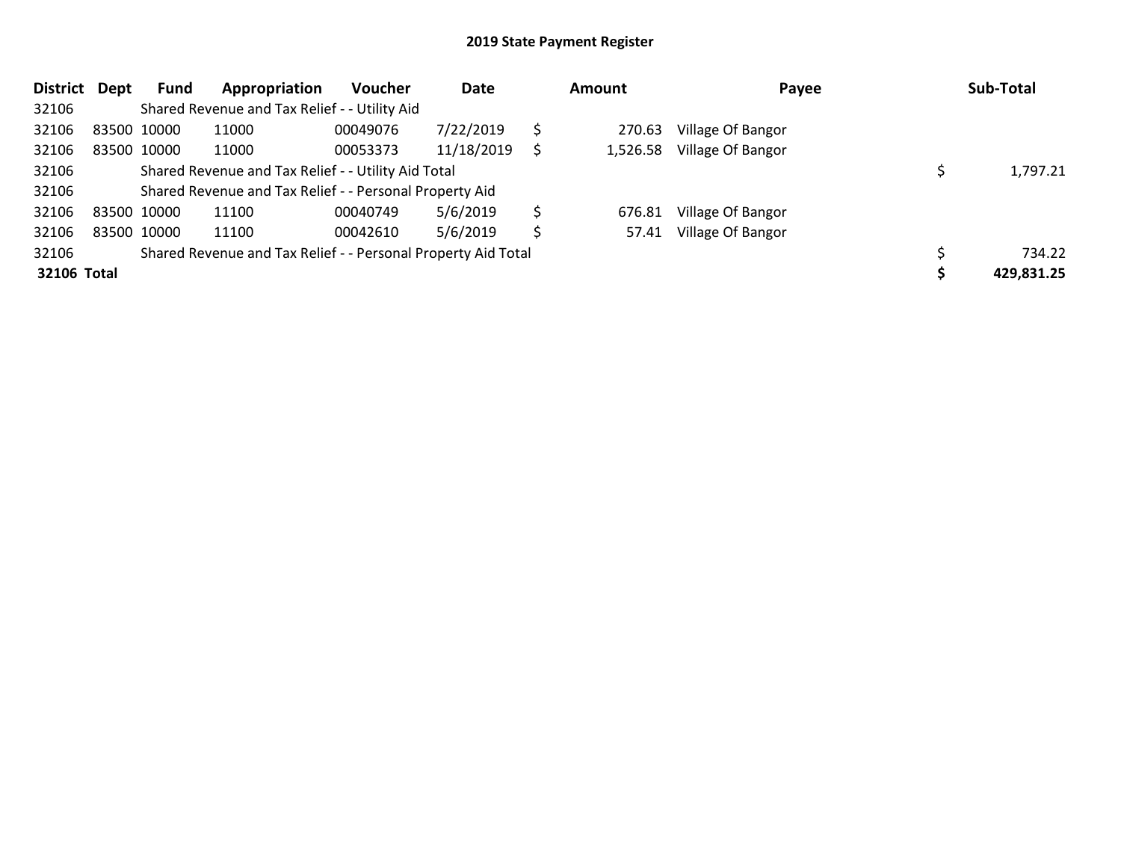| District    | Dept | Fund        | Appropriation                                                 | <b>Voucher</b> | Date       | Amount |          | Payee             |  | Sub-Total  |  |
|-------------|------|-------------|---------------------------------------------------------------|----------------|------------|--------|----------|-------------------|--|------------|--|
| 32106       |      |             | Shared Revenue and Tax Relief - - Utility Aid                 |                |            |        |          |                   |  |            |  |
| 32106       |      | 83500 10000 | 11000                                                         | 00049076       | 7/22/2019  |        | 270.63   | Village Of Bangor |  |            |  |
| 32106       |      | 83500 10000 | 11000                                                         | 00053373       | 11/18/2019 | S      | 1,526.58 | Village Of Bangor |  |            |  |
| 32106       |      |             | Shared Revenue and Tax Relief - - Utility Aid Total           |                |            |        |          |                   |  | 1,797.21   |  |
| 32106       |      |             | Shared Revenue and Tax Relief - - Personal Property Aid       |                |            |        |          |                   |  |            |  |
| 32106       |      | 83500 10000 | 11100                                                         | 00040749       | 5/6/2019   | Ś      | 676.81   | Village Of Bangor |  |            |  |
| 32106       |      | 83500 10000 | 11100                                                         | 00042610       | 5/6/2019   | Ś      | 57.41    | Village Of Bangor |  |            |  |
| 32106       |      |             | Shared Revenue and Tax Relief - - Personal Property Aid Total |                |            |        |          |                   |  | 734.22     |  |
| 32106 Total |      |             |                                                               |                |            |        |          |                   |  | 429,831.25 |  |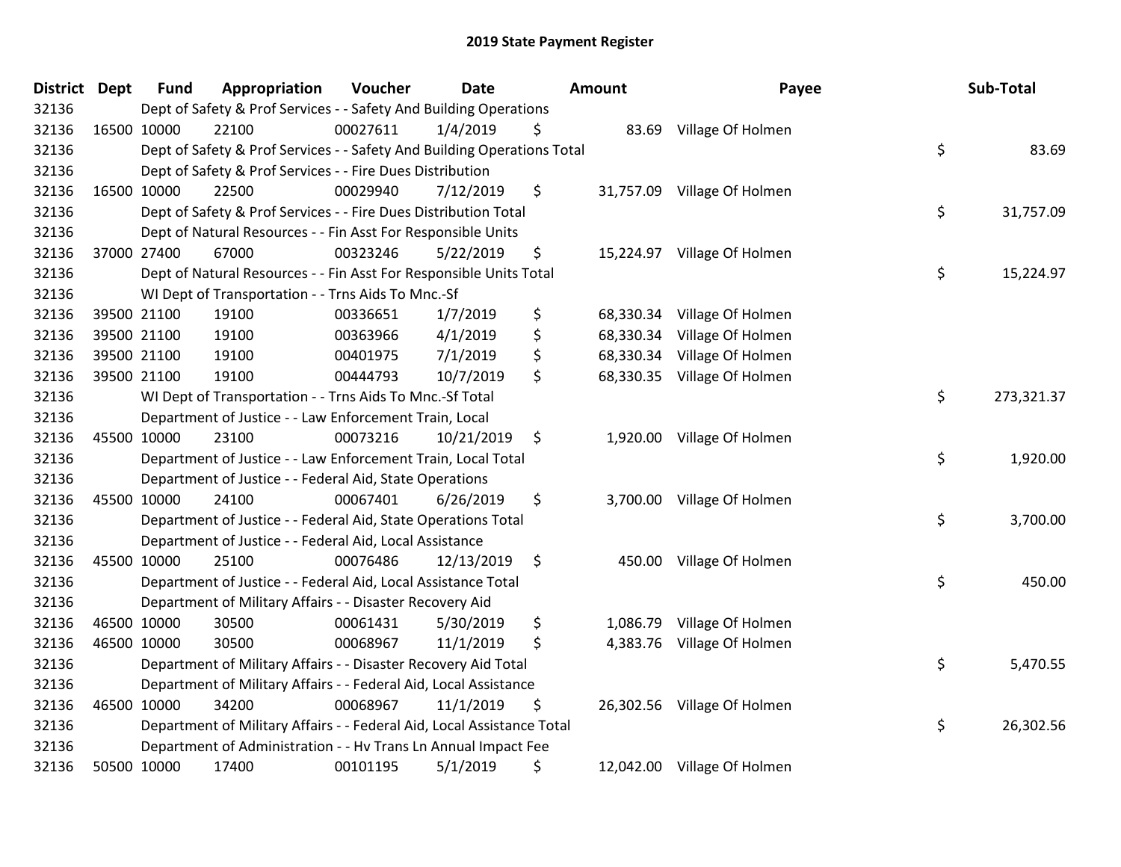| District Dept | <b>Fund</b> | Appropriation                                                           | Voucher  | <b>Date</b> |      | <b>Amount</b> | Payee                       | Sub-Total        |
|---------------|-------------|-------------------------------------------------------------------------|----------|-------------|------|---------------|-----------------------------|------------------|
| 32136         |             | Dept of Safety & Prof Services - - Safety And Building Operations       |          |             |      |               |                             |                  |
| 32136         | 16500 10000 | 22100                                                                   | 00027611 | 1/4/2019    | \$   |               | 83.69 Village Of Holmen     |                  |
| 32136         |             | Dept of Safety & Prof Services - - Safety And Building Operations Total |          |             |      |               |                             | \$<br>83.69      |
| 32136         |             | Dept of Safety & Prof Services - - Fire Dues Distribution               |          |             |      |               |                             |                  |
| 32136         | 16500 10000 | 22500                                                                   | 00029940 | 7/12/2019   | \$   | 31,757.09     | Village Of Holmen           |                  |
| 32136         |             | Dept of Safety & Prof Services - - Fire Dues Distribution Total         |          |             |      |               |                             | \$<br>31,757.09  |
| 32136         |             | Dept of Natural Resources - - Fin Asst For Responsible Units            |          |             |      |               |                             |                  |
| 32136         | 37000 27400 | 67000                                                                   | 00323246 | 5/22/2019   | \$   | 15,224.97     | Village Of Holmen           |                  |
| 32136         |             | Dept of Natural Resources - - Fin Asst For Responsible Units Total      |          |             |      |               |                             | \$<br>15,224.97  |
| 32136         |             | WI Dept of Transportation - - Trns Aids To Mnc.-Sf                      |          |             |      |               |                             |                  |
| 32136         | 39500 21100 | 19100                                                                   | 00336651 | 1/7/2019    | \$   | 68,330.34     | Village Of Holmen           |                  |
| 32136         | 39500 21100 | 19100                                                                   | 00363966 | 4/1/2019    | \$   | 68,330.34     | Village Of Holmen           |                  |
| 32136         | 39500 21100 | 19100                                                                   | 00401975 | 7/1/2019    | \$   | 68,330.34     | Village Of Holmen           |                  |
| 32136         | 39500 21100 | 19100                                                                   | 00444793 | 10/7/2019   | \$   |               | 68,330.35 Village Of Holmen |                  |
| 32136         |             | WI Dept of Transportation - - Trns Aids To Mnc.-Sf Total                |          |             |      |               |                             | \$<br>273,321.37 |
| 32136         |             | Department of Justice - - Law Enforcement Train, Local                  |          |             |      |               |                             |                  |
| 32136         | 45500 10000 | 23100                                                                   | 00073216 | 10/21/2019  | \$   | 1,920.00      | Village Of Holmen           |                  |
| 32136         |             | Department of Justice - - Law Enforcement Train, Local Total            |          |             |      |               |                             | \$<br>1,920.00   |
| 32136         |             | Department of Justice - - Federal Aid, State Operations                 |          |             |      |               |                             |                  |
| 32136         | 45500 10000 | 24100                                                                   | 00067401 | 6/26/2019   | \$   |               | 3,700.00 Village Of Holmen  |                  |
| 32136         |             | Department of Justice - - Federal Aid, State Operations Total           |          |             |      |               |                             | \$<br>3,700.00   |
| 32136         |             | Department of Justice - - Federal Aid, Local Assistance                 |          |             |      |               |                             |                  |
| 32136         | 45500 10000 | 25100                                                                   | 00076486 | 12/13/2019  | - \$ |               | 450.00 Village Of Holmen    |                  |
| 32136         |             | Department of Justice - - Federal Aid, Local Assistance Total           |          |             |      |               |                             | \$<br>450.00     |
| 32136         |             | Department of Military Affairs - - Disaster Recovery Aid                |          |             |      |               |                             |                  |
| 32136         | 46500 10000 | 30500                                                                   | 00061431 | 5/30/2019   | \$   | 1,086.79      | Village Of Holmen           |                  |
| 32136         | 46500 10000 | 30500                                                                   | 00068967 | 11/1/2019   | \$   | 4,383.76      | Village Of Holmen           |                  |
| 32136         |             | Department of Military Affairs - - Disaster Recovery Aid Total          |          |             |      |               |                             | \$<br>5,470.55   |
| 32136         |             | Department of Military Affairs - - Federal Aid, Local Assistance        |          |             |      |               |                             |                  |
| 32136         | 46500 10000 | 34200                                                                   | 00068967 | 11/1/2019   | \$   |               | 26,302.56 Village Of Holmen |                  |
| 32136         |             | Department of Military Affairs - - Federal Aid, Local Assistance Total  |          |             |      |               |                             | \$<br>26,302.56  |
| 32136         |             | Department of Administration - - Hv Trans Ln Annual Impact Fee          |          |             |      |               |                             |                  |
| 32136         | 50500 10000 | 17400                                                                   | 00101195 | 5/1/2019    | \$   |               | 12,042.00 Village Of Holmen |                  |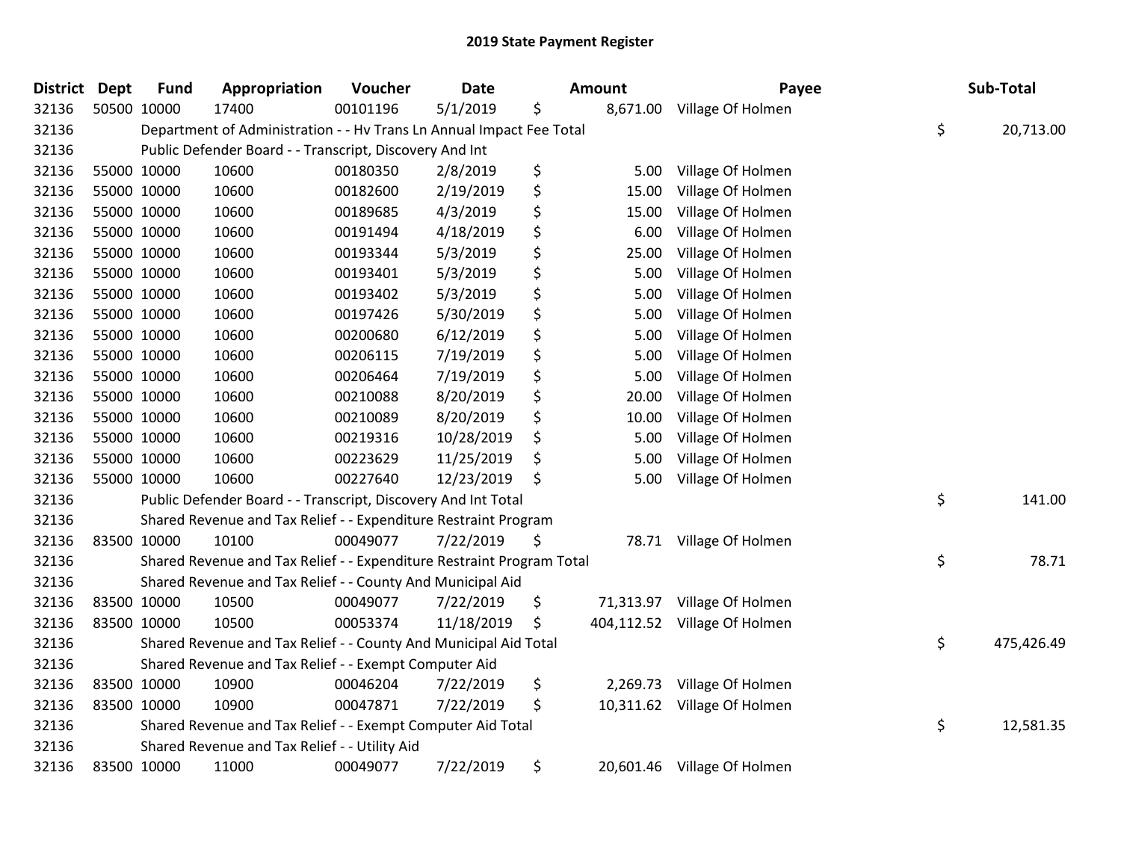| <b>District Dept</b> | <b>Fund</b> | Appropriation                                                         | Voucher  | <b>Date</b> | Amount           | Payee                       | Sub-Total        |
|----------------------|-------------|-----------------------------------------------------------------------|----------|-------------|------------------|-----------------------------|------------------|
| 32136                | 50500 10000 | 17400                                                                 | 00101196 | 5/1/2019    | \$               | 8,671.00 Village Of Holmen  |                  |
| 32136                |             | Department of Administration - - Hv Trans Ln Annual Impact Fee Total  |          |             |                  |                             | \$<br>20,713.00  |
| 32136                |             | Public Defender Board - - Transcript, Discovery And Int               |          |             |                  |                             |                  |
| 32136                | 55000 10000 | 10600                                                                 | 00180350 | 2/8/2019    | \$<br>5.00       | Village Of Holmen           |                  |
| 32136                | 55000 10000 | 10600                                                                 | 00182600 | 2/19/2019   | \$<br>15.00      | Village Of Holmen           |                  |
| 32136                | 55000 10000 | 10600                                                                 | 00189685 | 4/3/2019    | \$<br>15.00      | Village Of Holmen           |                  |
| 32136                | 55000 10000 | 10600                                                                 | 00191494 | 4/18/2019   | \$<br>6.00       | Village Of Holmen           |                  |
| 32136                | 55000 10000 | 10600                                                                 | 00193344 | 5/3/2019    | \$<br>25.00      | Village Of Holmen           |                  |
| 32136                | 55000 10000 | 10600                                                                 | 00193401 | 5/3/2019    | \$<br>5.00       | Village Of Holmen           |                  |
| 32136                | 55000 10000 | 10600                                                                 | 00193402 | 5/3/2019    | \$<br>5.00       | Village Of Holmen           |                  |
| 32136                | 55000 10000 | 10600                                                                 | 00197426 | 5/30/2019   | \$<br>5.00       | Village Of Holmen           |                  |
| 32136                | 55000 10000 | 10600                                                                 | 00200680 | 6/12/2019   | \$<br>5.00       | Village Of Holmen           |                  |
| 32136                | 55000 10000 | 10600                                                                 | 00206115 | 7/19/2019   | \$<br>5.00       | Village Of Holmen           |                  |
| 32136                | 55000 10000 | 10600                                                                 | 00206464 | 7/19/2019   | \$<br>5.00       | Village Of Holmen           |                  |
| 32136                | 55000 10000 | 10600                                                                 | 00210088 | 8/20/2019   | \$<br>20.00      | Village Of Holmen           |                  |
| 32136                | 55000 10000 | 10600                                                                 | 00210089 | 8/20/2019   | \$<br>10.00      | Village Of Holmen           |                  |
| 32136                | 55000 10000 | 10600                                                                 | 00219316 | 10/28/2019  | \$<br>5.00       | Village Of Holmen           |                  |
| 32136                | 55000 10000 | 10600                                                                 | 00223629 | 11/25/2019  | \$<br>5.00       | Village Of Holmen           |                  |
| 32136                | 55000 10000 | 10600                                                                 | 00227640 | 12/23/2019  | \$<br>5.00       | Village Of Holmen           |                  |
| 32136                |             | Public Defender Board - - Transcript, Discovery And Int Total         |          |             |                  |                             | \$<br>141.00     |
| 32136                |             | Shared Revenue and Tax Relief - - Expenditure Restraint Program       |          |             |                  |                             |                  |
| 32136                | 83500 10000 | 10100                                                                 | 00049077 | 7/22/2019   | \$<br>78.71      | Village Of Holmen           |                  |
| 32136                |             | Shared Revenue and Tax Relief - - Expenditure Restraint Program Total |          |             |                  |                             | \$<br>78.71      |
| 32136                |             | Shared Revenue and Tax Relief - - County And Municipal Aid            |          |             |                  |                             |                  |
| 32136                | 83500 10000 | 10500                                                                 | 00049077 | 7/22/2019   | \$<br>71,313.97  | Village Of Holmen           |                  |
| 32136                | 83500 10000 | 10500                                                                 | 00053374 | 11/18/2019  | \$<br>404,112.52 | Village Of Holmen           |                  |
| 32136                |             | Shared Revenue and Tax Relief - - County And Municipal Aid Total      |          |             |                  |                             | \$<br>475,426.49 |
| 32136                |             | Shared Revenue and Tax Relief - - Exempt Computer Aid                 |          |             |                  |                             |                  |
| 32136                | 83500 10000 | 10900                                                                 | 00046204 | 7/22/2019   | \$<br>2,269.73   | Village Of Holmen           |                  |
| 32136                | 83500 10000 | 10900                                                                 | 00047871 | 7/22/2019   | \$<br>10,311.62  | Village Of Holmen           |                  |
| 32136                |             | Shared Revenue and Tax Relief - - Exempt Computer Aid Total           |          |             |                  |                             | \$<br>12,581.35  |
| 32136                |             | Shared Revenue and Tax Relief - - Utility Aid                         |          |             |                  |                             |                  |
| 32136                | 83500 10000 | 11000                                                                 | 00049077 | 7/22/2019   | \$               | 20,601.46 Village Of Holmen |                  |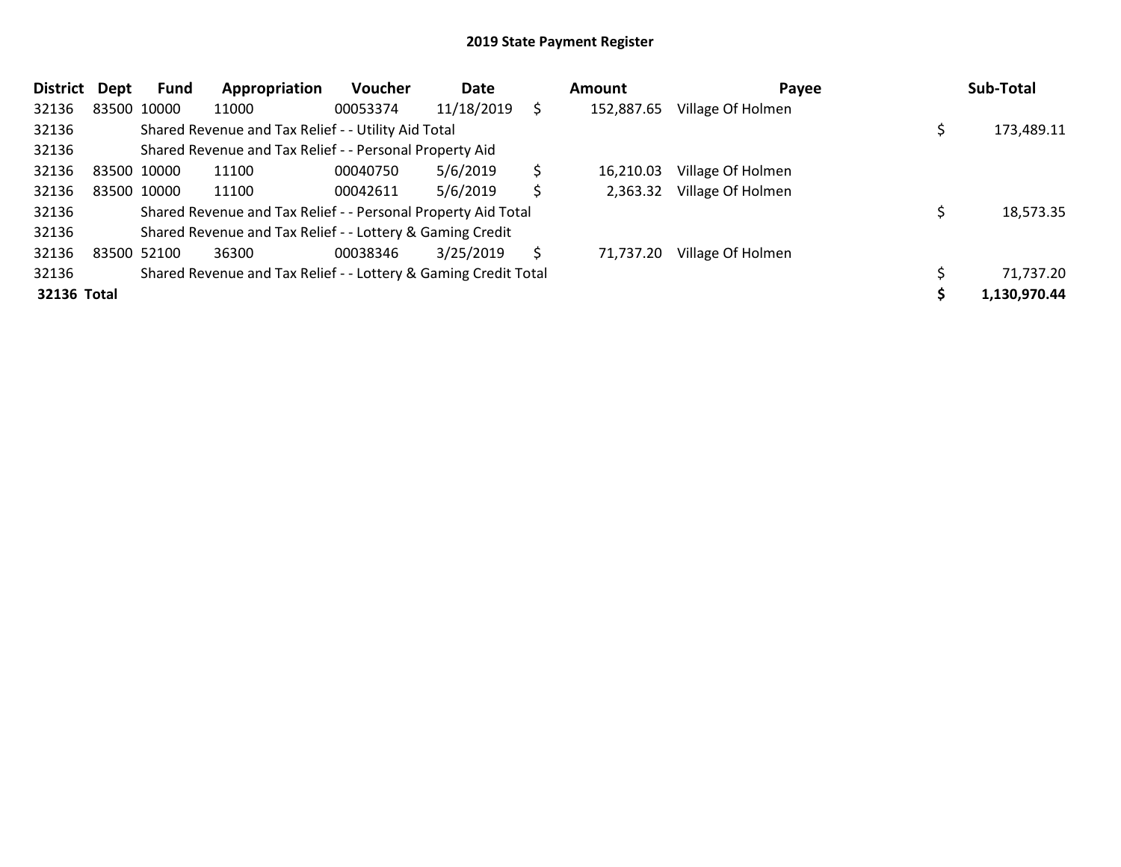| <b>District</b> | <b>Dept</b> | Fund        | Appropriation                                                   | <b>Voucher</b> | Date       |    | Amount     | Payee             | Sub-Total    |
|-----------------|-------------|-------------|-----------------------------------------------------------------|----------------|------------|----|------------|-------------------|--------------|
| 32136           |             | 83500 10000 | 11000                                                           | 00053374       | 11/18/2019 |    | 152,887.65 | Village Of Holmen |              |
| 32136           |             |             | Shared Revenue and Tax Relief - - Utility Aid Total             |                |            |    |            |                   | 173,489.11   |
| 32136           |             |             | Shared Revenue and Tax Relief - - Personal Property Aid         |                |            |    |            |                   |              |
| 32136           |             | 83500 10000 | 11100                                                           | 00040750       | 5/6/2019   | \$ | 16,210.03  | Village Of Holmen |              |
| 32136           |             | 83500 10000 | 11100                                                           | 00042611       | 5/6/2019   | \$ | 2,363.32   | Village Of Holmen |              |
| 32136           |             |             | Shared Revenue and Tax Relief - - Personal Property Aid Total   |                |            |    |            |                   | 18,573.35    |
| 32136           |             |             | Shared Revenue and Tax Relief - - Lottery & Gaming Credit       |                |            |    |            |                   |              |
| 32136           |             | 83500 52100 | 36300                                                           | 00038346       | 3/25/2019  | S  | 71,737.20  | Village Of Holmen |              |
| 32136           |             |             | Shared Revenue and Tax Relief - - Lottery & Gaming Credit Total |                |            |    |            |                   | 71,737.20    |
| 32136 Total     |             |             |                                                                 |                |            |    |            |                   | 1,130,970.44 |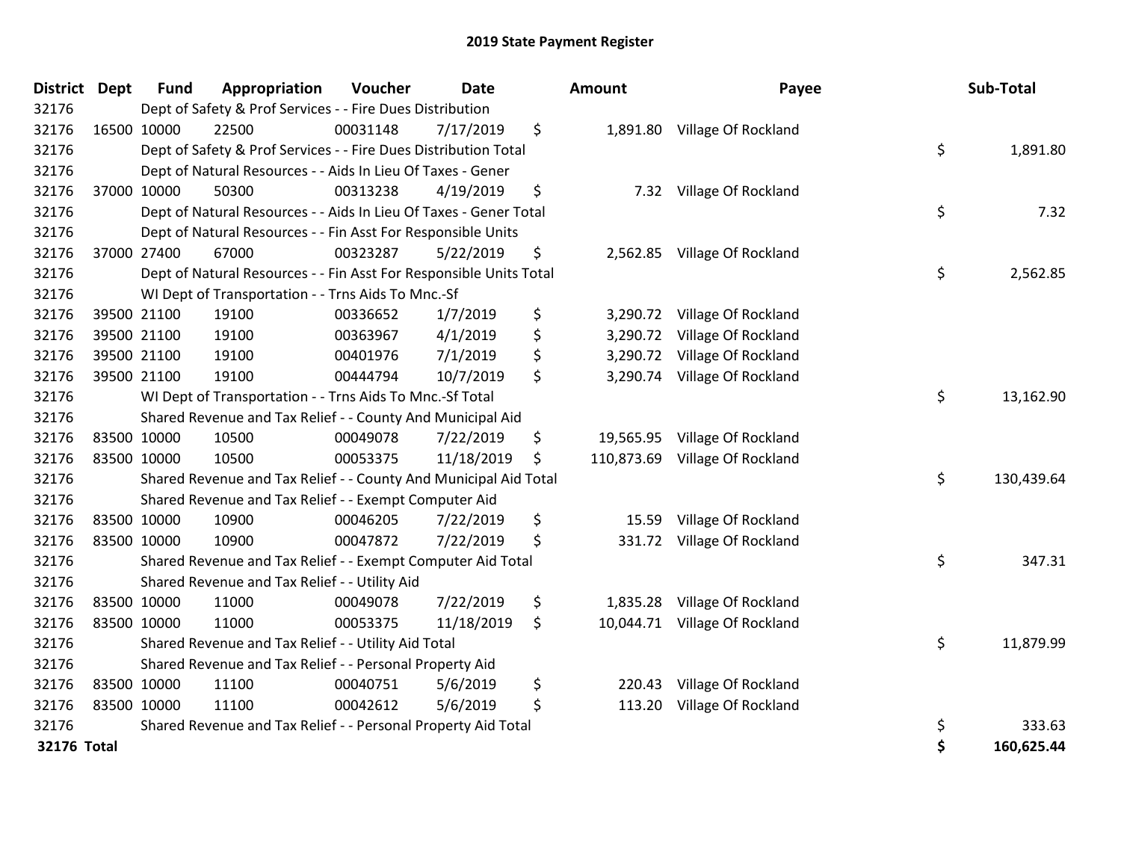| District Dept | <b>Fund</b> | Appropriation                                                      | <b>Voucher</b> | <b>Date</b> | Amount          | Payee                          | Sub-Total        |
|---------------|-------------|--------------------------------------------------------------------|----------------|-------------|-----------------|--------------------------------|------------------|
| 32176         |             | Dept of Safety & Prof Services - - Fire Dues Distribution          |                |             |                 |                                |                  |
| 32176         | 16500 10000 | 22500                                                              | 00031148       | 7/17/2019   | \$              | 1,891.80 Village Of Rockland   |                  |
| 32176         |             | Dept of Safety & Prof Services - - Fire Dues Distribution Total    |                |             |                 |                                | \$<br>1,891.80   |
| 32176         |             | Dept of Natural Resources - - Aids In Lieu Of Taxes - Gener        |                |             |                 |                                |                  |
| 32176         | 37000 10000 | 50300                                                              | 00313238       | 4/19/2019   | \$<br>7.32      | Village Of Rockland            |                  |
| 32176         |             | Dept of Natural Resources - - Aids In Lieu Of Taxes - Gener Total  |                |             |                 |                                | \$<br>7.32       |
| 32176         |             | Dept of Natural Resources - - Fin Asst For Responsible Units       |                |             |                 |                                |                  |
| 32176         | 37000 27400 | 67000                                                              | 00323287       | 5/22/2019   | \$              | 2,562.85 Village Of Rockland   |                  |
| 32176         |             | Dept of Natural Resources - - Fin Asst For Responsible Units Total |                |             |                 |                                | \$<br>2,562.85   |
| 32176         |             | WI Dept of Transportation - - Trns Aids To Mnc.-Sf                 |                |             |                 |                                |                  |
| 32176         | 39500 21100 | 19100                                                              | 00336652       | 1/7/2019    | \$<br>3,290.72  | Village Of Rockland            |                  |
| 32176         | 39500 21100 | 19100                                                              | 00363967       | 4/1/2019    | \$<br>3,290.72  | Village Of Rockland            |                  |
| 32176         | 39500 21100 | 19100                                                              | 00401976       | 7/1/2019    | \$<br>3,290.72  | Village Of Rockland            |                  |
| 32176         | 39500 21100 | 19100                                                              | 00444794       | 10/7/2019   | \$              | 3,290.74 Village Of Rockland   |                  |
| 32176         |             | WI Dept of Transportation - - Trns Aids To Mnc.-Sf Total           |                |             |                 |                                | \$<br>13,162.90  |
| 32176         |             | Shared Revenue and Tax Relief - - County And Municipal Aid         |                |             |                 |                                |                  |
| 32176         | 83500 10000 | 10500                                                              | 00049078       | 7/22/2019   | \$              | 19,565.95 Village Of Rockland  |                  |
| 32176         | 83500 10000 | 10500                                                              | 00053375       | 11/18/2019  | \$              | 110,873.69 Village Of Rockland |                  |
| 32176         |             | Shared Revenue and Tax Relief - - County And Municipal Aid Total   |                |             |                 |                                | \$<br>130,439.64 |
| 32176         |             | Shared Revenue and Tax Relief - - Exempt Computer Aid              |                |             |                 |                                |                  |
| 32176         | 83500 10000 | 10900                                                              | 00046205       | 7/22/2019   | \$<br>15.59     | Village Of Rockland            |                  |
| 32176         | 83500 10000 | 10900                                                              | 00047872       | 7/22/2019   | \$              | 331.72 Village Of Rockland     |                  |
| 32176         |             | Shared Revenue and Tax Relief - - Exempt Computer Aid Total        |                |             |                 |                                | \$<br>347.31     |
| 32176         |             | Shared Revenue and Tax Relief - - Utility Aid                      |                |             |                 |                                |                  |
| 32176         | 83500 10000 | 11000                                                              | 00049078       | 7/22/2019   | \$              | 1,835.28 Village Of Rockland   |                  |
| 32176         | 83500 10000 | 11000                                                              | 00053375       | 11/18/2019  | \$<br>10,044.71 | Village Of Rockland            |                  |
| 32176         |             | Shared Revenue and Tax Relief - - Utility Aid Total                |                |             |                 |                                | \$<br>11,879.99  |
| 32176         |             | Shared Revenue and Tax Relief - - Personal Property Aid            |                |             |                 |                                |                  |
| 32176         | 83500 10000 | 11100                                                              | 00040751       | 5/6/2019    | \$<br>220.43    | Village Of Rockland            |                  |
| 32176         | 83500 10000 | 11100                                                              | 00042612       | 5/6/2019    | \$<br>113.20    | Village Of Rockland            |                  |
| 32176         |             | Shared Revenue and Tax Relief - - Personal Property Aid Total      |                |             |                 |                                | \$<br>333.63     |
| 32176 Total   |             |                                                                    |                |             |                 |                                | \$<br>160,625.44 |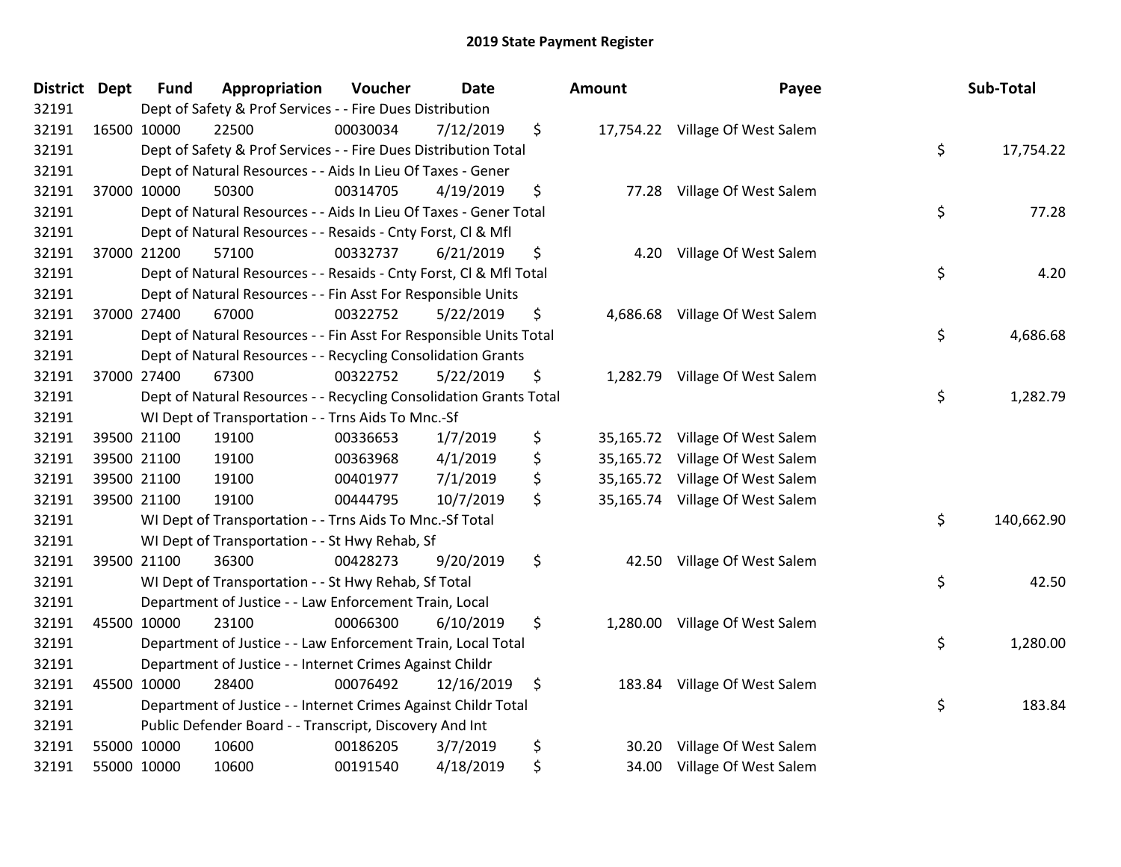| District Dept | <b>Fund</b> | Appropriation                                                      | Voucher  | <b>Date</b> | <b>Amount</b>   | Payee                           | Sub-Total        |
|---------------|-------------|--------------------------------------------------------------------|----------|-------------|-----------------|---------------------------------|------------------|
| 32191         |             | Dept of Safety & Prof Services - - Fire Dues Distribution          |          |             |                 |                                 |                  |
| 32191         | 16500 10000 | 22500                                                              | 00030034 | 7/12/2019   | \$              | 17,754.22 Village Of West Salem |                  |
| 32191         |             | Dept of Safety & Prof Services - - Fire Dues Distribution Total    |          |             |                 |                                 | \$<br>17,754.22  |
| 32191         |             | Dept of Natural Resources - - Aids In Lieu Of Taxes - Gener        |          |             |                 |                                 |                  |
| 32191         | 37000 10000 | 50300                                                              | 00314705 | 4/19/2019   | \$<br>77.28     | Village Of West Salem           |                  |
| 32191         |             | Dept of Natural Resources - - Aids In Lieu Of Taxes - Gener Total  |          |             |                 |                                 | \$<br>77.28      |
| 32191         |             | Dept of Natural Resources - - Resaids - Cnty Forst, Cl & Mfl       |          |             |                 |                                 |                  |
| 32191         | 37000 21200 | 57100                                                              | 00332737 | 6/21/2019   | \$<br>4.20      | Village Of West Salem           |                  |
| 32191         |             | Dept of Natural Resources - - Resaids - Cnty Forst, Cl & Mfl Total |          |             |                 |                                 | \$<br>4.20       |
| 32191         |             | Dept of Natural Resources - - Fin Asst For Responsible Units       |          |             |                 |                                 |                  |
| 32191         | 37000 27400 | 67000                                                              | 00322752 | 5/22/2019   | \$<br>4,686.68  | Village Of West Salem           |                  |
| 32191         |             | Dept of Natural Resources - - Fin Asst For Responsible Units Total |          |             |                 |                                 | \$<br>4,686.68   |
| 32191         |             | Dept of Natural Resources - - Recycling Consolidation Grants       |          |             |                 |                                 |                  |
| 32191         | 37000 27400 | 67300                                                              | 00322752 | 5/22/2019   | \$              | 1,282.79 Village Of West Salem  |                  |
| 32191         |             | Dept of Natural Resources - - Recycling Consolidation Grants Total |          |             |                 |                                 | \$<br>1,282.79   |
| 32191         |             | WI Dept of Transportation - - Trns Aids To Mnc.-Sf                 |          |             |                 |                                 |                  |
| 32191         | 39500 21100 | 19100                                                              | 00336653 | 1/7/2019    | \$<br>35,165.72 | Village Of West Salem           |                  |
| 32191         | 39500 21100 | 19100                                                              | 00363968 | 4/1/2019    | \$<br>35,165.72 | Village Of West Salem           |                  |
| 32191         | 39500 21100 | 19100                                                              | 00401977 | 7/1/2019    | \$<br>35,165.72 | Village Of West Salem           |                  |
| 32191         | 39500 21100 | 19100                                                              | 00444795 | 10/7/2019   | \$              | 35,165.74 Village Of West Salem |                  |
| 32191         |             | WI Dept of Transportation - - Trns Aids To Mnc.-Sf Total           |          |             |                 |                                 | \$<br>140,662.90 |
| 32191         |             | WI Dept of Transportation - - St Hwy Rehab, Sf                     |          |             |                 |                                 |                  |
| 32191         | 39500 21100 | 36300                                                              | 00428273 | 9/20/2019   | \$<br>42.50     | Village Of West Salem           |                  |
| 32191         |             | WI Dept of Transportation - - St Hwy Rehab, Sf Total               |          |             |                 |                                 | \$<br>42.50      |
| 32191         |             | Department of Justice - - Law Enforcement Train, Local             |          |             |                 |                                 |                  |
| 32191         | 45500 10000 | 23100                                                              | 00066300 | 6/10/2019   | \$<br>1,280.00  | Village Of West Salem           |                  |
| 32191         |             | Department of Justice - - Law Enforcement Train, Local Total       |          |             |                 |                                 | \$<br>1,280.00   |
| 32191         |             | Department of Justice - - Internet Crimes Against Childr           |          |             |                 |                                 |                  |
| 32191         | 45500 10000 | 28400                                                              | 00076492 | 12/16/2019  | \$              | 183.84 Village Of West Salem    |                  |
| 32191         |             | Department of Justice - - Internet Crimes Against Childr Total     |          |             |                 |                                 | \$<br>183.84     |
| 32191         |             | Public Defender Board - - Transcript, Discovery And Int            |          |             |                 |                                 |                  |
| 32191         | 55000 10000 | 10600                                                              | 00186205 | 3/7/2019    | \$<br>30.20     | Village Of West Salem           |                  |
| 32191         | 55000 10000 | 10600                                                              | 00191540 | 4/18/2019   | \$<br>34.00     | Village Of West Salem           |                  |

| unt                                              | Payee                                                                                            | Sub-Total        |
|--------------------------------------------------|--------------------------------------------------------------------------------------------------|------------------|
|                                                  | 17,754.22 Village Of West Salem                                                                  | \$<br>17,754.22  |
| 77.28                                            | Village Of West Salem                                                                            | \$<br>77.28      |
| 4.20                                             | Village Of West Salem                                                                            | \$<br>4.20       |
| 4,686.68                                         | Village Of West Salem                                                                            | \$<br>4,686.68   |
| 1,282.79                                         | Village Of West Salem                                                                            | \$<br>1,282.79   |
| 35,165.72<br>35,165.72<br>35,165.72<br>35,165.74 | Village Of West Salem<br>Village Of West Salem<br>Village Of West Salem<br>Village Of West Salem |                  |
|                                                  |                                                                                                  | \$<br>140,662.90 |
| 42.50                                            | Village Of West Salem                                                                            | \$<br>42.50      |
| 1,280.00                                         | Village Of West Salem                                                                            | \$<br>1,280.00   |
| 183.84                                           | Village Of West Salem                                                                            | \$<br>183.84     |
| 34.00                                            | 30.20 Village Of West Salem<br>Village Of West Salem                                             |                  |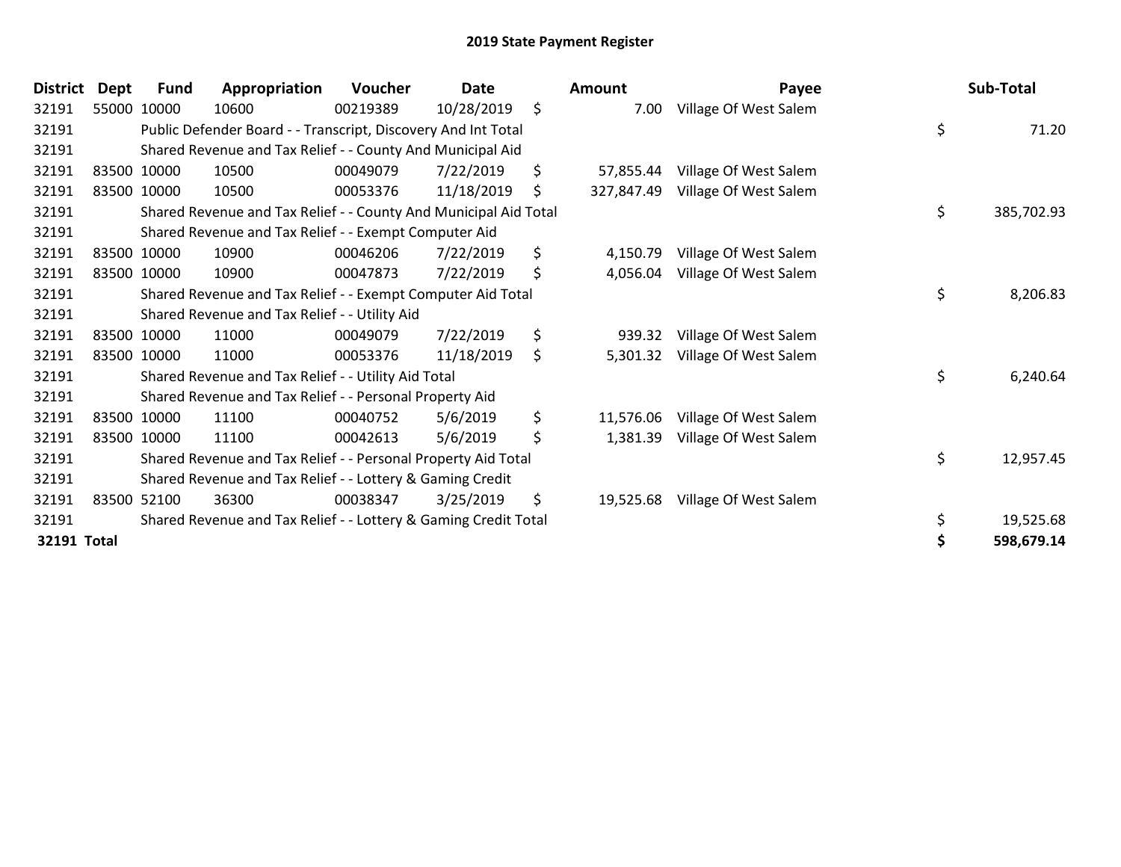| <b>District</b> | <b>Dept</b> | <b>Fund</b> | Appropriation                                                    | Voucher  | Date       | <b>Amount</b>    | Payee                 | Sub-Total        |
|-----------------|-------------|-------------|------------------------------------------------------------------|----------|------------|------------------|-----------------------|------------------|
| 32191           |             | 55000 10000 | 10600                                                            | 00219389 | 10/28/2019 | \$<br>7.00       | Village Of West Salem |                  |
| 32191           |             |             | Public Defender Board - - Transcript, Discovery And Int Total    |          |            |                  |                       | \$<br>71.20      |
| 32191           |             |             | Shared Revenue and Tax Relief - - County And Municipal Aid       |          |            |                  |                       |                  |
| 32191           |             | 83500 10000 | 10500                                                            | 00049079 | 7/22/2019  | \$<br>57.855.44  | Village Of West Salem |                  |
| 32191           |             | 83500 10000 | 10500                                                            | 00053376 | 11/18/2019 | \$<br>327,847.49 | Village Of West Salem |                  |
| 32191           |             |             | Shared Revenue and Tax Relief - - County And Municipal Aid Total |          |            |                  |                       | \$<br>385,702.93 |
| 32191           |             |             | Shared Revenue and Tax Relief - - Exempt Computer Aid            |          |            |                  |                       |                  |
| 32191           |             | 83500 10000 | 10900                                                            | 00046206 | 7/22/2019  | \$<br>4,150.79   | Village Of West Salem |                  |
| 32191           |             | 83500 10000 | 10900                                                            | 00047873 | 7/22/2019  | \$<br>4,056.04   | Village Of West Salem |                  |
| 32191           |             |             | Shared Revenue and Tax Relief - - Exempt Computer Aid Total      |          |            |                  |                       | \$<br>8,206.83   |
| 32191           |             |             | Shared Revenue and Tax Relief - - Utility Aid                    |          |            |                  |                       |                  |
| 32191           |             | 83500 10000 | 11000                                                            | 00049079 | 7/22/2019  | \$<br>939.32     | Village Of West Salem |                  |
| 32191           |             | 83500 10000 | 11000                                                            | 00053376 | 11/18/2019 | \$<br>5,301.32   | Village Of West Salem |                  |
| 32191           |             |             | Shared Revenue and Tax Relief - - Utility Aid Total              |          |            |                  |                       | \$<br>6,240.64   |
| 32191           |             |             | Shared Revenue and Tax Relief - - Personal Property Aid          |          |            |                  |                       |                  |
| 32191           |             | 83500 10000 | 11100                                                            | 00040752 | 5/6/2019   | \$<br>11,576.06  | Village Of West Salem |                  |
| 32191           |             | 83500 10000 | 11100                                                            | 00042613 | 5/6/2019   | \$<br>1,381.39   | Village Of West Salem |                  |
| 32191           |             |             | Shared Revenue and Tax Relief - - Personal Property Aid Total    |          |            |                  |                       | \$<br>12,957.45  |
| 32191           |             |             | Shared Revenue and Tax Relief - - Lottery & Gaming Credit        |          |            |                  |                       |                  |
| 32191           |             | 83500 52100 | 36300                                                            | 00038347 | 3/25/2019  | \$<br>19,525.68  | Village Of West Salem |                  |
| 32191           |             |             | Shared Revenue and Tax Relief - - Lottery & Gaming Credit Total  |          |            |                  |                       | \$<br>19,525.68  |
| 32191 Total     |             |             |                                                                  |          |            |                  |                       | \$<br>598,679.14 |

| <b>Amount</b>         | Payee                                                               |          | Sub-Total               |
|-----------------------|---------------------------------------------------------------------|----------|-------------------------|
| 7.00                  | Village Of West Salem                                               | \$       | 71.20                   |
|                       | 57,855.44 Village Of West Salem<br>327,847.49 Village Of West Salem | \$       | 385,702.93              |
| 4,056.04              | 4,150.79 Village Of West Salem<br>Village Of West Salem             | \$       | 8,206.83                |
| 939.32<br>5,301.32    | Village Of West Salem<br>Village Of West Salem                      | \$       | 6,240.64                |
| 11,576.06<br>1,381.39 | Village Of West Salem<br>Village Of West Salem                      | \$       | 12,957.45               |
| 19,525.68             | Village Of West Salem                                               | \$<br>\$ | 19,525.68<br>598,679.14 |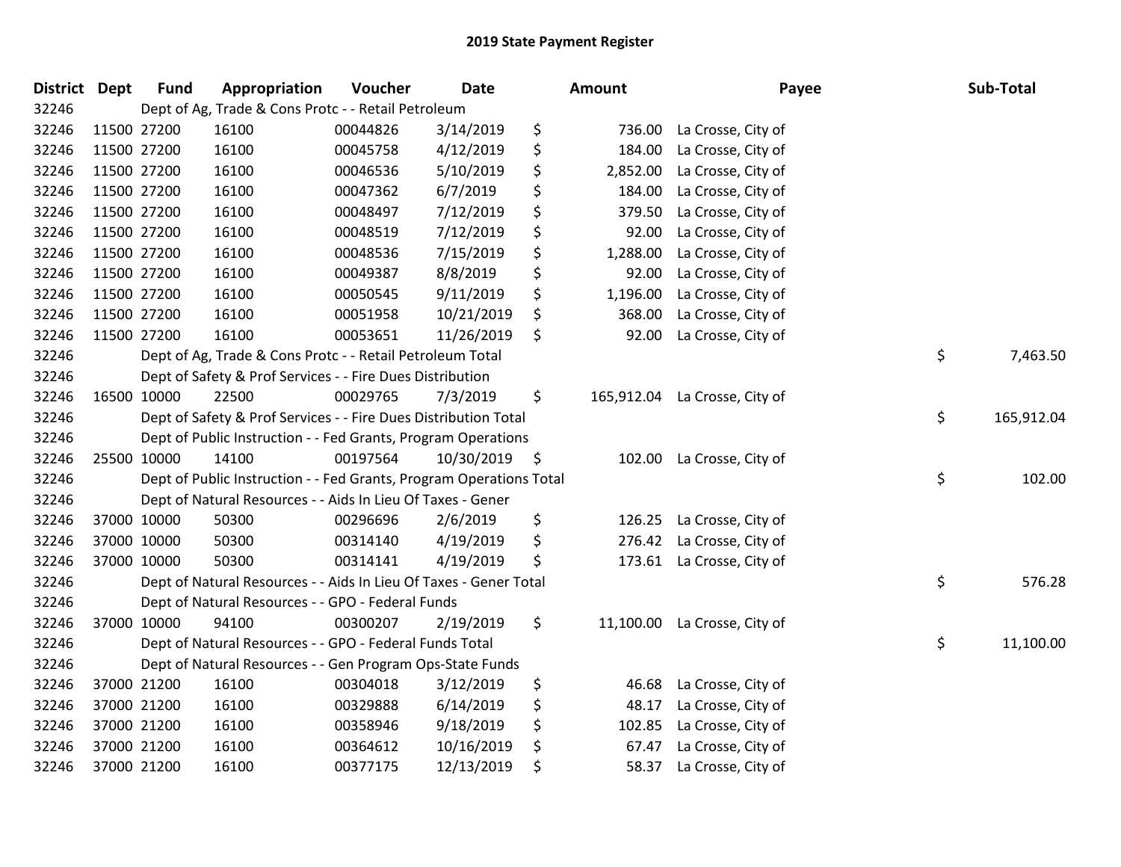| District Dept |             | <b>Fund</b> | Appropriation                                                       | Voucher  | <b>Date</b> | Amount         | Payee                         | Sub-Total        |
|---------------|-------------|-------------|---------------------------------------------------------------------|----------|-------------|----------------|-------------------------------|------------------|
| 32246         |             |             | Dept of Ag, Trade & Cons Protc - - Retail Petroleum                 |          |             |                |                               |                  |
| 32246         | 11500 27200 |             | 16100                                                               | 00044826 | 3/14/2019   | \$<br>736.00   | La Crosse, City of            |                  |
| 32246         | 11500 27200 |             | 16100                                                               | 00045758 | 4/12/2019   | \$<br>184.00   | La Crosse, City of            |                  |
| 32246         | 11500 27200 |             | 16100                                                               | 00046536 | 5/10/2019   | \$<br>2,852.00 | La Crosse, City of            |                  |
| 32246         | 11500 27200 |             | 16100                                                               | 00047362 | 6/7/2019    | \$<br>184.00   | La Crosse, City of            |                  |
| 32246         | 11500 27200 |             | 16100                                                               | 00048497 | 7/12/2019   | \$<br>379.50   | La Crosse, City of            |                  |
| 32246         | 11500 27200 |             | 16100                                                               | 00048519 | 7/12/2019   | \$<br>92.00    | La Crosse, City of            |                  |
| 32246         | 11500 27200 |             | 16100                                                               | 00048536 | 7/15/2019   | \$<br>1,288.00 | La Crosse, City of            |                  |
| 32246         | 11500 27200 |             | 16100                                                               | 00049387 | 8/8/2019    | \$<br>92.00    | La Crosse, City of            |                  |
| 32246         | 11500 27200 |             | 16100                                                               | 00050545 | 9/11/2019   | \$<br>1,196.00 | La Crosse, City of            |                  |
| 32246         | 11500 27200 |             | 16100                                                               | 00051958 | 10/21/2019  | \$<br>368.00   | La Crosse, City of            |                  |
| 32246         | 11500 27200 |             | 16100                                                               | 00053651 | 11/26/2019  | \$<br>92.00    | La Crosse, City of            |                  |
| 32246         |             |             | Dept of Ag, Trade & Cons Protc - - Retail Petroleum Total           |          |             |                |                               | \$<br>7,463.50   |
| 32246         |             |             | Dept of Safety & Prof Services - - Fire Dues Distribution           |          |             |                |                               |                  |
| 32246         | 16500 10000 |             | 22500                                                               | 00029765 | 7/3/2019    | \$             | 165,912.04 La Crosse, City of |                  |
| 32246         |             |             | Dept of Safety & Prof Services - - Fire Dues Distribution Total     |          |             |                |                               | \$<br>165,912.04 |
| 32246         |             |             | Dept of Public Instruction - - Fed Grants, Program Operations       |          |             |                |                               |                  |
| 32246         | 25500 10000 |             | 14100                                                               | 00197564 | 10/30/2019  | \$<br>102.00   | La Crosse, City of            |                  |
| 32246         |             |             | Dept of Public Instruction - - Fed Grants, Program Operations Total |          |             |                |                               | \$<br>102.00     |
| 32246         |             |             | Dept of Natural Resources - - Aids In Lieu Of Taxes - Gener         |          |             |                |                               |                  |
| 32246         | 37000 10000 |             | 50300                                                               | 00296696 | 2/6/2019    | \$<br>126.25   | La Crosse, City of            |                  |
| 32246         | 37000 10000 |             | 50300                                                               | 00314140 | 4/19/2019   | \$<br>276.42   | La Crosse, City of            |                  |
| 32246         | 37000 10000 |             | 50300                                                               | 00314141 | 4/19/2019   | \$             | 173.61 La Crosse, City of     |                  |
| 32246         |             |             | Dept of Natural Resources - - Aids In Lieu Of Taxes - Gener Total   |          |             |                |                               | \$<br>576.28     |
| 32246         |             |             | Dept of Natural Resources - - GPO - Federal Funds                   |          |             |                |                               |                  |
| 32246         | 37000 10000 |             | 94100                                                               | 00300207 | 2/19/2019   | \$             | 11,100.00 La Crosse, City of  |                  |
| 32246         |             |             | Dept of Natural Resources - - GPO - Federal Funds Total             |          |             |                |                               | \$<br>11,100.00  |
| 32246         |             |             | Dept of Natural Resources - - Gen Program Ops-State Funds           |          |             |                |                               |                  |
| 32246         | 37000 21200 |             | 16100                                                               | 00304018 | 3/12/2019   | \$<br>46.68    | La Crosse, City of            |                  |
| 32246         | 37000 21200 |             | 16100                                                               | 00329888 | 6/14/2019   | \$<br>48.17    | La Crosse, City of            |                  |
| 32246         | 37000 21200 |             | 16100                                                               | 00358946 | 9/18/2019   | \$<br>102.85   | La Crosse, City of            |                  |
| 32246         | 37000 21200 |             | 16100                                                               | 00364612 | 10/16/2019  | \$<br>67.47    | La Crosse, City of            |                  |
| 32246         | 37000 21200 |             | 16100                                                               | 00377175 | 12/13/2019  | \$<br>58.37    | La Crosse, City of            |                  |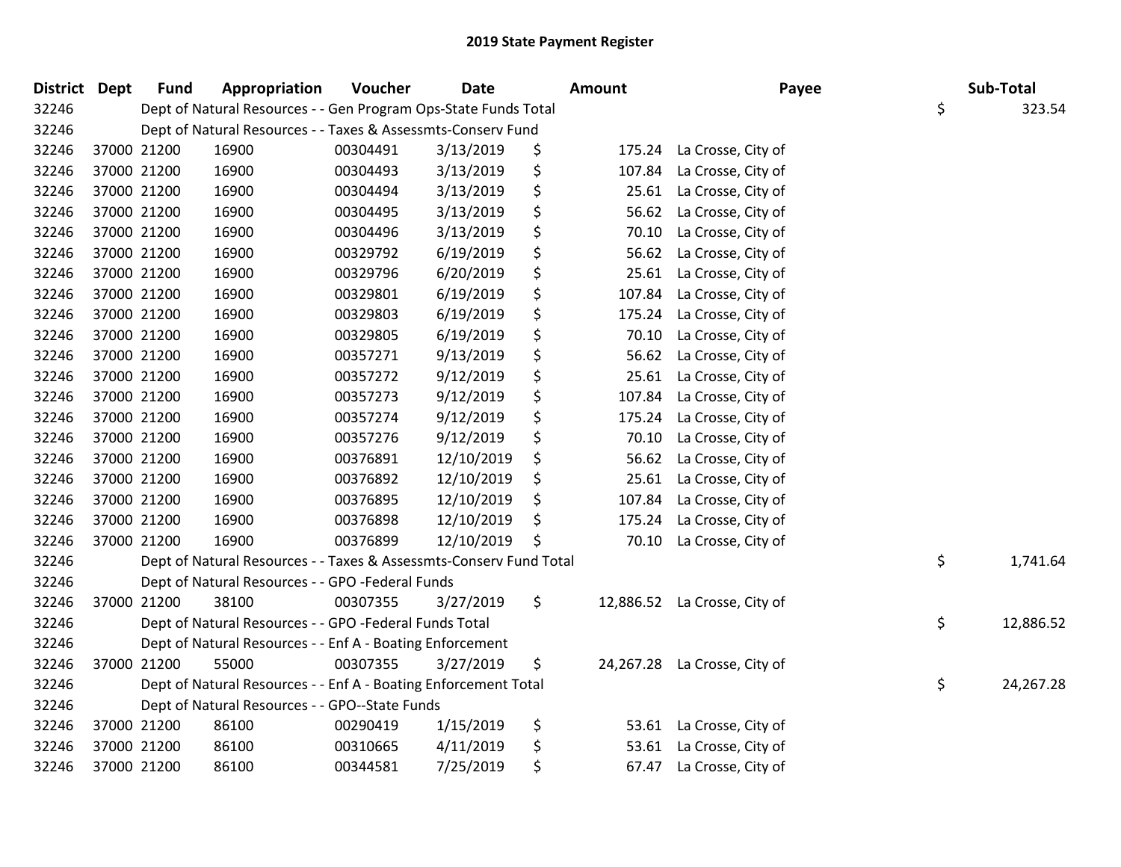| <b>District Dept</b> |             | <b>Fund</b> | Appropriation                                                      | Voucher  | <b>Date</b> | Amount       | Payee                        | Sub-Total       |
|----------------------|-------------|-------------|--------------------------------------------------------------------|----------|-------------|--------------|------------------------------|-----------------|
| 32246                |             |             | Dept of Natural Resources - - Gen Program Ops-State Funds Total    |          |             |              |                              | \$<br>323.54    |
| 32246                |             |             | Dept of Natural Resources - - Taxes & Assessmts-Conserv Fund       |          |             |              |                              |                 |
| 32246                |             | 37000 21200 | 16900                                                              | 00304491 | 3/13/2019   | \$           | 175.24 La Crosse, City of    |                 |
| 32246                | 37000 21200 |             | 16900                                                              | 00304493 | 3/13/2019   | \$<br>107.84 | La Crosse, City of           |                 |
| 32246                |             | 37000 21200 | 16900                                                              | 00304494 | 3/13/2019   | \$<br>25.61  | La Crosse, City of           |                 |
| 32246                | 37000 21200 |             | 16900                                                              | 00304495 | 3/13/2019   | \$<br>56.62  | La Crosse, City of           |                 |
| 32246                |             | 37000 21200 | 16900                                                              | 00304496 | 3/13/2019   | \$<br>70.10  | La Crosse, City of           |                 |
| 32246                |             | 37000 21200 | 16900                                                              | 00329792 | 6/19/2019   | \$<br>56.62  | La Crosse, City of           |                 |
| 32246                |             | 37000 21200 | 16900                                                              | 00329796 | 6/20/2019   | \$<br>25.61  | La Crosse, City of           |                 |
| 32246                |             | 37000 21200 | 16900                                                              | 00329801 | 6/19/2019   | \$<br>107.84 | La Crosse, City of           |                 |
| 32246                | 37000 21200 |             | 16900                                                              | 00329803 | 6/19/2019   | \$<br>175.24 | La Crosse, City of           |                 |
| 32246                |             | 37000 21200 | 16900                                                              | 00329805 | 6/19/2019   | \$<br>70.10  | La Crosse, City of           |                 |
| 32246                |             | 37000 21200 | 16900                                                              | 00357271 | 9/13/2019   | \$<br>56.62  | La Crosse, City of           |                 |
| 32246                | 37000 21200 |             | 16900                                                              | 00357272 | 9/12/2019   | \$           | 25.61 La Crosse, City of     |                 |
| 32246                | 37000 21200 |             | 16900                                                              | 00357273 | 9/12/2019   | \$<br>107.84 | La Crosse, City of           |                 |
| 32246                | 37000 21200 |             | 16900                                                              | 00357274 | 9/12/2019   | \$<br>175.24 | La Crosse, City of           |                 |
| 32246                |             | 37000 21200 | 16900                                                              | 00357276 | 9/12/2019   | \$<br>70.10  | La Crosse, City of           |                 |
| 32246                |             | 37000 21200 | 16900                                                              | 00376891 | 12/10/2019  | \$<br>56.62  | La Crosse, City of           |                 |
| 32246                |             | 37000 21200 | 16900                                                              | 00376892 | 12/10/2019  | \$<br>25.61  | La Crosse, City of           |                 |
| 32246                |             | 37000 21200 | 16900                                                              | 00376895 | 12/10/2019  | \$<br>107.84 | La Crosse, City of           |                 |
| 32246                | 37000 21200 |             | 16900                                                              | 00376898 | 12/10/2019  | \$<br>175.24 | La Crosse, City of           |                 |
| 32246                |             | 37000 21200 | 16900                                                              | 00376899 | 12/10/2019  | 70.10        | La Crosse, City of           |                 |
| 32246                |             |             | Dept of Natural Resources - - Taxes & Assessmts-Conserv Fund Total |          |             |              |                              | \$<br>1,741.64  |
| 32246                |             |             | Dept of Natural Resources - - GPO -Federal Funds                   |          |             |              |                              |                 |
| 32246                |             | 37000 21200 | 38100                                                              | 00307355 | 3/27/2019   | \$           | 12,886.52 La Crosse, City of |                 |
| 32246                |             |             | Dept of Natural Resources - - GPO -Federal Funds Total             |          |             |              |                              | \$<br>12,886.52 |
| 32246                |             |             | Dept of Natural Resources - - Enf A - Boating Enforcement          |          |             |              |                              |                 |
| 32246                |             | 37000 21200 | 55000                                                              | 00307355 | 3/27/2019   | \$           | 24,267.28 La Crosse, City of |                 |
| 32246                |             |             | Dept of Natural Resources - - Enf A - Boating Enforcement Total    |          |             |              |                              | \$<br>24,267.28 |
| 32246                |             |             | Dept of Natural Resources - - GPO--State Funds                     |          |             |              |                              |                 |
| 32246                |             | 37000 21200 | 86100                                                              | 00290419 | 1/15/2019   | \$<br>53.61  | La Crosse, City of           |                 |
| 32246                |             | 37000 21200 | 86100                                                              | 00310665 | 4/11/2019   | \$<br>53.61  | La Crosse, City of           |                 |
| 32246                |             | 37000 21200 | 86100                                                              | 00344581 | 7/25/2019   | \$           | 67.47 La Crosse, City of     |                 |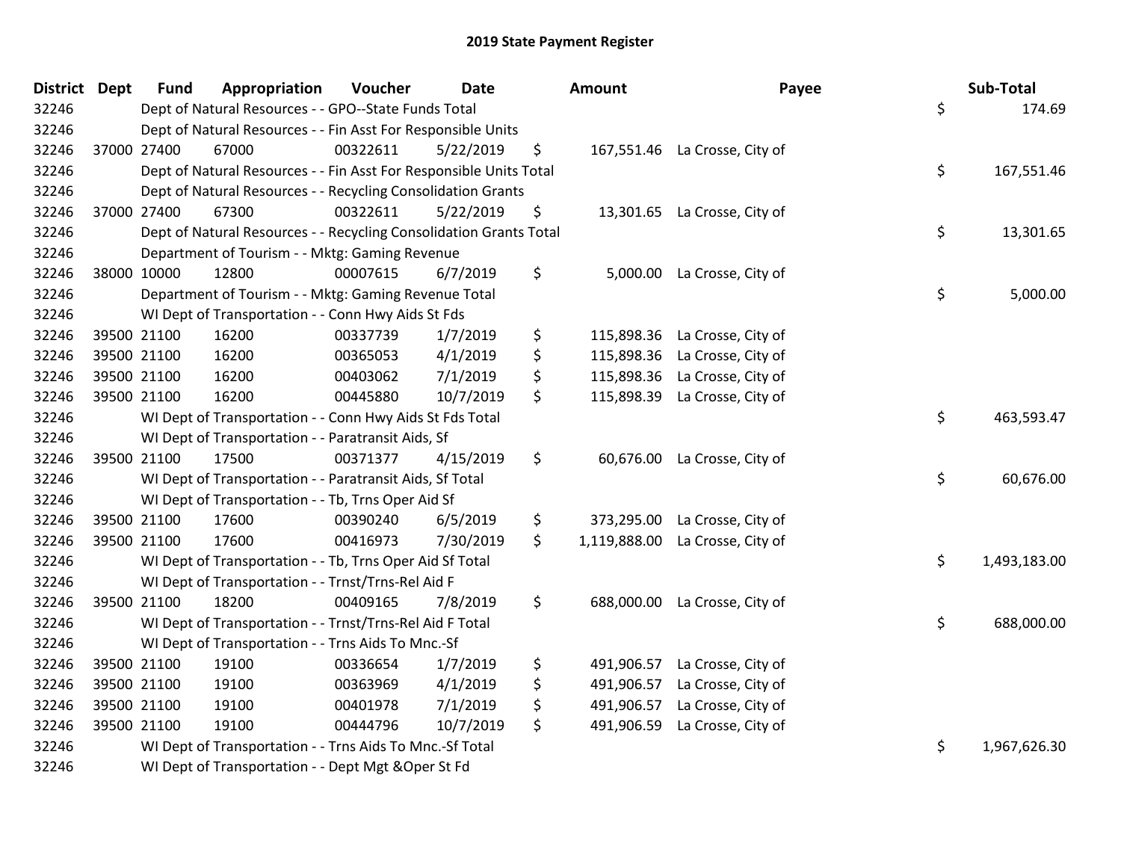| <b>District</b> | Dept        | <b>Fund</b> | Appropriation                                                      | Voucher  | <b>Date</b> | Amount           | Payee                           | Sub-Total          |
|-----------------|-------------|-------------|--------------------------------------------------------------------|----------|-------------|------------------|---------------------------------|--------------------|
| 32246           |             |             | Dept of Natural Resources - - GPO--State Funds Total               |          |             |                  |                                 | \$<br>174.69       |
| 32246           |             |             | Dept of Natural Resources - - Fin Asst For Responsible Units       |          |             |                  |                                 |                    |
| 32246           |             | 37000 27400 | 67000                                                              | 00322611 | 5/22/2019   | \$               | 167,551.46 La Crosse, City of   |                    |
| 32246           |             |             | Dept of Natural Resources - - Fin Asst For Responsible Units Total |          |             |                  |                                 | \$<br>167,551.46   |
| 32246           |             |             | Dept of Natural Resources - - Recycling Consolidation Grants       |          |             |                  |                                 |                    |
| 32246           |             | 37000 27400 | 67300                                                              | 00322611 | 5/22/2019   | \$               | 13,301.65 La Crosse, City of    |                    |
| 32246           |             |             | Dept of Natural Resources - - Recycling Consolidation Grants Total |          |             |                  |                                 | \$<br>13,301.65    |
| 32246           |             |             | Department of Tourism - - Mktg: Gaming Revenue                     |          |             |                  |                                 |                    |
| 32246           | 38000 10000 |             | 12800                                                              | 00007615 | 6/7/2019    | \$               | 5,000.00 La Crosse, City of     |                    |
| 32246           |             |             | Department of Tourism - - Mktg: Gaming Revenue Total               |          |             |                  |                                 | \$<br>5,000.00     |
| 32246           |             |             | WI Dept of Transportation - - Conn Hwy Aids St Fds                 |          |             |                  |                                 |                    |
| 32246           |             | 39500 21100 | 16200                                                              | 00337739 | 1/7/2019    | \$               | 115,898.36 La Crosse, City of   |                    |
| 32246           |             | 39500 21100 | 16200                                                              | 00365053 | 4/1/2019    | \$               | 115,898.36 La Crosse, City of   |                    |
| 32246           | 39500 21100 |             | 16200                                                              | 00403062 | 7/1/2019    | \$<br>115,898.36 | La Crosse, City of              |                    |
| 32246           | 39500 21100 |             | 16200                                                              | 00445880 | 10/7/2019   | \$<br>115,898.39 | La Crosse, City of              |                    |
| 32246           |             |             | WI Dept of Transportation - - Conn Hwy Aids St Fds Total           |          |             |                  |                                 | \$<br>463,593.47   |
| 32246           |             |             | WI Dept of Transportation - - Paratransit Aids, Sf                 |          |             |                  |                                 |                    |
| 32246           | 39500 21100 |             | 17500                                                              | 00371377 | 4/15/2019   | \$               | 60,676.00 La Crosse, City of    |                    |
| 32246           |             |             | WI Dept of Transportation - - Paratransit Aids, Sf Total           |          |             |                  |                                 | \$<br>60,676.00    |
| 32246           |             |             | WI Dept of Transportation - - Tb, Trns Oper Aid Sf                 |          |             |                  |                                 |                    |
| 32246           |             | 39500 21100 | 17600                                                              | 00390240 | 6/5/2019    | \$               | 373,295.00 La Crosse, City of   |                    |
| 32246           | 39500 21100 |             | 17600                                                              | 00416973 | 7/30/2019   | \$               | 1,119,888.00 La Crosse, City of |                    |
| 32246           |             |             | WI Dept of Transportation - - Tb, Trns Oper Aid Sf Total           |          |             |                  |                                 | \$<br>1,493,183.00 |
| 32246           |             |             | WI Dept of Transportation - - Trnst/Trns-Rel Aid F                 |          |             |                  |                                 |                    |
| 32246           | 39500 21100 |             | 18200                                                              | 00409165 | 7/8/2019    | \$               | 688,000.00 La Crosse, City of   |                    |
| 32246           |             |             | WI Dept of Transportation - - Trnst/Trns-Rel Aid F Total           |          |             |                  |                                 | \$<br>688,000.00   |
| 32246           |             |             | WI Dept of Transportation - - Trns Aids To Mnc.-Sf                 |          |             |                  |                                 |                    |
| 32246           |             | 39500 21100 | 19100                                                              | 00336654 | 1/7/2019    | \$               | 491,906.57 La Crosse, City of   |                    |
| 32246           | 39500 21100 |             | 19100                                                              | 00363969 | 4/1/2019    | \$               | 491,906.57 La Crosse, City of   |                    |
| 32246           | 39500 21100 |             | 19100                                                              | 00401978 | 7/1/2019    | \$<br>491,906.57 | La Crosse, City of              |                    |
| 32246           | 39500 21100 |             | 19100                                                              | 00444796 | 10/7/2019   | \$<br>491,906.59 | La Crosse, City of              |                    |
| 32246           |             |             | WI Dept of Transportation - - Trns Aids To Mnc.-Sf Total           |          |             |                  |                                 | \$<br>1,967,626.30 |
| 32246           |             |             | WI Dept of Transportation - - Dept Mgt & Oper St Fd                |          |             |                  |                                 |                    |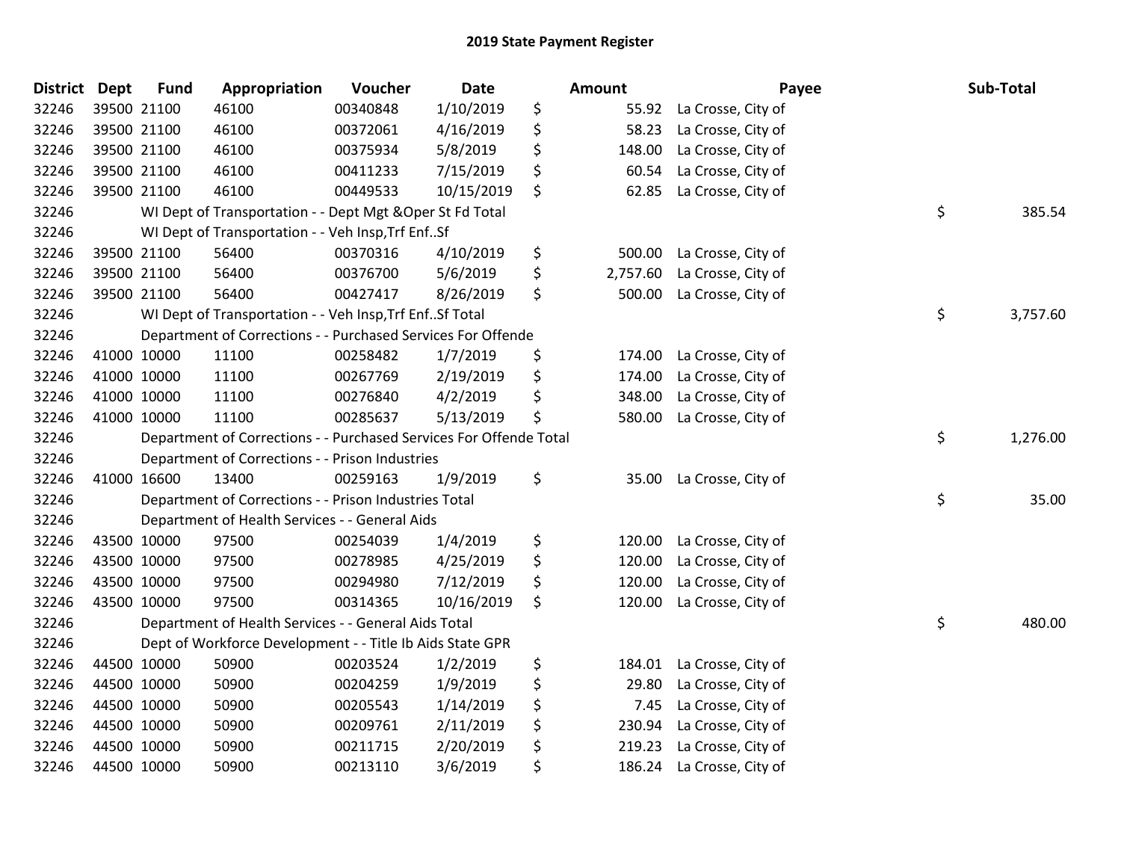| District Dept |             | <b>Fund</b> | Appropriation                                                      | Voucher  | <b>Date</b> | Amount       | Payee                       | Sub-Total      |
|---------------|-------------|-------------|--------------------------------------------------------------------|----------|-------------|--------------|-----------------------------|----------------|
| 32246         | 39500 21100 |             | 46100                                                              | 00340848 | 1/10/2019   | \$           | 55.92 La Crosse, City of    |                |
| 32246         | 39500 21100 |             | 46100                                                              | 00372061 | 4/16/2019   | \$<br>58.23  | La Crosse, City of          |                |
| 32246         | 39500 21100 |             | 46100                                                              | 00375934 | 5/8/2019    | \$<br>148.00 | La Crosse, City of          |                |
| 32246         | 39500 21100 |             | 46100                                                              | 00411233 | 7/15/2019   | \$<br>60.54  | La Crosse, City of          |                |
| 32246         | 39500 21100 |             | 46100                                                              | 00449533 | 10/15/2019  | \$<br>62.85  | La Crosse, City of          |                |
| 32246         |             |             | WI Dept of Transportation - - Dept Mgt & Oper St Fd Total          |          |             |              |                             | \$<br>385.54   |
| 32246         |             |             | WI Dept of Transportation - - Veh Insp, Trf EnfSf                  |          |             |              |                             |                |
| 32246         |             | 39500 21100 | 56400                                                              | 00370316 | 4/10/2019   | \$<br>500.00 | La Crosse, City of          |                |
| 32246         |             | 39500 21100 | 56400                                                              | 00376700 | 5/6/2019    | \$           | 2,757.60 La Crosse, City of |                |
| 32246         | 39500 21100 |             | 56400                                                              | 00427417 | 8/26/2019   | \$           | 500.00 La Crosse, City of   |                |
| 32246         |             |             | WI Dept of Transportation - - Veh Insp, Trf Enf Sf Total           |          |             |              |                             | \$<br>3,757.60 |
| 32246         |             |             | Department of Corrections - - Purchased Services For Offende       |          |             |              |                             |                |
| 32246         | 41000 10000 |             | 11100                                                              | 00258482 | 1/7/2019    | \$<br>174.00 | La Crosse, City of          |                |
| 32246         | 41000 10000 |             | 11100                                                              | 00267769 | 2/19/2019   | \$<br>174.00 | La Crosse, City of          |                |
| 32246         | 41000 10000 |             | 11100                                                              | 00276840 | 4/2/2019    | \$<br>348.00 | La Crosse, City of          |                |
| 32246         | 41000 10000 |             | 11100                                                              | 00285637 | 5/13/2019   | \$<br>580.00 | La Crosse, City of          |                |
| 32246         |             |             | Department of Corrections - - Purchased Services For Offende Total |          |             |              |                             | \$<br>1,276.00 |
| 32246         |             |             | Department of Corrections - - Prison Industries                    |          |             |              |                             |                |
| 32246         | 41000 16600 |             | 13400                                                              | 00259163 | 1/9/2019    | \$           | 35.00 La Crosse, City of    |                |
| 32246         |             |             | Department of Corrections - - Prison Industries Total              |          |             |              |                             | \$<br>35.00    |
| 32246         |             |             | Department of Health Services - - General Aids                     |          |             |              |                             |                |
| 32246         | 43500 10000 |             | 97500                                                              | 00254039 | 1/4/2019    | \$<br>120.00 | La Crosse, City of          |                |
| 32246         | 43500 10000 |             | 97500                                                              | 00278985 | 4/25/2019   | \$<br>120.00 | La Crosse, City of          |                |
| 32246         | 43500 10000 |             | 97500                                                              | 00294980 | 7/12/2019   | \$<br>120.00 | La Crosse, City of          |                |
| 32246         | 43500 10000 |             | 97500                                                              | 00314365 | 10/16/2019  | \$<br>120.00 | La Crosse, City of          |                |
| 32246         |             |             | Department of Health Services - - General Aids Total               |          |             |              |                             | \$<br>480.00   |
| 32246         |             |             | Dept of Workforce Development - - Title Ib Aids State GPR          |          |             |              |                             |                |
| 32246         | 44500 10000 |             | 50900                                                              | 00203524 | 1/2/2019    | \$<br>184.01 | La Crosse, City of          |                |
| 32246         | 44500 10000 |             | 50900                                                              | 00204259 | 1/9/2019    | \$<br>29.80  | La Crosse, City of          |                |
| 32246         | 44500 10000 |             | 50900                                                              | 00205543 | 1/14/2019   | \$<br>7.45   | La Crosse, City of          |                |
| 32246         | 44500 10000 |             | 50900                                                              | 00209761 | 2/11/2019   | \$<br>230.94 | La Crosse, City of          |                |
| 32246         | 44500 10000 |             | 50900                                                              | 00211715 | 2/20/2019   | \$<br>219.23 | La Crosse, City of          |                |
| 32246         | 44500 10000 |             | 50900                                                              | 00213110 | 3/6/2019    | \$<br>186.24 | La Crosse, City of          |                |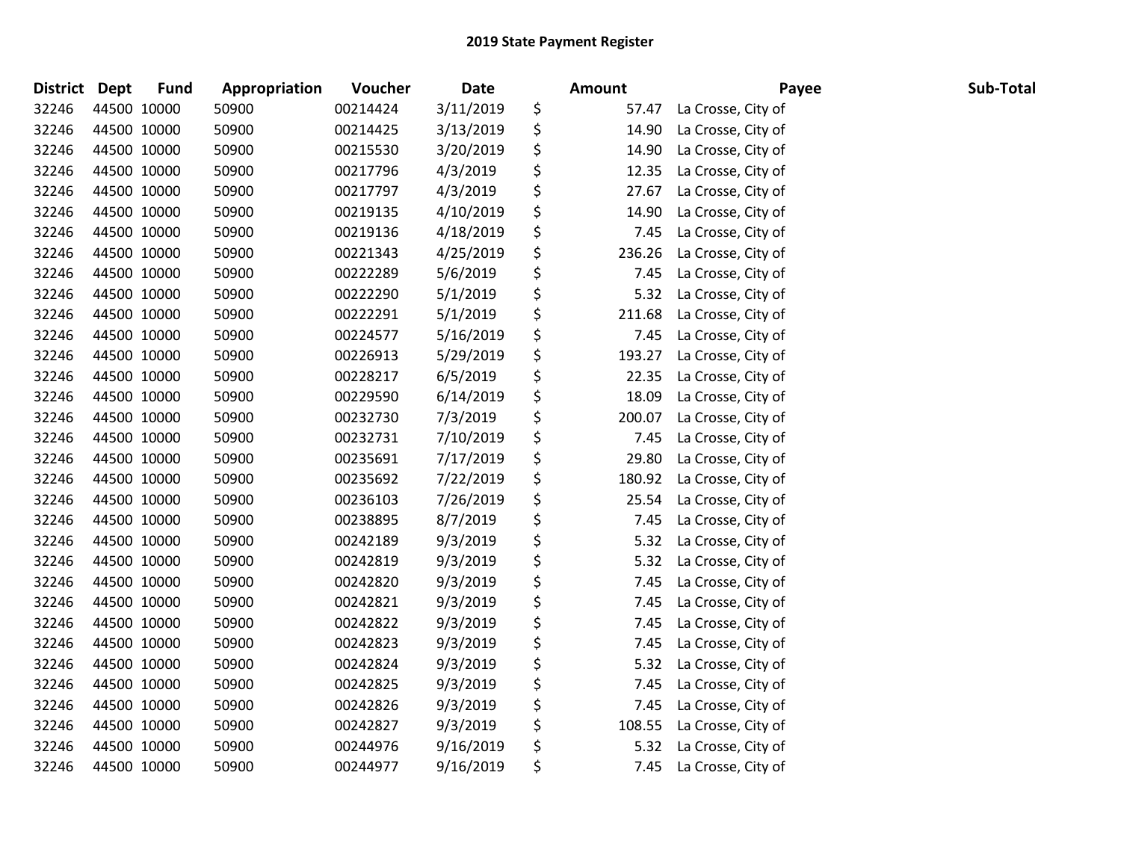| <b>District</b> | Dept        | <b>Fund</b> | Appropriation | Voucher  | <b>Date</b> | <b>Amount</b> | Payee              | Sub-Total |
|-----------------|-------------|-------------|---------------|----------|-------------|---------------|--------------------|-----------|
| 32246           |             | 44500 10000 | 50900         | 00214424 | 3/11/2019   | \$<br>57.47   | La Crosse, City of |           |
| 32246           |             | 44500 10000 | 50900         | 00214425 | 3/13/2019   | \$<br>14.90   | La Crosse, City of |           |
| 32246           |             | 44500 10000 | 50900         | 00215530 | 3/20/2019   | \$<br>14.90   | La Crosse, City of |           |
| 32246           |             | 44500 10000 | 50900         | 00217796 | 4/3/2019    | \$<br>12.35   | La Crosse, City of |           |
| 32246           | 44500 10000 |             | 50900         | 00217797 | 4/3/2019    | \$<br>27.67   | La Crosse, City of |           |
| 32246           |             | 44500 10000 | 50900         | 00219135 | 4/10/2019   | \$<br>14.90   | La Crosse, City of |           |
| 32246           |             | 44500 10000 | 50900         | 00219136 | 4/18/2019   | \$<br>7.45    | La Crosse, City of |           |
| 32246           |             | 44500 10000 | 50900         | 00221343 | 4/25/2019   | \$<br>236.26  | La Crosse, City of |           |
| 32246           |             | 44500 10000 | 50900         | 00222289 | 5/6/2019    | \$<br>7.45    | La Crosse, City of |           |
| 32246           |             | 44500 10000 | 50900         | 00222290 | 5/1/2019    | \$<br>5.32    | La Crosse, City of |           |
| 32246           |             | 44500 10000 | 50900         | 00222291 | 5/1/2019    | \$<br>211.68  | La Crosse, City of |           |
| 32246           |             | 44500 10000 | 50900         | 00224577 | 5/16/2019   | \$<br>7.45    | La Crosse, City of |           |
| 32246           |             | 44500 10000 | 50900         | 00226913 | 5/29/2019   | \$<br>193.27  | La Crosse, City of |           |
| 32246           |             | 44500 10000 | 50900         | 00228217 | 6/5/2019    | \$<br>22.35   | La Crosse, City of |           |
| 32246           |             | 44500 10000 | 50900         | 00229590 | 6/14/2019   | \$<br>18.09   | La Crosse, City of |           |
| 32246           |             | 44500 10000 | 50900         | 00232730 | 7/3/2019    | \$<br>200.07  | La Crosse, City of |           |
| 32246           |             | 44500 10000 | 50900         | 00232731 | 7/10/2019   | \$<br>7.45    | La Crosse, City of |           |
| 32246           |             | 44500 10000 | 50900         | 00235691 | 7/17/2019   | \$<br>29.80   | La Crosse, City of |           |
| 32246           |             | 44500 10000 | 50900         | 00235692 | 7/22/2019   | \$<br>180.92  | La Crosse, City of |           |
| 32246           |             | 44500 10000 | 50900         | 00236103 | 7/26/2019   | \$<br>25.54   | La Crosse, City of |           |
| 32246           |             | 44500 10000 | 50900         | 00238895 | 8/7/2019    | \$<br>7.45    | La Crosse, City of |           |
| 32246           |             | 44500 10000 | 50900         | 00242189 | 9/3/2019    | \$<br>5.32    | La Crosse, City of |           |
| 32246           |             | 44500 10000 | 50900         | 00242819 | 9/3/2019    | \$<br>5.32    | La Crosse, City of |           |
| 32246           |             | 44500 10000 | 50900         | 00242820 | 9/3/2019    | \$<br>7.45    | La Crosse, City of |           |
| 32246           | 44500 10000 |             | 50900         | 00242821 | 9/3/2019    | \$<br>7.45    | La Crosse, City of |           |
| 32246           |             | 44500 10000 | 50900         | 00242822 | 9/3/2019    | \$<br>7.45    | La Crosse, City of |           |
| 32246           |             | 44500 10000 | 50900         | 00242823 | 9/3/2019    | \$<br>7.45    | La Crosse, City of |           |
| 32246           |             | 44500 10000 | 50900         | 00242824 | 9/3/2019    | \$<br>5.32    | La Crosse, City of |           |
| 32246           |             | 44500 10000 | 50900         | 00242825 | 9/3/2019    | \$<br>7.45    | La Crosse, City of |           |
| 32246           |             | 44500 10000 | 50900         | 00242826 | 9/3/2019    | \$<br>7.45    | La Crosse, City of |           |
| 32246           |             | 44500 10000 | 50900         | 00242827 | 9/3/2019    | \$<br>108.55  | La Crosse, City of |           |
| 32246           |             | 44500 10000 | 50900         | 00244976 | 9/16/2019   | \$<br>5.32    | La Crosse, City of |           |
| 32246           | 44500 10000 |             | 50900         | 00244977 | 9/16/2019   | \$<br>7.45    | La Crosse, City of |           |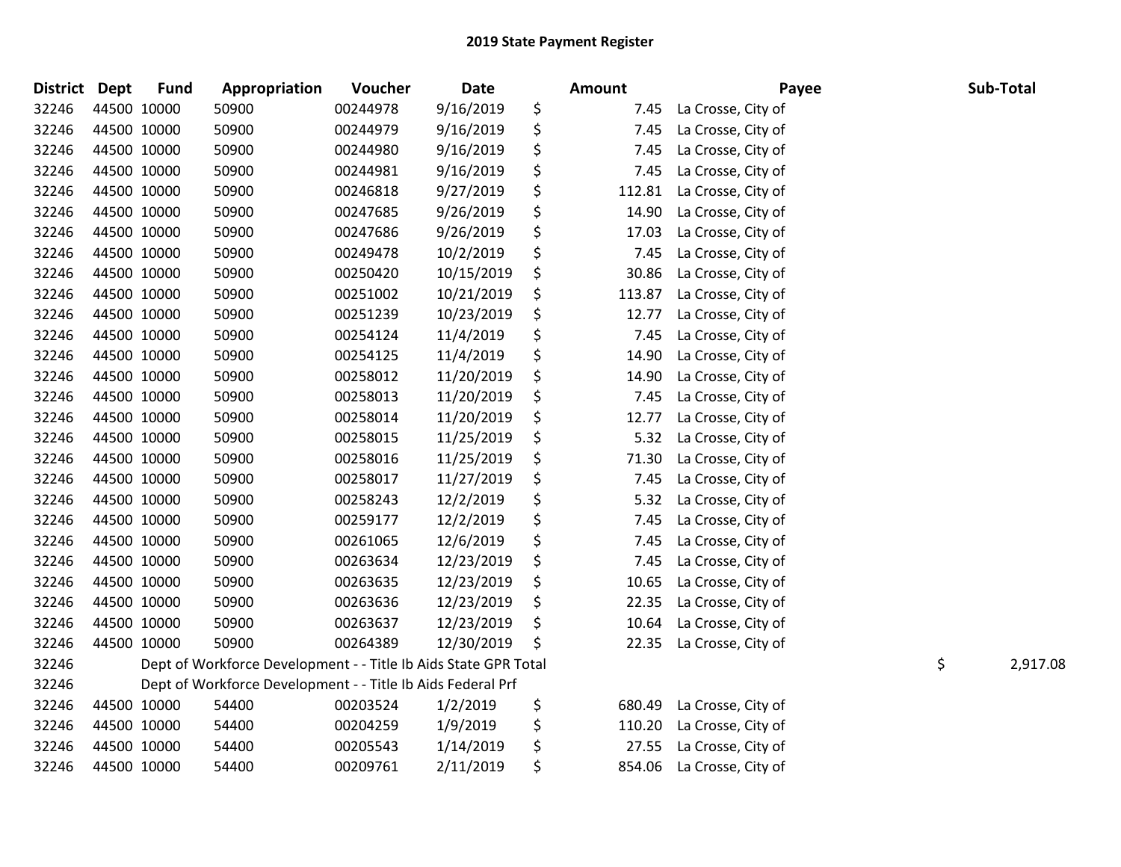| <b>District</b> | Dept        | <b>Fund</b> | Appropriation                                                   | Voucher  | Date       | <b>Amount</b> | Payee              | Sub-Total      |
|-----------------|-------------|-------------|-----------------------------------------------------------------|----------|------------|---------------|--------------------|----------------|
| 32246           | 44500 10000 |             | 50900                                                           | 00244978 | 9/16/2019  | \$<br>7.45    | La Crosse, City of |                |
| 32246           | 44500 10000 |             | 50900                                                           | 00244979 | 9/16/2019  | \$<br>7.45    | La Crosse, City of |                |
| 32246           | 44500 10000 |             | 50900                                                           | 00244980 | 9/16/2019  | \$<br>7.45    | La Crosse, City of |                |
| 32246           | 44500 10000 |             | 50900                                                           | 00244981 | 9/16/2019  | \$<br>7.45    | La Crosse, City of |                |
| 32246           | 44500 10000 |             | 50900                                                           | 00246818 | 9/27/2019  | \$<br>112.81  | La Crosse, City of |                |
| 32246           | 44500 10000 |             | 50900                                                           | 00247685 | 9/26/2019  | \$<br>14.90   | La Crosse, City of |                |
| 32246           | 44500 10000 |             | 50900                                                           | 00247686 | 9/26/2019  | \$<br>17.03   | La Crosse, City of |                |
| 32246           | 44500 10000 |             | 50900                                                           | 00249478 | 10/2/2019  | \$<br>7.45    | La Crosse, City of |                |
| 32246           | 44500 10000 |             | 50900                                                           | 00250420 | 10/15/2019 | \$<br>30.86   | La Crosse, City of |                |
| 32246           | 44500 10000 |             | 50900                                                           | 00251002 | 10/21/2019 | \$<br>113.87  | La Crosse, City of |                |
| 32246           | 44500 10000 |             | 50900                                                           | 00251239 | 10/23/2019 | \$<br>12.77   | La Crosse, City of |                |
| 32246           | 44500 10000 |             | 50900                                                           | 00254124 | 11/4/2019  | \$<br>7.45    | La Crosse, City of |                |
| 32246           | 44500 10000 |             | 50900                                                           | 00254125 | 11/4/2019  | \$<br>14.90   | La Crosse, City of |                |
| 32246           | 44500 10000 |             | 50900                                                           | 00258012 | 11/20/2019 | \$<br>14.90   | La Crosse, City of |                |
| 32246           | 44500 10000 |             | 50900                                                           | 00258013 | 11/20/2019 | \$<br>7.45    | La Crosse, City of |                |
| 32246           | 44500 10000 |             | 50900                                                           | 00258014 | 11/20/2019 | \$<br>12.77   | La Crosse, City of |                |
| 32246           | 44500 10000 |             | 50900                                                           | 00258015 | 11/25/2019 | \$<br>5.32    | La Crosse, City of |                |
| 32246           | 44500 10000 |             | 50900                                                           | 00258016 | 11/25/2019 | \$<br>71.30   | La Crosse, City of |                |
| 32246           | 44500 10000 |             | 50900                                                           | 00258017 | 11/27/2019 | \$<br>7.45    | La Crosse, City of |                |
| 32246           | 44500 10000 |             | 50900                                                           | 00258243 | 12/2/2019  | \$<br>5.32    | La Crosse, City of |                |
| 32246           | 44500 10000 |             | 50900                                                           | 00259177 | 12/2/2019  | \$<br>7.45    | La Crosse, City of |                |
| 32246           | 44500 10000 |             | 50900                                                           | 00261065 | 12/6/2019  | \$<br>7.45    | La Crosse, City of |                |
| 32246           | 44500 10000 |             | 50900                                                           | 00263634 | 12/23/2019 | \$<br>7.45    | La Crosse, City of |                |
| 32246           | 44500 10000 |             | 50900                                                           | 00263635 | 12/23/2019 | \$<br>10.65   | La Crosse, City of |                |
| 32246           | 44500 10000 |             | 50900                                                           | 00263636 | 12/23/2019 | \$<br>22.35   | La Crosse, City of |                |
| 32246           | 44500 10000 |             | 50900                                                           | 00263637 | 12/23/2019 | \$<br>10.64   | La Crosse, City of |                |
| 32246           | 44500 10000 |             | 50900                                                           | 00264389 | 12/30/2019 | \$<br>22.35   | La Crosse, City of |                |
| 32246           |             |             | Dept of Workforce Development - - Title Ib Aids State GPR Total |          |            |               |                    | \$<br>2,917.08 |
| 32246           |             |             | Dept of Workforce Development - - Title Ib Aids Federal Prf     |          |            |               |                    |                |
| 32246           | 44500 10000 |             | 54400                                                           | 00203524 | 1/2/2019   | \$<br>680.49  | La Crosse, City of |                |
| 32246           | 44500 10000 |             | 54400                                                           | 00204259 | 1/9/2019   | \$<br>110.20  | La Crosse, City of |                |
| 32246           | 44500 10000 |             | 54400                                                           | 00205543 | 1/14/2019  | \$<br>27.55   | La Crosse, City of |                |
| 32246           | 44500 10000 |             | 54400                                                           | 00209761 | 2/11/2019  | \$<br>854.06  | La Crosse, City of |                |
|                 |             |             |                                                                 |          |            |               |                    |                |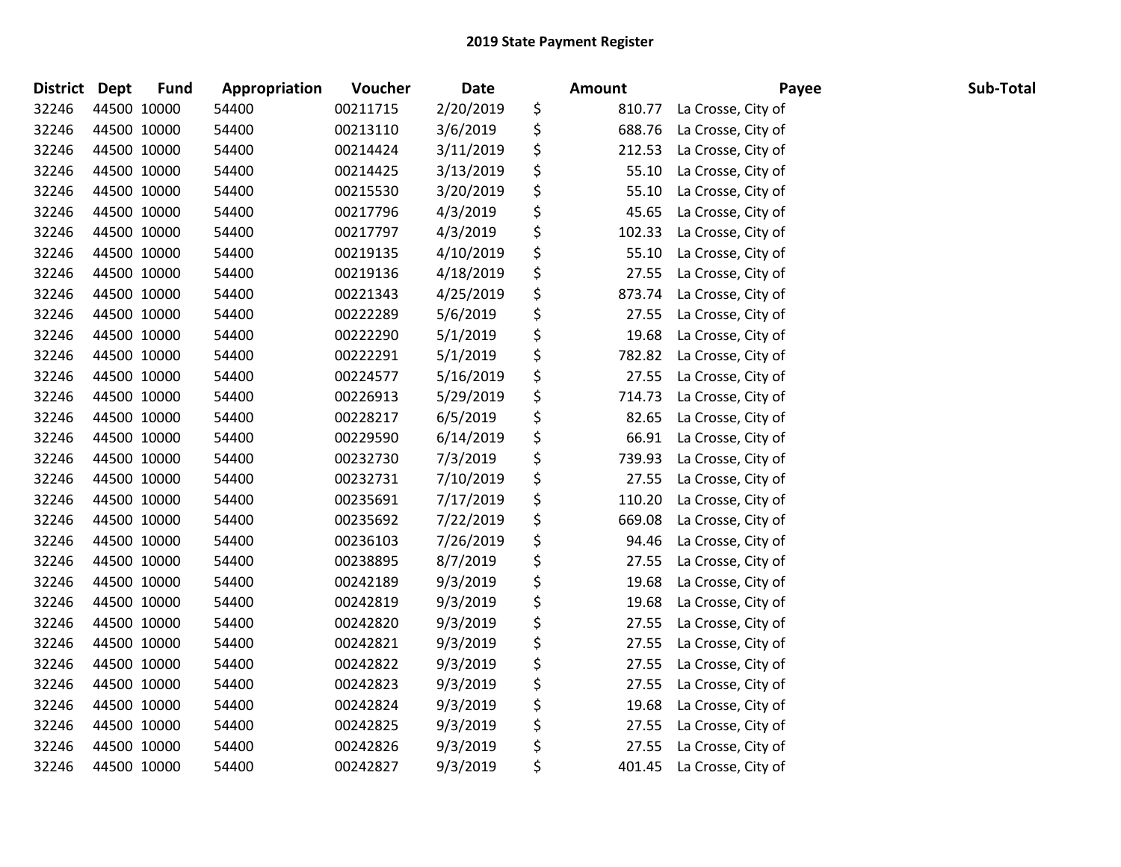| <b>District</b> | Dept        | <b>Fund</b> | Appropriation | Voucher  | <b>Date</b> | Amount       | Payee              | Sub-Total |
|-----------------|-------------|-------------|---------------|----------|-------------|--------------|--------------------|-----------|
| 32246           |             | 44500 10000 | 54400         | 00211715 | 2/20/2019   | \$<br>810.77 | La Crosse, City of |           |
| 32246           |             | 44500 10000 | 54400         | 00213110 | 3/6/2019    | \$<br>688.76 | La Crosse, City of |           |
| 32246           |             | 44500 10000 | 54400         | 00214424 | 3/11/2019   | \$<br>212.53 | La Crosse, City of |           |
| 32246           |             | 44500 10000 | 54400         | 00214425 | 3/13/2019   | \$<br>55.10  | La Crosse, City of |           |
| 32246           |             | 44500 10000 | 54400         | 00215530 | 3/20/2019   | \$<br>55.10  | La Crosse, City of |           |
| 32246           |             | 44500 10000 | 54400         | 00217796 | 4/3/2019    | \$<br>45.65  | La Crosse, City of |           |
| 32246           |             | 44500 10000 | 54400         | 00217797 | 4/3/2019    | \$<br>102.33 | La Crosse, City of |           |
| 32246           |             | 44500 10000 | 54400         | 00219135 | 4/10/2019   | \$<br>55.10  | La Crosse, City of |           |
| 32246           |             | 44500 10000 | 54400         | 00219136 | 4/18/2019   | \$<br>27.55  | La Crosse, City of |           |
| 32246           |             | 44500 10000 | 54400         | 00221343 | 4/25/2019   | \$<br>873.74 | La Crosse, City of |           |
| 32246           |             | 44500 10000 | 54400         | 00222289 | 5/6/2019    | \$<br>27.55  | La Crosse, City of |           |
| 32246           |             | 44500 10000 | 54400         | 00222290 | 5/1/2019    | \$<br>19.68  | La Crosse, City of |           |
| 32246           |             | 44500 10000 | 54400         | 00222291 | 5/1/2019    | \$<br>782.82 | La Crosse, City of |           |
| 32246           |             | 44500 10000 | 54400         | 00224577 | 5/16/2019   | \$<br>27.55  | La Crosse, City of |           |
| 32246           |             | 44500 10000 | 54400         | 00226913 | 5/29/2019   | \$<br>714.73 | La Crosse, City of |           |
| 32246           |             | 44500 10000 | 54400         | 00228217 | 6/5/2019    | \$<br>82.65  | La Crosse, City of |           |
| 32246           |             | 44500 10000 | 54400         | 00229590 | 6/14/2019   | \$<br>66.91  | La Crosse, City of |           |
| 32246           |             | 44500 10000 | 54400         | 00232730 | 7/3/2019    | \$<br>739.93 | La Crosse, City of |           |
| 32246           |             | 44500 10000 | 54400         | 00232731 | 7/10/2019   | \$<br>27.55  | La Crosse, City of |           |
| 32246           |             | 44500 10000 | 54400         | 00235691 | 7/17/2019   | \$<br>110.20 | La Crosse, City of |           |
| 32246           |             | 44500 10000 | 54400         | 00235692 | 7/22/2019   | \$<br>669.08 | La Crosse, City of |           |
| 32246           |             | 44500 10000 | 54400         | 00236103 | 7/26/2019   | \$<br>94.46  | La Crosse, City of |           |
| 32246           | 44500 10000 |             | 54400         | 00238895 | 8/7/2019    | \$<br>27.55  | La Crosse, City of |           |
| 32246           |             | 44500 10000 | 54400         | 00242189 | 9/3/2019    | \$<br>19.68  | La Crosse, City of |           |
| 32246           |             | 44500 10000 | 54400         | 00242819 | 9/3/2019    | \$<br>19.68  | La Crosse, City of |           |
| 32246           |             | 44500 10000 | 54400         | 00242820 | 9/3/2019    | \$<br>27.55  | La Crosse, City of |           |
| 32246           |             | 44500 10000 | 54400         | 00242821 | 9/3/2019    | \$<br>27.55  | La Crosse, City of |           |
| 32246           |             | 44500 10000 | 54400         | 00242822 | 9/3/2019    | \$<br>27.55  | La Crosse, City of |           |
| 32246           |             | 44500 10000 | 54400         | 00242823 | 9/3/2019    | \$<br>27.55  | La Crosse, City of |           |
| 32246           |             | 44500 10000 | 54400         | 00242824 | 9/3/2019    | \$<br>19.68  | La Crosse, City of |           |
| 32246           |             | 44500 10000 | 54400         | 00242825 | 9/3/2019    | \$<br>27.55  | La Crosse, City of |           |
| 32246           |             | 44500 10000 | 54400         | 00242826 | 9/3/2019    | \$<br>27.55  | La Crosse, City of |           |
| 32246           |             | 44500 10000 | 54400         | 00242827 | 9/3/2019    | \$<br>401.45 | La Crosse, City of |           |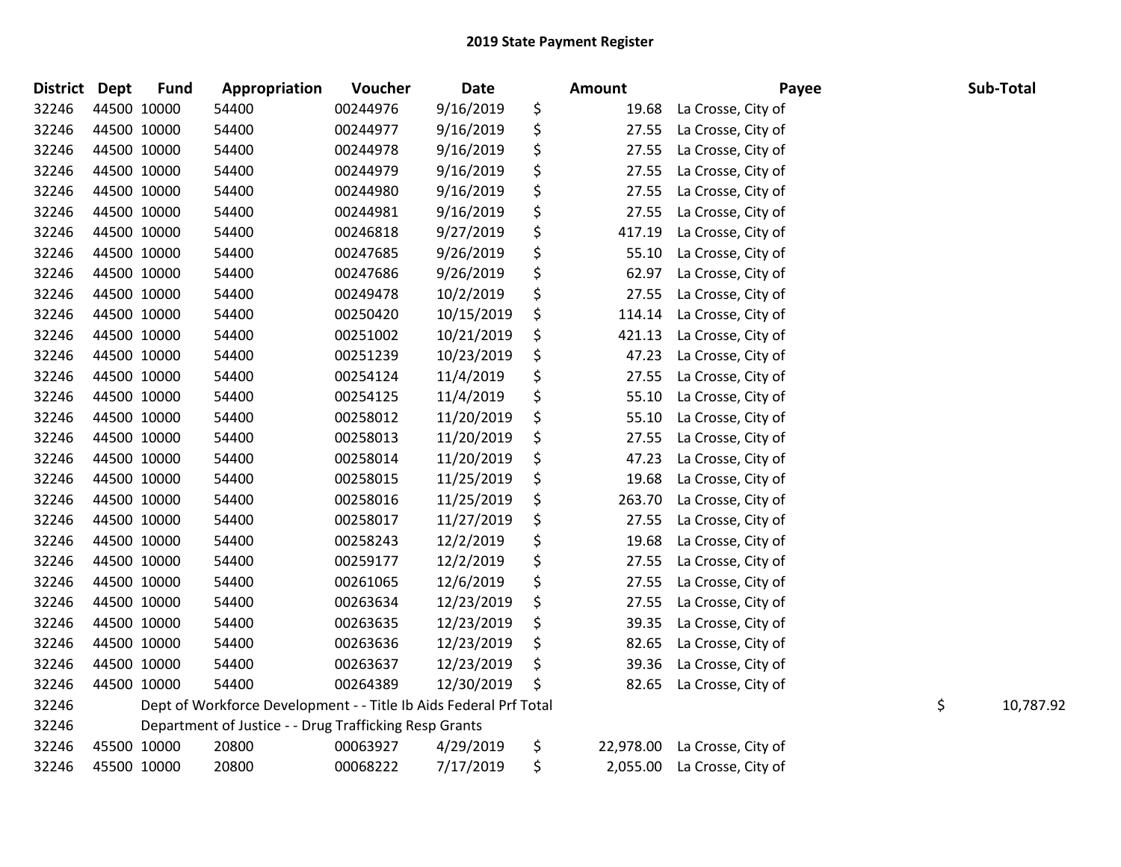| <b>District</b> | <b>Dept</b> | <b>Fund</b> | Appropriation                                                     | Voucher  | Date       | <b>Amount</b>   | Payee              | Sub-Total       |
|-----------------|-------------|-------------|-------------------------------------------------------------------|----------|------------|-----------------|--------------------|-----------------|
| 32246           | 44500 10000 |             | 54400                                                             | 00244976 | 9/16/2019  | \$<br>19.68     | La Crosse, City of |                 |
| 32246           | 44500 10000 |             | 54400                                                             | 00244977 | 9/16/2019  | \$<br>27.55     | La Crosse, City of |                 |
| 32246           | 44500 10000 |             | 54400                                                             | 00244978 | 9/16/2019  | \$<br>27.55     | La Crosse, City of |                 |
| 32246           | 44500 10000 |             | 54400                                                             | 00244979 | 9/16/2019  | \$<br>27.55     | La Crosse, City of |                 |
| 32246           | 44500 10000 |             | 54400                                                             | 00244980 | 9/16/2019  | \$<br>27.55     | La Crosse, City of |                 |
| 32246           |             | 44500 10000 | 54400                                                             | 00244981 | 9/16/2019  | \$<br>27.55     | La Crosse, City of |                 |
| 32246           | 44500 10000 |             | 54400                                                             | 00246818 | 9/27/2019  | \$<br>417.19    | La Crosse, City of |                 |
| 32246           | 44500 10000 |             | 54400                                                             | 00247685 | 9/26/2019  | \$<br>55.10     | La Crosse, City of |                 |
| 32246           | 44500 10000 |             | 54400                                                             | 00247686 | 9/26/2019  | \$<br>62.97     | La Crosse, City of |                 |
| 32246           | 44500 10000 |             | 54400                                                             | 00249478 | 10/2/2019  | \$<br>27.55     | La Crosse, City of |                 |
| 32246           | 44500 10000 |             | 54400                                                             | 00250420 | 10/15/2019 | \$<br>114.14    | La Crosse, City of |                 |
| 32246           | 44500 10000 |             | 54400                                                             | 00251002 | 10/21/2019 | \$<br>421.13    | La Crosse, City of |                 |
| 32246           | 44500 10000 |             | 54400                                                             | 00251239 | 10/23/2019 | \$<br>47.23     | La Crosse, City of |                 |
| 32246           | 44500 10000 |             | 54400                                                             | 00254124 | 11/4/2019  | \$<br>27.55     | La Crosse, City of |                 |
| 32246           | 44500 10000 |             | 54400                                                             | 00254125 | 11/4/2019  | \$<br>55.10     | La Crosse, City of |                 |
| 32246           | 44500 10000 |             | 54400                                                             | 00258012 | 11/20/2019 | \$<br>55.10     | La Crosse, City of |                 |
| 32246           |             | 44500 10000 | 54400                                                             | 00258013 | 11/20/2019 | \$<br>27.55     | La Crosse, City of |                 |
| 32246           | 44500 10000 |             | 54400                                                             | 00258014 | 11/20/2019 | \$<br>47.23     | La Crosse, City of |                 |
| 32246           | 44500 10000 |             | 54400                                                             | 00258015 | 11/25/2019 | \$<br>19.68     | La Crosse, City of |                 |
| 32246           | 44500 10000 |             | 54400                                                             | 00258016 | 11/25/2019 | \$<br>263.70    | La Crosse, City of |                 |
| 32246           | 44500 10000 |             | 54400                                                             | 00258017 | 11/27/2019 | \$<br>27.55     | La Crosse, City of |                 |
| 32246           | 44500 10000 |             | 54400                                                             | 00258243 | 12/2/2019  | \$<br>19.68     | La Crosse, City of |                 |
| 32246           | 44500 10000 |             | 54400                                                             | 00259177 | 12/2/2019  | \$<br>27.55     | La Crosse, City of |                 |
| 32246           | 44500 10000 |             | 54400                                                             | 00261065 | 12/6/2019  | \$<br>27.55     | La Crosse, City of |                 |
| 32246           | 44500 10000 |             | 54400                                                             | 00263634 | 12/23/2019 | \$<br>27.55     | La Crosse, City of |                 |
| 32246           | 44500 10000 |             | 54400                                                             | 00263635 | 12/23/2019 | \$<br>39.35     | La Crosse, City of |                 |
| 32246           | 44500 10000 |             | 54400                                                             | 00263636 | 12/23/2019 | \$<br>82.65     | La Crosse, City of |                 |
| 32246           |             | 44500 10000 | 54400                                                             | 00263637 | 12/23/2019 | \$<br>39.36     | La Crosse, City of |                 |
| 32246           | 44500 10000 |             | 54400                                                             | 00264389 | 12/30/2019 | \$<br>82.65     | La Crosse, City of |                 |
| 32246           |             |             | Dept of Workforce Development - - Title Ib Aids Federal Prf Total |          |            |                 |                    | \$<br>10,787.92 |
| 32246           |             |             | Department of Justice - - Drug Trafficking Resp Grants            |          |            |                 |                    |                 |
| 32246           | 45500 10000 |             | 20800                                                             | 00063927 | 4/29/2019  | \$<br>22,978.00 | La Crosse, City of |                 |
| 32246           | 45500 10000 |             | 20800                                                             | 00068222 | 7/17/2019  | \$<br>2,055.00  | La Crosse, City of |                 |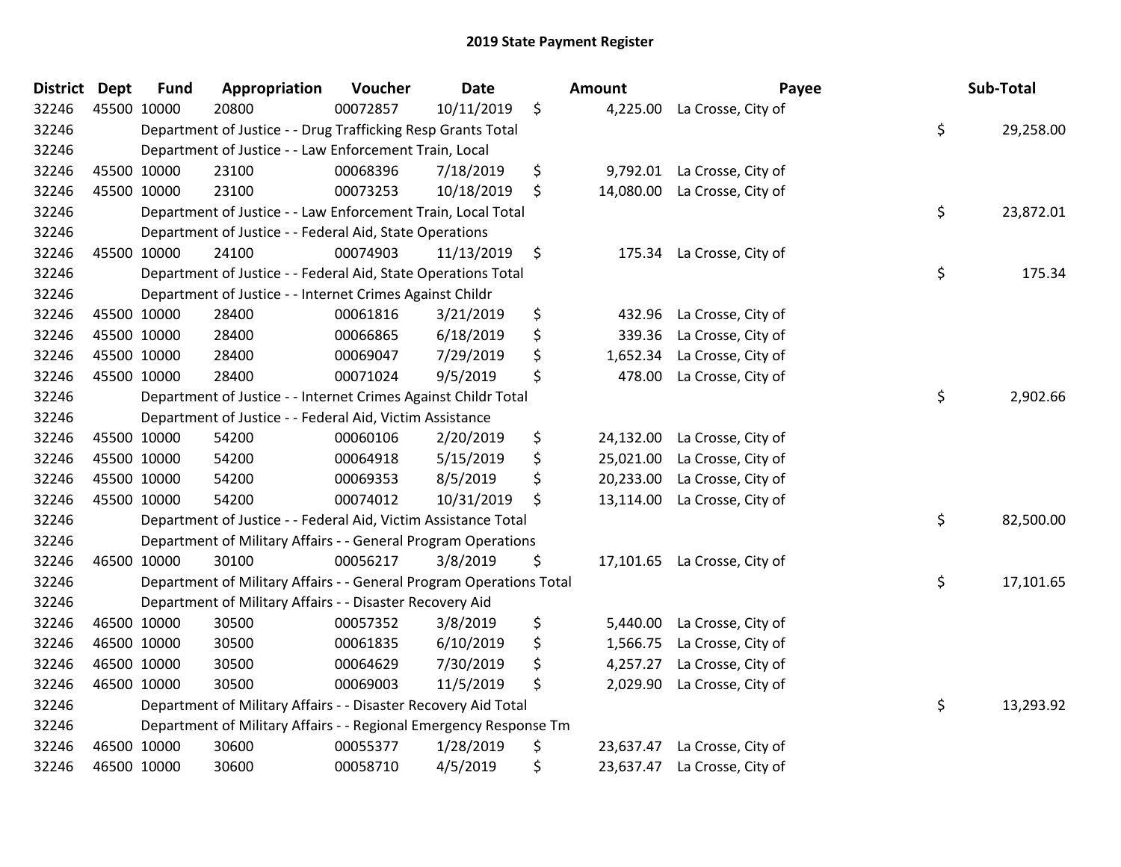| <b>District Dept</b> |             | <b>Fund</b> | Appropriation                                                       | Voucher  | <b>Date</b> |               | Amount    |                              | Payee | Sub-Total |
|----------------------|-------------|-------------|---------------------------------------------------------------------|----------|-------------|---------------|-----------|------------------------------|-------|-----------|
| 32246                | 45500 10000 |             | 20800                                                               | 00072857 | 10/11/2019  | \$            |           | 4,225.00 La Crosse, City of  |       |           |
| 32246                |             |             | Department of Justice - - Drug Trafficking Resp Grants Total        |          |             |               |           |                              | \$    | 29,258.00 |
| 32246                |             |             | Department of Justice - - Law Enforcement Train, Local              |          |             |               |           |                              |       |           |
| 32246                |             | 45500 10000 | 23100                                                               | 00068396 | 7/18/2019   | \$            | 9,792.01  | La Crosse, City of           |       |           |
| 32246                |             | 45500 10000 | 23100                                                               | 00073253 | 10/18/2019  | \$            | 14,080.00 | La Crosse, City of           |       |           |
| 32246                |             |             | Department of Justice - - Law Enforcement Train, Local Total        |          |             |               |           |                              | \$    | 23,872.01 |
| 32246                |             |             | Department of Justice - - Federal Aid, State Operations             |          |             |               |           |                              |       |           |
| 32246                |             | 45500 10000 | 24100                                                               | 00074903 | 11/13/2019  | $\ddot{\phi}$ | 175.34    | La Crosse, City of           |       |           |
| 32246                |             |             | Department of Justice - - Federal Aid, State Operations Total       |          |             |               |           |                              | \$    | 175.34    |
| 32246                |             |             | Department of Justice - - Internet Crimes Against Childr            |          |             |               |           |                              |       |           |
| 32246                |             | 45500 10000 | 28400                                                               | 00061816 | 3/21/2019   | \$            | 432.96    | La Crosse, City of           |       |           |
| 32246                |             | 45500 10000 | 28400                                                               | 00066865 | 6/18/2019   | \$            | 339.36    | La Crosse, City of           |       |           |
| 32246                |             | 45500 10000 | 28400                                                               | 00069047 | 7/29/2019   | \$            | 1,652.34  | La Crosse, City of           |       |           |
| 32246                |             | 45500 10000 | 28400                                                               | 00071024 | 9/5/2019    | \$            | 478.00    | La Crosse, City of           |       |           |
| 32246                |             |             | Department of Justice - - Internet Crimes Against Childr Total      |          |             |               |           |                              | \$    | 2,902.66  |
| 32246                |             |             | Department of Justice - - Federal Aid, Victim Assistance            |          |             |               |           |                              |       |           |
| 32246                |             | 45500 10000 | 54200                                                               | 00060106 | 2/20/2019   | \$            | 24,132.00 | La Crosse, City of           |       |           |
| 32246                |             | 45500 10000 | 54200                                                               | 00064918 | 5/15/2019   | \$            | 25,021.00 | La Crosse, City of           |       |           |
| 32246                |             | 45500 10000 | 54200                                                               | 00069353 | 8/5/2019    | \$            | 20,233.00 | La Crosse, City of           |       |           |
| 32246                |             | 45500 10000 | 54200                                                               | 00074012 | 10/31/2019  | \$            | 13,114.00 | La Crosse, City of           |       |           |
| 32246                |             |             | Department of Justice - - Federal Aid, Victim Assistance Total      |          |             |               |           |                              | \$    | 82,500.00 |
| 32246                |             |             | Department of Military Affairs - - General Program Operations       |          |             |               |           |                              |       |           |
| 32246                |             | 46500 10000 | 30100                                                               | 00056217 | 3/8/2019    | \$            |           | 17,101.65 La Crosse, City of |       |           |
| 32246                |             |             | Department of Military Affairs - - General Program Operations Total |          |             |               |           |                              | \$    | 17,101.65 |
| 32246                |             |             | Department of Military Affairs - - Disaster Recovery Aid            |          |             |               |           |                              |       |           |
| 32246                |             | 46500 10000 | 30500                                                               | 00057352 | 3/8/2019    | \$            | 5,440.00  | La Crosse, City of           |       |           |
| 32246                |             | 46500 10000 | 30500                                                               | 00061835 | 6/10/2019   | \$            | 1,566.75  | La Crosse, City of           |       |           |
| 32246                | 46500 10000 |             | 30500                                                               | 00064629 | 7/30/2019   | \$            | 4,257.27  | La Crosse, City of           |       |           |
| 32246                |             | 46500 10000 | 30500                                                               | 00069003 | 11/5/2019   | \$            | 2,029.90  | La Crosse, City of           |       |           |
| 32246                |             |             | Department of Military Affairs - - Disaster Recovery Aid Total      |          |             |               |           |                              | \$    | 13,293.92 |
| 32246                |             |             | Department of Military Affairs - - Regional Emergency Response Tm   |          |             |               |           |                              |       |           |
| 32246                |             | 46500 10000 | 30600                                                               | 00055377 | 1/28/2019   | \$            | 23,637.47 | La Crosse, City of           |       |           |
| 32246                |             | 46500 10000 | 30600                                                               | 00058710 | 4/5/2019    | \$            | 23,637.47 | La Crosse, City of           |       |           |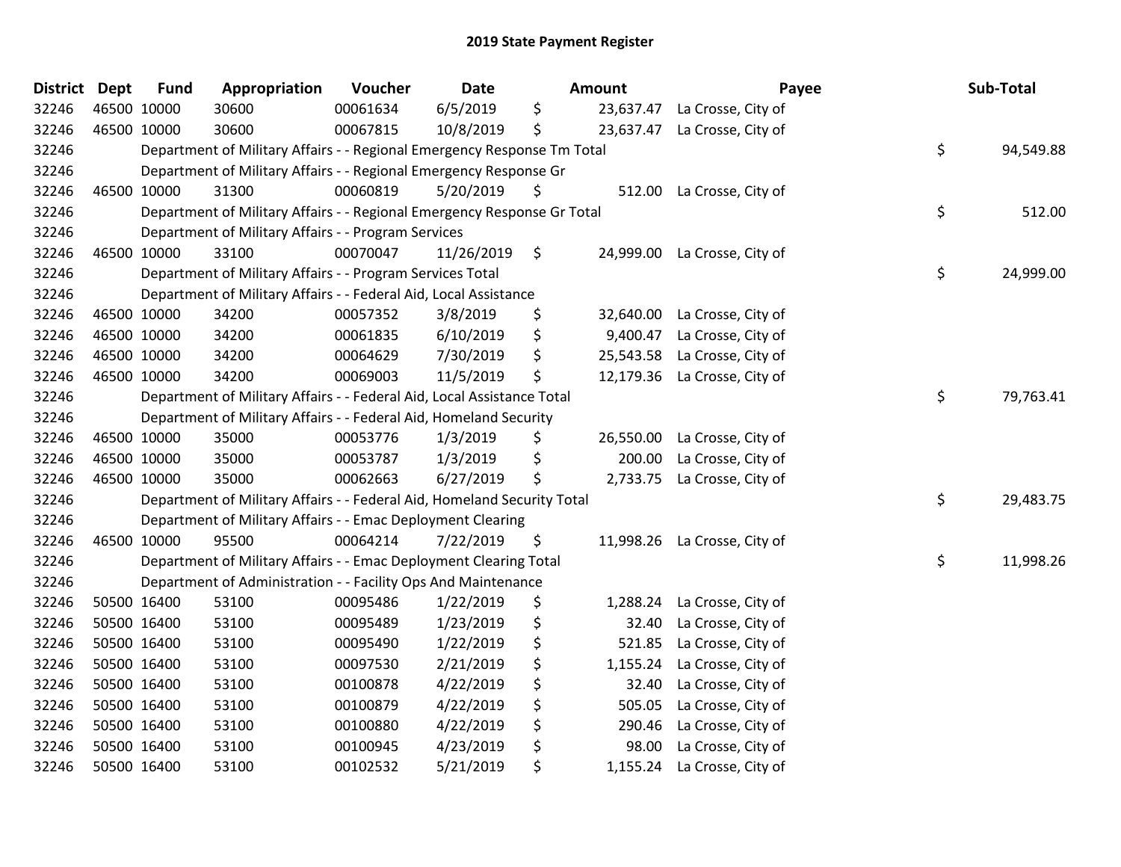| <b>District</b> | <b>Dept</b> | <b>Fund</b> | Appropriation                                                           | Voucher  | Date       | Amount          | Payee                        | Sub-Total       |
|-----------------|-------------|-------------|-------------------------------------------------------------------------|----------|------------|-----------------|------------------------------|-----------------|
| 32246           | 46500 10000 |             | 30600                                                                   | 00061634 | 6/5/2019   | \$<br>23,637.47 | La Crosse, City of           |                 |
| 32246           | 46500 10000 |             | 30600                                                                   | 00067815 | 10/8/2019  | \$<br>23,637.47 | La Crosse, City of           |                 |
| 32246           |             |             | Department of Military Affairs - - Regional Emergency Response Tm Total |          |            |                 |                              | \$<br>94,549.88 |
| 32246           |             |             | Department of Military Affairs - - Regional Emergency Response Gr       |          |            |                 |                              |                 |
| 32246           | 46500 10000 |             | 31300                                                                   | 00060819 | 5/20/2019  | \$<br>512.00    | La Crosse, City of           |                 |
| 32246           |             |             | Department of Military Affairs - - Regional Emergency Response Gr Total |          |            |                 |                              | \$<br>512.00    |
| 32246           |             |             | Department of Military Affairs - - Program Services                     |          |            |                 |                              |                 |
| 32246           | 46500 10000 |             | 33100                                                                   | 00070047 | 11/26/2019 | \$<br>24,999.00 | La Crosse, City of           |                 |
| 32246           |             |             | Department of Military Affairs - - Program Services Total               |          |            |                 |                              | \$<br>24,999.00 |
| 32246           |             |             | Department of Military Affairs - - Federal Aid, Local Assistance        |          |            |                 |                              |                 |
| 32246           |             | 46500 10000 | 34200                                                                   | 00057352 | 3/8/2019   | \$<br>32,640.00 | La Crosse, City of           |                 |
| 32246           |             | 46500 10000 | 34200                                                                   | 00061835 | 6/10/2019  | \$<br>9,400.47  | La Crosse, City of           |                 |
| 32246           | 46500 10000 |             | 34200                                                                   | 00064629 | 7/30/2019  | \$<br>25,543.58 | La Crosse, City of           |                 |
| 32246           | 46500 10000 |             | 34200                                                                   | 00069003 | 11/5/2019  | \$              | 12,179.36 La Crosse, City of |                 |
| 32246           |             |             | Department of Military Affairs - - Federal Aid, Local Assistance Total  |          |            |                 |                              | \$<br>79,763.41 |
| 32246           |             |             | Department of Military Affairs - - Federal Aid, Homeland Security       |          |            |                 |                              |                 |
| 32246           |             | 46500 10000 | 35000                                                                   | 00053776 | 1/3/2019   | \$<br>26,550.00 | La Crosse, City of           |                 |
| 32246           | 46500 10000 |             | 35000                                                                   | 00053787 | 1/3/2019   | \$<br>200.00    | La Crosse, City of           |                 |
| 32246           | 46500 10000 |             | 35000                                                                   | 00062663 | 6/27/2019  | \$              | 2,733.75 La Crosse, City of  |                 |
| 32246           |             |             | Department of Military Affairs - - Federal Aid, Homeland Security Total |          |            |                 |                              | \$<br>29,483.75 |
| 32246           |             |             | Department of Military Affairs - - Emac Deployment Clearing             |          |            |                 |                              |                 |
| 32246           |             | 46500 10000 | 95500                                                                   | 00064214 | 7/22/2019  | \$              | 11,998.26 La Crosse, City of |                 |
| 32246           |             |             | Department of Military Affairs - - Emac Deployment Clearing Total       |          |            |                 |                              | \$<br>11,998.26 |
| 32246           |             |             | Department of Administration - - Facility Ops And Maintenance           |          |            |                 |                              |                 |
| 32246           |             | 50500 16400 | 53100                                                                   | 00095486 | 1/22/2019  | \$<br>1,288.24  | La Crosse, City of           |                 |
| 32246           | 50500 16400 |             | 53100                                                                   | 00095489 | 1/23/2019  | \$<br>32.40     | La Crosse, City of           |                 |
| 32246           |             | 50500 16400 | 53100                                                                   | 00095490 | 1/22/2019  | \$<br>521.85    | La Crosse, City of           |                 |
| 32246           | 50500 16400 |             | 53100                                                                   | 00097530 | 2/21/2019  | \$<br>1,155.24  | La Crosse, City of           |                 |
| 32246           |             | 50500 16400 | 53100                                                                   | 00100878 | 4/22/2019  | \$<br>32.40     | La Crosse, City of           |                 |
| 32246           | 50500 16400 |             | 53100                                                                   | 00100879 | 4/22/2019  | \$<br>505.05    | La Crosse, City of           |                 |
| 32246           | 50500 16400 |             | 53100                                                                   | 00100880 | 4/22/2019  | \$<br>290.46    | La Crosse, City of           |                 |
| 32246           |             | 50500 16400 | 53100                                                                   | 00100945 | 4/23/2019  | \$<br>98.00     | La Crosse, City of           |                 |
| 32246           | 50500 16400 |             | 53100                                                                   | 00102532 | 5/21/2019  | \$<br>1,155.24  | La Crosse, City of           |                 |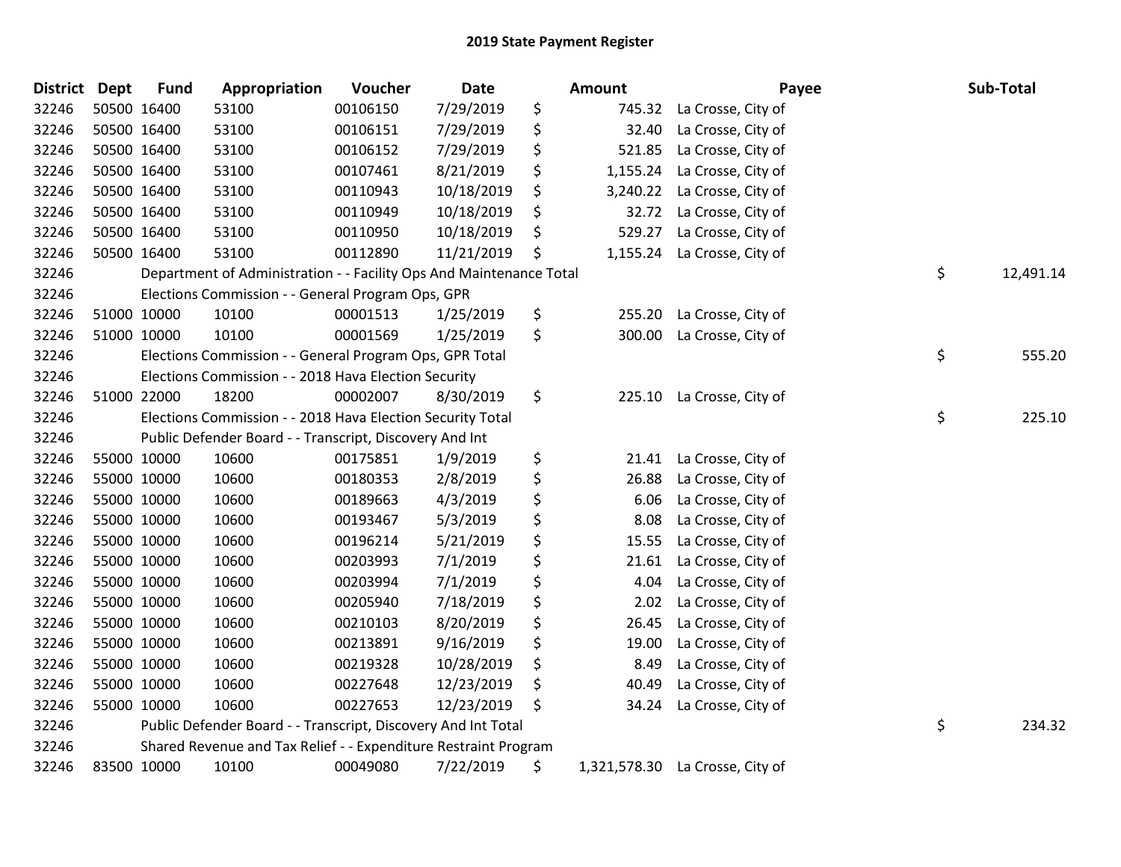| <b>District</b> | Dept | <b>Fund</b> | Appropriation                                                       | Voucher  | <b>Date</b> | Amount         | Payee                           | Sub-Total       |
|-----------------|------|-------------|---------------------------------------------------------------------|----------|-------------|----------------|---------------------------------|-----------------|
| 32246           |      | 50500 16400 | 53100                                                               | 00106150 | 7/29/2019   | \$<br>745.32   | La Crosse, City of              |                 |
| 32246           |      | 50500 16400 | 53100                                                               | 00106151 | 7/29/2019   | \$<br>32.40    | La Crosse, City of              |                 |
| 32246           |      | 50500 16400 | 53100                                                               | 00106152 | 7/29/2019   | \$<br>521.85   | La Crosse, City of              |                 |
| 32246           |      | 50500 16400 | 53100                                                               | 00107461 | 8/21/2019   | \$<br>1,155.24 | La Crosse, City of              |                 |
| 32246           |      | 50500 16400 | 53100                                                               | 00110943 | 10/18/2019  | \$<br>3,240.22 | La Crosse, City of              |                 |
| 32246           |      | 50500 16400 | 53100                                                               | 00110949 | 10/18/2019  | \$<br>32.72    | La Crosse, City of              |                 |
| 32246           |      | 50500 16400 | 53100                                                               | 00110950 | 10/18/2019  | \$<br>529.27   | La Crosse, City of              |                 |
| 32246           |      | 50500 16400 | 53100                                                               | 00112890 | 11/21/2019  | \$<br>1,155.24 | La Crosse, City of              |                 |
| 32246           |      |             | Department of Administration - - Facility Ops And Maintenance Total |          |             |                |                                 | \$<br>12,491.14 |
| 32246           |      |             | Elections Commission - - General Program Ops, GPR                   |          |             |                |                                 |                 |
| 32246           |      | 51000 10000 | 10100                                                               | 00001513 | 1/25/2019   | \$<br>255.20   | La Crosse, City of              |                 |
| 32246           |      | 51000 10000 | 10100                                                               | 00001569 | 1/25/2019   | \$<br>300.00   | La Crosse, City of              |                 |
| 32246           |      |             | Elections Commission - - General Program Ops, GPR Total             |          |             |                |                                 | \$<br>555.20    |
| 32246           |      |             | Elections Commission - - 2018 Hava Election Security                |          |             |                |                                 |                 |
| 32246           |      | 51000 22000 | 18200                                                               | 00002007 | 8/30/2019   | \$<br>225.10   | La Crosse, City of              |                 |
| 32246           |      |             | Elections Commission - - 2018 Hava Election Security Total          |          |             |                |                                 | \$<br>225.10    |
| 32246           |      |             | Public Defender Board - - Transcript, Discovery And Int             |          |             |                |                                 |                 |
| 32246           |      | 55000 10000 | 10600                                                               | 00175851 | 1/9/2019    | \$<br>21.41    | La Crosse, City of              |                 |
| 32246           |      | 55000 10000 | 10600                                                               | 00180353 | 2/8/2019    | \$<br>26.88    | La Crosse, City of              |                 |
| 32246           |      | 55000 10000 | 10600                                                               | 00189663 | 4/3/2019    | \$<br>6.06     | La Crosse, City of              |                 |
| 32246           |      | 55000 10000 | 10600                                                               | 00193467 | 5/3/2019    | \$<br>8.08     | La Crosse, City of              |                 |
| 32246           |      | 55000 10000 | 10600                                                               | 00196214 | 5/21/2019   | \$<br>15.55    | La Crosse, City of              |                 |
| 32246           |      | 55000 10000 | 10600                                                               | 00203993 | 7/1/2019    | \$<br>21.61    | La Crosse, City of              |                 |
| 32246           |      | 55000 10000 | 10600                                                               | 00203994 | 7/1/2019    | \$<br>4.04     | La Crosse, City of              |                 |
| 32246           |      | 55000 10000 | 10600                                                               | 00205940 | 7/18/2019   | \$<br>2.02     | La Crosse, City of              |                 |
| 32246           |      | 55000 10000 | 10600                                                               | 00210103 | 8/20/2019   | \$<br>26.45    | La Crosse, City of              |                 |
| 32246           |      | 55000 10000 | 10600                                                               | 00213891 | 9/16/2019   | \$<br>19.00    | La Crosse, City of              |                 |
| 32246           |      | 55000 10000 | 10600                                                               | 00219328 | 10/28/2019  | \$<br>8.49     | La Crosse, City of              |                 |
| 32246           |      | 55000 10000 | 10600                                                               | 00227648 | 12/23/2019  | \$<br>40.49    | La Crosse, City of              |                 |
| 32246           |      | 55000 10000 | 10600                                                               | 00227653 | 12/23/2019  | \$<br>34.24    | La Crosse, City of              |                 |
| 32246           |      |             | Public Defender Board - - Transcript, Discovery And Int Total       |          |             |                |                                 | \$<br>234.32    |
| 32246           |      |             | Shared Revenue and Tax Relief - - Expenditure Restraint Program     |          |             |                |                                 |                 |
| 32246           |      | 83500 10000 | 10100                                                               | 00049080 | 7/22/2019   | \$             | 1,321,578.30 La Crosse, City of |                 |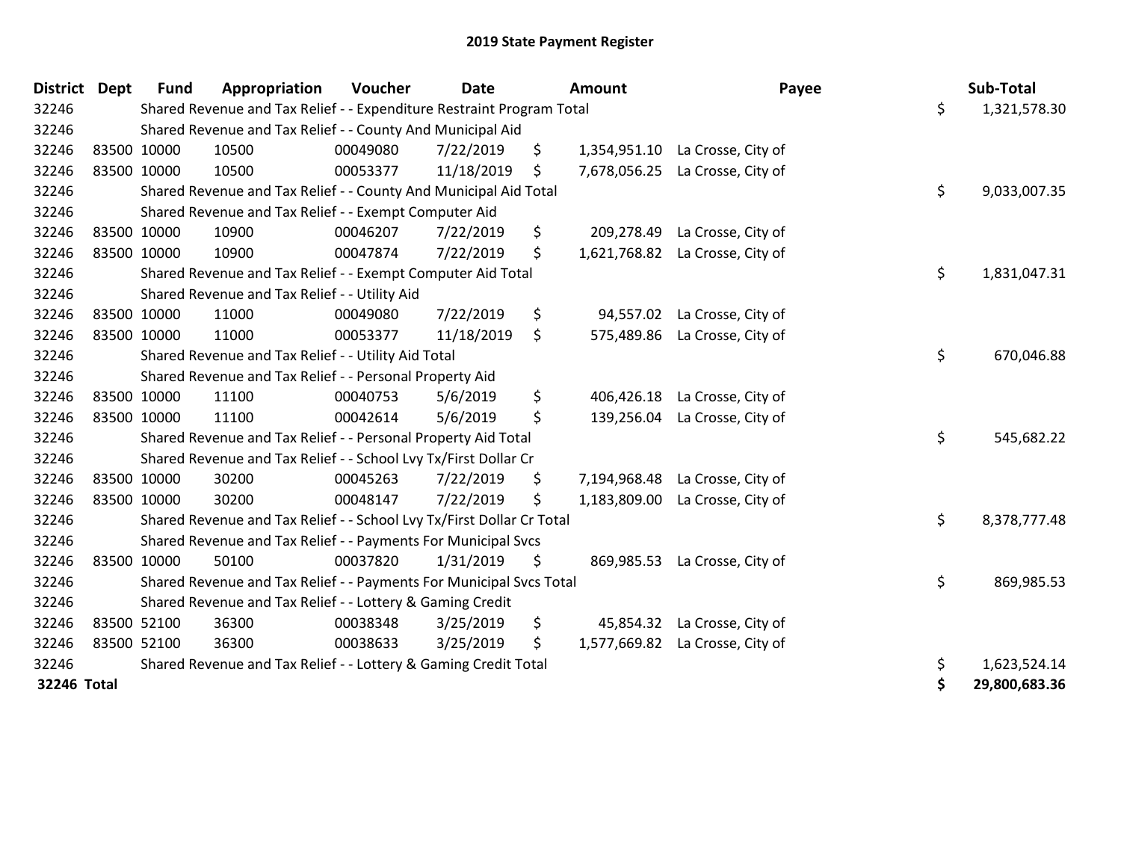| <b>District</b> | <b>Dept</b> | <b>Fund</b> | Appropriation                                                         | Voucher  | <b>Date</b> |    | Amount       | Payee                           | Sub-Total           |
|-----------------|-------------|-------------|-----------------------------------------------------------------------|----------|-------------|----|--------------|---------------------------------|---------------------|
| 32246           |             |             | Shared Revenue and Tax Relief - - Expenditure Restraint Program Total |          |             |    |              |                                 | \$<br>1,321,578.30  |
| 32246           |             |             | Shared Revenue and Tax Relief - - County And Municipal Aid            |          |             |    |              |                                 |                     |
| 32246           | 83500 10000 |             | 10500                                                                 | 00049080 | 7/22/2019   | \$ | 1,354,951.10 | La Crosse, City of              |                     |
| 32246           | 83500 10000 |             | 10500                                                                 | 00053377 | 11/18/2019  | Ś. | 7,678,056.25 | La Crosse, City of              |                     |
| 32246           |             |             | Shared Revenue and Tax Relief - - County And Municipal Aid Total      |          |             |    |              |                                 | \$<br>9,033,007.35  |
| 32246           |             |             | Shared Revenue and Tax Relief - - Exempt Computer Aid                 |          |             |    |              |                                 |                     |
| 32246           | 83500 10000 |             | 10900                                                                 | 00046207 | 7/22/2019   | \$ | 209,278.49   | La Crosse, City of              |                     |
| 32246           | 83500 10000 |             | 10900                                                                 | 00047874 | 7/22/2019   | \$ |              | 1,621,768.82 La Crosse, City of |                     |
| 32246           |             |             | Shared Revenue and Tax Relief - - Exempt Computer Aid Total           |          |             |    |              |                                 | \$<br>1,831,047.31  |
| 32246           |             |             | Shared Revenue and Tax Relief - - Utility Aid                         |          |             |    |              |                                 |                     |
| 32246           | 83500 10000 |             | 11000                                                                 | 00049080 | 7/22/2019   | \$ | 94,557.02    | La Crosse, City of              |                     |
| 32246           | 83500 10000 |             | 11000                                                                 | 00053377 | 11/18/2019  | \$ | 575,489.86   | La Crosse, City of              |                     |
| 32246           |             |             | Shared Revenue and Tax Relief - - Utility Aid Total                   |          |             |    |              |                                 | \$<br>670,046.88    |
| 32246           |             |             | Shared Revenue and Tax Relief - - Personal Property Aid               |          |             |    |              |                                 |                     |
| 32246           | 83500 10000 |             | 11100                                                                 | 00040753 | 5/6/2019    | \$ | 406,426.18   | La Crosse, City of              |                     |
| 32246           | 83500 10000 |             | 11100                                                                 | 00042614 | 5/6/2019    | \$ | 139,256.04   | La Crosse, City of              |                     |
| 32246           |             |             | Shared Revenue and Tax Relief - - Personal Property Aid Total         |          |             |    |              |                                 | \$<br>545,682.22    |
| 32246           |             |             | Shared Revenue and Tax Relief - - School Lvy Tx/First Dollar Cr       |          |             |    |              |                                 |                     |
| 32246           | 83500 10000 |             | 30200                                                                 | 00045263 | 7/22/2019   | \$ | 7,194,968.48 | La Crosse, City of              |                     |
| 32246           | 83500 10000 |             | 30200                                                                 | 00048147 | 7/22/2019   | \$ | 1,183,809.00 | La Crosse, City of              |                     |
| 32246           |             |             | Shared Revenue and Tax Relief - - School Lvy Tx/First Dollar Cr Total |          |             |    |              |                                 | \$<br>8,378,777.48  |
| 32246           |             |             | Shared Revenue and Tax Relief - - Payments For Municipal Svcs         |          |             |    |              |                                 |                     |
| 32246           | 83500 10000 |             | 50100                                                                 | 00037820 | 1/31/2019   | \$ | 869,985.53   | La Crosse, City of              |                     |
| 32246           |             |             | Shared Revenue and Tax Relief - - Payments For Municipal Svcs Total   |          |             |    |              |                                 | \$<br>869,985.53    |
| 32246           |             |             | Shared Revenue and Tax Relief - - Lottery & Gaming Credit             |          |             |    |              |                                 |                     |
| 32246           | 83500 52100 |             | 36300                                                                 | 00038348 | 3/25/2019   | \$ | 45,854.32    | La Crosse, City of              |                     |
| 32246           | 83500 52100 |             | 36300                                                                 | 00038633 | 3/25/2019   | \$ | 1,577,669.82 | La Crosse, City of              |                     |
| 32246           |             |             | Shared Revenue and Tax Relief - - Lottery & Gaming Credit Total       |          |             |    |              |                                 | \$<br>1,623,524.14  |
| 32246 Total     |             |             |                                                                       |          |             |    |              |                                 | \$<br>29,800,683.36 |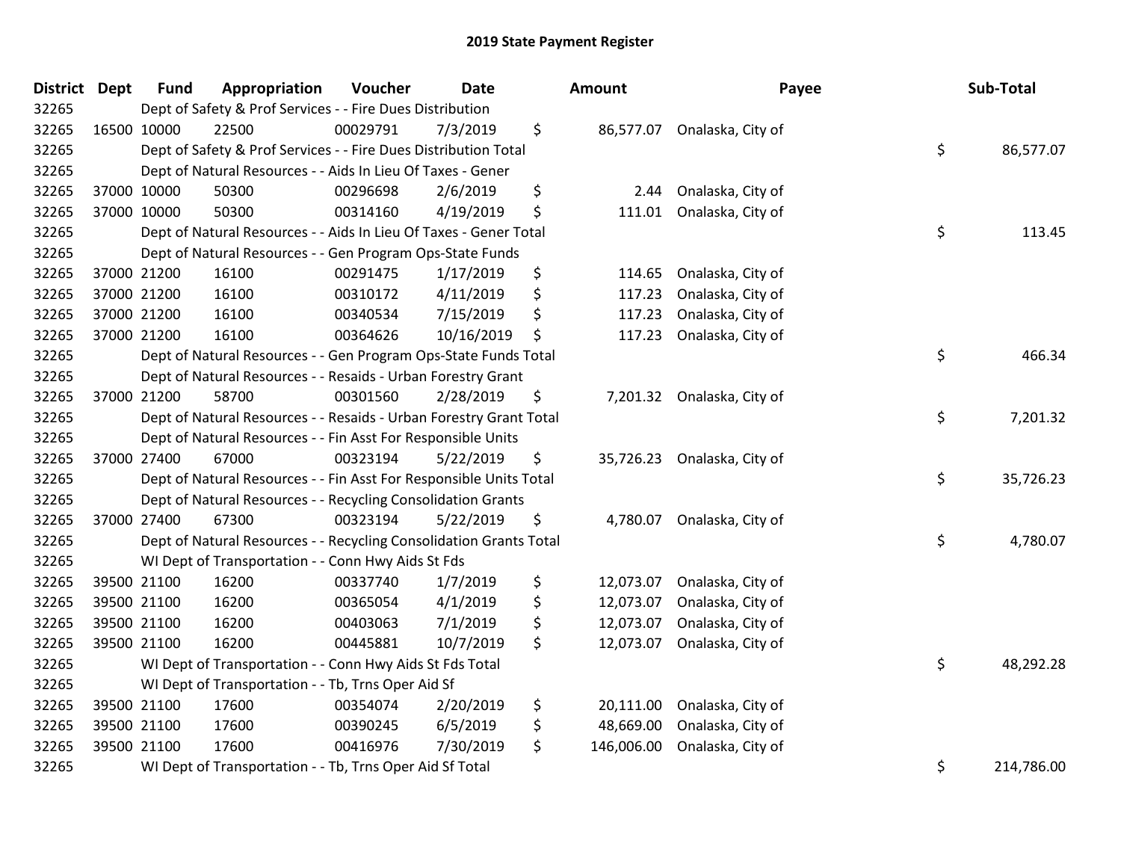| <b>District Dept</b> | <b>Fund</b> | Appropriation                                                      | Voucher  | <b>Date</b> | Amount           | Payee                       | Sub-Total        |
|----------------------|-------------|--------------------------------------------------------------------|----------|-------------|------------------|-----------------------------|------------------|
| 32265                |             | Dept of Safety & Prof Services - - Fire Dues Distribution          |          |             |                  |                             |                  |
| 32265                | 16500 10000 | 22500                                                              | 00029791 | 7/3/2019    | \$               | 86,577.07 Onalaska, City of |                  |
| 32265                |             | Dept of Safety & Prof Services - - Fire Dues Distribution Total    |          |             |                  |                             | \$<br>86,577.07  |
| 32265                |             | Dept of Natural Resources - - Aids In Lieu Of Taxes - Gener        |          |             |                  |                             |                  |
| 32265                | 37000 10000 | 50300                                                              | 00296698 | 2/6/2019    | \$<br>2.44       | Onalaska, City of           |                  |
| 32265                | 37000 10000 | 50300                                                              | 00314160 | 4/19/2019   | \$<br>111.01     | Onalaska, City of           |                  |
| 32265                |             | Dept of Natural Resources - - Aids In Lieu Of Taxes - Gener Total  |          |             |                  |                             | \$<br>113.45     |
| 32265                |             | Dept of Natural Resources - - Gen Program Ops-State Funds          |          |             |                  |                             |                  |
| 32265                | 37000 21200 | 16100                                                              | 00291475 | 1/17/2019   | \$<br>114.65     | Onalaska, City of           |                  |
| 32265                | 37000 21200 | 16100                                                              | 00310172 | 4/11/2019   | \$<br>117.23     | Onalaska, City of           |                  |
| 32265                | 37000 21200 | 16100                                                              | 00340534 | 7/15/2019   | \$<br>117.23     | Onalaska, City of           |                  |
| 32265                | 37000 21200 | 16100                                                              | 00364626 | 10/16/2019  | \$<br>117.23     | Onalaska, City of           |                  |
| 32265                |             | Dept of Natural Resources - - Gen Program Ops-State Funds Total    |          |             |                  |                             | \$<br>466.34     |
| 32265                |             | Dept of Natural Resources - - Resaids - Urban Forestry Grant       |          |             |                  |                             |                  |
| 32265                | 37000 21200 | 58700                                                              | 00301560 | 2/28/2019   | \$               | 7,201.32 Onalaska, City of  |                  |
| 32265                |             | Dept of Natural Resources - - Resaids - Urban Forestry Grant Total |          |             |                  |                             | \$<br>7,201.32   |
| 32265                |             | Dept of Natural Resources - - Fin Asst For Responsible Units       |          |             |                  |                             |                  |
| 32265                | 37000 27400 | 67000                                                              | 00323194 | 5/22/2019   | \$               | 35,726.23 Onalaska, City of |                  |
| 32265                |             | Dept of Natural Resources - - Fin Asst For Responsible Units Total |          |             |                  |                             | \$<br>35,726.23  |
| 32265                |             | Dept of Natural Resources - - Recycling Consolidation Grants       |          |             |                  |                             |                  |
| 32265                | 37000 27400 | 67300                                                              | 00323194 | 5/22/2019   | \$               | 4,780.07 Onalaska, City of  |                  |
| 32265                |             | Dept of Natural Resources - - Recycling Consolidation Grants Total |          |             |                  |                             | \$<br>4,780.07   |
| 32265                |             | WI Dept of Transportation - - Conn Hwy Aids St Fds                 |          |             |                  |                             |                  |
| 32265                | 39500 21100 | 16200                                                              | 00337740 | 1/7/2019    | \$<br>12,073.07  | Onalaska, City of           |                  |
| 32265                | 39500 21100 | 16200                                                              | 00365054 | 4/1/2019    | \$<br>12,073.07  | Onalaska, City of           |                  |
| 32265                | 39500 21100 | 16200                                                              | 00403063 | 7/1/2019    | \$<br>12,073.07  | Onalaska, City of           |                  |
| 32265                | 39500 21100 | 16200                                                              | 00445881 | 10/7/2019   | \$<br>12,073.07  | Onalaska, City of           |                  |
| 32265                |             | WI Dept of Transportation - - Conn Hwy Aids St Fds Total           |          |             |                  |                             | \$<br>48,292.28  |
| 32265                |             | WI Dept of Transportation - - Tb, Trns Oper Aid Sf                 |          |             |                  |                             |                  |
| 32265                | 39500 21100 | 17600                                                              | 00354074 | 2/20/2019   | \$<br>20,111.00  | Onalaska, City of           |                  |
| 32265                | 39500 21100 | 17600                                                              | 00390245 | 6/5/2019    | \$<br>48,669.00  | Onalaska, City of           |                  |
| 32265                | 39500 21100 | 17600                                                              | 00416976 | 7/30/2019   | \$<br>146,006.00 | Onalaska, City of           |                  |
| 32265                |             | WI Dept of Transportation - - Tb, Trns Oper Aid Sf Total           |          |             |                  |                             | \$<br>214,786.00 |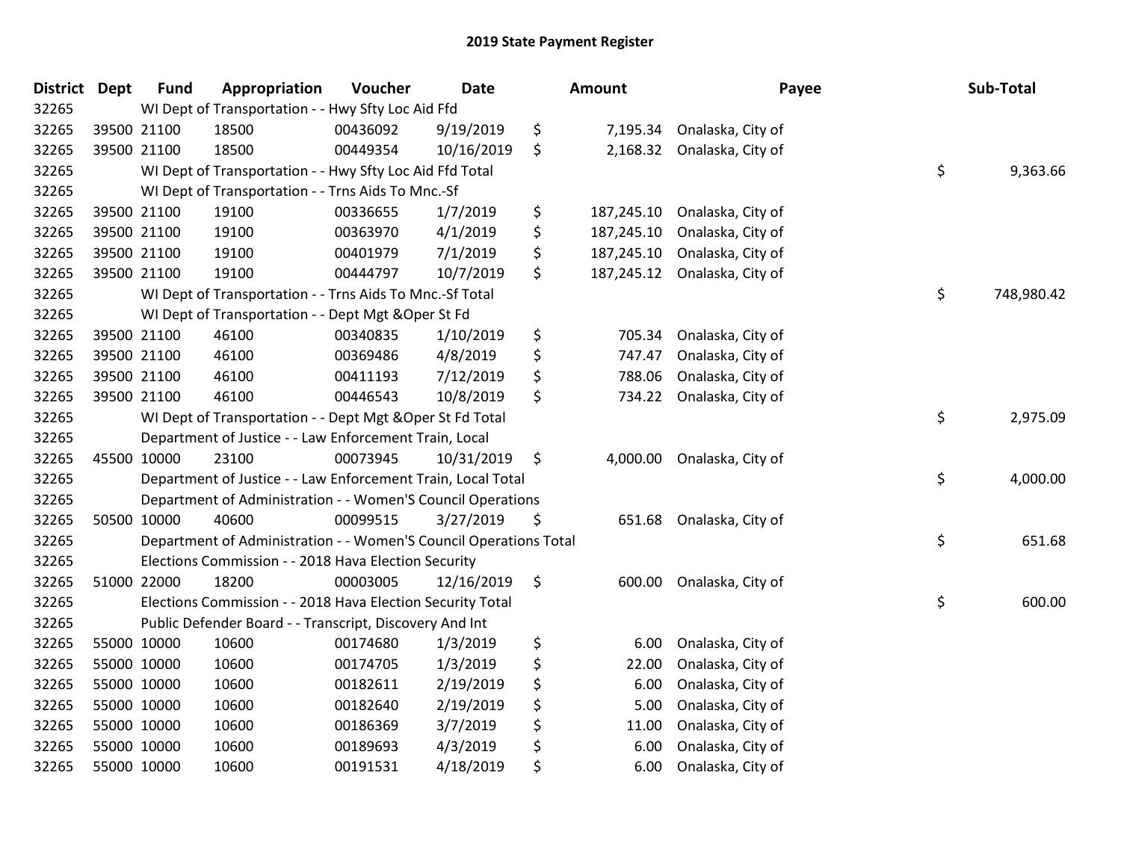| District Dept |             | <b>Fund</b> | Appropriation                                                     | Voucher  | <b>Date</b> |             | <b>Amount</b> | Payee             | Sub-Total        |
|---------------|-------------|-------------|-------------------------------------------------------------------|----------|-------------|-------------|---------------|-------------------|------------------|
| 32265         |             |             | WI Dept of Transportation - - Hwy Sfty Loc Aid Ffd                |          |             |             |               |                   |                  |
| 32265         |             | 39500 21100 | 18500                                                             | 00436092 | 9/19/2019   | \$          | 7,195.34      | Onalaska, City of |                  |
| 32265         |             | 39500 21100 | 18500                                                             | 00449354 | 10/16/2019  | \$          | 2,168.32      | Onalaska, City of |                  |
| 32265         |             |             | WI Dept of Transportation - - Hwy Sfty Loc Aid Ffd Total          |          |             |             |               |                   | \$<br>9,363.66   |
| 32265         |             |             | WI Dept of Transportation - - Trns Aids To Mnc.-Sf                |          |             |             |               |                   |                  |
| 32265         |             | 39500 21100 | 19100                                                             | 00336655 | 1/7/2019    | \$          | 187,245.10    | Onalaska, City of |                  |
| 32265         |             | 39500 21100 | 19100                                                             | 00363970 | 4/1/2019    | \$          | 187,245.10    | Onalaska, City of |                  |
| 32265         |             | 39500 21100 | 19100                                                             | 00401979 | 7/1/2019    | \$          | 187,245.10    | Onalaska, City of |                  |
| 32265         | 39500 21100 |             | 19100                                                             | 00444797 | 10/7/2019   | \$          | 187,245.12    | Onalaska, City of |                  |
| 32265         |             |             | WI Dept of Transportation - - Trns Aids To Mnc.-Sf Total          |          |             |             |               |                   | \$<br>748,980.42 |
| 32265         |             |             | WI Dept of Transportation - - Dept Mgt & Oper St Fd               |          |             |             |               |                   |                  |
| 32265         |             | 39500 21100 | 46100                                                             | 00340835 | 1/10/2019   | \$          | 705.34        | Onalaska, City of |                  |
| 32265         |             | 39500 21100 | 46100                                                             | 00369486 | 4/8/2019    | \$          | 747.47        | Onalaska, City of |                  |
| 32265         |             | 39500 21100 | 46100                                                             | 00411193 | 7/12/2019   | \$          | 788.06        | Onalaska, City of |                  |
| 32265         | 39500 21100 |             | 46100                                                             | 00446543 | 10/8/2019   | \$          | 734.22        | Onalaska, City of |                  |
| 32265         |             |             | WI Dept of Transportation - - Dept Mgt & Oper St Fd Total         |          |             |             |               |                   | \$<br>2,975.09   |
| 32265         |             |             | Department of Justice - - Law Enforcement Train, Local            |          |             |             |               |                   |                  |
| 32265         | 45500 10000 |             | 23100                                                             | 00073945 | 10/31/2019  | \$          | 4,000.00      | Onalaska, City of |                  |
| 32265         |             |             | Department of Justice - - Law Enforcement Train, Local Total      |          |             |             |               |                   | \$<br>4,000.00   |
| 32265         |             |             | Department of Administration - - Women'S Council Operations       |          |             |             |               |                   |                  |
| 32265         | 50500 10000 |             | 40600                                                             | 00099515 | 3/27/2019   | \$          | 651.68        | Onalaska, City of |                  |
| 32265         |             |             | Department of Administration - - Women'S Council Operations Total |          |             |             |               |                   | \$<br>651.68     |
| 32265         |             |             | Elections Commission - - 2018 Hava Election Security              |          |             |             |               |                   |                  |
| 32265         |             | 51000 22000 | 18200                                                             | 00003005 | 12/16/2019  | $\varsigma$ | 600.00        | Onalaska, City of |                  |
| 32265         |             |             | Elections Commission - - 2018 Hava Election Security Total        |          |             |             |               |                   | \$<br>600.00     |
| 32265         |             |             | Public Defender Board - - Transcript, Discovery And Int           |          |             |             |               |                   |                  |
| 32265         |             | 55000 10000 | 10600                                                             | 00174680 | 1/3/2019    | \$          | 6.00          | Onalaska, City of |                  |
| 32265         |             | 55000 10000 | 10600                                                             | 00174705 | 1/3/2019    | \$          | 22.00         | Onalaska, City of |                  |
| 32265         | 55000 10000 |             | 10600                                                             | 00182611 | 2/19/2019   | \$          | 6.00          | Onalaska, City of |                  |
| 32265         | 55000 10000 |             | 10600                                                             | 00182640 | 2/19/2019   | \$          | 5.00          | Onalaska, City of |                  |
| 32265         |             | 55000 10000 | 10600                                                             | 00186369 | 3/7/2019    | \$          | 11.00         | Onalaska, City of |                  |
| 32265         | 55000 10000 |             | 10600                                                             | 00189693 | 4/3/2019    | \$          | 6.00          | Onalaska, City of |                  |
| 32265         |             | 55000 10000 | 10600                                                             | 00191531 | 4/18/2019   | \$          | 6.00          | Onalaska, City of |                  |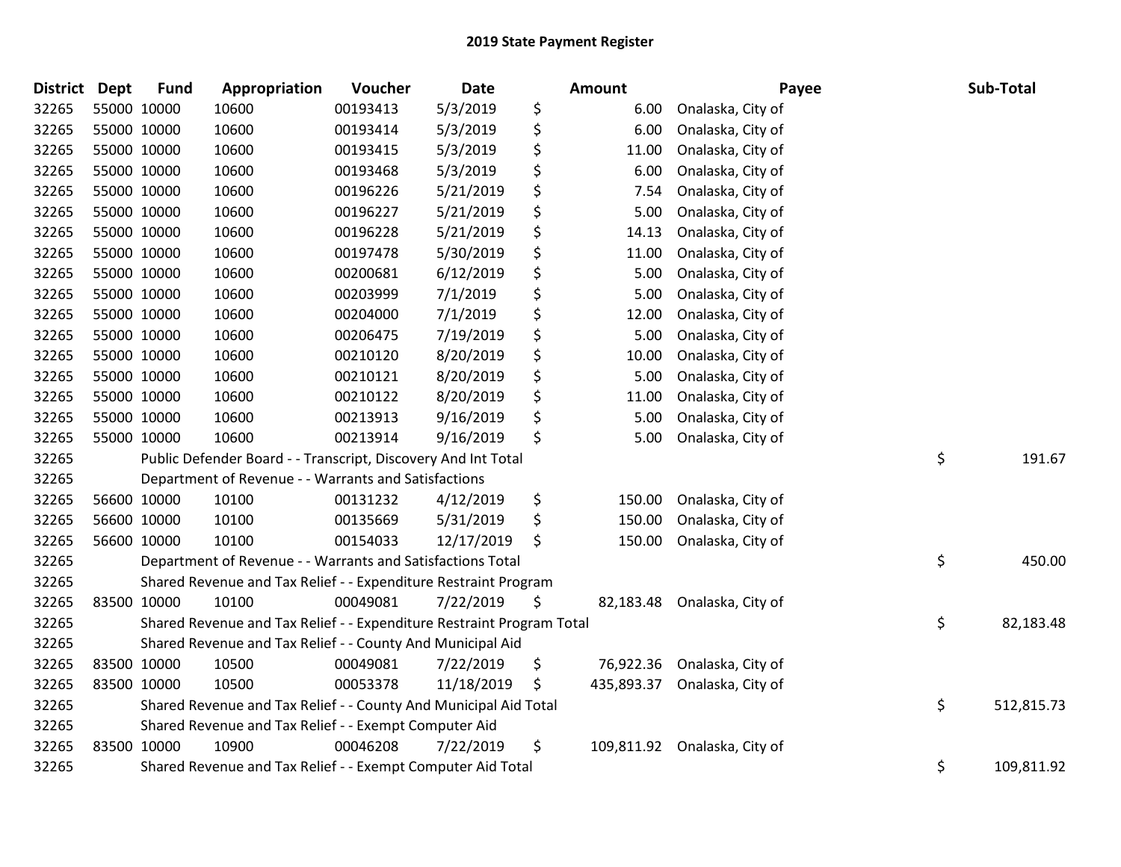| <b>District</b> | <b>Dept</b> | <b>Fund</b> | Appropriation                                                         | Voucher  | Date       | Amount           | Payee             | Sub-Total        |
|-----------------|-------------|-------------|-----------------------------------------------------------------------|----------|------------|------------------|-------------------|------------------|
| 32265           | 55000 10000 |             | 10600                                                                 | 00193413 | 5/3/2019   | \$<br>6.00       | Onalaska, City of |                  |
| 32265           | 55000 10000 |             | 10600                                                                 | 00193414 | 5/3/2019   | \$<br>6.00       | Onalaska, City of |                  |
| 32265           | 55000 10000 |             | 10600                                                                 | 00193415 | 5/3/2019   | \$<br>11.00      | Onalaska, City of |                  |
| 32265           | 55000 10000 |             | 10600                                                                 | 00193468 | 5/3/2019   | \$<br>6.00       | Onalaska, City of |                  |
| 32265           | 55000 10000 |             | 10600                                                                 | 00196226 | 5/21/2019  | \$<br>7.54       | Onalaska, City of |                  |
| 32265           | 55000 10000 |             | 10600                                                                 | 00196227 | 5/21/2019  | \$<br>5.00       | Onalaska, City of |                  |
| 32265           | 55000 10000 |             | 10600                                                                 | 00196228 | 5/21/2019  | \$<br>14.13      | Onalaska, City of |                  |
| 32265           |             | 55000 10000 | 10600                                                                 | 00197478 | 5/30/2019  | \$<br>11.00      | Onalaska, City of |                  |
| 32265           | 55000 10000 |             | 10600                                                                 | 00200681 | 6/12/2019  | \$<br>5.00       | Onalaska, City of |                  |
| 32265           | 55000 10000 |             | 10600                                                                 | 00203999 | 7/1/2019   | \$<br>5.00       | Onalaska, City of |                  |
| 32265           | 55000 10000 |             | 10600                                                                 | 00204000 | 7/1/2019   | \$<br>12.00      | Onalaska, City of |                  |
| 32265           | 55000 10000 |             | 10600                                                                 | 00206475 | 7/19/2019  | \$<br>5.00       | Onalaska, City of |                  |
| 32265           | 55000 10000 |             | 10600                                                                 | 00210120 | 8/20/2019  | \$<br>10.00      | Onalaska, City of |                  |
| 32265           | 55000 10000 |             | 10600                                                                 | 00210121 | 8/20/2019  | \$<br>5.00       | Onalaska, City of |                  |
| 32265           | 55000 10000 |             | 10600                                                                 | 00210122 | 8/20/2019  | \$<br>11.00      | Onalaska, City of |                  |
| 32265           | 55000 10000 |             | 10600                                                                 | 00213913 | 9/16/2019  | \$<br>5.00       | Onalaska, City of |                  |
| 32265           | 55000 10000 |             | 10600                                                                 | 00213914 | 9/16/2019  | \$<br>5.00       | Onalaska, City of |                  |
| 32265           |             |             | Public Defender Board - - Transcript, Discovery And Int Total         |          |            |                  |                   | \$<br>191.67     |
| 32265           |             |             | Department of Revenue - - Warrants and Satisfactions                  |          |            |                  |                   |                  |
| 32265           |             | 56600 10000 | 10100                                                                 | 00131232 | 4/12/2019  | \$<br>150.00     | Onalaska, City of |                  |
| 32265           |             | 56600 10000 | 10100                                                                 | 00135669 | 5/31/2019  | \$<br>150.00     | Onalaska, City of |                  |
| 32265           |             | 56600 10000 | 10100                                                                 | 00154033 | 12/17/2019 | \$<br>150.00     | Onalaska, City of |                  |
| 32265           |             |             | Department of Revenue - - Warrants and Satisfactions Total            |          |            |                  |                   | \$<br>450.00     |
| 32265           |             |             | Shared Revenue and Tax Relief - - Expenditure Restraint Program       |          |            |                  |                   |                  |
| 32265           | 83500 10000 |             | 10100                                                                 | 00049081 | 7/22/2019  | \$<br>82,183.48  | Onalaska, City of |                  |
| 32265           |             |             | Shared Revenue and Tax Relief - - Expenditure Restraint Program Total |          |            |                  |                   | \$<br>82,183.48  |
| 32265           |             |             | Shared Revenue and Tax Relief - - County And Municipal Aid            |          |            |                  |                   |                  |
| 32265           | 83500 10000 |             | 10500                                                                 | 00049081 | 7/22/2019  | \$<br>76,922.36  | Onalaska, City of |                  |
| 32265           | 83500 10000 |             | 10500                                                                 | 00053378 | 11/18/2019 | \$<br>435,893.37 | Onalaska, City of |                  |
| 32265           |             |             | Shared Revenue and Tax Relief - - County And Municipal Aid Total      |          |            |                  |                   | \$<br>512,815.73 |
| 32265           |             |             | Shared Revenue and Tax Relief - - Exempt Computer Aid                 |          |            |                  |                   |                  |
| 32265           | 83500 10000 |             | 10900                                                                 | 00046208 | 7/22/2019  | \$<br>109,811.92 | Onalaska, City of |                  |
| 32265           |             |             | Shared Revenue and Tax Relief - - Exempt Computer Aid Total           |          |            |                  |                   | \$<br>109,811.92 |